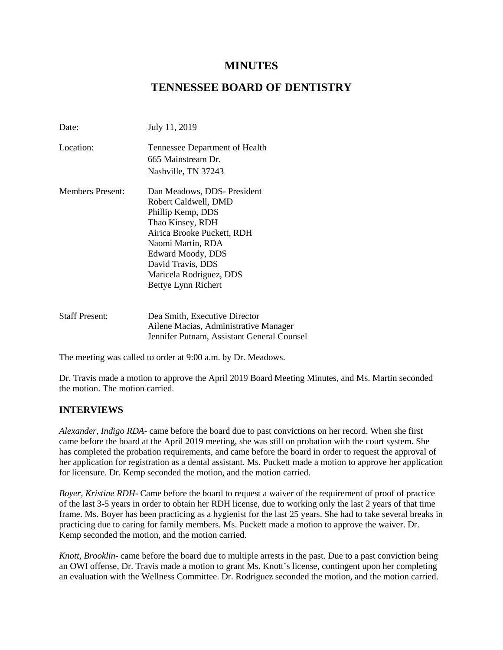# **MINUTES**

# **TENNESSEE BOARD OF DENTISTRY**

| Date:                   | July 11, 2019                                                                                                                                                                                                                               |
|-------------------------|---------------------------------------------------------------------------------------------------------------------------------------------------------------------------------------------------------------------------------------------|
| Location:               | Tennessee Department of Health<br>665 Mainstream Dr.<br>Nashville, TN 37243                                                                                                                                                                 |
| <b>Members Present:</b> | Dan Meadows, DDS- President<br>Robert Caldwell, DMD<br>Phillip Kemp, DDS<br>Thao Kinsey, RDH<br>Airica Brooke Puckett, RDH<br>Naomi Martin, RDA<br>Edward Moody, DDS<br>David Travis, DDS<br>Maricela Rodriguez, DDS<br>Bettye Lynn Richert |
| <b>Staff Present:</b>   | Dea Smith, Executive Director<br>Ailene Macias, Administrative Manager<br>Jennifer Putnam, Assistant General Counsel                                                                                                                        |

The meeting was called to order at 9:00 a.m. by Dr. Meadows.

Dr. Travis made a motion to approve the April 2019 Board Meeting Minutes, and Ms. Martin seconded the motion. The motion carried.

## **INTERVIEWS**

*Alexander, Indigo RDA*- came before the board due to past convictions on her record. When she first came before the board at the April 2019 meeting, she was still on probation with the court system. She has completed the probation requirements, and came before the board in order to request the approval of her application for registration as a dental assistant. Ms. Puckett made a motion to approve her application for licensure. Dr. Kemp seconded the motion, and the motion carried.

*Boyer, Kristine RDH*- Came before the board to request a waiver of the requirement of proof of practice of the last 3-5 years in order to obtain her RDH license, due to working only the last 2 years of that time frame. Ms. Boyer has been practicing as a hygienist for the last 25 years. She had to take several breaks in practicing due to caring for family members. Ms. Puckett made a motion to approve the waiver. Dr. Kemp seconded the motion, and the motion carried.

*Knott, Brooklin*- came before the board due to multiple arrests in the past. Due to a past conviction being an OWI offense, Dr. Travis made a motion to grant Ms. Knott's license, contingent upon her completing an evaluation with the Wellness Committee. Dr. Rodriguez seconded the motion, and the motion carried.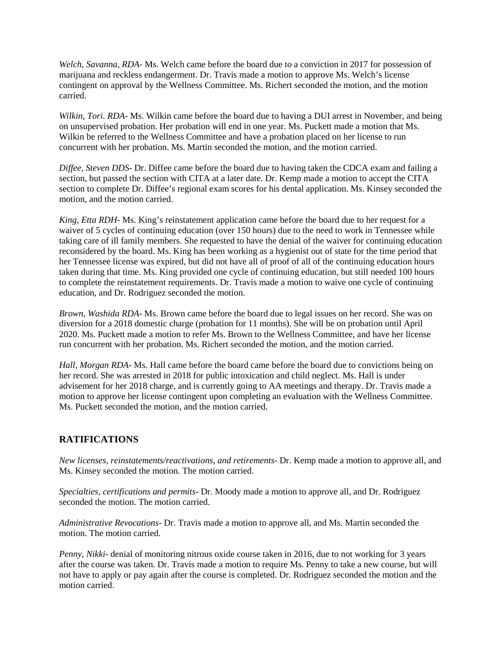*Welch, Savanna, RDA-* Ms. Welch came before the board due to a conviction in 2017 for possession of marijuana and reckless endangerment. Dr. Travis made a motion to approve Ms. Welch's license contingent on approval by the Wellness Committee. Ms. Richert seconded the motion, and the motion carried.

*Wilkin, Tori. RDA*- Ms. Wilkin came before the board due to having a DUI arrest in November, and being on unsupervised probation. Her probation will end in one year. Ms. Puckett made a motion that Ms. Wilkin be referred to the Wellness Committee and have a probation placed on her license to run concurrent with her probation. Ms. Martin seconded the motion, and the motion carried.

*Diffee, Steven DDS*- Dr. Diffee came before the board due to having taken the CDCA exam and failing a section, but passed the section with CITA at a later date. Dr. Kemp made a motion to accept the CITA section to complete Dr. Diffee's regional exam scores for his dental application. Ms. Kinsey seconded the motion, and the motion carried.

*King, Etta RDH*- Ms. King's reinstatement application came before the board due to her request for a waiver of 5 cycles of continuing education (over 150 hours) due to the need to work in Tennessee while taking care of ill family members. She requested to have the denial of the waiver for continuing education reconsidered by the board. Ms. King has been working as a hygienist out of state for the time period that her Tennessee license was expired, but did not have all of proof of all of the continuing education hours taken during that time. Ms. King provided one cycle of continuing education, but still needed 100 hours to complete the reinstatement requirements. Dr. Travis made a motion to waive one cycle of continuing education, and Dr. Rodriguez seconded the motion.

*Brown, Washida RDA*- Ms. Brown came before the board due to legal issues on her record. She was on diversion for a 2018 domestic charge (probation for 11 months). She will be on probation until April 2020. Ms. Puckett made a motion to refer Ms. Brown to the Wellness Committee, and have her license run concurrent with her probation. Ms. Richert seconded the motion, and the motion carried.

*Hall, Morgan RDA*- Ms. Hall came before the board came before the board due to convictions being on her record. She was arrested in 2018 for public intoxication and child neglect. Ms. Hall is under advisement for her 2018 charge, and is currently going to AA meetings and therapy. Dr. Travis made a motion to approve her license contingent upon completing an evaluation with the Wellness Committee. Ms. Puckett seconded the motion, and the motion carried.

# **RATIFICATIONS**

*New licenses, reinstatements/reactivations, and retirements*- Dr. Kemp made a motion to approve all, and Ms. Kinsey seconded the motion. The motion carried.

*Specialties, certifications and permits*- Dr. Moody made a motion to approve all, and Dr. Rodriguez seconded the motion. The motion carried.

*Administrative Revocations*- Dr. Travis made a motion to approve all, and Ms. Martin seconded the motion. The motion carried.

*Penny, Nikki*- denial of monitoring nitrous oxide course taken in 2016, due to not working for 3 years after the course was taken. Dr. Travis made a motion to require Ms. Penny to take a new course, but will not have to apply or pay again after the course is completed. Dr. Rodriguez seconded the motion and the motion carried.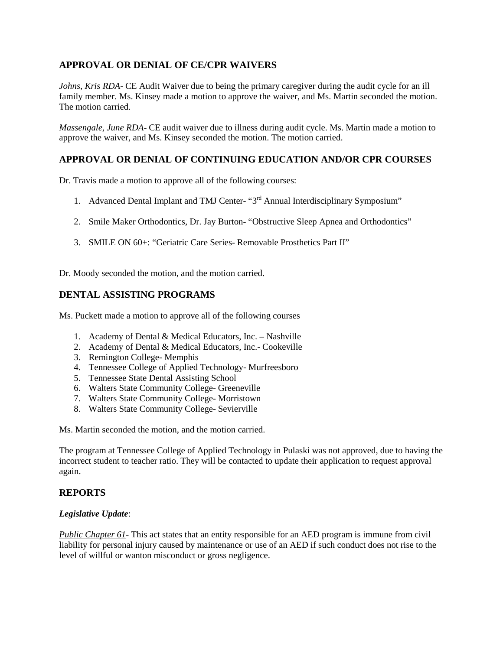# **APPROVAL OR DENIAL OF CE/CPR WAIVERS**

*Johns, Kris RDA*- CE Audit Waiver due to being the primary caregiver during the audit cycle for an ill family member. Ms. Kinsey made a motion to approve the waiver, and Ms. Martin seconded the motion. The motion carried.

*Massengale, June RDA*- CE audit waiver due to illness during audit cycle. Ms. Martin made a motion to approve the waiver, and Ms. Kinsey seconded the motion. The motion carried.

## **APPROVAL OR DENIAL OF CONTINUING EDUCATION AND/OR CPR COURSES**

Dr. Travis made a motion to approve all of the following courses:

- 1. Advanced Dental Implant and TMJ Center- "3<sup>rd</sup> Annual Interdisciplinary Symposium"
- 2. Smile Maker Orthodontics, Dr. Jay Burton- "Obstructive Sleep Apnea and Orthodontics"
- 3. SMILE ON 60+: "Geriatric Care Series- Removable Prosthetics Part II"

Dr. Moody seconded the motion, and the motion carried.

## **DENTAL ASSISTING PROGRAMS**

Ms. Puckett made a motion to approve all of the following courses

- 1. Academy of Dental & Medical Educators, Inc. Nashville
- 2. Academy of Dental & Medical Educators, Inc.- Cookeville
- 3. Remington College- Memphis
- 4. Tennessee College of Applied Technology- Murfreesboro
- 5. Tennessee State Dental Assisting School
- 6. Walters State Community College- Greeneville
- 7. Walters State Community College- Morristown
- 8. Walters State Community College- Sevierville

Ms. Martin seconded the motion, and the motion carried.

The program at Tennessee College of Applied Technology in Pulaski was not approved, due to having the incorrect student to teacher ratio. They will be contacted to update their application to request approval again.

## **REPORTS**

#### *Legislative Update*:

*Public Chapter 61*- This act states that an entity responsible for an AED program is immune from civil liability for personal injury caused by maintenance or use of an AED if such conduct does not rise to the level of willful or wanton misconduct or gross negligence.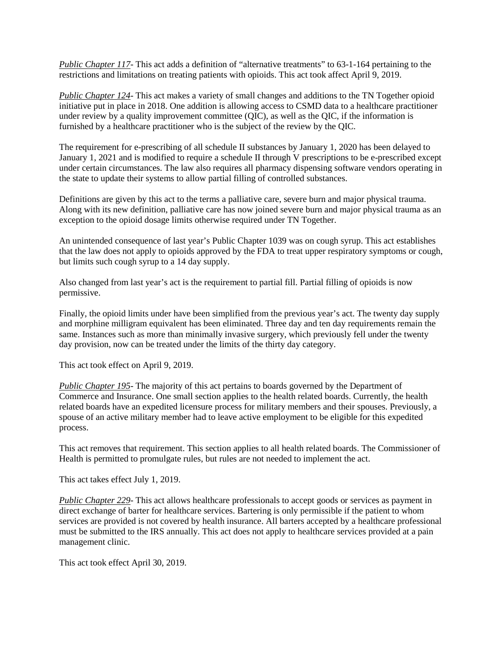*Public Chapter 117*- This act adds a definition of "alternative treatments" to 63-1-164 pertaining to the restrictions and limitations on treating patients with opioids. This act took affect April 9, 2019.

*Public Chapter 124*- This act makes a variety of small changes and additions to the TN Together opioid initiative put in place in 2018. One addition is allowing access to CSMD data to a healthcare practitioner under review by a quality improvement committee (QIC), as well as the QIC, if the information is furnished by a healthcare practitioner who is the subject of the review by the QIC.

The requirement for e-prescribing of all schedule II substances by January 1, 2020 has been delayed to January 1, 2021 and is modified to require a schedule II through V prescriptions to be e-prescribed except under certain circumstances. The law also requires all pharmacy dispensing software vendors operating in the state to update their systems to allow partial filling of controlled substances.

Definitions are given by this act to the terms a palliative care, severe burn and major physical trauma. Along with its new definition, palliative care has now joined severe burn and major physical trauma as an exception to the opioid dosage limits otherwise required under TN Together.

An unintended consequence of last year's Public Chapter 1039 was on cough syrup. This act establishes that the law does not apply to opioids approved by the FDA to treat upper respiratory symptoms or cough, but limits such cough syrup to a 14 day supply.

Also changed from last year's act is the requirement to partial fill. Partial filling of opioids is now permissive.

Finally, the opioid limits under have been simplified from the previous year's act. The twenty day supply and morphine milligram equivalent has been eliminated. Three day and ten day requirements remain the same. Instances such as more than minimally invasive surgery, which previously fell under the twenty day provision, now can be treated under the limits of the thirty day category.

This act took effect on April 9, 2019.

*Public Chapter 195*- The majority of this act pertains to boards governed by the Department of Commerce and Insurance. One small section applies to the health related boards. Currently, the health related boards have an expedited licensure process for military members and their spouses. Previously, a spouse of an active military member had to leave active employment to be eligible for this expedited process.

This act removes that requirement. This section applies to all health related boards. The Commissioner of Health is permitted to promulgate rules, but rules are not needed to implement the act.

This act takes effect July 1, 2019.

*Public Chapter 229*- This act allows healthcare professionals to accept goods or services as payment in direct exchange of barter for healthcare services. Bartering is only permissible if the patient to whom services are provided is not covered by health insurance. All barters accepted by a healthcare professional must be submitted to the IRS annually. This act does not apply to healthcare services provided at a pain management clinic.

This act took effect April 30, 2019.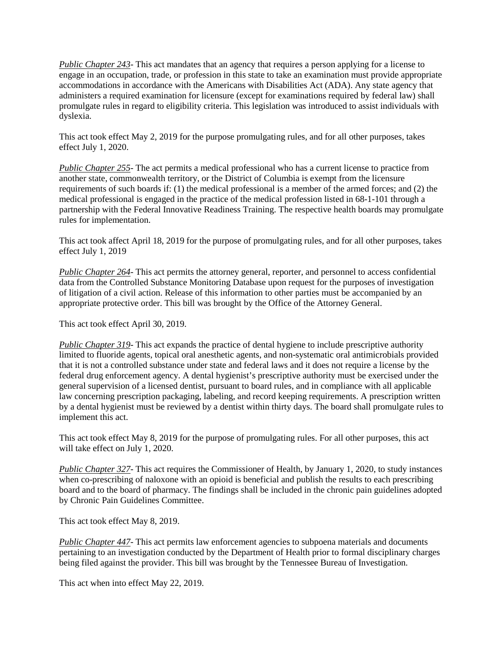*Public Chapter 243*- This act mandates that an agency that requires a person applying for a license to engage in an occupation, trade, or profession in this state to take an examination must provide appropriate accommodations in accordance with the Americans with Disabilities Act (ADA). Any state agency that administers a required examination for licensure (except for examinations required by federal law) shall promulgate rules in regard to eligibility criteria. This legislation was introduced to assist individuals with dyslexia.

This act took effect May 2, 2019 for the purpose promulgating rules, and for all other purposes, takes effect July 1, 2020.

*Public Chapter 255*- The act permits a medical professional who has a current license to practice from another state, commonwealth territory, or the District of Columbia is exempt from the licensure requirements of such boards if: (1) the medical professional is a member of the armed forces; and (2) the medical professional is engaged in the practice of the medical profession listed in 68-1-101 through a partnership with the Federal Innovative Readiness Training. The respective health boards may promulgate rules for implementation.

This act took affect April 18, 2019 for the purpose of promulgating rules, and for all other purposes, takes effect July 1, 2019

*Public Chapter 264*- This act permits the attorney general, reporter, and personnel to access confidential data from the Controlled Substance Monitoring Database upon request for the purposes of investigation of litigation of a civil action. Release of this information to other parties must be accompanied by an appropriate protective order. This bill was brought by the Office of the Attorney General.

This act took effect April 30, 2019.

*Public Chapter 319*- This act expands the practice of dental hygiene to include prescriptive authority limited to fluoride agents, topical oral anesthetic agents, and non-systematic oral antimicrobials provided that it is not a controlled substance under state and federal laws and it does not require a license by the federal drug enforcement agency. A dental hygienist's prescriptive authority must be exercised under the general supervision of a licensed dentist, pursuant to board rules, and in compliance with all applicable law concerning prescription packaging, labeling, and record keeping requirements. A prescription written by a dental hygienist must be reviewed by a dentist within thirty days. The board shall promulgate rules to implement this act.

This act took effect May 8, 2019 for the purpose of promulgating rules. For all other purposes, this act will take effect on July 1, 2020.

*Public Chapter 327*- This act requires the Commissioner of Health, by January 1, 2020, to study instances when co-prescribing of naloxone with an opioid is beneficial and publish the results to each prescribing board and to the board of pharmacy. The findings shall be included in the chronic pain guidelines adopted by Chronic Pain Guidelines Committee.

This act took effect May 8, 2019.

*Public Chapter 447*- This act permits law enforcement agencies to subpoena materials and documents pertaining to an investigation conducted by the Department of Health prior to formal disciplinary charges being filed against the provider. This bill was brought by the Tennessee Bureau of Investigation.

This act when into effect May 22, 2019.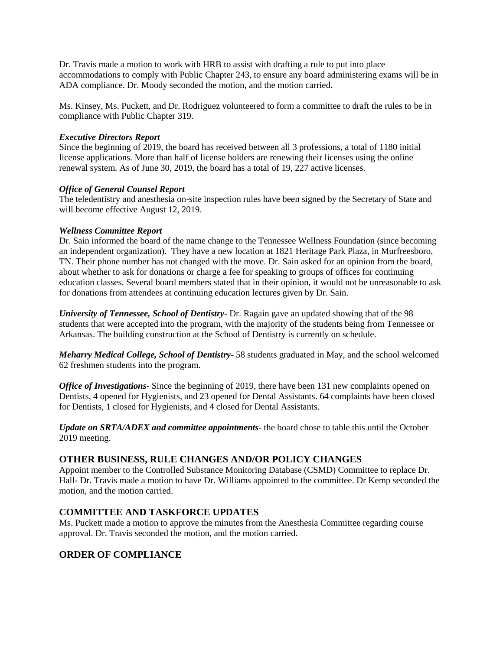Dr. Travis made a motion to work with HRB to assist with drafting a rule to put into place accommodations to comply with Public Chapter 243, to ensure any board administering exams will be in ADA compliance. Dr. Moody seconded the motion, and the motion carried.

Ms. Kinsey, Ms. Puckett, and Dr. Rodriguez volunteered to form a committee to draft the rules to be in compliance with Public Chapter 319.

#### *Executive Directors Report*

Since the beginning of 2019, the board has received between all 3 professions, a total of 1180 initial license applications. More than half of license holders are renewing their licenses using the online renewal system. As of June 30, 2019, the board has a total of 19, 227 active licenses.

#### *Office of General Counsel Report*

The teledentistry and anesthesia on-site inspection rules have been signed by the Secretary of State and will become effective August 12, 2019.

#### *Wellness Committee Report*

Dr. Sain informed the board of the name change to the Tennessee Wellness Foundation (since becoming an independent organization). They have a new location at 1821 Heritage Park Plaza, in Murfreesboro, TN. Their phone number has not changed with the move. Dr. Sain asked for an opinion from the board, about whether to ask for donations or charge a fee for speaking to groups of offices for continuing education classes. Several board members stated that in their opinion, it would not be unreasonable to ask for donations from attendees at continuing education lectures given by Dr. Sain.

*University of Tennessee, School of Dentistry*- Dr. Ragain gave an updated showing that of the 98 students that were accepted into the program, with the majority of the students being from Tennessee or Arkansas. The building construction at the School of Dentistry is currently on schedule.

*Meharry Medical College, School of Dentistry*- 58 students graduated in May, and the school welcomed 62 freshmen students into the program.

*Office of Investigations*- Since the beginning of 2019, there have been 131 new complaints opened on Dentists, 4 opened for Hygienists, and 23 opened for Dental Assistants. 64 complaints have been closed for Dentists, 1 closed for Hygienists, and 4 closed for Dental Assistants.

*Update on SRTA/ADEX and committee appointments*- the board chose to table this until the October 2019 meeting.

## **OTHER BUSINESS, RULE CHANGES AND/OR POLICY CHANGES**

Appoint member to the Controlled Substance Monitoring Database (CSMD) Committee to replace Dr. Hall- Dr. Travis made a motion to have Dr. Williams appointed to the committee. Dr Kemp seconded the motion, and the motion carried.

## **COMMITTEE AND TASKFORCE UPDATES**

Ms. Puckett made a motion to approve the minutes from the Anesthesia Committee regarding course approval. Dr. Travis seconded the motion, and the motion carried.

## **ORDER OF COMPLIANCE**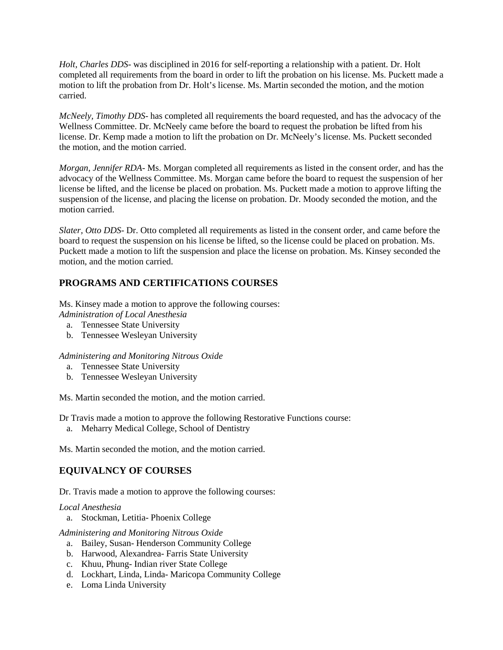*Holt, Charles DDS*- was disciplined in 2016 for self-reporting a relationship with a patient. Dr. Holt completed all requirements from the board in order to lift the probation on his license. Ms. Puckett made a motion to lift the probation from Dr. Holt's license. Ms. Martin seconded the motion, and the motion carried.

*McNeely, Timothy DDS*- has completed all requirements the board requested, and has the advocacy of the Wellness Committee. Dr. McNeely came before the board to request the probation be lifted from his license. Dr. Kemp made a motion to lift the probation on Dr. McNeely's license. Ms. Puckett seconded the motion, and the motion carried.

*Morgan, Jennifer RDA*- Ms. Morgan completed all requirements as listed in the consent order, and has the advocacy of the Wellness Committee. Ms. Morgan came before the board to request the suspension of her license be lifted, and the license be placed on probation. Ms. Puckett made a motion to approve lifting the suspension of the license, and placing the license on probation. Dr. Moody seconded the motion, and the motion carried.

*Slater, Otto DDS*- Dr. Otto completed all requirements as listed in the consent order, and came before the board to request the suspension on his license be lifted, so the license could be placed on probation. Ms. Puckett made a motion to lift the suspension and place the license on probation. Ms. Kinsey seconded the motion, and the motion carried.

# **PROGRAMS AND CERTIFICATIONS COURSES**

Ms. Kinsey made a motion to approve the following courses: *Administration of Local Anesthesia*

- a. Tennessee State University
- b. Tennessee Wesleyan University

*Administering and Monitoring Nitrous Oxide*

- a. Tennessee State University
- b. Tennessee Wesleyan University

Ms. Martin seconded the motion, and the motion carried.

Dr Travis made a motion to approve the following Restorative Functions course:

a. Meharry Medical College, School of Dentistry

Ms. Martin seconded the motion, and the motion carried.

# **EQUIVALNCY OF COURSES**

Dr. Travis made a motion to approve the following courses:

#### *Local Anesthesia*

a. Stockman, Letitia- Phoenix College

*Administering and Monitoring Nitrous Oxide*

- a. Bailey, Susan- Henderson Community College
- b. Harwood, Alexandrea- Farris State University
- c. Khuu, Phung- Indian river State College
- d. Lockhart, Linda, Linda- Maricopa Community College
- e. Loma Linda University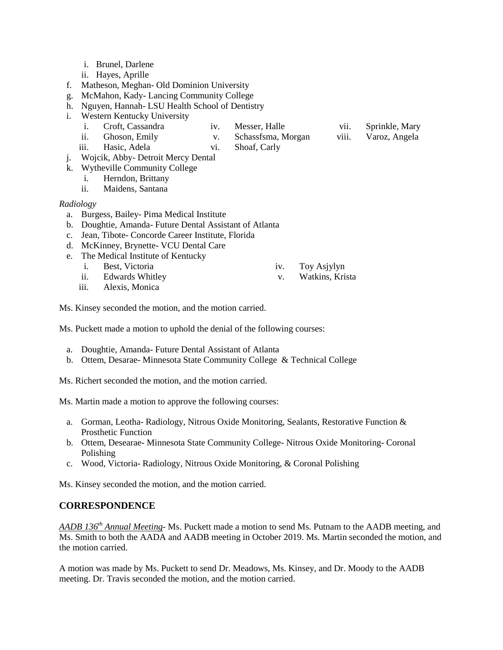- i. Brunel, Darlene
- ii. Hayes, Aprille
- f. Matheson, Meghan- Old Dominion University
- g. McMahon, Kady- Lancing Community College
- h. Nguyen, Hannah- LSU Health School of Dentistry
- i. Western Kentucky University
	- i. Croft, Cassandra iv. Messer, Halle
	- ii. Ghoson, Emily v. Schassfsma, Morgan
	- iii. Hasic, Adela
- vi. Shoaf, Carly
- vii. Sprinkle, Mary
- viii. Varoz, Angela
- j. Wojcik, Abby- Detroit Mercy Dental
- k. Wytheville Community College
	- i. Herndon, Brittany
	- ii. Maidens, Santana

#### *Radiology*

- a. Burgess, Bailey- Pima Medical Institute
- b. Doughtie, Amanda- Future Dental Assistant of Atlanta
- c. Jean, Tibote- Concorde Career Institute, Florida
- d. McKinney, Brynette- VCU Dental Care
- e. The Medical Institute of Kentucky
	- i. Best, Victoria
	- ii. Edwards Whitley
	- iii. Alexis, Monica

Ms. Kinsey seconded the motion, and the motion carried.

Ms. Puckett made a motion to uphold the denial of the following courses:

- a. Doughtie, Amanda- Future Dental Assistant of Atlanta
- b. Ottem, Desarae- Minnesota State Community College & Technical College

Ms. Richert seconded the motion, and the motion carried.

Ms. Martin made a motion to approve the following courses:

- a. Gorman, Leotha- Radiology, Nitrous Oxide Monitoring, Sealants, Restorative Function & Prosthetic Function
- b. Ottem, Desearae- Minnesota State Community College- Nitrous Oxide Monitoring- Coronal Polishing
- c. Wood, Victoria- Radiology, Nitrous Oxide Monitoring, & Coronal Polishing

Ms. Kinsey seconded the motion, and the motion carried.

# **CORRESPONDENCE**

*AADB 136th Annual Meeting*- Ms. Puckett made a motion to send Ms. Putnam to the AADB meeting, and Ms. Smith to both the AADA and AADB meeting in October 2019. Ms. Martin seconded the motion, and the motion carried.

A motion was made by Ms. Puckett to send Dr. Meadows, Ms. Kinsey, and Dr. Moody to the AADB meeting. Dr. Travis seconded the motion, and the motion carried.

- iv. Toy Asjylyn
- v. Watkins, Krista
- 
- -

- 
- 
- 
- 
-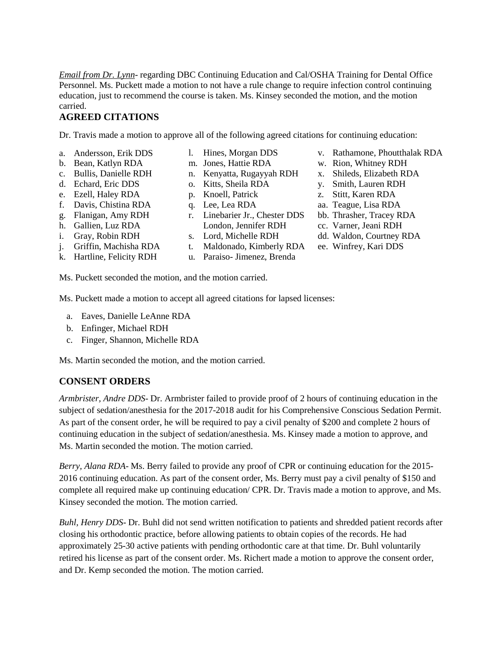*Email from Dr. Lynn*- regarding DBC Continuing Education and Cal/OSHA Training for Dental Office Personnel. Ms. Puckett made a motion to not have a rule change to require infection control continuing education, just to recommend the course is taken. Ms. Kinsey seconded the motion, and the motion carried.

# **AGREED CITATIONS**

Dr. Travis made a motion to approve all of the following agreed citations for continuing education:

- a. Andersson, Erik DDS
- b. Bean, Katlyn RDA
- c. Bullis, Danielle RDH
- d. Echard, Eric DDS
- e. Ezell, Haley RDA
- f. Davis, Chistina RDA
- g. Flanigan, Amy RDH
- h. Gallien, Luz RDA
- i. Gray, Robin RDH
- j. Griffin, Machisha RDA
- k. Hartline, Felicity RDH
- l. Hines, Morgan DDS
- m. Jones, Hattie RDA
- n. Kenyatta, Rugayyah RDH
- o. Kitts, Sheila RDA
- p. Knoell, Patrick
- q. Lee, Lea RDA
- r. Linebarier Jr., Chester DDS London, Jennifer RDH
- s. Lord, Michelle RDH
- t. Maldonado, Kimberly RDA
- u. Paraiso- Jimenez, Brenda
- v. Rathamone, Phoutthalak RDA
- w. Rion, Whitney RDH
- x. Shileds, Elizabeth RDA
- y. Smith, Lauren RDH
- z. Stitt, Karen RDA
- aa. Teague, Lisa RDA
- bb. Thrasher, Tracey RDA
- cc. Varner, Jeani RDH
- dd. Waldon, Courtney RDA
- ee. Winfrey, Kari DDS

Ms. Puckett seconded the motion, and the motion carried.

Ms. Puckett made a motion to accept all agreed citations for lapsed licenses:

- a. Eaves, Danielle LeAnne RDA
- b. Enfinger, Michael RDH
- c. Finger, Shannon, Michelle RDA

Ms. Martin seconded the motion, and the motion carried.

# **CONSENT ORDERS**

*Armbrister, Andre DDS*- Dr. Armbrister failed to provide proof of 2 hours of continuing education in the subject of sedation/anesthesia for the 2017-2018 audit for his Comprehensive Conscious Sedation Permit. As part of the consent order, he will be required to pay a civil penalty of \$200 and complete 2 hours of continuing education in the subject of sedation/anesthesia. Ms. Kinsey made a motion to approve, and Ms. Martin seconded the motion. The motion carried.

*Berry, Alana RDA*- Ms. Berry failed to provide any proof of CPR or continuing education for the 2015- 2016 continuing education. As part of the consent order, Ms. Berry must pay a civil penalty of \$150 and complete all required make up continuing education/ CPR. Dr. Travis made a motion to approve, and Ms. Kinsey seconded the motion. The motion carried.

*Buhl, Henry DDS*- Dr. Buhl did not send written notification to patients and shredded patient records after closing his orthodontic practice, before allowing patients to obtain copies of the records. He had approximately 25-30 active patients with pending orthodontic care at that time. Dr. Buhl voluntarily retired his license as part of the consent order. Ms. Richert made a motion to approve the consent order, and Dr. Kemp seconded the motion. The motion carried.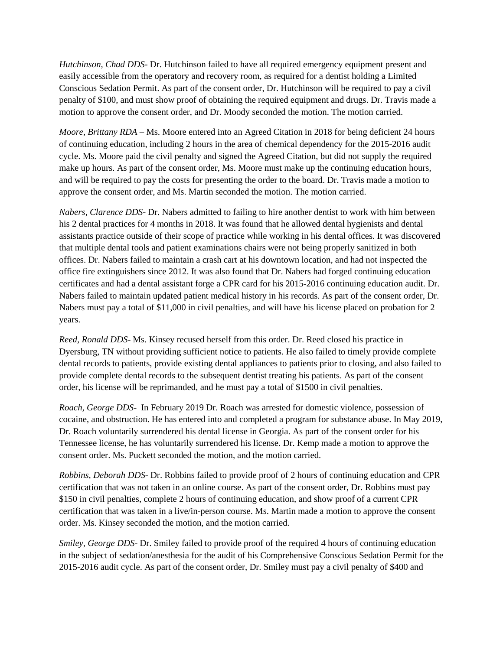*Hutchinson, Chad DDS*- Dr. Hutchinson failed to have all required emergency equipment present and easily accessible from the operatory and recovery room, as required for a dentist holding a Limited Conscious Sedation Permit. As part of the consent order, Dr. Hutchinson will be required to pay a civil penalty of \$100, and must show proof of obtaining the required equipment and drugs. Dr. Travis made a motion to approve the consent order, and Dr. Moody seconded the motion. The motion carried.

*Moore, Brittany RDA* – Ms. Moore entered into an Agreed Citation in 2018 for being deficient 24 hours of continuing education, including 2 hours in the area of chemical dependency for the 2015-2016 audit cycle. Ms. Moore paid the civil penalty and signed the Agreed Citation, but did not supply the required make up hours. As part of the consent order, Ms. Moore must make up the continuing education hours, and will be required to pay the costs for presenting the order to the board. Dr. Travis made a motion to approve the consent order, and Ms. Martin seconded the motion. The motion carried.

*Nabers, Clarence DDS*- Dr. Nabers admitted to failing to hire another dentist to work with him between his 2 dental practices for 4 months in 2018. It was found that he allowed dental hygienists and dental assistants practice outside of their scope of practice while working in his dental offices. It was discovered that multiple dental tools and patient examinations chairs were not being properly sanitized in both offices. Dr. Nabers failed to maintain a crash cart at his downtown location, and had not inspected the office fire extinguishers since 2012. It was also found that Dr. Nabers had forged continuing education certificates and had a dental assistant forge a CPR card for his 2015-2016 continuing education audit. Dr. Nabers failed to maintain updated patient medical history in his records. As part of the consent order, Dr. Nabers must pay a total of \$11,000 in civil penalties, and will have his license placed on probation for 2 years.

*Reed, Ronald DDS*- Ms. Kinsey recused herself from this order. Dr. Reed closed his practice in Dyersburg, TN without providing sufficient notice to patients. He also failed to timely provide complete dental records to patients, provide existing dental appliances to patients prior to closing, and also failed to provide complete dental records to the subsequent dentist treating his patients. As part of the consent order, his license will be reprimanded, and he must pay a total of \$1500 in civil penalties.

*Roach, George DDS*- In February 2019 Dr. Roach was arrested for domestic violence, possession of cocaine, and obstruction. He has entered into and completed a program for substance abuse. In May 2019, Dr. Roach voluntarily surrendered his dental license in Georgia. As part of the consent order for his Tennessee license, he has voluntarily surrendered his license. Dr. Kemp made a motion to approve the consent order. Ms. Puckett seconded the motion, and the motion carried.

*Robbins, Deborah DDS*- Dr. Robbins failed to provide proof of 2 hours of continuing education and CPR certification that was not taken in an online course. As part of the consent order, Dr. Robbins must pay \$150 in civil penalties, complete 2 hours of continuing education, and show proof of a current CPR certification that was taken in a live/in-person course. Ms. Martin made a motion to approve the consent order. Ms. Kinsey seconded the motion, and the motion carried.

*Smiley, George DDS*- Dr. Smiley failed to provide proof of the required 4 hours of continuing education in the subject of sedation/anesthesia for the audit of his Comprehensive Conscious Sedation Permit for the 2015-2016 audit cycle. As part of the consent order, Dr. Smiley must pay a civil penalty of \$400 and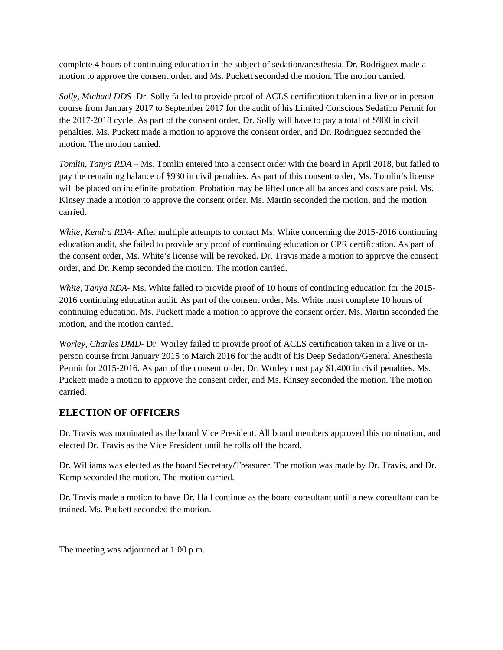complete 4 hours of continuing education in the subject of sedation/anesthesia. Dr. Rodriguez made a motion to approve the consent order, and Ms. Puckett seconded the motion. The motion carried.

*Solly, Michael DDS*- Dr. Solly failed to provide proof of ACLS certification taken in a live or in-person course from January 2017 to September 2017 for the audit of his Limited Conscious Sedation Permit for the 2017-2018 cycle. As part of the consent order, Dr. Solly will have to pay a total of \$900 in civil penalties. Ms. Puckett made a motion to approve the consent order, and Dr. Rodriguez seconded the motion. The motion carried.

*Tomlin, Tanya RDA* – Ms. Tomlin entered into a consent order with the board in April 2018, but failed to pay the remaining balance of \$930 in civil penalties. As part of this consent order, Ms. Tomlin's license will be placed on indefinite probation. Probation may be lifted once all balances and costs are paid. Ms. Kinsey made a motion to approve the consent order. Ms. Martin seconded the motion, and the motion carried.

*White, Kendra RDA*- After multiple attempts to contact Ms. White concerning the 2015-2016 continuing education audit, she failed to provide any proof of continuing education or CPR certification. As part of the consent order, Ms. White's license will be revoked. Dr. Travis made a motion to approve the consent order, and Dr. Kemp seconded the motion. The motion carried.

*White, Tanya RDA*- Ms. White failed to provide proof of 10 hours of continuing education for the 2015- 2016 continuing education audit. As part of the consent order, Ms. White must complete 10 hours of continuing education. Ms. Puckett made a motion to approve the consent order. Ms. Martin seconded the motion, and the motion carried.

*Worley, Charles DMD*- Dr. Worley failed to provide proof of ACLS certification taken in a live or inperson course from January 2015 to March 2016 for the audit of his Deep Sedation/General Anesthesia Permit for 2015-2016. As part of the consent order, Dr. Worley must pay \$1,400 in civil penalties. Ms. Puckett made a motion to approve the consent order, and Ms. Kinsey seconded the motion. The motion carried.

# **ELECTION OF OFFICERS**

Dr. Travis was nominated as the board Vice President. All board members approved this nomination, and elected Dr. Travis as the Vice President until he rolls off the board.

Dr. Williams was elected as the board Secretary/Treasurer. The motion was made by Dr. Travis, and Dr. Kemp seconded the motion. The motion carried.

Dr. Travis made a motion to have Dr. Hall continue as the board consultant until a new consultant can be trained. Ms. Puckett seconded the motion.

The meeting was adjourned at 1:00 p.m.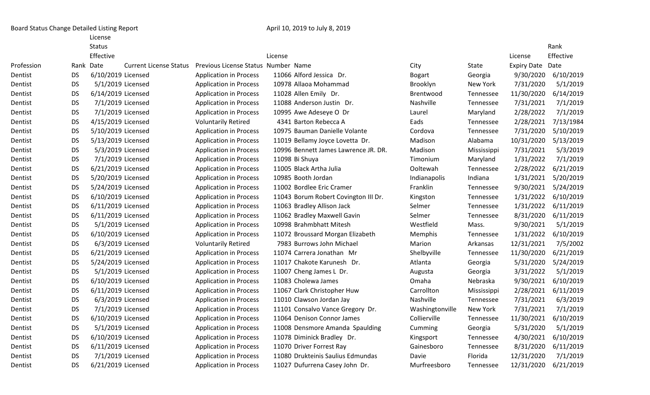Board Status Change Detailed Listing Report **April 10, 2019 to July 8, 2019** to July 8, 2019

License

|            |           | <b>Status</b>      |                               |                                     |                                      |                 |             |                  | Rank      |
|------------|-----------|--------------------|-------------------------------|-------------------------------------|--------------------------------------|-----------------|-------------|------------------|-----------|
|            |           | Effective          |                               |                                     | License                              |                 |             | License          | Effective |
| Profession |           | Rank Date          | <b>Current License Status</b> | Previous License Status Number Name |                                      | City            | State       | Expiry Date Date |           |
| Dentist    | <b>DS</b> | 6/10/2019 Licensed |                               | <b>Application in Process</b>       | 11066 Alford Jessica Dr.             | <b>Bogart</b>   | Georgia     | 9/30/2020        | 6/10/2019 |
| Dentist    | <b>DS</b> | 5/1/2019 Licensed  |                               | <b>Application in Process</b>       | 10978 Allaoa Mohammad                | Brooklyn        | New York    | 7/31/2020        | 5/1/2019  |
| Dentist    | <b>DS</b> | 6/14/2019 Licensed |                               | <b>Application in Process</b>       | 11028 Allen Emily Dr.                | Brentwood       | Tennessee   | 11/30/2020       | 6/14/2019 |
| Dentist    | <b>DS</b> | 7/1/2019 Licensed  |                               | <b>Application in Process</b>       | 11088 Anderson Justin Dr.            | Nashville       | Tennessee   | 7/31/2021        | 7/1/2019  |
| Dentist    | <b>DS</b> | 7/1/2019 Licensed  |                               | <b>Application in Process</b>       | 10995 Awe Adeseye O Dr               | Laurel          | Maryland    | 2/28/2022        | 7/1/2019  |
| Dentist    | <b>DS</b> | 4/15/2019 Licensed |                               | <b>Voluntarily Retired</b>          | 4341 Barton Rebecca A                | Eads            | Tennessee   | 2/28/2021        | 7/13/1984 |
| Dentist    | <b>DS</b> | 5/10/2019 Licensed |                               | <b>Application in Process</b>       | 10975 Bauman Danielle Volante        | Cordova         | Tennessee   | 7/31/2020        | 5/10/2019 |
| Dentist    | <b>DS</b> | 5/13/2019 Licensed |                               | <b>Application in Process</b>       | 11019 Bellamy Joyce Lovetta Dr.      | Madison         | Alabama     | 10/31/2020       | 5/13/2019 |
| Dentist    | <b>DS</b> | 5/3/2019 Licensed  |                               | <b>Application in Process</b>       | 10996 Bennett James Lawrence JR. DR. | Madison         | Mississippi | 7/31/2021        | 5/3/2019  |
| Dentist    | <b>DS</b> | 7/1/2019 Licensed  |                               | <b>Application in Process</b>       | 11098 Bi Shuya                       | Timonium        | Maryland    | 1/31/2022        | 7/1/2019  |
| Dentist    | <b>DS</b> | 6/21/2019 Licensed |                               | <b>Application in Process</b>       | 11005 Black Artha Julia              | Ooltewah        | Tennessee   | 2/28/2022        | 6/21/2019 |
| Dentist    | <b>DS</b> | 5/20/2019 Licensed |                               | <b>Application in Process</b>       | 10985 Booth Jordan                   | Indianapolis    | Indiana     | 1/31/2021        | 5/20/2019 |
| Dentist    | <b>DS</b> | 5/24/2019 Licensed |                               | <b>Application in Process</b>       | 11002 Bordlee Eric Cramer            | Franklin        | Tennessee   | 9/30/2021        | 5/24/2019 |
| Dentist    | <b>DS</b> | 6/10/2019 Licensed |                               | <b>Application in Process</b>       | 11043 Borum Robert Covington III Dr. | Kingston        | Tennessee   | 1/31/2022        | 6/10/2019 |
| Dentist    | <b>DS</b> | 6/11/2019 Licensed |                               | <b>Application in Process</b>       | 11063 Bradley Allison Jack           | Selmer          | Tennessee   | 1/31/2022        | 6/11/2019 |
| Dentist    | <b>DS</b> | 6/11/2019 Licensed |                               | <b>Application in Process</b>       | 11062 Bradley Maxwell Gavin          | Selmer          | Tennessee   | 8/31/2020        | 6/11/2019 |
| Dentist    | <b>DS</b> | 5/1/2019 Licensed  |                               | <b>Application in Process</b>       | 10998 Brahmbhatt Mitesh              | Westfield       | Mass.       | 9/30/2021        | 5/1/2019  |
| Dentist    | <b>DS</b> | 6/10/2019 Licensed |                               | <b>Application in Process</b>       | 11072 Broussard Morgan Elizabeth     | Memphis         | Tennessee   | 1/31/2022        | 6/10/2019 |
| Dentist    | <b>DS</b> | 6/3/2019 Licensed  |                               | <b>Voluntarily Retired</b>          | 7983 Burrows John Michael            | Marion          | Arkansas    | 12/31/2021       | 7/5/2002  |
| Dentist    | <b>DS</b> | 6/21/2019 Licensed |                               | <b>Application in Process</b>       | 11074 Carrera Jonathan Mr            | Shelbyville     | Tennessee   | 11/30/2020       | 6/21/2019 |
| Dentist    | <b>DS</b> | 5/24/2019 Licensed |                               | <b>Application in Process</b>       | 11017 Chakote Karunesh Dr.           | Atlanta         | Georgia     | 5/31/2020        | 5/24/2019 |
| Dentist    | <b>DS</b> |                    | 5/1/2019 Licensed             | <b>Application in Process</b>       | 11007 Cheng James L Dr.              | Augusta         | Georgia     | 3/31/2022        | 5/1/2019  |
| Dentist    | <b>DS</b> | 6/10/2019 Licensed |                               | <b>Application in Process</b>       | 11083 Cholewa James                  | Omaha           | Nebraska    | 9/30/2021        | 6/10/2019 |
| Dentist    | <b>DS</b> | 6/11/2019 Licensed |                               | <b>Application in Process</b>       | 11067 Clark Christopher Huw          | Carrollton      | Mississippi | 2/28/2021        | 6/11/2019 |
| Dentist    | <b>DS</b> | 6/3/2019 Licensed  |                               | <b>Application in Process</b>       | 11010 Clawson Jordan Jay             | Nashville       | Tennessee   | 7/31/2021        | 6/3/2019  |
| Dentist    | <b>DS</b> | 7/1/2019 Licensed  |                               | <b>Application in Process</b>       | 11101 Consalvo Vance Gregory Dr.     | Washingtonville | New York    | 7/31/2021        | 7/1/2019  |
| Dentist    | <b>DS</b> | 6/10/2019 Licensed |                               | <b>Application in Process</b>       | 11064 Denison Connor James           | Collierville    | Tennessee   | 11/30/2021       | 6/10/2019 |
| Dentist    | <b>DS</b> |                    | 5/1/2019 Licensed             | <b>Application in Process</b>       | 11008 Densmore Amanda Spaulding      | Cumming         | Georgia     | 5/31/2020        | 5/1/2019  |
| Dentist    | <b>DS</b> | 6/10/2019 Licensed |                               | <b>Application in Process</b>       | 11078 Diminick Bradley Dr.           | Kingsport       | Tennessee   | 4/30/2021        | 6/10/2019 |
| Dentist    | <b>DS</b> | 6/11/2019 Licensed |                               | <b>Application in Process</b>       | 11070 Driver Forrest Ray             | Gainesboro      | Tennessee   | 8/31/2020        | 6/11/2019 |
| Dentist    | <b>DS</b> | 7/1/2019 Licensed  |                               | <b>Application in Process</b>       | 11080 Drukteinis Saulius Edmundas    | Davie           | Florida     | 12/31/2020       | 7/1/2019  |
| Dentist    | <b>DS</b> | 6/21/2019 Licensed |                               | <b>Application in Process</b>       | 11027 Dufurrena Casey John Dr.       | Murfreesboro    | Tennessee   | 12/31/2020       | 6/21/2019 |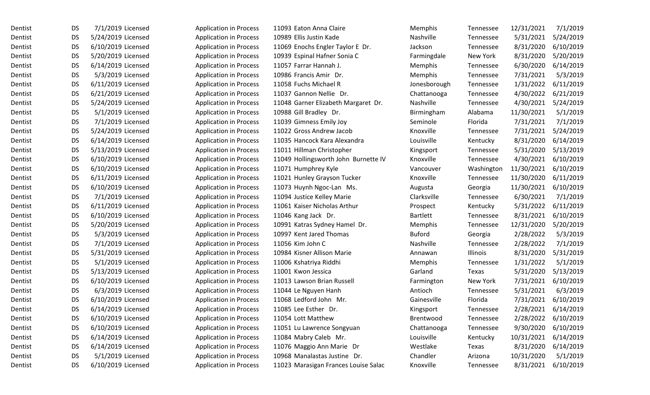| Dentist | DS        | 7/1/2019 Licensed  | <b>Application in Process</b> | 11093 Eaton Anna Claire              | Memphis         | Tennessee  | 12/31/2021 | 7/1/2019  |
|---------|-----------|--------------------|-------------------------------|--------------------------------------|-----------------|------------|------------|-----------|
| Dentist | <b>DS</b> | 5/24/2019 Licensed | <b>Application in Process</b> | 10989 Ellis Justin Kade              | Nashville       | Tennessee  | 5/31/2021  | 5/24/2019 |
| Dentist | <b>DS</b> | 6/10/2019 Licensed | <b>Application in Process</b> | 11069 Enochs Engler Taylor E Dr.     | Jackson         | Tennessee  | 8/31/2020  | 6/10/2019 |
| Dentist | <b>DS</b> | 5/20/2019 Licensed | <b>Application in Process</b> | 10939 Espinal Hafner Sonia C         | Farmingdale     | New York   | 8/31/2020  | 5/20/2019 |
| Dentist | <b>DS</b> | 6/14/2019 Licensed | <b>Application in Process</b> | 11057 Farrar Hannah J.               | Memphis         | Tennessee  | 6/30/2020  | 6/14/2019 |
| Dentist | <b>DS</b> | 5/3/2019 Licensed  | <b>Application in Process</b> | 10986 Francis Amir Dr.               | Memphis         | Tennessee  | 7/31/2021  | 5/3/2019  |
| Dentist | <b>DS</b> | 6/11/2019 Licensed | <b>Application in Process</b> | 11058 Fuchs Michael R                | Jonesborough    | Tennessee  | 1/31/2022  | 6/11/2019 |
| Dentist | DS        | 6/21/2019 Licensed | <b>Application in Process</b> | 11037 Gannon Nellie Dr.              | Chattanooga     | Tennessee  | 4/30/2022  | 6/21/2019 |
| Dentist | <b>DS</b> | 5/24/2019 Licensed | <b>Application in Process</b> | 11048 Garner Elizabeth Margaret Dr.  | Nashville       | Tennessee  | 4/30/2021  | 5/24/2019 |
| Dentist | <b>DS</b> | 5/1/2019 Licensed  | <b>Application in Process</b> | 10988 Gill Bradley Dr.               | Birmingham      | Alabama    | 11/30/2021 | 5/1/2019  |
| Dentist | <b>DS</b> | 7/1/2019 Licensed  | <b>Application in Process</b> | 11039 Gimness Emily Joy              | Seminole        | Florida    | 7/31/2021  | 7/1/2019  |
| Dentist | <b>DS</b> | 5/24/2019 Licensed | <b>Application in Process</b> | 11022 Gross Andrew Jacob             | Knoxville       | Tennessee  | 7/31/2021  | 5/24/2019 |
| Dentist | <b>DS</b> | 6/14/2019 Licensed | <b>Application in Process</b> | 11035 Hancock Kara Alexandra         | Louisville      | Kentucky   | 8/31/2020  | 6/14/2019 |
| Dentist | <b>DS</b> | 5/13/2019 Licensed | <b>Application in Process</b> | 11011 Hillman Christopher            | Kingsport       | Tennessee  | 5/31/2020  | 5/13/2019 |
| Dentist | <b>DS</b> | 6/10/2019 Licensed | <b>Application in Process</b> | 11049 Hollingsworth John Burnette IV | Knoxville       | Tennessee  | 4/30/2021  | 6/10/2019 |
| Dentist | <b>DS</b> | 6/10/2019 Licensed | <b>Application in Process</b> | 11071 Humphrey Kyle                  | Vancouver       | Washington | 11/30/2021 | 6/10/2019 |
| Dentist | <b>DS</b> | 6/11/2019 Licensed | <b>Application in Process</b> | 11021 Hunley Grayson Tucker          | Knoxville       | Tennessee  | 11/30/2020 | 6/11/2019 |
| Dentist | <b>DS</b> | 6/10/2019 Licensed | <b>Application in Process</b> | 11073 Huynh Ngoc-Lan Ms.             | Augusta         | Georgia    | 11/30/2021 | 6/10/2019 |
| Dentist | <b>DS</b> | 7/1/2019 Licensed  | <b>Application in Process</b> | 11094 Justice Kelley Marie           | Clarksville     | Tennessee  | 6/30/2021  | 7/1/2019  |
| Dentist | <b>DS</b> | 6/11/2019 Licensed | <b>Application in Process</b> | 11061 Kaiser Nicholas Arthur         | Prospect        | Kentucky   | 5/31/2022  | 6/11/2019 |
| Dentist | <b>DS</b> | 6/10/2019 Licensed | <b>Application in Process</b> | 11046 Kang Jack Dr.                  | <b>Bartlett</b> | Tennessee  | 8/31/2021  | 6/10/2019 |
| Dentist | <b>DS</b> | 5/20/2019 Licensed | <b>Application in Process</b> | 10991 Katras Sydney Hamel Dr.        | Memphis         | Tennessee  | 12/31/2020 | 5/20/2019 |
| Dentist | <b>DS</b> | 5/3/2019 Licensed  | <b>Application in Process</b> | 10997 Kent Jared Thomas              | <b>Buford</b>   | Georgia    | 2/28/2022  | 5/3/2019  |
| Dentist | <b>DS</b> | 7/1/2019 Licensed  | <b>Application in Process</b> | 11056 Kim John C                     | Nashville       | Tennessee  | 2/28/2022  | 7/1/2019  |
| Dentist | <b>DS</b> | 5/31/2019 Licensed | <b>Application in Process</b> | 10984 Kisner Allison Marie           | Annawan         | Illinois   | 8/31/2020  | 5/31/2019 |
| Dentist | <b>DS</b> | 5/1/2019 Licensed  | <b>Application in Process</b> | 11006 Kshatriya Riddhi               | Memphis         | Tennessee  | 1/31/2022  | 5/1/2019  |
| Dentist | DS        | 5/13/2019 Licensed | <b>Application in Process</b> | 11001 Kwon Jessica                   | Garland         | Texas      | 5/31/2020  | 5/13/2019 |
| Dentist | <b>DS</b> | 6/10/2019 Licensed | <b>Application in Process</b> | 11013 Lawson Brian Russell           | Farmington      | New York   | 7/31/2021  | 6/10/2019 |
| Dentist | <b>DS</b> | 6/3/2019 Licensed  | <b>Application in Process</b> | 11044 Le Nguyen Hanh                 | Antioch         | Tennessee  | 5/31/2021  | 6/3/2019  |
| Dentist | <b>DS</b> | 6/10/2019 Licensed | <b>Application in Process</b> | 11068 Ledford John Mr.               | Gainesville     | Florida    | 7/31/2021  | 6/10/2019 |
| Dentist | <b>DS</b> | 6/14/2019 Licensed | <b>Application in Process</b> | 11085 Lee Esther Dr.                 | Kingsport       | Tennessee  | 2/28/2021  | 6/14/2019 |
| Dentist | DS        | 6/10/2019 Licensed | <b>Application in Process</b> | 11054 Lott Matthew                   | Brentwood       | Tennessee  | 2/28/2022  | 6/10/2019 |
| Dentist | <b>DS</b> | 6/10/2019 Licensed | <b>Application in Process</b> | 11051 Lu Lawrence Songyuan           | Chattanooga     | Tennessee  | 9/30/2020  | 6/10/2019 |
| Dentist | DS        | 6/14/2019 Licensed | <b>Application in Process</b> | 11084 Mabry Caleb Mr.                | Louisville      | Kentucky   | 10/31/2021 | 6/14/2019 |
| Dentist | DS        | 6/14/2019 Licensed | <b>Application in Process</b> | 11076 Maggio Ann Marie Dr            | Westlake        | Texas      | 8/31/2020  | 6/14/2019 |
| Dentist | DS        | 5/1/2019 Licensed  | <b>Application in Process</b> | 10968 Manalastas Justine Dr.         | Chandler        | Arizona    | 10/31/2020 | 5/1/2019  |
| Dentist | DS        | 6/10/2019 Licensed | <b>Application in Process</b> | 11023 Marasigan Frances Louise Salac | Knoxville       | Tennessee  | 8/31/2021  | 6/10/2019 |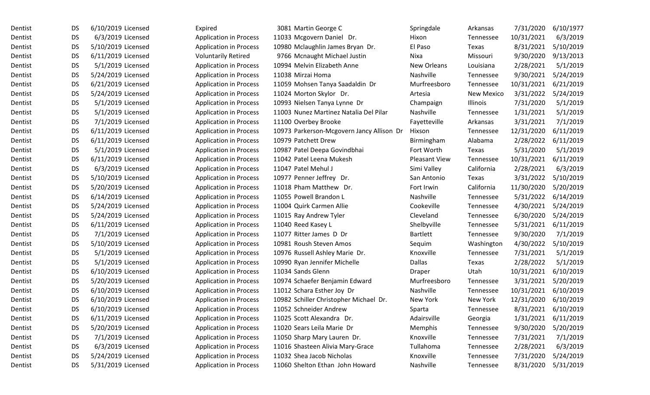| Dentist | DS        | 6/10/2019 Licensed | Expired                       | 3081 Martin George C                      | Springdale           | Arkansas          | 7/31/2020  | 6/10/1977 |
|---------|-----------|--------------------|-------------------------------|-------------------------------------------|----------------------|-------------------|------------|-----------|
| Dentist | <b>DS</b> | 6/3/2019 Licensed  | <b>Application in Process</b> | 11033 Mcgovern Daniel Dr.                 | Hixon                | Tennessee         | 10/31/2021 | 6/3/2019  |
| Dentist | <b>DS</b> | 5/10/2019 Licensed | <b>Application in Process</b> | 10980 Mclaughlin James Bryan Dr.          | El Paso              | Texas             | 8/31/2021  | 5/10/2019 |
| Dentist | <b>DS</b> | 6/11/2019 Licensed | <b>Voluntarily Retired</b>    | 9766 Mcnaught Michael Justin              | Nixa                 | Missouri          | 9/30/2020  | 9/13/2013 |
| Dentist | <b>DS</b> | 5/1/2019 Licensed  | <b>Application in Process</b> | 10994 Melvin Elizabeth Anne               | New Orleans          | Louisiana         | 2/28/2021  | 5/1/2019  |
| Dentist | <b>DS</b> | 5/24/2019 Licensed | <b>Application in Process</b> | 11038 Mirzai Homa                         | Nashville            | Tennessee         | 9/30/2021  | 5/24/2019 |
| Dentist | <b>DS</b> | 6/21/2019 Licensed | <b>Application in Process</b> | 11059 Mohsen Tanya Saadaldin Dr           | Murfreesboro         | Tennessee         | 10/31/2021 | 6/21/2019 |
| Dentist | <b>DS</b> | 5/24/2019 Licensed | <b>Application in Process</b> | 11024 Morton Skylor Dr.                   | Artesia              | <b>New Mexico</b> | 3/31/2022  | 5/24/2019 |
| Dentist | <b>DS</b> | 5/1/2019 Licensed  | <b>Application in Process</b> | 10993 Nielsen Tanya Lynne Dr              | Champaign            | Illinois          | 7/31/2020  | 5/1/2019  |
| Dentist | <b>DS</b> | 5/1/2019 Licensed  | <b>Application in Process</b> | 11003 Nunez Martinez Natalia Del Pilar    | Nashville            | Tennessee         | 1/31/2021  | 5/1/2019  |
| Dentist | <b>DS</b> | 7/1/2019 Licensed  | <b>Application in Process</b> | 11100 Overbey Brooke                      | Fayetteville         | Arkansas          | 3/31/2021  | 7/1/2019  |
| Dentist | <b>DS</b> | 6/11/2019 Licensed | <b>Application in Process</b> | 10973 Parkerson-Mcgovern Jancy Allison Dr | Hixson               | Tennessee         | 12/31/2020 | 6/11/2019 |
| Dentist | <b>DS</b> | 6/11/2019 Licensed | <b>Application in Process</b> | 10979 Patchett Drew                       | Birmingham           | Alabama           | 2/28/2022  | 6/11/2019 |
| Dentist | <b>DS</b> | 5/1/2019 Licensed  | <b>Application in Process</b> | 10987 Patel Deepa Govindbhai              | Fort Worth           | Texas             | 5/31/2020  | 5/1/2019  |
| Dentist | <b>DS</b> | 6/11/2019 Licensed | <b>Application in Process</b> | 11042 Patel Leena Mukesh                  | <b>Pleasant View</b> | Tennessee         | 10/31/2021 | 6/11/2019 |
| Dentist | <b>DS</b> | 6/3/2019 Licensed  | <b>Application in Process</b> | 11047 Patel Mehul J                       | Simi Valley          | California        | 2/28/2021  | 6/3/2019  |
| Dentist | <b>DS</b> | 5/10/2019 Licensed | <b>Application in Process</b> | 10977 Penner Jeffrey Dr.                  | San Antonio          | Texas             | 3/31/2022  | 5/10/2019 |
| Dentist | <b>DS</b> | 5/20/2019 Licensed | <b>Application in Process</b> | 11018 Pham Matthew Dr.                    | Fort Irwin           | California        | 11/30/2020 | 5/20/2019 |
| Dentist | <b>DS</b> | 6/14/2019 Licensed | <b>Application in Process</b> | 11055 Powell Brandon L                    | Nashville            | Tennessee         | 5/31/2022  | 6/14/2019 |
| Dentist | <b>DS</b> | 5/24/2019 Licensed | <b>Application in Process</b> | 11004 Quirk Carmen Allie                  | Cookeville           | Tennessee         | 4/30/2021  | 5/24/2019 |
| Dentist | <b>DS</b> | 5/24/2019 Licensed | <b>Application in Process</b> | 11015 Ray Andrew Tyler                    | Cleveland            | Tennessee         | 6/30/2020  | 5/24/2019 |
| Dentist | <b>DS</b> | 6/11/2019 Licensed | <b>Application in Process</b> | 11040 Reed Kasey L                        | Shelbyville          | Tennessee         | 5/31/2021  | 6/11/2019 |
| Dentist | <b>DS</b> | 7/1/2019 Licensed  | <b>Application in Process</b> | 11077 Ritter James D Dr                   | Bartlett             | Tennessee         | 9/30/2020  | 7/1/2019  |
| Dentist | <b>DS</b> | 5/10/2019 Licensed | <b>Application in Process</b> | 10981 Roush Steven Amos                   | Sequim               | Washington        | 4/30/2022  | 5/10/2019 |
| Dentist | <b>DS</b> | 5/1/2019 Licensed  | <b>Application in Process</b> | 10976 Russell Ashley Marie Dr.            | Knoxville            | Tennessee         | 7/31/2021  | 5/1/2019  |
| Dentist | <b>DS</b> | 5/1/2019 Licensed  | <b>Application in Process</b> | 10990 Ryan Jennifer Michelle              | <b>Dallas</b>        | Texas             | 2/28/2022  | 5/1/2019  |
| Dentist | <b>DS</b> | 6/10/2019 Licensed | <b>Application in Process</b> | 11034 Sands Glenn                         | Draper               | Utah              | 10/31/2021 | 6/10/2019 |
| Dentist | <b>DS</b> | 5/20/2019 Licensed | <b>Application in Process</b> | 10974 Schaefer Benjamin Edward            | Murfreesboro         | Tennessee         | 3/31/2021  | 5/20/2019 |
| Dentist | <b>DS</b> | 6/10/2019 Licensed | <b>Application in Process</b> | 11012 Schara Esther Joy Dr                | Nashville            | Tennessee         | 10/31/2021 | 6/10/2019 |
| Dentist | <b>DS</b> | 6/10/2019 Licensed | <b>Application in Process</b> | 10982 Schiller Christopher Michael Dr.    | New York             | New York          | 12/31/2020 | 6/10/2019 |
| Dentist | <b>DS</b> | 6/10/2019 Licensed | <b>Application in Process</b> | 11052 Schneider Andrew                    | Sparta               | Tennessee         | 8/31/2021  | 6/10/2019 |
| Dentist | DS        | 6/11/2019 Licensed | <b>Application in Process</b> | 11025 Scott Alexandra Dr.                 | Adairsville          | Georgia           | 1/31/2021  | 6/11/2019 |
| Dentist | DS        | 5/20/2019 Licensed | <b>Application in Process</b> | 11020 Sears Leila Marie Dr                | Memphis              | Tennessee         | 9/30/2020  | 5/20/2019 |
| Dentist | DS        | 7/1/2019 Licensed  | <b>Application in Process</b> | 11050 Sharp Mary Lauren Dr.               | Knoxville            | Tennessee         | 7/31/2021  | 7/1/2019  |
| Dentist | DS        | 6/3/2019 Licensed  | <b>Application in Process</b> | 11016 Shasteen Alivia Mary-Grace          | Tullahoma            | Tennessee         | 2/28/2021  | 6/3/2019  |
| Dentist | DS        | 5/24/2019 Licensed | <b>Application in Process</b> | 11032 Shea Jacob Nicholas                 | Knoxville            | Tennessee         | 7/31/2020  | 5/24/2019 |
| Dentist | <b>DS</b> | 5/31/2019 Licensed | <b>Application in Process</b> | 11060 Shelton Ethan John Howard           | Nashville            | Tennessee         | 8/31/2020  | 5/31/2019 |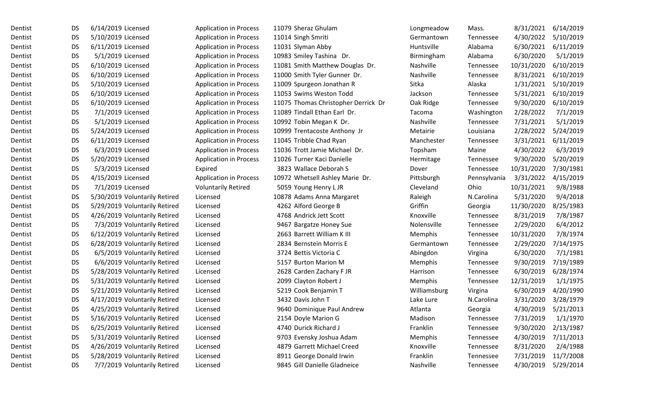| Dentist | <b>DS</b> | 6/14/2019 Licensed            | <b>Application in Process</b> | 11079 Sheraz Ghulam                 | Longmeadow   | Mass.        | 8/31/2021  | 6/14/2019 |
|---------|-----------|-------------------------------|-------------------------------|-------------------------------------|--------------|--------------|------------|-----------|
| Dentist | <b>DS</b> | 5/10/2019 Licensed            | <b>Application in Process</b> | 11014 Singh Smriti                  | Germantown   | Tennessee    | 4/30/2022  | 5/10/2019 |
| Dentist | <b>DS</b> | 6/11/2019 Licensed            | <b>Application in Process</b> | 11031 Slyman Abby                   | Huntsville   | Alabama      | 6/30/2021  | 6/11/2019 |
| Dentist | <b>DS</b> | 5/1/2019 Licensed             | <b>Application in Process</b> | 10983 Smiley Tashina Dr.            | Birmingham   | Alabama      | 6/30/2020  | 5/1/2019  |
| Dentist | <b>DS</b> | 6/10/2019 Licensed            | <b>Application in Process</b> | 11081 Smith Matthew Douglas Dr.     | Nashville    | Tennessee    | 10/31/2020 | 6/10/2019 |
| Dentist | <b>DS</b> | 6/10/2019 Licensed            | <b>Application in Process</b> | 11000 Smith Tyler Gunner Dr.        | Nashville    | Tennessee    | 8/31/2021  | 6/10/2019 |
| Dentist | <b>DS</b> | 5/10/2019 Licensed            | <b>Application in Process</b> | 11009 Spurgeon Jonathan R           | Sitka        | Alaska       | 1/31/2021  | 5/10/2019 |
| Dentist | <b>DS</b> | 6/10/2019 Licensed            | <b>Application in Process</b> | 11053 Swims Weston Todd             | Jackson      | Tennessee    | 5/31/2021  | 6/10/2019 |
| Dentist | <b>DS</b> | 6/10/2019 Licensed            | <b>Application in Process</b> | 11075 Thomas Christopher Derrick Dr | Oak Ridge    | Tennessee    | 9/30/2020  | 6/10/2019 |
| Dentist | <b>DS</b> | 7/1/2019 Licensed             | <b>Application in Process</b> | 11089 Tindall Ethan Earl Dr.        | Tacoma       | Washington   | 2/28/2022  | 7/1/2019  |
| Dentist | <b>DS</b> | 5/1/2019 Licensed             | <b>Application in Process</b> | 10992 Tobin Megan K Dr.             | Nashville    | Tennessee    | 7/31/2021  | 5/1/2019  |
| Dentist | <b>DS</b> | 5/24/2019 Licensed            | <b>Application in Process</b> | 10999 Trentacoste Anthony Jr        | Metairie     | Louisiana    | 2/28/2022  | 5/24/2019 |
| Dentist | <b>DS</b> | 6/11/2019 Licensed            | <b>Application in Process</b> | 11045 Tribble Chad Ryan             | Manchester   | Tennessee    | 3/31/2021  | 6/11/2019 |
| Dentist | <b>DS</b> | 6/3/2019 Licensed             | <b>Application in Process</b> | 11036 Trott Jamie Michael Dr.       | Topsham      | Maine        | 4/30/2022  | 6/3/2019  |
| Dentist | <b>DS</b> | 5/20/2019 Licensed            | <b>Application in Process</b> | 11026 Turner Kaci Danielle          | Hermitage    | Tennessee    | 9/30/2020  | 5/20/2019 |
| Dentist | <b>DS</b> | 5/3/2019 Licensed             | Expired                       | 3823 Wallace Deborah S              | Dover        | Tennessee    | 10/31/2020 | 7/30/1981 |
| Dentist | <b>DS</b> | 4/15/2019 Licensed            | <b>Application in Process</b> | 10972 Whetsell Ashley Marie Dr.     | Pittsburgh   | Pennsylvania | 3/31/2022  | 4/15/2019 |
| Dentist | <b>DS</b> | 7/1/2019 Licensed             | <b>Voluntarily Retired</b>    | 5059 Young Henry L JR               | Cleveland    | Ohio         | 10/31/2021 | 9/8/1988  |
| Dentist | <b>DS</b> | 5/30/2019 Voluntarily Retired | Licensed                      | 10878 Adams Anna Margaret           | Raleigh      | N.Carolina   | 5/31/2020  | 9/4/2018  |
| Dentist | <b>DS</b> | 5/29/2019 Voluntarily Retired | Licensed                      | 4262 Alford George B                | Griffin      | Georgia      | 11/30/2020 | 8/25/1983 |
| Dentist | <b>DS</b> | 4/26/2019 Voluntarily Retired | Licensed                      | 4768 Andrick Jett Scott             | Knoxville    | Tennessee    | 8/31/2019  | 7/8/1987  |
| Dentist | <b>DS</b> | 7/3/2019 Voluntarily Retired  | Licensed                      | 9467 Bargatze Honey Sue             | Nolensville  | Tennessee    | 2/29/2020  | 6/4/2012  |
| Dentist | <b>DS</b> | 6/12/2019 Voluntarily Retired | Licensed                      | 2663 Barrett William K III          | Memphis      | Tennessee    | 10/31/2020 | 7/8/1974  |
| Dentist | <b>DS</b> | 6/28/2019 Voluntarily Retired | Licensed                      | 2834 Bernstein Morris E             | Germantown   | Tennessee    | 2/29/2020  | 7/14/1975 |
| Dentist | <b>DS</b> | 6/5/2019 Voluntarily Retired  | Licensed                      | 3724 Bettis Victoria C              | Abingdon     | Virgina      | 6/30/2020  | 7/1/1981  |
| Dentist | <b>DS</b> | 6/6/2019 Voluntarily Retired  | Licensed                      | 5157 Burton Marion M                | Memphis      | Tennessee    | 9/30/2019  | 7/19/1989 |
| Dentist | <b>DS</b> | 5/28/2019 Voluntarily Retired | Licensed                      | 2628 Carden Zachary F JR            | Harrison     | Tennessee    | 6/30/2019  | 6/28/1974 |
| Dentist | <b>DS</b> | 5/31/2019 Voluntarily Retired | Licensed                      | 2099 Clayton Robert J               | Memphis      | Tennessee    | 12/31/2019 | 1/1/1975  |
| Dentist | <b>DS</b> | 5/21/2019 Voluntarily Retired | Licensed                      | 5219 Cook Benjamin T                | Williamsburg | Virgina      | 6/30/2019  | 4/20/1990 |
| Dentist | <b>DS</b> | 4/17/2019 Voluntarily Retired | Licensed                      | 3432 Davis John T                   | Lake Lure    | N.Carolina   | 3/31/2020  | 3/28/1979 |
| Dentist | <b>DS</b> | 4/25/2019 Voluntarily Retired | Licensed                      | 9640 Dominique Paul Andrew          | Atlanta      | Georgia      | 4/30/2019  | 5/21/2013 |
| Dentist | <b>DS</b> | 5/16/2019 Voluntarily Retired | Licensed                      | 2154 Doyle Marion G                 | Madison      | Tennessee    | 7/31/2019  | 1/1/1970  |
| Dentist | <b>DS</b> | 6/25/2019 Voluntarily Retired | Licensed                      | 4740 Durick Richard J               | Franklin     | Tennessee    | 9/30/2020  | 2/13/1987 |
| Dentist | <b>DS</b> | 5/31/2019 Voluntarily Retired | Licensed                      | 9703 Evensky Joshua Adam            | Memphis      | Tennessee    | 4/30/2019  | 7/11/2013 |
| Dentist | DS        | 4/26/2019 Voluntarily Retired | Licensed                      | 4879 Garrett Michael Creed          | Knoxville    | Tennessee    | 8/31/2020  | 2/4/1988  |
| Dentist | <b>DS</b> | 5/28/2019 Voluntarily Retired | Licensed                      | 8911 George Donald Irwin            | Franklin     | Tennessee    | 7/31/2019  | 11/7/2008 |
| Dentist | <b>DS</b> | 7/7/2019 Voluntarily Retired  | Licensed                      | 9845 Gill Danielle Gladneice        | Nashville    | Tennessee    | 4/30/2019  | 5/29/2014 |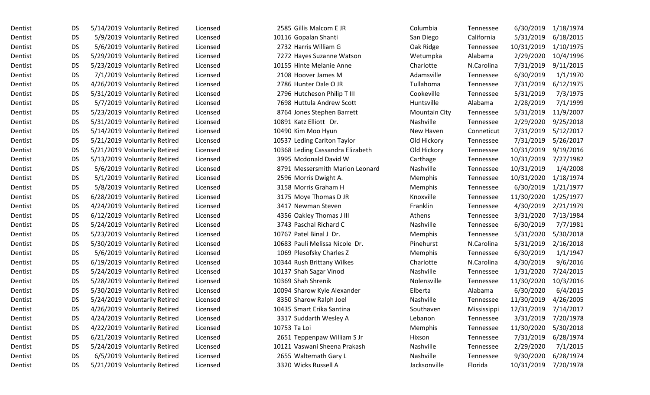| Dentist | <b>DS</b> | 5/14/2019 Voluntarily Retired | Licensed | 2585 Gillis Malcom E JR          | Columbia             | Tennessee   | 6/30/2019  | 1/18/1974 |
|---------|-----------|-------------------------------|----------|----------------------------------|----------------------|-------------|------------|-----------|
| Dentist | <b>DS</b> | 5/9/2019 Voluntarily Retired  | Licensed | 10116 Gopalan Shanti             | San Diego            | California  | 5/31/2019  | 6/18/2015 |
| Dentist | <b>DS</b> | 5/6/2019 Voluntarily Retired  | Licensed | 2732 Harris William G            | Oak Ridge            | Tennessee   | 10/31/2019 | 1/10/1975 |
| Dentist | <b>DS</b> | 5/29/2019 Voluntarily Retired | Licensed | 7272 Hayes Suzanne Watson        | Wetumpka             | Alabama     | 2/29/2020  | 10/4/1996 |
| Dentist | <b>DS</b> | 5/23/2019 Voluntarily Retired | Licensed | 10155 Hinte Melanie Anne         | Charlotte            | N.Carolina  | 7/31/2019  | 9/11/2015 |
| Dentist | <b>DS</b> | 7/1/2019 Voluntarily Retired  | Licensed | 2108 Hoover James M              | Adamsville           | Tennessee   | 6/30/2019  | 1/1/1970  |
| Dentist | <b>DS</b> | 4/26/2019 Voluntarily Retired | Licensed | 2786 Hunter Dale O JR            | Tullahoma            | Tennessee   | 7/31/2019  | 6/12/1975 |
| Dentist | <b>DS</b> | 5/31/2019 Voluntarily Retired | Licensed | 2796 Hutcheson Philip T III      | Cookeville           | Tennessee   | 5/31/2019  | 7/3/1975  |
| Dentist | <b>DS</b> | 5/7/2019 Voluntarily Retired  | Licensed | 7698 Huttula Andrew Scott        | Huntsville           | Alabama     | 2/28/2019  | 7/1/1999  |
| Dentist | <b>DS</b> | 5/23/2019 Voluntarily Retired | Licensed | 8764 Jones Stephen Barrett       | <b>Mountain City</b> | Tennessee   | 5/31/2019  | 11/9/2007 |
| Dentist | <b>DS</b> | 5/31/2019 Voluntarily Retired | Licensed | 10891 Katz Elliott Dr.           | Nashville            | Tennessee   | 2/29/2020  | 9/25/2018 |
| Dentist | <b>DS</b> | 5/14/2019 Voluntarily Retired | Licensed | 10490 Kim Moo Hyun               | New Haven            | Conneticut  | 7/31/2019  | 5/12/2017 |
| Dentist | <b>DS</b> | 5/21/2019 Voluntarily Retired | Licensed | 10537 Leding Carlton Taylor      | Old Hickory          | Tennessee   | 7/31/2019  | 5/26/2017 |
| Dentist | <b>DS</b> | 5/21/2019 Voluntarily Retired | Licensed | 10368 Leding Cassandra Elizabeth | Old Hickory          | Tennessee   | 10/31/2019 | 9/19/2016 |
| Dentist | <b>DS</b> | 5/13/2019 Voluntarily Retired | Licensed | 3995 Mcdonald David W            | Carthage             | Tennessee   | 10/31/2019 | 7/27/1982 |
| Dentist | <b>DS</b> | 5/6/2019 Voluntarily Retired  | Licensed | 8791 Messersmith Marion Leonard  | Nashville            | Tennessee   | 10/31/2019 | 1/4/2008  |
| Dentist | <b>DS</b> | 5/1/2019 Voluntarily Retired  | Licensed | 2596 Morris Dwight A.            | Memphis              | Tennessee   | 10/31/2020 | 1/18/1974 |
| Dentist | <b>DS</b> | 5/8/2019 Voluntarily Retired  | Licensed | 3158 Morris Graham H             | Memphis              | Tennessee   | 6/30/2019  | 1/21/1977 |
| Dentist | <b>DS</b> | 6/28/2019 Voluntarily Retired | Licensed | 3175 Moye Thomas D JR            | Knoxville            | Tennessee   | 11/30/2020 | 1/25/1977 |
| Dentist | <b>DS</b> | 4/24/2019 Voluntarily Retired | Licensed | 3417 Newman Steven               | Franklin             | Tennessee   | 4/30/2019  | 2/21/1979 |
| Dentist | <b>DS</b> | 6/12/2019 Voluntarily Retired | Licensed | 4356 Oakley Thomas J III         | Athens               | Tennessee   | 3/31/2020  | 7/13/1984 |
| Dentist | <b>DS</b> | 5/24/2019 Voluntarily Retired | Licensed | 3743 Paschal Richard C           | Nashville            | Tennessee   | 6/30/2019  | 7/7/1981  |
| Dentist | <b>DS</b> | 5/23/2019 Voluntarily Retired | Licensed | 10767 Patel Binal J Dr.          | Memphis              | Tennessee   | 5/31/2020  | 5/30/2018 |
| Dentist | <b>DS</b> | 5/30/2019 Voluntarily Retired | Licensed | 10683 Pauli Melissa Nicole Dr.   | Pinehurst            | N.Carolina  | 5/31/2019  | 2/16/2018 |
| Dentist | <b>DS</b> | 5/6/2019 Voluntarily Retired  | Licensed | 1069 Plesofsky Charles Z         | Memphis              | Tennessee   | 6/30/2019  | 1/1/1947  |
| Dentist | <b>DS</b> | 6/19/2019 Voluntarily Retired | Licensed | 10344 Rush Brittany Wilkes       | Charlotte            | N.Carolina  | 4/30/2019  | 9/6/2016  |
| Dentist | <b>DS</b> | 5/24/2019 Voluntarily Retired | Licensed | 10137 Shah Sagar Vinod           | Nashville            | Tennessee   | 1/31/2020  | 7/24/2015 |
| Dentist | <b>DS</b> | 5/28/2019 Voluntarily Retired | Licensed | 10369 Shah Shrenik               | Nolensville          | Tennessee   | 11/30/2020 | 10/3/2016 |
| Dentist | <b>DS</b> | 5/30/2019 Voluntarily Retired | Licensed | 10094 Sharow Kyle Alexander      | Elberta              | Alabama     | 6/30/2020  | 6/4/2015  |
| Dentist | <b>DS</b> | 5/24/2019 Voluntarily Retired | Licensed | 8350 Sharow Ralph Joel           | Nashville            | Tennessee   | 11/30/2019 | 4/26/2005 |
| Dentist | <b>DS</b> | 4/26/2019 Voluntarily Retired | Licensed | 10435 Smart Erika Santina        | Southaven            | Mississippi | 12/31/2019 | 7/14/2017 |
| Dentist | <b>DS</b> | 4/24/2019 Voluntarily Retired | Licensed | 3317 Suddarth Wesley A           | Lebanon              | Tennessee   | 3/31/2019  | 7/20/1978 |
| Dentist | <b>DS</b> | 4/22/2019 Voluntarily Retired | Licensed | 10753 Ta Loi                     | Memphis              | Tennessee   | 11/30/2020 | 5/30/2018 |
| Dentist | <b>DS</b> | 6/21/2019 Voluntarily Retired | Licensed | 2651 Teppenpaw William S Jr      | Hixson               | Tennessee   | 7/31/2019  | 6/28/1974 |
| Dentist | <b>DS</b> | 5/24/2019 Voluntarily Retired | Licensed | 10121 Vaswani Sheena Prakash     | Nashville            | Tennessee   | 2/29/2020  | 7/1/2015  |
| Dentist | <b>DS</b> | 6/5/2019 Voluntarily Retired  | Licensed | 2655 Waltemath Gary L            | Nashville            | Tennessee   | 9/30/2020  | 6/28/1974 |
| Dentist | <b>DS</b> | 5/21/2019 Voluntarily Retired | Licensed | 3320 Wicks Russell A             | Jacksonville         | Florida     | 10/31/2019 | 7/20/1978 |
|         |           |                               |          |                                  |                      |             |            |           |

|              | 2585 Gillis Malcom E JR          |
|--------------|----------------------------------|
|              | 10116 Gopalan Shanti             |
|              | 2732 Harris William G            |
|              | 7272 Hayes Suzanne Watson        |
|              | 10155 Hinte Melanie Anne         |
|              | 2108 Hoover James M              |
|              | 2786 Hunter Dale O JR            |
|              | 2796 Hutcheson Philip T III      |
|              | 7698 Huttula Andrew Scott        |
|              | 8764 Jones Stephen Barrett       |
|              | 10891 Katz Elliott Dr.           |
|              | 10490 Kim Moo Hyun               |
|              | 10537 Leding Carlton Taylor      |
|              | 10368 Leding Cassandra Elizabeth |
|              | 3995 Mcdonald David W            |
|              | 8791 Messersmith Marion Leonard  |
|              | 2596 Morris Dwight A.            |
|              | 3158 Morris Graham H             |
|              | 3175 Moye Thomas D JR            |
|              | 3417 Newman Steven               |
|              | 4356 Oakley Thomas J III         |
|              | 3743 Paschal Richard C           |
|              | 10767 Patel Binal J Dr.          |
|              | 10683 Pauli Melissa Nicole Dr.   |
|              | 1069 Plesofsky Charles Z         |
|              | 10344 Rush Brittany Wilkes       |
|              | 10137 Shah Sagar Vinod           |
|              | 10369 Shah Shrenik               |
|              | 10094 Sharow Kyle Alexander      |
|              | 8350 Sharow Ralph Joel           |
|              | 10435 Smart Erika Santina        |
|              | 3317 Suddarth Wesley A           |
| 10753 Ta Loi |                                  |
|              | 2651 Teppenpaw William S Jr      |
|              | 10121 Vaswani Sheena Prakash     |
|              | 2655 Waltemath Gary L            |
|              | 3320 Wicks Russell A             |

| Columbia              | Tennessee        | 6/30/2019  | 1/18/1974 |
|-----------------------|------------------|------------|-----------|
| San Diego             | California       | 5/31/2019  | 6/18/2015 |
| <b>Jak Ridge</b>      | Tennessee        | 10/31/2019 | 1/10/1975 |
| <b>Netumpka</b>       | Alabama          | 2/29/2020  | 10/4/1996 |
| Charlotte             | N.Carolina       | 7/31/2019  | 9/11/2015 |
| Adamsville            | Tennessee        | 6/30/2019  | 1/1/1970  |
| <b>Tullahoma</b>      | Tennessee        | 7/31/2019  | 6/12/1975 |
| Cookeville            | Tennessee        | 5/31/2019  | 7/3/1975  |
| Huntsville            | Alabama          | 2/28/2019  | 7/1/1999  |
| Mountain City         | Tennessee        | 5/31/2019  | 11/9/2007 |
| <b>Nashville</b>      | Tennessee        | 2/29/2020  | 9/25/2018 |
| <b>New Haven</b>      | Conneticut       | 7/31/2019  | 5/12/2017 |
| <b>Old Hickory</b>    | Tennessee        | 7/31/2019  | 5/26/2017 |
| <b>Old Hickory</b>    | Tennessee        | 10/31/2019 | 9/19/2016 |
| Carthage              | Tennessee        | 10/31/2019 | 7/27/1982 |
| <b>Nashville</b>      | Tennessee        | 10/31/2019 | 1/4/2008  |
| Memphis               | Tennessee        | 10/31/2020 | 1/18/1974 |
| Memphis               | Tennessee        | 6/30/2019  | 1/21/1977 |
| <b>Knoxville</b>      | <b>Tennessee</b> | 11/30/2020 | 1/25/1977 |
| Franklin              | Tennessee        | 4/30/2019  | 2/21/1979 |
| Athens                | Tennessee        | 3/31/2020  | 7/13/1984 |
| <b>Nashville</b>      | Tennessee        | 6/30/2019  | 7/7/1981  |
| Memphis               | Tennessee        | 5/31/2020  | 5/30/2018 |
| <sup>2</sup> inehurst | N.Carolina       | 5/31/2019  | 2/16/2018 |
| Memphis               | Tennessee        | 6/30/2019  | 1/1/1947  |
| Charlotte             | N.Carolina       | 4/30/2019  | 9/6/2016  |
| <b>Nashville</b>      | Tennessee        | 1/31/2020  | 7/24/2015 |
| <b>Nolensville</b>    | Tennessee        | 11/30/2020 | 10/3/2016 |
| Elberta               | Alabama          | 6/30/2020  | 6/4/2015  |
| <b>Nashville</b>      | Tennessee        | 11/30/2019 | 4/26/2005 |
| Southaven             | Mississippi      | 12/31/2019 | 7/14/2017 |
| ebanon.               | Tennessee        | 3/31/2019  | 7/20/1978 |
| Memphis               | Tennessee        | 11/30/2020 | 5/30/2018 |
| Hixson                | Tennessee        | 7/31/2019  | 6/28/1974 |
| <b>Nashville</b>      | Tennessee        | 2/29/2020  | 7/1/2015  |
| <b>Nashville</b>      | Tennessee        | 9/30/2020  | 6/28/1974 |
| lacksonville          | Florida          | 10/31/2019 | 7/20/1978 |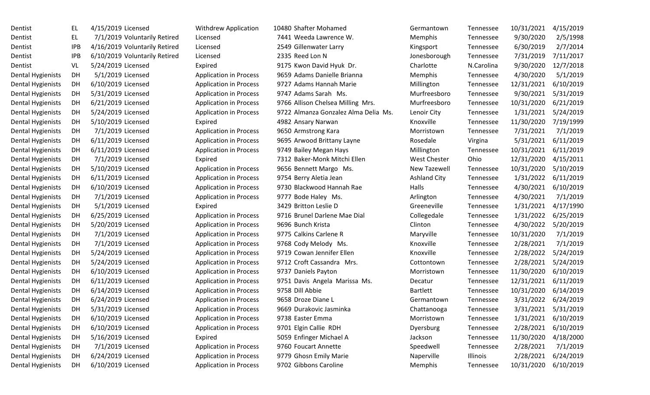| Dentist                  | EL  | 4/15/20 |
|--------------------------|-----|---------|
| Dentist                  | EL  | 7/1/20  |
| Dentist                  | IPB | 4/16/20 |
| Dentist                  | IPB | 6/10/20 |
| Dentist                  | VL  | 5/24/20 |
| Dental Hygienists        | DН  | 5/1/20  |
| Dental Hygienists        | DH  | 6/10/20 |
| Dental Hygienists        | DН  | 5/31/20 |
| Dental Hygienists        | DH  | 6/21/20 |
| <b>Dental Hygienists</b> | DH  | 5/24/20 |
| Dental Hygienists        | DH  | 5/10/20 |
| <b>Dental Hygienists</b> | DH  | 7/1/20  |
| Dental Hygienists        | DH  | 6/11/20 |
| Dental Hygienists        | DH  | 6/11/20 |
| <b>Dental Hygienists</b> | DH  | 7/1/20  |
| Dental Hygienists        | DH  | 5/10/20 |
| Dental Hygienists        | DН  | 6/11/20 |
| Dental Hygienists        | DH  | 6/10/20 |
| <b>Dental Hygienists</b> | DH  | 7/1/20  |
| Dental Hygienists        | DH  | 5/1/20  |
| Dental Hygienists        | DH  | 6/25/20 |
| Dental Hygienists        | DH  | 5/20/20 |
| Dental Hygienists        | DH  | 7/1/20  |
| <b>Dental Hygienists</b> | DH  | 7/1/20  |
| Dental Hygienists        | DН  | 5/24/20 |
| <b>Dental Hygienists</b> | DH  | 5/24/20 |
| Dental Hygienists        | DH  | 6/10/20 |
| Dental Hygienists        | DH  | 6/11/20 |
| <b>Dental Hygienists</b> | DH  | 6/14/20 |
| Dental Hygienists        | DН  | 6/24/20 |
| Dental Hygienists        | DH  | 5/31/20 |
| <b>Dental Hygienists</b> | DH  | 6/10/20 |
| <b>Dental Hygienists</b> | DH  | 6/10/20 |
| Dental Hygienists        | DН  | 5/16/20 |
| <b>Dental Hygienists</b> | DH  | 7/1/20  |
| Dental Hygienists        | DH  | 6/24/20 |
| Dental Hygienists        | DH  | 6/10/20 |

| Dentist           | EL         | 4/15/2019 Licensed            | <b>Withdrew Application</b>   | 10480 Shafter Mohamed                | Germantown          | Tennessee  | 10/31/2021 | 4/15/2019 |
|-------------------|------------|-------------------------------|-------------------------------|--------------------------------------|---------------------|------------|------------|-----------|
| Dentist           | EL         | 7/1/2019 Voluntarily Retired  | Licensed                      | 7441 Weeda Lawrence W.               | Memphis             | Tennessee  | 9/30/2020  | 2/5/1998  |
| Dentist           | <b>IPB</b> | 4/16/2019 Voluntarily Retired | Licensed                      | 2549 Gillenwater Larry               | Kingsport           | Tennessee  | 6/30/2019  | 2/7/2014  |
| Dentist           | <b>IPB</b> | 6/10/2019 Voluntarily Retired | Licensed                      | 2335 Reed Lon N                      | Jonesborough        | Tennessee  | 7/31/2019  | 7/11/2017 |
| Dentist           | VL         | 5/24/2019 Licensed            | Expired                       | 9175 Kwon David Hyuk Dr.             | Charlotte           | N.Carolina | 9/30/2020  | 12/7/2018 |
| Dental Hygienists | DH         | 5/1/2019 Licensed             | <b>Application in Process</b> | 9659 Adams Danielle Brianna          | Memphis             | Tennessee  | 4/30/2020  | 5/1/2019  |
| Dental Hygienists | DH         | 6/10/2019 Licensed            | <b>Application in Process</b> | 9727 Adams Hannah Marie              | Millington          | Tennessee  | 12/31/2021 | 6/10/2019 |
| Dental Hygienists | DH         | 5/31/2019 Licensed            | <b>Application in Process</b> | 9747 Adams Sarah Ms.                 | Murfreesboro        | Tennessee  | 9/30/2021  | 5/31/2019 |
| Dental Hygienists | DH         | 6/21/2019 Licensed            | <b>Application in Process</b> | 9766 Allison Chelsea Milling Mrs.    | Murfreesboro        | Tennessee  | 10/31/2020 | 6/21/2019 |
| Dental Hygienists | DH         | 5/24/2019 Licensed            | <b>Application in Process</b> | 9722 Almanza Gonzalez Alma Delia Ms. | Lenoir City         | Tennessee  | 1/31/2021  | 5/24/2019 |
| Dental Hygienists | DH         | 5/10/2019 Licensed            | Expired                       | 4982 Ansary Narwan                   | Knoxville           | Tennessee  | 11/30/2020 | 7/19/1999 |
| Dental Hygienists | DH         | 7/1/2019 Licensed             | <b>Application in Process</b> | 9650 Armstrong Kara                  | Morristown          | Tennessee  | 7/31/2021  | 7/1/2019  |
| Dental Hygienists | DH         | 6/11/2019 Licensed            | <b>Application in Process</b> | 9695 Arwood Brittany Layne           | Rosedale            | Virgina    | 5/31/2021  | 6/11/2019 |
| Dental Hygienists | DH         | 6/11/2019 Licensed            | <b>Application in Process</b> | 9749 Bailey Megan Hays               | Millington          | Tennessee  | 10/31/2021 | 6/11/2019 |
| Dental Hygienists | DH         | 7/1/2019 Licensed             | Expired                       | 7312 Baker-Monk Mitchi Ellen         | <b>West Chester</b> | Ohio       | 12/31/2020 | 4/15/2011 |
| Dental Hygienists | DH         | 5/10/2019 Licensed            | <b>Application in Process</b> | 9656 Bennett Margo Ms.               | New Tazewell        | Tennessee  | 10/31/2020 | 5/10/2019 |
| Dental Hygienists | DH         | 6/11/2019 Licensed            | <b>Application in Process</b> | 9754 Berry Aletia Jean               | <b>Ashland City</b> | Tennessee  | 1/31/2022  | 6/11/2019 |
| Dental Hygienists | DH         | 6/10/2019 Licensed            | <b>Application in Process</b> | 9730 Blackwood Hannah Rae            | Halls               | Tennessee  | 4/30/2021  | 6/10/2019 |
| Dental Hygienists | DH         | 7/1/2019 Licensed             | <b>Application in Process</b> | 9777 Bode Haley Ms.                  | Arlington           | Tennessee  | 4/30/2021  | 7/1/2019  |
| Dental Hygienists | DH         | 5/1/2019 Licensed             | Expired                       | 3429 Britton Leslie D                | Greeneville         | Tennessee  | 1/31/2021  | 4/17/1990 |
| Dental Hygienists | DH         | 6/25/2019 Licensed            | <b>Application in Process</b> | 9716 Brunel Darlene Mae Dial         | Collegedale         | Tennessee  | 1/31/2022  | 6/25/2019 |
| Dental Hygienists | DH         | 5/20/2019 Licensed            | <b>Application in Process</b> | 9696 Bunch Krista                    | Clinton             | Tennessee  | 4/30/2022  | 5/20/2019 |
| Dental Hygienists | DH         | 7/1/2019 Licensed             | <b>Application in Process</b> | 9775 Calkins Carlene R               | Maryville           | Tennessee  | 10/31/2020 | 7/1/2019  |
| Dental Hygienists | DH         | 7/1/2019 Licensed             | <b>Application in Process</b> | 9768 Cody Melody Ms.                 | Knoxville           | Tennessee  | 2/28/2021  | 7/1/2019  |
| Dental Hygienists | DH         | 5/24/2019 Licensed            | <b>Application in Process</b> | 9719 Cowan Jennifer Ellen            | Knoxville           | Tennessee  | 2/28/2022  | 5/24/2019 |
| Dental Hygienists | DH         | 5/24/2019 Licensed            | <b>Application in Process</b> | 9712 Croft Cassandra Mrs.            | Cottontown          | Tennessee  | 2/28/2021  | 5/24/2019 |
| Dental Hygienists | DH         | 6/10/2019 Licensed            | <b>Application in Process</b> | 9737 Daniels Payton                  | Morristown          | Tennessee  | 11/30/2020 | 6/10/2019 |
| Dental Hygienists | DH         | 6/11/2019 Licensed            | <b>Application in Process</b> | 9751 Davis Angela Marissa Ms.        | Decatur             | Tennessee  | 12/31/2021 | 6/11/2019 |
| Dental Hygienists | DH         | 6/14/2019 Licensed            | <b>Application in Process</b> | 9758 Dill Abbie                      | <b>Bartlett</b>     | Tennessee  | 10/31/2020 | 6/14/2019 |
| Dental Hygienists | DH         | 6/24/2019 Licensed            | <b>Application in Process</b> | 9658 Droze Diane L                   | Germantown          | Tennessee  | 3/31/2022  | 6/24/2019 |
| Dental Hygienists | DH         | 5/31/2019 Licensed            | <b>Application in Process</b> | 9669 Durakovic Jasminka              | Chattanooga         | Tennessee  | 3/31/2021  | 5/31/2019 |
| Dental Hygienists | DH         | 6/10/2019 Licensed            | <b>Application in Process</b> | 9738 Easter Emma                     | Morristown          | Tennessee  | 1/31/2021  | 6/10/2019 |
| Dental Hygienists | DH         | 6/10/2019 Licensed            | <b>Application in Process</b> | 9701 Elgin Callie RDH                | Dyersburg           | Tennessee  | 2/28/2021  | 6/10/2019 |
| Dental Hygienists | DH         | 5/16/2019 Licensed            | Expired                       | 5059 Enfinger Michael A              | Jackson             | Tennessee  | 11/30/2020 | 4/18/2000 |
| Dental Hygienists | DH         | 7/1/2019 Licensed             | <b>Application in Process</b> | 9760 Foucart Annette                 | Speedwell           | Tennessee  | 2/28/2021  | 7/1/2019  |
| Dental Hygienists | DH         | 6/24/2019 Licensed            | <b>Application in Process</b> | 9779 Ghosn Emily Marie               | Naperville          | Illinois   | 2/28/2021  | 6/24/2019 |
| Dental Hygienists | DH         | 6/10/2019 Licensed            | <b>Application in Process</b> | 9702 Gibbons Caroline                | Memphis             | Tennessee  | 10/31/2020 | 6/10/2019 |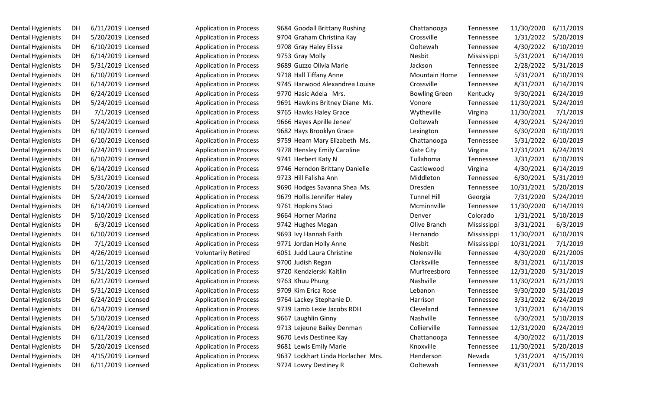| Dental Hygienists | DH | 6/11/2019 Licens |
|-------------------|----|------------------|
| Dental Hygienists | DH | 5/20/2019 Licens |
| Dental Hygienists | DH | 6/10/2019 Licens |
| Dental Hygienists | DH | 6/14/2019 Licens |
| Dental Hygienists | DH | 5/31/2019 Licens |
| Dental Hygienists | DH | 6/10/2019 Licens |
| Dental Hygienists | DН | 6/14/2019 Licens |
| Dental Hygienists | DH | 6/24/2019 Licens |
| Dental Hygienists | DH | 5/24/2019 Licens |
| Dental Hygienists | DH | 7/1/2019 License |
| Dental Hygienists | DH | 5/24/2019 Licens |
| Dental Hygienists | DH | 6/10/2019 Licens |
| Dental Hygienists | DH | 6/10/2019 Licens |
| Dental Hygienists | DH | 6/24/2019 Licens |
| Dental Hygienists | DH | 6/10/2019 Licens |
| Dental Hygienists | DH | 6/14/2019 Licens |
| Dental Hygienists | DH | 5/31/2019 Licens |
| Dental Hygienists | DH | 5/20/2019 Licens |
| Dental Hygienists | DH | 5/24/2019 Licens |
| Dental Hygienists | DH | 6/14/2019 Licens |
| Dental Hygienists | DH | 5/10/2019 Licens |
| Dental Hygienists | DH | 6/3/2019 Licens  |
| Dental Hygienists | DH | 6/10/2019 Licens |
| Dental Hygienists | DH | 7/1/2019 Licens  |
| Dental Hygienists | DH | 4/26/2019 Licens |
| Dental Hygienists | DН | 6/11/2019 Licens |
| Dental Hygienists | DH | 5/31/2019 Licens |
| Dental Hygienists | DH | 6/21/2019 Licens |
| Dental Hygienists | DH | 5/31/2019 Licens |
| Dental Hygienists | DH | 6/24/2019 Licens |
| Dental Hygienists | DH | 6/14/2019 Licens |
| Dental Hygienists | DH | 5/10/2019 Licens |
| Dental Hygienists | DH | 6/24/2019 Licens |
| Dental Hygienists | DH | 6/11/2019 Licens |
| Dental Hygienists | DH | 5/20/2019 Licens |
| Dental Hygienists | DH | 4/15/2019 Licens |
| Dental Hygienists | DH | 6/11/2019 Licens |

| Dental Hygienists | DH | 6/11/2019 Licensed | <b>Application in Process</b> | 9684 Goodall Brittany Rushing      | Chattanooga          | Tennessee   | 11/30/2020 | 6/11/2019 |
|-------------------|----|--------------------|-------------------------------|------------------------------------|----------------------|-------------|------------|-----------|
| Dental Hygienists | DH | 5/20/2019 Licensed | <b>Application in Process</b> | 9704 Graham Christina Kay          | Crossville           | Tennessee   | 1/31/2022  | 5/20/2019 |
| Dental Hygienists | DH | 6/10/2019 Licensed | <b>Application in Process</b> | 9708 Gray Haley Elissa             | Ooltewah             | Tennessee   | 4/30/2022  | 6/10/2019 |
| Dental Hygienists | DH | 6/14/2019 Licensed | <b>Application in Process</b> | 9753 Gray Molly                    | Nesbit               | Mississippi | 5/31/2021  | 6/14/2019 |
| Dental Hygienists | DH | 5/31/2019 Licensed | <b>Application in Process</b> | 9689 Guzzo Olivia Marie            | Jackson              | Tennessee   | 2/28/2022  | 5/31/2019 |
| Dental Hygienists | DH | 6/10/2019 Licensed | <b>Application in Process</b> | 9718 Hall Tiffany Anne             | <b>Mountain Home</b> | Tennessee   | 5/31/2021  | 6/10/2019 |
| Dental Hygienists | DH | 6/14/2019 Licensed | <b>Application in Process</b> | 9745 Harwood Alexandrea Louise     | Crossville           | Tennessee   | 8/31/2021  | 6/14/2019 |
| Dental Hygienists | DH | 6/24/2019 Licensed | <b>Application in Process</b> | 9770 Hasic Adela Mrs.              | <b>Bowling Green</b> | Kentucky    | 9/30/2021  | 6/24/2019 |
| Dental Hygienists | DH | 5/24/2019 Licensed | <b>Application in Process</b> | 9691 Hawkins Britney Diane Ms.     | Vonore               | Tennessee   | 11/30/2021 | 5/24/2019 |
| Dental Hygienists | DH | 7/1/2019 Licensed  | <b>Application in Process</b> | 9765 Hawks Haley Grace             | Wytheville           | Virgina     | 11/30/2021 | 7/1/2019  |
| Dental Hygienists | DH | 5/24/2019 Licensed | <b>Application in Process</b> | 9666 Hayes Aprille Jenee'          | Ooltewah             | Tennessee   | 4/30/2021  | 5/24/2019 |
| Dental Hygienists | DH | 6/10/2019 Licensed | <b>Application in Process</b> | 9682 Hays Brooklyn Grace           | Lexington            | Tennessee   | 6/30/2020  | 6/10/2019 |
| Dental Hygienists | DH | 6/10/2019 Licensed | <b>Application in Process</b> | 9759 Hearn Mary Elizabeth Ms.      | Chattanooga          | Tennessee   | 5/31/2022  | 6/10/2019 |
| Dental Hygienists | DH | 6/24/2019 Licensed | <b>Application in Process</b> | 9778 Hensley Emily Caroline        | Gate City            | Virgina     | 12/31/2021 | 6/24/2019 |
| Dental Hygienists | DH | 6/10/2019 Licensed | <b>Application in Process</b> | 9741 Herbert Katy N                | Tullahoma            | Tennessee   | 3/31/2021  | 6/10/2019 |
| Dental Hygienists | DH | 6/14/2019 Licensed | <b>Application in Process</b> | 9746 Herndon Brittany Danielle     | Castlewood           | Virgina     | 4/30/2021  | 6/14/2019 |
| Dental Hygienists | DH | 5/31/2019 Licensed | <b>Application in Process</b> | 9723 Hill Falisha Ann              | Middleton            | Tennessee   | 6/30/2021  | 5/31/2019 |
| Dental Hygienists | DH | 5/20/2019 Licensed | <b>Application in Process</b> | 9690 Hodges Savanna Shea Ms.       | Dresden              | Tennessee   | 10/31/2021 | 5/20/2019 |
| Dental Hygienists | DH | 5/24/2019 Licensed | <b>Application in Process</b> | 9679 Hollis Jennifer Haley         | <b>Tunnel Hill</b>   | Georgia     | 7/31/2020  | 5/24/2019 |
| Dental Hygienists | DH | 6/14/2019 Licensed | <b>Application in Process</b> | 9761 Hopkins Staci                 | Mcminnville          | Tennessee   | 11/30/2020 | 6/14/2019 |
| Dental Hygienists | DH | 5/10/2019 Licensed | <b>Application in Process</b> | 9664 Horner Marina                 | Denver               | Colorado    | 1/31/2021  | 5/10/2019 |
| Dental Hygienists | DH | 6/3/2019 Licensed  | <b>Application in Process</b> | 9742 Hughes Megan                  | Olive Branch         | Mississippi | 3/31/2021  | 6/3/2019  |
| Dental Hygienists | DH | 6/10/2019 Licensed | <b>Application in Process</b> | 9693 Ivy Hannah Faith              | Hernando             | Mississippi | 11/30/2021 | 6/10/2019 |
| Dental Hygienists | DH | 7/1/2019 Licensed  | <b>Application in Process</b> | 9771 Jordan Holly Anne             | Nesbit               | Mississippi | 10/31/2021 | 7/1/2019  |
| Dental Hygienists | DH | 4/26/2019 Licensed | <b>Voluntarily Retired</b>    | 6051 Judd Laura Christine          | Nolensville          | Tennessee   | 4/30/2020  | 6/21/2005 |
| Dental Hygienists | DH | 6/11/2019 Licensed | <b>Application in Process</b> | 9700 Judish Regan                  | Clarksville          | Tennessee   | 8/31/2021  | 6/11/2019 |
| Dental Hygienists | DH | 5/31/2019 Licensed | <b>Application in Process</b> | 9720 Kendzierski Kaitlin           | Murfreesboro         | Tennessee   | 12/31/2020 | 5/31/2019 |
| Dental Hygienists | DH | 6/21/2019 Licensed | <b>Application in Process</b> | 9763 Khuu Phung                    | Nashville            | Tennessee   | 11/30/2021 | 6/21/2019 |
| Dental Hygienists | DH | 5/31/2019 Licensed | <b>Application in Process</b> | 9709 Kim Erica Rose                | Lebanon              | Tennessee   | 9/30/2020  | 5/31/2019 |
| Dental Hygienists | DH | 6/24/2019 Licensed | <b>Application in Process</b> | 9764 Lackey Stephanie D.           | Harrison             | Tennessee   | 3/31/2022  | 6/24/2019 |
| Dental Hygienists | DH | 6/14/2019 Licensed | <b>Application in Process</b> | 9739 Lamb Lexie Jacobs RDH         | Cleveland            | Tennessee   | 1/31/2021  | 6/14/2019 |
| Dental Hygienists | DH | 5/10/2019 Licensed | <b>Application in Process</b> | 9667 Laughlin Ginny                | Nashville            | Tennessee   | 6/30/2021  | 5/10/2019 |
| Dental Hygienists | DH | 6/24/2019 Licensed | <b>Application in Process</b> | 9713 Lejeune Bailey Denman         | Collierville         | Tennessee   | 12/31/2020 | 6/24/2019 |
| Dental Hygienists | DH | 6/11/2019 Licensed | <b>Application in Process</b> | 9670 Levis Destinee Kay            | Chattanooga          | Tennessee   | 4/30/2022  | 6/11/2019 |
| Dental Hygienists | DH | 5/20/2019 Licensed | <b>Application in Process</b> | 9681 Lewis Emily Marie             | Knoxville            | Tennessee   | 11/30/2021 | 5/20/2019 |
| Dental Hygienists | DH | 4/15/2019 Licensed | <b>Application in Process</b> | 9637 Lockhart Linda Horlacher Mrs. | Henderson            | Nevada      | 1/31/2021  | 4/15/2019 |
| Dental Hygienists | DH | 6/11/2019 Licensed | <b>Application in Process</b> | 9724 Lowry Destiney R              | Ooltewah             | Tennessee   | 8/31/2021  | 6/11/2019 |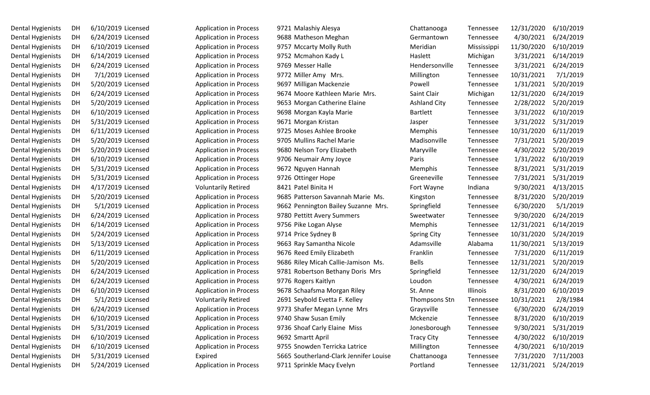| Dental Hygienists | DH | 6/10/2019 License |
|-------------------|----|-------------------|
| Dental Hygienists | DH | 6/24/2019 License |
| Dental Hygienists | DH | 6/10/2019 License |
| Dental Hygienists | DH | 6/14/2019 License |
| Dental Hygienists | DH | 6/24/2019 License |
| Dental Hygienists | DH | 7/1/2019 License  |
| Dental Hygienists | DH | 5/20/2019 License |
| Dental Hygienists | DH | 6/24/2019 License |
| Dental Hygienists | DH | 5/20/2019 License |
| Dental Hygienists | DH | 6/10/2019 License |
| Dental Hygienists | DH | 5/31/2019 License |
| Dental Hygienists | DH | 6/11/2019 License |
| Dental Hygienists | DH | 5/20/2019 License |
| Dental Hygienists | DH | 5/20/2019 License |
| Dental Hygienists | DH | 6/10/2019 License |
| Dental Hygienists | DH | 5/31/2019 License |
| Dental Hygienists | DH | 5/31/2019 License |
| Dental Hygienists | DH | 4/17/2019 License |
| Dental Hygienists | DH | 5/20/2019 License |
| Dental Hygienists | DH | 5/1/2019 License  |
| Dental Hygienists | DH | 6/24/2019 License |
| Dental Hygienists | DH | 6/14/2019 License |
| Dental Hygienists | DH | 5/24/2019 License |
| Dental Hygienists | DH | 5/13/2019 License |
| Dental Hygienists | DH | 6/11/2019 License |
| Dental Hygienists | DH | 5/20/2019 License |
| Dental Hygienists | DH | 6/24/2019 License |
| Dental Hygienists | DH | 6/24/2019 License |
| Dental Hygienists | DH | 6/10/2019 License |
| Dental Hygienists | DH | 5/1/2019 License  |
| Dental Hygienists | DH | 6/24/2019 License |
| Dental Hygienists | DH | 6/10/2019 License |
| Dental Hygienists | DH | 5/31/2019 License |
| Dental Hygienists | DH | 6/10/2019 License |
| Dental Hygienists | DH | 6/10/2019 License |
| Dental Hygienists | DH | 5/31/2019 License |
| Dental Hygienists | DH | 5/24/2019 License |

| Dental Hygienists | DH | 6/10/2019 Licensed | <b>Application in Process</b> | 9721 Malashiy Alesya                   | Chattanooga         | Tennessee   | 12/31/2020 | 6/10/2019 |
|-------------------|----|--------------------|-------------------------------|----------------------------------------|---------------------|-------------|------------|-----------|
| Dental Hygienists | DH | 6/24/2019 Licensed | <b>Application in Process</b> | 9688 Matheson Meghan                   | Germantown          | Tennessee   | 4/30/2021  | 6/24/2019 |
| Dental Hygienists | DH | 6/10/2019 Licensed | <b>Application in Process</b> | 9757 Mccarty Molly Ruth                | Meridian            | Mississippi | 11/30/2020 | 6/10/2019 |
| Dental Hygienists | DH | 6/14/2019 Licensed | <b>Application in Process</b> | 9752 Mcmahon Kady L                    | Haslett             | Michigan    | 3/31/2021  | 6/14/2019 |
| Dental Hygienists | DH | 6/24/2019 Licensed | <b>Application in Process</b> | 9769 Messer Halle                      | Hendersonville      | Tennessee   | 3/31/2021  | 6/24/2019 |
| Dental Hygienists | DH | 7/1/2019 Licensed  | <b>Application in Process</b> | 9772 Miller Amy Mrs.                   | Millington          | Tennessee   | 10/31/2021 | 7/1/2019  |
| Dental Hygienists | DH | 5/20/2019 Licensed | <b>Application in Process</b> | 9697 Milligan Mackenzie                | Powell              | Tennessee   | 1/31/2021  | 5/20/2019 |
| Dental Hygienists | DH | 6/24/2019 Licensed | <b>Application in Process</b> | 9674 Moore Kathleen Marie Mrs.         | Saint Clair         | Michigan    | 12/31/2020 | 6/24/2019 |
| Dental Hygienists | DH | 5/20/2019 Licensed | <b>Application in Process</b> | 9653 Morgan Catherine Elaine           | <b>Ashland City</b> | Tennessee   | 2/28/2022  | 5/20/2019 |
| Dental Hygienists | DH | 6/10/2019 Licensed | <b>Application in Process</b> | 9698 Morgan Kayla Marie                | <b>Bartlett</b>     | Tennessee   | 3/31/2022  | 6/10/2019 |
| Dental Hygienists | DH | 5/31/2019 Licensed | <b>Application in Process</b> | 9671 Morgan Kristan                    | Jasper              | Tennessee   | 3/31/2022  | 5/31/2019 |
| Dental Hygienists | DH | 6/11/2019 Licensed | <b>Application in Process</b> | 9725 Moses Ashlee Brooke               | Memphis             | Tennessee   | 10/31/2020 | 6/11/2019 |
| Dental Hygienists | DH | 5/20/2019 Licensed | <b>Application in Process</b> | 9705 Mullins Rachel Marie              | Madisonville        | Tennessee   | 7/31/2021  | 5/20/2019 |
| Dental Hygienists | DH | 5/20/2019 Licensed | <b>Application in Process</b> | 9680 Nelson Tory Elizabeth             | Maryville           | Tennessee   | 4/30/2022  | 5/20/2019 |
| Dental Hygienists | DH | 6/10/2019 Licensed | <b>Application in Process</b> | 9706 Neumair Amy Joyce                 | Paris               | Tennessee   | 1/31/2022  | 6/10/2019 |
| Dental Hygienists | DH | 5/31/2019 Licensed | <b>Application in Process</b> | 9672 Nguyen Hannah                     | Memphis             | Tennessee   | 8/31/2021  | 5/31/2019 |
| Dental Hygienists | DH | 5/31/2019 Licensed | <b>Application in Process</b> | 9726 Ottinger Hope                     | Greeneville         | Tennessee   | 7/31/2021  | 5/31/2019 |
| Dental Hygienists | DH | 4/17/2019 Licensed | <b>Voluntarily Retired</b>    | 8421 Patel Binita H                    | Fort Wayne          | Indiana     | 9/30/2021  | 4/13/2015 |
| Dental Hygienists | DH | 5/20/2019 Licensed | <b>Application in Process</b> | 9685 Patterson Savannah Marie Ms.      | Kingston            | Tennessee   | 8/31/2020  | 5/20/2019 |
| Dental Hygienists | DH | 5/1/2019 Licensed  | <b>Application in Process</b> | 9662 Pennington Bailey Suzanne Mrs.    | Springfield         | Tennessee   | 6/30/2020  | 5/1/2019  |
| Dental Hygienists | DH | 6/24/2019 Licensed | <b>Application in Process</b> | 9780 Pettitt Avery Summers             | Sweetwater          | Tennessee   | 9/30/2020  | 6/24/2019 |
| Dental Hygienists | DH | 6/14/2019 Licensed | <b>Application in Process</b> | 9756 Pike Logan Alyse                  | Memphis             | Tennessee   | 12/31/2021 | 6/14/2019 |
| Dental Hygienists | DH | 5/24/2019 Licensed | <b>Application in Process</b> | 9714 Price Sydney B                    | <b>Spring City</b>  | Tennessee   | 10/31/2020 | 5/24/2019 |
| Dental Hygienists | DH | 5/13/2019 Licensed | <b>Application in Process</b> | 9663 Ray Samantha Nicole               | Adamsville          | Alabama     | 11/30/2021 | 5/13/2019 |
| Dental Hygienists | DH | 6/11/2019 Licensed | <b>Application in Process</b> | 9676 Reed Emily Elizabeth              | Franklin            | Tennessee   | 7/31/2020  | 6/11/2019 |
| Dental Hygienists | DH | 5/20/2019 Licensed | <b>Application in Process</b> | 9686 Riley Micah Callie-Jamison Ms.    | <b>Bells</b>        | Tennessee   | 12/31/2021 | 5/20/2019 |
| Dental Hygienists | DH | 6/24/2019 Licensed | <b>Application in Process</b> | 9781 Robertson Bethany Doris Mrs       | Springfield         | Tennessee   | 12/31/2020 | 6/24/2019 |
| Dental Hygienists | DH | 6/24/2019 Licensed | <b>Application in Process</b> | 9776 Rogers Kaitlyn                    | Loudon              | Tennessee   | 4/30/2021  | 6/24/2019 |
| Dental Hygienists | DH | 6/10/2019 Licensed | <b>Application in Process</b> | 9678 Schaafsma Morgan Riley            | St. Anne            | Illinois    | 8/31/2020  | 6/10/2019 |
| Dental Hygienists | DH | 5/1/2019 Licensed  | <b>Voluntarily Retired</b>    | 2691 Seybold Evetta F. Kelley          | Thompsons Stn       | Tennessee   | 10/31/2021 | 2/8/1984  |
| Dental Hygienists | DH | 6/24/2019 Licensed | <b>Application in Process</b> | 9773 Shafer Megan Lynne Mrs            | Graysville          | Tennessee   | 6/30/2020  | 6/24/2019 |
| Dental Hygienists | DH | 6/10/2019 Licensed | <b>Application in Process</b> | 9740 Shaw Susan Emily                  | Mckenzie            | Tennessee   | 8/31/2020  | 6/10/2019 |
| Dental Hygienists | DH | 5/31/2019 Licensed | <b>Application in Process</b> | 9736 Shoaf Carly Elaine Miss           | Jonesborough        | Tennessee   | 9/30/2021  | 5/31/2019 |
| Dental Hygienists | DH | 6/10/2019 Licensed | <b>Application in Process</b> | 9692 Smartt April                      | <b>Tracy City</b>   | Tennessee   | 4/30/2022  | 6/10/2019 |
| Dental Hygienists | DH | 6/10/2019 Licensed | <b>Application in Process</b> | 9755 Snowden Terricka Latrice          | Millington          | Tennessee   | 4/30/2021  | 6/10/2019 |
| Dental Hygienists | DH | 5/31/2019 Licensed | Expired                       | 5665 Southerland-Clark Jennifer Louise | Chattanooga         | Tennessee   | 7/31/2020  | 7/11/2003 |
| Dental Hygienists | DH | 5/24/2019 Licensed | <b>Application in Process</b> | 9711 Sprinkle Macy Evelyn              | Portland            | Tennessee   | 12/31/2021 | 5/24/2019 |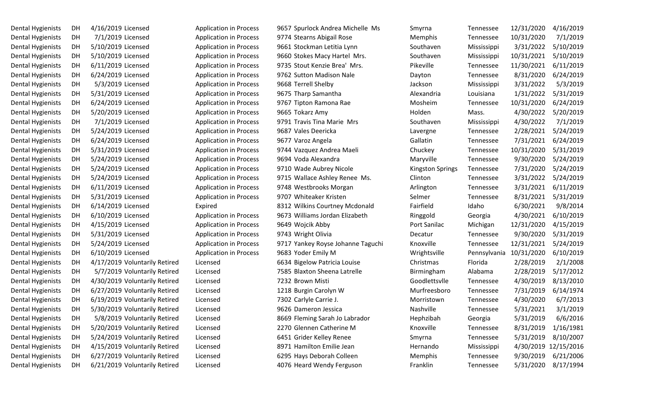| Dental Hygienists        | DН | 4/16/2019 License |  |
|--------------------------|----|-------------------|--|
| Dental Hygienists        | DН | 7/1/2019 License  |  |
| Dental Hygienists        | DH | 5/10/2019 License |  |
| Dental Hygienists        | DН | 5/10/2019 License |  |
| Dental Hygienists        | DH | 6/11/2019 License |  |
| <b>Dental Hygienists</b> | DH | 6/24/2019 License |  |
| Dental Hygienists        | DН | 5/3/2019 License  |  |
| Dental Hygienists        | DН | 5/31/2019 License |  |
| Dental Hygienists        | DН | 6/24/2019 License |  |
| Dental Hygienists        | DН | 5/20/2019 License |  |
| Dental Hygienists        | DH | 7/1/2019 License  |  |
| Dental Hygienists        | DН | 5/24/2019 License |  |
| Dental Hygienists        | DH | 6/24/2019 License |  |
| Dental Hygienists        | DH | 5/31/2019 License |  |
| Dental Hygienists        | DH | 5/24/2019 License |  |
| <b>Dental Hygienists</b> | DН | 5/24/2019 License |  |
| Dental Hygienists        | DН | 5/24/2019 License |  |
| Dental Hygienists        | DН | 6/11/2019 License |  |
| Dental Hygienists        | DH | 5/31/2019 License |  |
| Dental Hygienists        | DН | 6/14/2019 License |  |
| Dental Hygienists        | DН | 6/10/2019 License |  |
| Dental Hygienists        | DH | 4/15/2019 License |  |
| <b>Dental Hygienists</b> | DН | 5/31/2019 License |  |
| <b>Dental Hygienists</b> | DH | 5/24/2019 License |  |
| Dental Hygienists        | DH | 6/10/2019 License |  |
| Dental Hygienists        | DН | 4/17/2019 Volunta |  |
| Dental Hygienists        | DH | 5/7/2019 Volunta  |  |
| Dental Hygienists        | DH | 4/30/2019 Volunta |  |
| Dental Hygienists        | DH | 6/27/2019 Volunta |  |
| Dental Hygienists        | DН | 6/19/2019 Volunta |  |
| Dental Hygienists        | DH | 5/30/2019 Volunta |  |
| Dental Hygienists        | DH | 5/8/2019 Volunta  |  |
| Dental Hygienists        | DH | 5/20/2019 Volunta |  |
| Dental Hygienists        | DH | 5/24/2019 Volunta |  |
| Dental Hygienists        | DH | 4/15/2019 Volunta |  |
| <b>Dental Hygienists</b> | DH | 6/27/2019 Volunta |  |
| <b>Dental Hygienists</b> | DH | 6/21/2019 Volunta |  |

| Dental Hygienists | DH | 4/16/2019 Licensed            | <b>Application in Process</b> | 9657 Spurlock Andrea Michelle Ms  | Smyrna                  | Tennessee    | 12/31/2020 | 4/16/2019            |
|-------------------|----|-------------------------------|-------------------------------|-----------------------------------|-------------------------|--------------|------------|----------------------|
| Dental Hygienists | DH | 7/1/2019 Licensed             | <b>Application in Process</b> | 9774 Stearns Abigail Rose         | Memphis                 | Tennessee    | 10/31/2020 | 7/1/2019             |
| Dental Hygienists | DH | 5/10/2019 Licensed            | <b>Application in Process</b> | 9661 Stockman Letitia Lynn        | Southaven               | Mississippi  | 3/31/2022  | 5/10/2019            |
| Dental Hygienists | DH | 5/10/2019 Licensed            | <b>Application in Process</b> | 9660 Stokes Macy Hartel Mrs.      | Southaven               | Mississippi  | 10/31/2021 | 5/10/2019            |
| Dental Hygienists | DH | 6/11/2019 Licensed            | <b>Application in Process</b> | 9735 Stout Kenzie Brea' Mrs.      | Pikeville               | Tennessee    | 11/30/2021 | 6/11/2019            |
| Dental Hygienists | DH | 6/24/2019 Licensed            | <b>Application in Process</b> | 9762 Sutton Madison Nale          | Dayton                  | Tennessee    | 8/31/2020  | 6/24/2019            |
| Dental Hygienists | DH | 5/3/2019 Licensed             | <b>Application in Process</b> | 9668 Terrell Shelby               | Jackson                 | Mississippi  | 3/31/2022  | 5/3/2019             |
| Dental Hygienists | DH | 5/31/2019 Licensed            | <b>Application in Process</b> | 9675 Tharp Samantha               | Alexandria              | Louisiana    | 1/31/2022  | 5/31/2019            |
| Dental Hygienists | DH | 6/24/2019 Licensed            | <b>Application in Process</b> | 9767 Tipton Ramona Rae            | Mosheim                 | Tennessee    | 10/31/2020 | 6/24/2019            |
| Dental Hygienists | DH | 5/20/2019 Licensed            | <b>Application in Process</b> | 9665 Tokarz Amy                   | Holden                  | Mass.        | 4/30/2022  | 5/20/2019            |
| Dental Hygienists | DH | 7/1/2019 Licensed             | <b>Application in Process</b> | 9791 Travis Tina Marie Mrs        | Southaven               | Mississippi  | 4/30/2022  | 7/1/2019             |
| Dental Hygienists | DH | 5/24/2019 Licensed            | <b>Application in Process</b> | 9687 Vales Deericka               | Lavergne                | Tennessee    | 2/28/2021  | 5/24/2019            |
| Dental Hygienists | DH | 6/24/2019 Licensed            | <b>Application in Process</b> | 9677 Varoz Angela                 | Gallatin                | Tennessee    | 7/31/2021  | 6/24/2019            |
| Dental Hygienists | DH | 5/31/2019 Licensed            | <b>Application in Process</b> | 9744 Vazquez Andrea Maeli         | Chuckey                 | Tennessee    | 10/31/2020 | 5/31/2019            |
| Dental Hygienists | DH | 5/24/2019 Licensed            | <b>Application in Process</b> | 9694 Voda Alexandra               | Maryville               | Tennessee    | 9/30/2020  | 5/24/2019            |
| Dental Hygienists | DH | 5/24/2019 Licensed            | <b>Application in Process</b> | 9710 Wade Aubrey Nicole           | <b>Kingston Springs</b> | Tennessee    | 7/31/2020  | 5/24/2019            |
| Dental Hygienists | DH | 5/24/2019 Licensed            | <b>Application in Process</b> | 9715 Wallace Ashley Renee Ms.     | Clinton                 | Tennessee    | 3/31/2022  | 5/24/2019            |
| Dental Hygienists | DH | 6/11/2019 Licensed            | <b>Application in Process</b> | 9748 Westbrooks Morgan            | Arlington               | Tennessee    | 3/31/2021  | 6/11/2019            |
| Dental Hygienists | DH | 5/31/2019 Licensed            | <b>Application in Process</b> | 9707 Whiteaker Kristen            | Selmer                  | Tennessee    | 8/31/2021  | 5/31/2019            |
| Dental Hygienists | DH | 6/14/2019 Licensed            | Expired                       | 8312 Wilkins Courtney Mcdonald    | Fairfield               | Idaho        | 6/30/2021  | 9/8/2014             |
| Dental Hygienists | DH | 6/10/2019 Licensed            | <b>Application in Process</b> | 9673 Williams Jordan Elizabeth    | Ringgold                | Georgia      | 4/30/2021  | 6/10/2019            |
| Dental Hygienists | DH | 4/15/2019 Licensed            | <b>Application in Process</b> | 9649 Wojcik Abby                  | Port Sanilac            | Michigan     | 12/31/2020 | 4/15/2019            |
| Dental Hygienists | DH | 5/31/2019 Licensed            | <b>Application in Process</b> | 9743 Wright Olivia                | Decatur                 | Tennessee    | 9/30/2020  | 5/31/2019            |
| Dental Hygienists | DH | 5/24/2019 Licensed            | <b>Application in Process</b> | 9717 Yankey Royse Johanne Taguchi | Knoxville               | Tennessee    | 12/31/2021 | 5/24/2019            |
| Dental Hygienists | DH | 6/10/2019 Licensed            | <b>Application in Process</b> | 9683 Yoder Emily M                | Wrightsville            | Pennsylvania | 10/31/2020 | 6/10/2019            |
| Dental Hygienists | DH | 4/17/2019 Voluntarily Retired | Licensed                      | 6634 Bigelow Patricia Louise      | Christmas               | Florida      | 2/28/2019  | 2/1/2008             |
| Dental Hygienists | DH | 5/7/2019 Voluntarily Retired  | Licensed                      | 7585 Blaxton Sheena Latrelle      | Birmingham              | Alabama      | 2/28/2019  | 5/17/2012            |
| Dental Hygienists | DH | 4/30/2019 Voluntarily Retired | Licensed                      | 7232 Brown Misti                  | Goodlettsvlle           | Tennessee    | 4/30/2019  | 8/13/2010            |
| Dental Hygienists | DH | 6/27/2019 Voluntarily Retired | Licensed                      | 1218 Burgin Carolyn W             | Murfreesboro            | Tennessee    | 7/31/2019  | 6/14/1974            |
| Dental Hygienists | DH | 6/19/2019 Voluntarily Retired | Licensed                      | 7302 Carlyle Carrie J.            | Morristown              | Tennessee    | 4/30/2020  | 6/7/2013             |
| Dental Hygienists | DH | 5/30/2019 Voluntarily Retired | Licensed                      | 9626 Dameron Jessica              | Nashville               | Tennessee    | 5/31/2021  | 3/1/2019             |
| Dental Hygienists | DH | 5/8/2019 Voluntarily Retired  | Licensed                      | 8669 Fleming Sarah Jo Labrador    | Hephzibah               | Georgia      | 5/31/2019  | 6/6/2016             |
| Dental Hygienists | DH | 5/20/2019 Voluntarily Retired | Licensed                      | 2270 Glennen Catherine M          | Knoxville               | Tennessee    | 8/31/2019  | 1/16/1981            |
| Dental Hygienists | DH | 5/24/2019 Voluntarily Retired | Licensed                      | 6451 Grider Kelley Renee          | Smyrna                  | Tennessee    | 5/31/2019  | 8/10/2007            |
| Dental Hygienists | DH | 4/15/2019 Voluntarily Retired | Licensed                      | 8971 Hamilton Emilie Jean         | Hernando                | Mississippi  |            | 4/30/2019 12/15/2016 |
| Dental Hygienists | DH | 6/27/2019 Voluntarily Retired | Licensed                      | 6295 Hays Deborah Colleen         | Memphis                 | Tennessee    | 9/30/2019  | 6/21/2006            |
| Dental Hygienists | DH | 6/21/2019 Voluntarily Retired | Licensed                      | 4076 Heard Wendy Ferguson         | Franklin                | Tennessee    | 5/31/2020  | 8/17/1994            |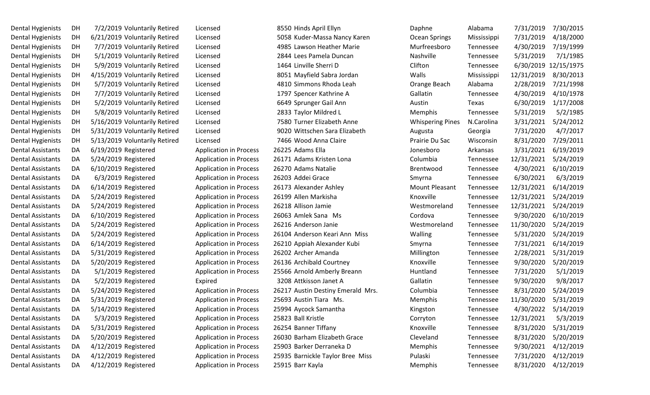| Dental Hygienists        | DH | 7/2/2019 Voluntarily Retired  | Licensed                      | 8550 Hinds April Ellyn            | Daphne                  | Alabama     | 7/31/2019  | 7/30/2015            |
|--------------------------|----|-------------------------------|-------------------------------|-----------------------------------|-------------------------|-------------|------------|----------------------|
| Dental Hygienists        | DH | 6/21/2019 Voluntarily Retired | Licensed                      | 5058 Kuder-Massa Nancy Karen      | Ocean Springs           | Mississippi | 7/31/2019  | 4/18/2000            |
| Dental Hygienists        | DH | 7/7/2019 Voluntarily Retired  | Licensed                      | 4985 Lawson Heather Marie         | Murfreesboro            | Tennessee   | 4/30/2019  | 7/19/1999            |
| Dental Hygienists        | DH | 5/1/2019 Voluntarily Retired  | Licensed                      | 2844 Lees Pamela Duncan           | Nashville               | Tennessee   | 5/31/2019  | 7/1/1985             |
| Dental Hygienists        | DH | 5/9/2019 Voluntarily Retired  | Licensed                      | 1464 Linville Sherri D            | Clifton                 | Tennessee   |            | 6/30/2019 12/15/1975 |
| Dental Hygienists        | DH | 4/15/2019 Voluntarily Retired | Licensed                      | 8051 Mayfield Sabra Jordan        | Walls                   | Mississippi | 12/31/2019 | 8/30/2013            |
| Dental Hygienists        | DH | 5/7/2019 Voluntarily Retired  | Licensed                      | 4810 Simmons Rhoda Leah           | Orange Beach            | Alabama     | 2/28/2019  | 7/21/1998            |
| Dental Hygienists        | DH | 7/7/2019 Voluntarily Retired  | Licensed                      | 1797 Spencer Kathrine A           | Gallatin                | Tennessee   | 4/30/2019  | 4/10/1978            |
| Dental Hygienists        | DH | 5/2/2019 Voluntarily Retired  | Licensed                      | 6649 Sprunger Gail Ann            | Austin                  | Texas       | 6/30/2019  | 1/17/2008            |
| Dental Hygienists        | DH | 5/8/2019 Voluntarily Retired  | Licensed                      | 2833 Taylor Mildred L             | Memphis                 | Tennessee   | 5/31/2019  | 5/2/1985             |
| Dental Hygienists        | DH | 5/16/2019 Voluntarily Retired | Licensed                      | 7580 Turner Elizabeth Anne        | <b>Whispering Pines</b> | N.Carolina  | 3/31/2021  | 5/24/2012            |
| Dental Hygienists        | DH | 5/31/2019 Voluntarily Retired | Licensed                      | 9020 Wittschen Sara Elizabeth     | Augusta                 | Georgia     | 7/31/2020  | 4/7/2017             |
| Dental Hygienists        | DH | 5/13/2019 Voluntarily Retired | Licensed                      | 7466 Wood Anna Claire             | Prairie Du Sac          | Wisconsin   | 8/31/2020  | 7/29/2011            |
| Dental Assistants        | DA | 6/19/2019 Registered          | <b>Application in Process</b> | 26225 Adams Ella                  | Jonesboro               | Arkansas    | 3/31/2021  | 6/19/2019            |
| <b>Dental Assistants</b> | DA | 5/24/2019 Registered          | <b>Application in Process</b> | 26171 Adams Kristen Lona          | Columbia                | Tennessee   | 12/31/2021 | 5/24/2019            |
| Dental Assistants        | DA | 6/10/2019 Registered          | <b>Application in Process</b> | 26270 Adams Natalie               | Brentwood               | Tennessee   | 4/30/2021  | 6/10/2019            |
| Dental Assistants        | DA | 6/3/2019 Registered           | <b>Application in Process</b> | 26203 Addei Grace                 | Smyrna                  | Tennessee   | 6/30/2021  | 6/3/2019             |
| Dental Assistants        | DA | 6/14/2019 Registered          | <b>Application in Process</b> | 26173 Alexander Ashley            | <b>Mount Pleasant</b>   | Tennessee   | 12/31/2021 | 6/14/2019            |
| Dental Assistants        | DA | 5/24/2019 Registered          | <b>Application in Process</b> | 26199 Allen Markisha              | Knoxville               | Tennessee   | 12/31/2021 | 5/24/2019            |
| Dental Assistants        | DA | 5/24/2019 Registered          | <b>Application in Process</b> | 26218 Allison Jamie               | Westmoreland            | Tennessee   | 12/31/2021 | 5/24/2019            |
| Dental Assistants        | DA | 6/10/2019 Registered          | <b>Application in Process</b> | 26063 Amlek Sana Ms               | Cordova                 | Tennessee   | 9/30/2020  | 6/10/2019            |
| Dental Assistants        | DA | 5/24/2019 Registered          | <b>Application in Process</b> | 26216 Anderson Janie              | Westmoreland            | Tennessee   | 11/30/2020 | 5/24/2019            |
| Dental Assistants        | DA | 5/24/2019 Registered          | <b>Application in Process</b> | 26104 Anderson Keari Ann Miss     | Walling                 | Tennessee   | 5/31/2020  | 5/24/2019            |
| Dental Assistants        | DA | 6/14/2019 Registered          | <b>Application in Process</b> | 26210 Appiah Alexander Kubi       | Smyrna                  | Tennessee   | 7/31/2021  | 6/14/2019            |
| Dental Assistants        | DA | 5/31/2019 Registered          | <b>Application in Process</b> | 26202 Archer Amanda               | Millington              | Tennessee   | 2/28/2021  | 5/31/2019            |
| Dental Assistants        | DA | 5/20/2019 Registered          | <b>Application in Process</b> | 26136 Archibald Courtney          | Knoxville               | Tennessee   | 9/30/2020  | 5/20/2019            |
| Dental Assistants        | DA | 5/1/2019 Registered           | <b>Application in Process</b> | 25566 Arnold Amberly Breann       | Huntland                | Tennessee   | 7/31/2020  | 5/1/2019             |
| Dental Assistants        | DA | 5/2/2019 Registered           | Expired                       | 3208 Attkisson Janet A            | Gallatin                | Tennessee   | 9/30/2020  | 9/8/2017             |
| Dental Assistants        | DA | 5/24/2019 Registered          | <b>Application in Process</b> | 26217 Austin Destiny Emerald Mrs. | Columbia                | Tennessee   | 8/31/2020  | 5/24/2019            |
| Dental Assistants        | DA | 5/31/2019 Registered          | <b>Application in Process</b> | 25693 Austin Tiara Ms.            | Memphis                 | Tennessee   | 11/30/2020 | 5/31/2019            |
| Dental Assistants        | DA | 5/14/2019 Registered          | <b>Application in Process</b> | 25994 Aycock Samantha             | Kingston                | Tennessee   | 4/30/2022  | 5/14/2019            |
| Dental Assistants        | DA | 5/3/2019 Registered           | <b>Application in Process</b> | 25823 Ball Kristle                | Corryton                | Tennessee   | 12/31/2021 | 5/3/2019             |
| Dental Assistants        | DA | 5/31/2019 Registered          | <b>Application in Process</b> | 26254 Banner Tiffany              | Knoxville               | Tennessee   | 8/31/2020  | 5/31/2019            |
| Dental Assistants        | DA | 5/20/2019 Registered          | <b>Application in Process</b> | 26030 Barham Elizabeth Grace      | Cleveland               | Tennessee   | 8/31/2020  | 5/20/2019            |
| Dental Assistants        | DA | 4/12/2019 Registered          | <b>Application in Process</b> | 25903 Barker Derraneka D          | Memphis                 | Tennessee   | 9/30/2021  | 4/12/2019            |
| Dental Assistants        | DA | 4/12/2019 Registered          | <b>Application in Process</b> | 25935 Barnickle Taylor Bree Miss  | Pulaski                 | Tennessee   | 7/31/2020  | 4/12/2019            |
| Dental Assistants        | DA | 4/12/2019 Registered          | <b>Application in Process</b> | 25915 Barr Kayla                  | Memphis                 | Tennessee   | 8/31/2020  | 4/12/2019            |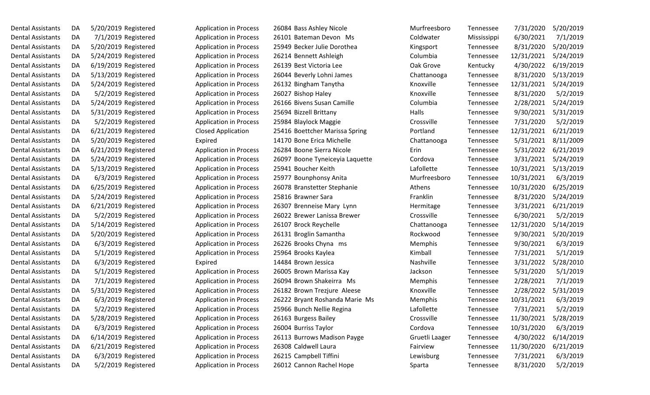| Dental Assistants | DA | 5/20/2019 Registered |                     |
|-------------------|----|----------------------|---------------------|
| Dental Assistants | DA |                      | 7/1/2019 Registered |
| Dental Assistants | DA | 5/20/2019 Registered |                     |
| Dental Assistants | DA | 5/24/2019 Registered |                     |
| Dental Assistants | DA | 6/19/2019 Registered |                     |
| Dental Assistants | DA | 5/13/2019 Registered |                     |
| Dental Assistants | DA | 5/24/2019 Registered |                     |
| Dental Assistants | DA |                      | 5/2/2019 Registered |
| Dental Assistants | DA | 5/24/2019 Registered |                     |
| Dental Assistants | DA | 5/31/2019 Registered |                     |
| Dental Assistants | DA |                      | 5/2/2019 Registered |
| Dental Assistants | DA | 6/21/2019 Registered |                     |
| Dental Assistants | DA | 5/20/2019 Registered |                     |
| Dental Assistants | DA | 6/21/2019 Registered |                     |
| Dental Assistants | DA | 5/24/2019 Registered |                     |
| Dental Assistants | DA | 5/13/2019 Registered |                     |
| Dental Assistants | DA |                      | 6/3/2019 Registered |
| Dental Assistants | DA | 6/25/2019 Registered |                     |
| Dental Assistants | DA | 5/24/2019 Registered |                     |
| Dental Assistants | DA | 6/21/2019 Registered |                     |
| Dental Assistants | DA |                      | 5/2/2019 Registered |
| Dental Assistants | DA | 5/14/2019 Registered |                     |
| Dental Assistants | DA | 5/20/2019 Registered |                     |
| Dental Assistants | DA |                      | 6/3/2019 Registered |
| Dental Assistants | DA |                      | 5/1/2019 Registered |
| Dental Assistants | DA |                      | 6/3/2019 Registered |
| Dental Assistants | DA |                      | 5/1/2019 Registered |
| Dental Assistants | DA |                      | 7/1/2019 Registered |
| Dental Assistants | DA | 5/31/2019 Registered |                     |
| Dental Assistants | DA |                      | 6/3/2019 Registered |
| Dental Assistants | DA |                      | 5/2/2019 Registered |
| Dental Assistants | DA | 5/28/2019 Registered |                     |
| Dental Assistants | DA |                      | 6/3/2019 Registered |
| Dental Assistants | DA | 6/14/2019 Registered |                     |
| Dental Assistants | DA | 6/21/2019 Registered |                     |
| Dental Assistants | DA |                      | 6/3/2019 Registered |
| Dental Assistants | DA |                      | 5/2/2019 Registered |

| Dental Assistants        | DA | 5/20/2019 Registered | <b>Application in Process</b> | 26084 Bass Ashley Nicole        | Murfreesboro   | Tennessee   | 7/31/2020  | 5/20/2019 |
|--------------------------|----|----------------------|-------------------------------|---------------------------------|----------------|-------------|------------|-----------|
| Dental Assistants        | DA | 7/1/2019 Registered  | <b>Application in Process</b> | 26101 Bateman Devon Ms          | Coldwater      | Mississippi | 6/30/2021  | 7/1/2019  |
| Dental Assistants        | DA | 5/20/2019 Registered | <b>Application in Process</b> | 25949 Becker Julie Dorothea     | Kingsport      | Tennessee   | 8/31/2020  | 5/20/2019 |
| Dental Assistants        | DA | 5/24/2019 Registered | <b>Application in Process</b> | 26214 Bennett Ashleigh          | Columbia       | Tennessee   | 12/31/2021 | 5/24/2019 |
| Dental Assistants        | DA | 6/19/2019 Registered | <b>Application in Process</b> | 26139 Best Victoria Lee         | Oak Grove      | Kentucky    | 4/30/2022  | 6/19/2019 |
| Dental Assistants        | DA | 5/13/2019 Registered | <b>Application in Process</b> | 26044 Beverly Lohni James       | Chattanooga    | Tennessee   | 8/31/2020  | 5/13/2019 |
| Dental Assistants        | DA | 5/24/2019 Registered | <b>Application in Process</b> | 26132 Bingham Tanytha           | Knoxville      | Tennessee   | 12/31/2021 | 5/24/2019 |
| Dental Assistants        | DA | 5/2/2019 Registered  | <b>Application in Process</b> | 26027 Bishop Haley              | Knoxville      | Tennessee   | 8/31/2020  | 5/2/2019  |
| Dental Assistants        | DA | 5/24/2019 Registered | <b>Application in Process</b> | 26166 Bivens Susan Camille      | Columbia       | Tennessee   | 2/28/2021  | 5/24/2019 |
| Dental Assistants        | DA | 5/31/2019 Registered | <b>Application in Process</b> | 25694 Bizzell Brittany          | Halls          | Tennessee   | 9/30/2021  | 5/31/2019 |
| Dental Assistants        | DA | 5/2/2019 Registered  | <b>Application in Process</b> | 25984 Blaylock Maggie           | Crossville     | Tennessee   | 7/31/2020  | 5/2/2019  |
| Dental Assistants        | DA | 6/21/2019 Registered | <b>Closed Application</b>     | 25416 Boettcher Marissa Spring  | Portland       | Tennessee   | 12/31/2021 | 6/21/2019 |
| Dental Assistants        | DA | 5/20/2019 Registered | Expired                       | 14170 Bone Erica Michelle       | Chattanooga    | Tennessee   | 5/31/2021  | 8/11/2009 |
| Dental Assistants        | DA | 6/21/2019 Registered | <b>Application in Process</b> | 26284 Boone Sierra Nicole       | Erin           | Tennessee   | 5/31/2022  | 6/21/2019 |
| Dental Assistants        | DA | 5/24/2019 Registered | <b>Application in Process</b> | 26097 Boone Tyneiceyia Laquette | Cordova        | Tennessee   | 3/31/2021  | 5/24/2019 |
| Dental Assistants        | DA | 5/13/2019 Registered | <b>Application in Process</b> | 25941 Boucher Keith             | Lafollette     | Tennessee   | 10/31/2021 | 5/13/2019 |
| Dental Assistants        | DA | 6/3/2019 Registered  | <b>Application in Process</b> | 25977 Bounphonsy Anita          | Murfreesboro   | Tennessee   | 10/31/2021 | 6/3/2019  |
| Dental Assistants        | DA | 6/25/2019 Registered | <b>Application in Process</b> | 26078 Branstetter Stephanie     | Athens         | Tennessee   | 10/31/2020 | 6/25/2019 |
| Dental Assistants        | DA | 5/24/2019 Registered | <b>Application in Process</b> | 25816 Brawner Sara              | Franklin       | Tennessee   | 8/31/2020  | 5/24/2019 |
| Dental Assistants        | DA | 6/21/2019 Registered | <b>Application in Process</b> | 26307 Brenneise Mary Lynn       | Hermitage      | Tennessee   | 3/31/2021  | 6/21/2019 |
| Dental Assistants        | DA | 5/2/2019 Registered  | <b>Application in Process</b> | 26022 Brewer Lanissa Brewer     | Crossville     | Tennessee   | 6/30/2021  | 5/2/2019  |
| Dental Assistants        | DA | 5/14/2019 Registered | <b>Application in Process</b> | 26107 Brock Reychelle           | Chattanooga    | Tennessee   | 12/31/2020 | 5/14/2019 |
| Dental Assistants        | DA | 5/20/2019 Registered | <b>Application in Process</b> | 26131 Broglin Samantha          | Rockwood       | Tennessee   | 9/30/2021  | 5/20/2019 |
| Dental Assistants        | DA | 6/3/2019 Registered  | <b>Application in Process</b> | 26226 Brooks Chyna ms           | Memphis        | Tennessee   | 9/30/2021  | 6/3/2019  |
| Dental Assistants        | DA | 5/1/2019 Registered  | <b>Application in Process</b> | 25964 Brooks Kaylea             | Kimball        | Tennessee   | 7/31/2021  | 5/1/2019  |
| Dental Assistants        | DA | 6/3/2019 Registered  | Expired                       | 14484 Brown Jessica             | Nashville      | Tennessee   | 3/31/2022  | 5/28/2010 |
| Dental Assistants        | DA | 5/1/2019 Registered  | <b>Application in Process</b> | 26005 Brown Marissa Kay         | Jackson        | Tennessee   | 5/31/2020  | 5/1/2019  |
| Dental Assistants        | DA | 7/1/2019 Registered  | <b>Application in Process</b> | 26094 Brown Shakeirra Ms        | Memphis        | Tennessee   | 2/28/2021  | 7/1/2019  |
| Dental Assistants        | DA | 5/31/2019 Registered | <b>Application in Process</b> | 26182 Brown Trezjure Aleese     | Knoxville      | Tennessee   | 2/28/2022  | 5/31/2019 |
| Dental Assistants        | DA | 6/3/2019 Registered  | <b>Application in Process</b> | 26222 Bryant Roshanda Marie Ms  | Memphis        | Tennessee   | 10/31/2021 | 6/3/2019  |
| Dental Assistants        | DA | 5/2/2019 Registered  | <b>Application in Process</b> | 25966 Bunch Nellie Regina       | Lafollette     | Tennessee   | 7/31/2021  | 5/2/2019  |
| Dental Assistants        | DA | 5/28/2019 Registered | <b>Application in Process</b> | 26163 Burgess Bailey            | Crossville     | Tennessee   | 11/30/2021 | 5/28/2019 |
| Dental Assistants        | DA | 6/3/2019 Registered  | <b>Application in Process</b> | 26004 Burriss Taylor            | Cordova        | Tennessee   | 10/31/2020 | 6/3/2019  |
| Dental Assistants        | DA | 6/14/2019 Registered | <b>Application in Process</b> | 26113 Burrows Madison Payge     | Gruetli Laager | Tennessee   | 4/30/2022  | 6/14/2019 |
| <b>Dental Assistants</b> | DA | 6/21/2019 Registered | <b>Application in Process</b> | 26308 Caldwell Laura            | Fairview       | Tennessee   | 11/30/2020 | 6/21/2019 |
| Dental Assistants        | DA | 6/3/2019 Registered  | <b>Application in Process</b> | 26215 Campbell Tiffini          | Lewisburg      | Tennessee   | 7/31/2021  | 6/3/2019  |
| Dental Assistants        | DA | 5/2/2019 Registered  | <b>Application in Process</b> | 26012 Cannon Rachel Hope        | Sparta         | Tennessee   | 8/31/2020  | 5/2/2019  |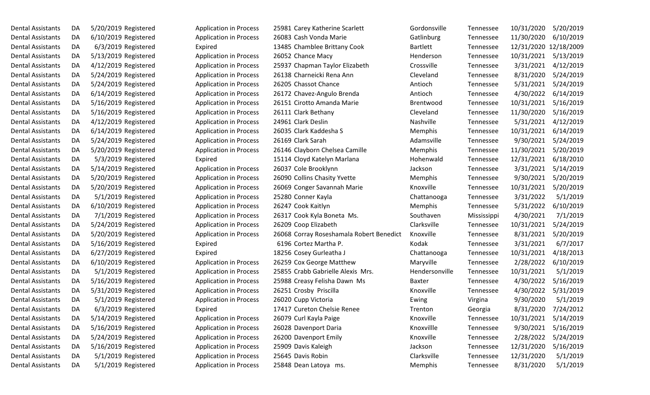| Dental Assistants | DA |                      | 5/20/2019 Registered |
|-------------------|----|----------------------|----------------------|
| Dental Assistants | DA |                      | 6/10/2019 Registered |
| Dental Assistants | DA |                      | 6/3/2019 Registered  |
| Dental Assistants | DA |                      | 5/13/2019 Registered |
| Dental Assistants | DA |                      | 4/12/2019 Registered |
| Dental Assistants | DA |                      | 5/24/2019 Registered |
| Dental Assistants | DA |                      | 5/24/2019 Registered |
| Dental Assistants | DA |                      | 6/14/2019 Registered |
| Dental Assistants | DA |                      | 5/16/2019 Registered |
| Dental Assistants | DA |                      | 5/16/2019 Registered |
| Dental Assistants | DA | 4/12/2019 Registered |                      |
| Dental Assistants | DA |                      | 6/14/2019 Registered |
| Dental Assistants | DA |                      | 5/24/2019 Registered |
| Dental Assistants | DA |                      | 5/20/2019 Registered |
| Dental Assistants | DA |                      | 5/3/2019 Registered  |
| Dental Assistants | DA |                      | 5/14/2019 Registered |
| Dental Assistants | DA |                      | 5/20/2019 Registered |
| Dental Assistants | DA |                      | 5/20/2019 Registered |
| Dental Assistants | DA |                      | 5/1/2019 Registered  |
| Dental Assistants | DA |                      | 6/10/2019 Registered |
| Dental Assistants | DA |                      | 7/1/2019 Registered  |
| Dental Assistants | DA |                      | 5/24/2019 Registered |
| Dental Assistants | DA |                      | 5/20/2019 Registered |
| Dental Assistants | DA |                      | 5/16/2019 Registered |
| Dental Assistants | DA |                      | 6/27/2019 Registered |
| Dental Assistants | DA |                      | 6/10/2019 Registered |
| Dental Assistants | DA |                      | 5/1/2019 Registered  |
| Dental Assistants | DA |                      | 5/16/2019 Registered |
| Dental Assistants | DA |                      | 5/31/2019 Registered |
| Dental Assistants | DA |                      | 5/1/2019 Registered  |
| Dental Assistants | DA |                      | 6/3/2019 Registered  |
| Dental Assistants | DA |                      | 5/14/2019 Registered |
| Dental Assistants | DA |                      | 5/16/2019 Registered |
| Dental Assistants | DA |                      | 5/24/2019 Registered |
| Dental Assistants | DA |                      | 5/16/2019 Registered |
| Dental Assistants | DA |                      | 5/1/2019 Registered  |
| Dental Assistants | DA |                      | 5/1/2019 Registered  |

| Dental Assistants        | DA | 5/20/2019 Registered | <b>Application in Process</b> | 25981 Carey Katherine Scarlett           | Gordonsville    | Tennessee   | 10/31/2020            | 5/20/2019 |
|--------------------------|----|----------------------|-------------------------------|------------------------------------------|-----------------|-------------|-----------------------|-----------|
| Dental Assistants        | DA | 6/10/2019 Registered | <b>Application in Process</b> | 26083 Cash Vonda Marie                   | Gatlinburg      | Tennessee   | 11/30/2020            | 6/10/2019 |
| Dental Assistants        | DA | 6/3/2019 Registered  | Expired                       | 13485 Chamblee Brittany Cook             | <b>Bartlett</b> | Tennessee   | 12/31/2020 12/18/2009 |           |
| Dental Assistants        | DA | 5/13/2019 Registered | <b>Application in Process</b> | 26052 Chance Macy                        | Henderson       | Tennessee   | 10/31/2021            | 5/13/2019 |
| Dental Assistants        | DA | 4/12/2019 Registered | <b>Application in Process</b> | 25937 Chapman Taylor Elizabeth           | Crossville      | Tennessee   | 3/31/2021             | 4/12/2019 |
| Dental Assistants        | DA | 5/24/2019 Registered | <b>Application in Process</b> | 26138 Charneicki Rena Ann                | Cleveland       | Tennessee   | 8/31/2020             | 5/24/2019 |
| Dental Assistants        | DA | 5/24/2019 Registered | <b>Application in Process</b> | 26205 Chassot Chance                     | Antioch         | Tennessee   | 5/31/2021             | 5/24/2019 |
| Dental Assistants        | DA | 6/14/2019 Registered | <b>Application in Process</b> | 26172 Chavez-Angulo Brenda               | Antioch         | Tennessee   | 4/30/2022             | 6/14/2019 |
| Dental Assistants        | DA | 5/16/2019 Registered | <b>Application in Process</b> | 26151 Cirotto Amanda Marie               | Brentwood       | Tennessee   | 10/31/2021            | 5/16/2019 |
| Dental Assistants        | DA | 5/16/2019 Registered | <b>Application in Process</b> | 26111 Clark Bethany                      | Cleveland       | Tennessee   | 11/30/2020            | 5/16/2019 |
| Dental Assistants        | DA | 4/12/2019 Registered | <b>Application in Process</b> | 24961 Clark Deslin                       | Nashville       | Tennessee   | 5/31/2021             | 4/12/2019 |
| Dental Assistants        | DA | 6/14/2019 Registered | <b>Application in Process</b> | 26035 Clark Kaddesha S                   | Memphis         | Tennessee   | 10/31/2021            | 6/14/2019 |
| Dental Assistants        | DA | 5/24/2019 Registered | <b>Application in Process</b> | 26169 Clark Sarah                        | Adamsville      | Tennessee   | 9/30/2021             | 5/24/2019 |
| Dental Assistants        | DA | 5/20/2019 Registered | <b>Application in Process</b> | 26146 Clayborn Chelsea Camille           | Memphis         | Tennessee   | 11/30/2021            | 5/20/2019 |
| Dental Assistants        | DA | 5/3/2019 Registered  | Expired                       | 15114 Cloyd Katelyn Marlana              | Hohenwald       | Tennessee   | 12/31/2021            | 6/18/2010 |
| Dental Assistants        | DA | 5/14/2019 Registered | <b>Application in Process</b> | 26037 Cole Brooklynn                     | Jackson         | Tennessee   | 3/31/2021             | 5/14/2019 |
| Dental Assistants        | DA | 5/20/2019 Registered | <b>Application in Process</b> | 26090 Collins Chasity Yvette             | Memphis         | Tennessee   | 9/30/2021             | 5/20/2019 |
| Dental Assistants        | DA | 5/20/2019 Registered | <b>Application in Process</b> | 26069 Conger Savannah Marie              | Knoxville       | Tennessee   | 10/31/2021            | 5/20/2019 |
| Dental Assistants        | DA | 5/1/2019 Registered  | <b>Application in Process</b> | 25280 Conner Kayla                       | Chattanooga     | Tennessee   | 3/31/2022             | 5/1/2019  |
| Dental Assistants        | DA | 6/10/2019 Registered | <b>Application in Process</b> | 26247 Cook Kaitlyn                       | Memphis         | Tennessee   | 5/31/2022             | 6/10/2019 |
| Dental Assistants        | DA | 7/1/2019 Registered  | <b>Application in Process</b> | 26317 Cook Kyla Boneta Ms.               | Southaven       | Mississippi | 4/30/2021             | 7/1/2019  |
| Dental Assistants        | DA | 5/24/2019 Registered | <b>Application in Process</b> | 26209 Coop Elizabeth                     | Clarksville     | Tennessee   | 10/31/2021            | 5/24/2019 |
| Dental Assistants        | DA | 5/20/2019 Registered | <b>Application in Process</b> | 26068 Corray Roseshamala Robert Benedict | Knoxville       | Tennessee   | 8/31/2021             | 5/20/2019 |
| Dental Assistants        | DA | 5/16/2019 Registered | Expired                       | 6196 Cortez Martha P.                    | Kodak           | Tennessee   | 3/31/2021             | 6/7/2017  |
| Dental Assistants        | DA | 6/27/2019 Registered | Expired                       | 18256 Cosey Gurleatha J                  | Chattanooga     | Tennessee   | 10/31/2021            | 4/18/2013 |
| Dental Assistants        | DA | 6/10/2019 Registered | <b>Application in Process</b> | 26259 Cox George Matthew                 | Maryville       | Tennessee   | 2/28/2022             | 6/10/2019 |
| Dental Assistants        | DA | 5/1/2019 Registered  | <b>Application in Process</b> | 25855 Crabb Gabrielle Alexis Mrs.        | Hendersonville  | Tennessee   | 10/31/2021            | 5/1/2019  |
| Dental Assistants        | DA | 5/16/2019 Registered | <b>Application in Process</b> | 25988 Creasy Felisha Dawn Ms             | Baxter          | Tennessee   | 4/30/2022             | 5/16/2019 |
| Dental Assistants        | DA | 5/31/2019 Registered | <b>Application in Process</b> | 26251 Crosby Priscilla                   | Knoxville       | Tennessee   | 4/30/2022             | 5/31/2019 |
| <b>Dental Assistants</b> | DA | 5/1/2019 Registered  | <b>Application in Process</b> | 26020 Cupp Victoria                      | Ewing           | Virgina     | 9/30/2020             | 5/1/2019  |
| Dental Assistants        | DA | 6/3/2019 Registered  | Expired                       | 17417 Cureton Chelsie Renee              | Trenton         | Georgia     | 8/31/2020             | 7/24/2012 |
| Dental Assistants        | DA | 5/14/2019 Registered | <b>Application in Process</b> | 26079 Curl Kayla Paige                   | Knoxville       | Tennessee   | 10/31/2021            | 5/14/2019 |
| Dental Assistants        | DA | 5/16/2019 Registered | <b>Application in Process</b> | 26028 Davenport Daria                    | Knoxvillle      | Tennessee   | 9/30/2021             | 5/16/2019 |
| Dental Assistants        | DA | 5/24/2019 Registered | <b>Application in Process</b> | 26200 Davenport Emily                    | Knoxville       | Tennessee   | 2/28/2022             | 5/24/2019 |
| <b>Dental Assistants</b> | DA | 5/16/2019 Registered | <b>Application in Process</b> | 25909 Davis Kaleigh                      | Jackson         | Tennessee   | 12/31/2020            | 5/16/2019 |
| Dental Assistants        | DA | 5/1/2019 Registered  | <b>Application in Process</b> | 25645 Davis Robin                        | Clarksville     | Tennessee   | 12/31/2020            | 5/1/2019  |
| Dental Assistants        | DA | 5/1/2019 Registered  | <b>Application in Process</b> | 25848 Dean Latoya ms.                    | Memphis         | Tennessee   | 8/31/2020             | 5/1/2019  |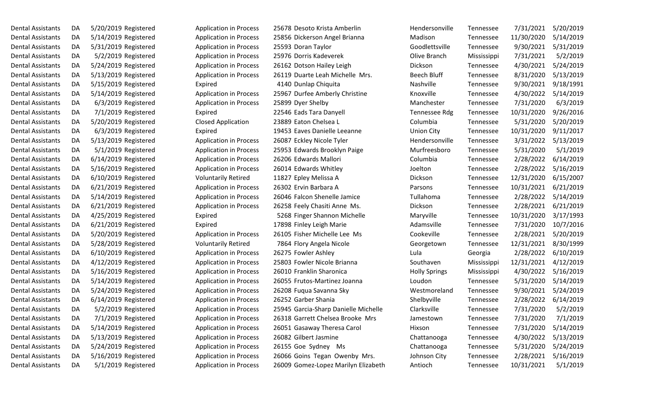| Dental Assistants        | DA | 5/20/2019 Registered |                     |
|--------------------------|----|----------------------|---------------------|
| Dental Assistants        | DA | 5/14/2019 Registered |                     |
| Dental Assistants        | DA | 5/31/2019 Registered |                     |
| Dental Assistants        | DA |                      | 5/2/2019 Registered |
| Dental Assistants        | DA | 5/24/2019 Registered |                     |
| Dental Assistants        | DA | 5/13/2019 Registered |                     |
| Dental Assistants        | DA | 5/15/2019 Registered |                     |
| <b>Dental Assistants</b> | DA | 5/14/2019 Registered |                     |
| Dental Assistants        | DA |                      | 6/3/2019 Registered |
| Dental Assistants        | DA |                      | 7/1/2019 Registered |
| Dental Assistants        | DA | 5/20/2019 Registered |                     |
| Dental Assistants        | DA |                      | 6/3/2019 Registered |
| Dental Assistants        | DA | 5/13/2019 Registered |                     |
| Dental Assistants        | DA |                      | 5/1/2019 Registered |
| Dental Assistants        | DA | 6/14/2019 Registered |                     |
| Dental Assistants        | DA | 5/16/2019 Registered |                     |
| Dental Assistants        | DA | 6/10/2019 Registered |                     |
| <b>Dental Assistants</b> | DA | 6/21/2019 Registered |                     |
| Dental Assistants        | DA | 5/14/2019 Registered |                     |
| <b>Dental Assistants</b> | DA | 6/21/2019 Registered |                     |
| Dental Assistants        | DA | 4/25/2019 Registered |                     |
| Dental Assistants        | DA | 6/21/2019 Registered |                     |
| Dental Assistants        | DA | 5/20/2019 Registered |                     |
| Dental Assistants        | DA | 5/28/2019 Registered |                     |
| Dental Assistants        | DA | 6/10/2019 Registered |                     |
| Dental Assistants        | DA | 4/12/2019 Registered |                     |
| Dental Assistants        | DA | 5/16/2019 Registered |                     |
| Dental Assistants        | DA | 5/14/2019 Registered |                     |
| <b>Dental Assistants</b> | DA | 5/24/2019 Registered |                     |
| <b>Dental Assistants</b> | DA | 6/14/2019 Registered |                     |
| Dental Assistants        | DA |                      | 5/2/2019 Registered |
| <b>Dental Assistants</b> | DA |                      | 7/1/2019 Registered |
| <b>Dental Assistants</b> | DA | 5/14/2019 Registered |                     |
| <b>Dental Assistants</b> | DA | 5/13/2019 Registered |                     |
| <b>Dental Assistants</b> | DA | 5/24/2019 Registered |                     |
| <b>Dental Assistants</b> | DA | 5/16/2019 Registered |                     |
| Dental Assistants        | DA |                      | 5/1/2019 Registered |

| Dental Assistants        | DA | 5/20/2019 Registered | <b>Application in Process</b> | 25678 Desoto Krista Amberlin         | Hendersonville       | Tennessee   | 7/31/2021  | 5/20/2019 |
|--------------------------|----|----------------------|-------------------------------|--------------------------------------|----------------------|-------------|------------|-----------|
| Dental Assistants        | DA | 5/14/2019 Registered | <b>Application in Process</b> | 25856 Dickerson Angel Brianna        | Madison              | Tennessee   | 11/30/2020 | 5/14/2019 |
| Dental Assistants        | DA | 5/31/2019 Registered | <b>Application in Process</b> | 25593 Doran Taylor                   | Goodlettsville       | Tennessee   | 9/30/2021  | 5/31/2019 |
| Dental Assistants        | DA | 5/2/2019 Registered  | <b>Application in Process</b> | 25976 Dorris Kadeverek               | Olive Branch         | Mississippi | 7/31/2021  | 5/2/2019  |
| Dental Assistants        | DA | 5/24/2019 Registered | <b>Application in Process</b> | 26162 Dotson Hailey Leigh            | Dickson              | Tennessee   | 4/30/2021  | 5/24/2019 |
| Dental Assistants        | DA | 5/13/2019 Registered | <b>Application in Process</b> | 26119 Duarte Leah Michelle Mrs.      | <b>Beech Bluff</b>   | Tennessee   | 8/31/2020  | 5/13/2019 |
| Dental Assistants        | DA | 5/15/2019 Registered | Expired                       | 4140 Dunlap Chiquita                 | Nashville            | Tennessee   | 9/30/2021  | 9/18/1991 |
| Dental Assistants        | DA | 5/14/2019 Registered | <b>Application in Process</b> | 25967 Durfee Amberly Christine       | Knoxville            | Tennessee   | 4/30/2022  | 5/14/2019 |
| Dental Assistants        | DA | 6/3/2019 Registered  | <b>Application in Process</b> | 25899 Dyer Shelby                    | Manchester           | Tennessee   | 7/31/2020  | 6/3/2019  |
| Dental Assistants        | DA | 7/1/2019 Registered  | Expired                       | 22546 Eads Tara Danyell              | Tennessee Rdg        | Tennessee   | 10/31/2020 | 9/26/2016 |
| Dental Assistants        | DA | 5/20/2019 Registered | <b>Closed Application</b>     | 23889 Eaton Chelsea L                | Columbia             | Tennessee   | 5/31/2020  | 5/20/2019 |
| Dental Assistants        | DA | 6/3/2019 Registered  | Expired                       | 19453 Eaves Danielle Leeanne         | <b>Union City</b>    | Tennessee   | 10/31/2020 | 9/11/2017 |
| Dental Assistants        | DA | 5/13/2019 Registered | <b>Application in Process</b> | 26087 Eckley Nicole Tyler            | Hendersonville       | Tennessee   | 3/31/2022  | 5/13/2019 |
| Dental Assistants        | DA | 5/1/2019 Registered  | <b>Application in Process</b> | 25953 Edwards Brooklyn Paige         | Murfreesboro         | Tennessee   | 5/31/2020  | 5/1/2019  |
| Dental Assistants        | DA | 6/14/2019 Registered | <b>Application in Process</b> | 26206 Edwards Mallori                | Columbia             | Tennessee   | 2/28/2022  | 6/14/2019 |
| Dental Assistants        | DA | 5/16/2019 Registered | <b>Application in Process</b> | 26014 Edwards Whitley                | Joelton              | Tennessee   | 2/28/2022  | 5/16/2019 |
| Dental Assistants        | DA | 6/10/2019 Registered | <b>Voluntarily Retired</b>    | 11827 Epley Melissa A                | Dickson              | Tennessee   | 12/31/2020 | 6/15/2007 |
| Dental Assistants        | DA | 6/21/2019 Registered | <b>Application in Process</b> | 26302 Ervin Barbara A                | Parsons              | Tennessee   | 10/31/2021 | 6/21/2019 |
| Dental Assistants        | DA | 5/14/2019 Registered | <b>Application in Process</b> | 26046 Falcon Shenelle Jamice         | Tullahoma            | Tennessee   | 2/28/2022  | 5/14/2019 |
| Dental Assistants        | DA | 6/21/2019 Registered | <b>Application in Process</b> | 26258 Feely Chasiti Anne Ms.         | Dickson              | Tennessee   | 2/28/2021  | 6/21/2019 |
| Dental Assistants        | DA | 4/25/2019 Registered | Expired                       | 5268 Finger Shannon Michelle         | Maryville            | Tennessee   | 10/31/2020 | 3/17/1993 |
| Dental Assistants        | DA | 6/21/2019 Registered | Expired                       | 17898 Finley Leigh Marie             | Adamsville           | Tennessee   | 7/31/2020  | 10/7/2016 |
| Dental Assistants        | DA | 5/20/2019 Registered | <b>Application in Process</b> | 26105 Fisher Michelle Lee Ms         | Cookeville           | Tennessee   | 2/28/2021  | 5/20/2019 |
| Dental Assistants        | DA | 5/28/2019 Registered | <b>Voluntarily Retired</b>    | 7864 Flory Angela Nicole             | Georgetown           | Tennessee   | 12/31/2021 | 8/30/1999 |
| Dental Assistants        | DA | 6/10/2019 Registered | <b>Application in Process</b> | 26275 Fowler Ashley                  | Lula                 | Georgia     | 2/28/2022  | 6/10/2019 |
| Dental Assistants        | DA | 4/12/2019 Registered | <b>Application in Process</b> | 25803 Fowler Nicole Brianna          | Southaven            | Mississippi | 12/31/2021 | 4/12/2019 |
| Dental Assistants        | DA | 5/16/2019 Registered | <b>Application in Process</b> | 26010 Franklin Sharonica             | <b>Holly Springs</b> | Mississippi | 4/30/2022  | 5/16/2019 |
| Dental Assistants        | DA | 5/14/2019 Registered | <b>Application in Process</b> | 26055 Frutos-Martinez Joanna         | Loudon               | Tennessee   | 5/31/2020  | 5/14/2019 |
| Dental Assistants        | DA | 5/24/2019 Registered | <b>Application in Process</b> | 26208 Fuqua Savanna Sky              | Westmoreland         | Tennessee   | 9/30/2021  | 5/24/2019 |
| Dental Assistants        | DA | 6/14/2019 Registered | <b>Application in Process</b> | 26252 Garber Shania                  | Shelbyville          | Tennessee   | 2/28/2022  | 6/14/2019 |
| <b>Dental Assistants</b> | DA | 5/2/2019 Registered  | <b>Application in Process</b> | 25945 Garcia-Sharp Danielle Michelle | Clarksville          | Tennessee   | 7/31/2020  | 5/2/2019  |
| Dental Assistants        | DA | 7/1/2019 Registered  | <b>Application in Process</b> | 26318 Garrett Chelsea Brooke Mrs     | Jamestown            | Tennessee   | 7/31/2020  | 7/1/2019  |
| Dental Assistants        | DA | 5/14/2019 Registered | <b>Application in Process</b> | 26051 Gasaway Theresa Carol          | Hixson               | Tennessee   | 7/31/2020  | 5/14/2019 |
| Dental Assistants        | DA | 5/13/2019 Registered | <b>Application in Process</b> | 26082 Gilbert Jasmine                | Chattanooga          | Tennessee   | 4/30/2022  | 5/13/2019 |
| Dental Assistants        | DA | 5/24/2019 Registered | <b>Application in Process</b> | 26155 Goe Sydney Ms                  | Chattanooga          | Tennessee   | 5/31/2020  | 5/24/2019 |
| Dental Assistants        | DA | 5/16/2019 Registered | <b>Application in Process</b> | 26066 Goins Tegan Owenby Mrs.        | Johnson City         | Tennessee   | 2/28/2021  | 5/16/2019 |
| Dental Assistants        | DA | 5/1/2019 Registered  | <b>Application in Process</b> | 26009 Gomez-Lopez Marilyn Elizabeth  | Antioch              | Tennessee   | 10/31/2021 | 5/1/2019  |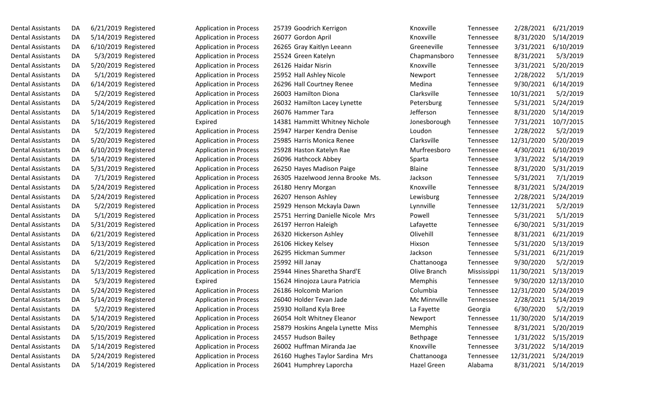| Dental Assistants        | DА | 6/21/2019 Registered |
|--------------------------|----|----------------------|
| Dental Assistants        | DA | 5/14/2019 Registered |
| <b>Dental Assistants</b> | DA | 6/10/2019 Registered |
| Dental Assistants        | DA | 5/3/2019 Registered  |
| <b>Dental Assistants</b> | DA | 5/20/2019 Registered |
| <b>Dental Assistants</b> | DA | 5/1/2019 Registered  |
| Dental Assistants        | DA | 6/14/2019 Registered |
| <b>Dental Assistants</b> | DA | 5/2/2019 Registered  |
| <b>Dental Assistants</b> | DA | 5/24/2019 Registered |
| <b>Dental Assistants</b> | DA | 5/14/2019 Registered |
| <b>Dental Assistants</b> | DA | 5/16/2019 Registered |
| Dental Assistants        | DA | 5/2/2019 Registered  |
| Dental Assistants        | DA | 5/20/2019 Registered |
| <b>Dental Assistants</b> | DA | 6/10/2019 Registered |
| <b>Dental Assistants</b> | DA | 5/14/2019 Registered |
| Dental Assistants        | DA | 5/31/2019 Registered |
| <b>Dental Assistants</b> | DA | 7/1/2019 Registered  |
| <b>Dental Assistants</b> | DA | 5/24/2019 Registered |
| <b>Dental Assistants</b> | DA | 5/24/2019 Registered |
| <b>Dental Assistants</b> | DA | 5/2/2019 Registered  |
| Dental Assistants        | DA | 5/1/2019 Registered  |
| <b>Dental Assistants</b> | DA | 5/31/2019 Registered |
| <b>Dental Assistants</b> | DA | 6/21/2019 Registered |
| Dental Assistants        | DA | 5/13/2019 Registered |
| <b>Dental Assistants</b> | DA | 6/21/2019 Registered |
| Dental Assistants        | DA | 5/2/2019 Registered  |
| <b>Dental Assistants</b> | DA | 5/13/2019 Registered |
| <b>Dental Assistants</b> | DA | 5/3/2019 Registered  |
| <b>Dental Assistants</b> | DA | 5/24/2019 Registered |
| <b>Dental Assistants</b> | DA | 5/14/2019 Registered |
| Dental Assistants        | DA | 5/2/2019 Registered  |
| <b>Dental Assistants</b> | DA | 5/14/2019 Registered |
| <b>Dental Assistants</b> | DA | 5/20/2019 Registered |
| <b>Dental Assistants</b> | DA | 5/15/2019 Registered |
| <b>Dental Assistants</b> | DA | 5/14/2019 Registered |
| Dental Assistants        | DA | 5/24/2019 Registered |
| Dental Assistants        | DA | 5/14/2019 Registered |

| Dental Assistants | DA | $6/21/2019$ Registered | <b>Application in Process</b> | 25739 Goodrich Kerrigon           | Knoxville    | Tennessee   | 2/28/2021  | 6/21/2019            |
|-------------------|----|------------------------|-------------------------------|-----------------------------------|--------------|-------------|------------|----------------------|
| Dental Assistants | DA | $5/14/2019$ Registered | <b>Application in Process</b> | 26077 Gordon April                | Knoxville    | Tennessee   | 8/31/2020  | 5/14/2019            |
| Dental Assistants | DA | 6/10/2019 Registered   | <b>Application in Process</b> | 26265 Gray Kaitlyn Leeann         | Greeneville  | Tennessee   | 3/31/2021  | 6/10/2019            |
| Dental Assistants | DA | 5/3/2019 Registered    | <b>Application in Process</b> | 25524 Green Katelyn               | Chapmansboro | Tennessee   | 8/31/2021  | 5/3/2019             |
| Dental Assistants | DA | 5/20/2019 Registered   | <b>Application in Process</b> | 26126 Haidar Nisrin               | Knoxville    | Tennessee   | 3/31/2021  | 5/20/2019            |
| Dental Assistants | DA | 5/1/2019 Registered    | <b>Application in Process</b> | 25952 Hall Ashley Nicole          | Newport      | Tennessee   | 2/28/2022  | 5/1/2019             |
| Dental Assistants | DA | 6/14/2019 Registered   | <b>Application in Process</b> | 26296 Hall Courtney Renee         | Medina       | Tennessee   | 9/30/2021  | 6/14/2019            |
| Dental Assistants | DA | 5/2/2019 Registered    | <b>Application in Process</b> | 26003 Hamilton Diona              | Clarksville  | Tennessee   | 10/31/2021 | 5/2/2019             |
| Dental Assistants | DA | 5/24/2019 Registered   | <b>Application in Process</b> | 26032 Hamilton Lacey Lynette      | Petersburg   | Tennessee   | 5/31/2021  | 5/24/2019            |
| Dental Assistants | DA | 5/14/2019 Registered   | <b>Application in Process</b> | 26076 Hammer Tara                 | Jefferson    | Tennessee   | 8/31/2020  | 5/14/2019            |
| Dental Assistants | DA | 5/16/2019 Registered   | Expired                       | 14381 Hammitt Whitney Nichole     | Jonesborough | Tennessee   | 7/31/2021  | 10/7/2015            |
| Dental Assistants | DA | 5/2/2019 Registered    | <b>Application in Process</b> | 25947 Harper Kendra Denise        | Loudon       | Tennessee   | 2/28/2022  | 5/2/2019             |
| Dental Assistants | DA | 5/20/2019 Registered   | <b>Application in Process</b> | 25985 Harris Monica Renee         | Clarksville  | Tennessee   | 12/31/2020 | 5/20/2019            |
| Dental Assistants | DA | 6/10/2019 Registered   | <b>Application in Process</b> | 25928 Haston Katelyn Rae          | Murfreesboro | Tennessee   | 4/30/2021  | 6/10/2019            |
| Dental Assistants | DA | 5/14/2019 Registered   | <b>Application in Process</b> | 26096 Hathcock Abbey              | Sparta       | Tennessee   | 3/31/2022  | 5/14/2019            |
| Dental Assistants | DA | 5/31/2019 Registered   | <b>Application in Process</b> | 26250 Hayes Madison Paige         | Blaine       | Tennessee   | 8/31/2020  | 5/31/2019            |
| Dental Assistants | DA | 7/1/2019 Registered    | <b>Application in Process</b> | 26305 Hazelwood Jenna Brooke Ms.  | Jackson      | Tennessee   | 5/31/2021  | 7/1/2019             |
| Dental Assistants | DA | 5/24/2019 Registered   | <b>Application in Process</b> | 26180 Henry Morgan                | Knoxville    | Tennessee   | 8/31/2021  | 5/24/2019            |
| Dental Assistants | DA | 5/24/2019 Registered   | <b>Application in Process</b> | 26207 Henson Ashley               | Lewisburg    | Tennessee   | 2/28/2021  | 5/24/2019            |
| Dental Assistants | DA | 5/2/2019 Registered    | <b>Application in Process</b> | 25929 Henson Mckayla Dawn         | Lynnville    | Tennessee   | 12/31/2021 | 5/2/2019             |
| Dental Assistants | DA | 5/1/2019 Registered    | <b>Application in Process</b> | 25751 Herring Danielle Nicole Mrs | Powell       | Tennessee   | 5/31/2021  | 5/1/2019             |
| Dental Assistants | DA | 5/31/2019 Registered   | <b>Application in Process</b> | 26197 Herron Haleigh              | Lafayette    | Tennessee   | 6/30/2021  | 5/31/2019            |
| Dental Assistants | DA | 6/21/2019 Registered   | <b>Application in Process</b> | 26320 Hickerson Ashley            | Olivehill    | Tennessee   | 8/31/2021  | 6/21/2019            |
| Dental Assistants | DA | 5/13/2019 Registered   | <b>Application in Process</b> | 26106 Hickey Kelsey               | Hixson       | Tennessee   | 5/31/2020  | 5/13/2019            |
| Dental Assistants | DA | 6/21/2019 Registered   | <b>Application in Process</b> | 26295 Hickman Summer              | Jackson      | Tennessee   | 5/31/2021  | 6/21/2019            |
| Dental Assistants | DA | 5/2/2019 Registered    | <b>Application in Process</b> | 25992 Hill Janay                  | Chattanooga  | Tennessee   | 9/30/2020  | 5/2/2019             |
| Dental Assistants | DA | 5/13/2019 Registered   | <b>Application in Process</b> | 25944 Hines Sharetha Shard'E      | Olive Branch | Mississippi | 11/30/2021 | 5/13/2019            |
| Dental Assistants | DA | 5/3/2019 Registered    | Expired                       | 15624 Hinojoza Laura Patricia     | Memphis      | Tennessee   |            | 9/30/2020 12/13/2010 |
| Dental Assistants | DA | 5/24/2019 Registered   | <b>Application in Process</b> | 26186 Holcomb Marion              | Columbia     | Tennessee   | 12/31/2020 | 5/24/2019            |
| Dental Assistants | DA | 5/14/2019 Registered   | <b>Application in Process</b> | 26040 Holder Tevan Jade           | Mc Minnville | Tennessee   | 2/28/2021  | 5/14/2019            |
| Dental Assistants | DA | 5/2/2019 Registered    | <b>Application in Process</b> | 25930 Holland Kyla Bree           | La Fayette   | Georgia     | 6/30/2020  | 5/2/2019             |
| Dental Assistants | DA | 5/14/2019 Registered   | <b>Application in Process</b> | 26054 Holt Whitney Eleanor        | Newport      | Tennessee   | 11/30/2020 | 5/14/2019            |
| Dental Assistants | DA | 5/20/2019 Registered   | <b>Application in Process</b> | 25879 Hoskins Angela Lynette Miss | Memphis      | Tennessee   | 8/31/2021  | 5/20/2019            |
| Dental Assistants | DA | 5/15/2019 Registered   | <b>Application in Process</b> | 24557 Hudson Bailey               | Bethpage     | Tennessee   | 1/31/2022  | 5/15/2019            |
| Dental Assistants | DA | 5/14/2019 Registered   | <b>Application in Process</b> | 26002 Huffman Miranda Jae         | Knoxville    | Tennessee   | 3/31/2022  | 5/14/2019            |
| Dental Assistants | DA | 5/24/2019 Registered   | <b>Application in Process</b> | 26160 Hughes Taylor Sardina Mrs   | Chattanooga  | Tennessee   | 12/31/2021 | 5/24/2019            |
| Dental Assistants | DA | 5/14/2019 Registered   | <b>Application in Process</b> | 26041 Humphrey Laporcha           | Hazel Green  | Alabama     |            | 8/31/2021 5/14/2019  |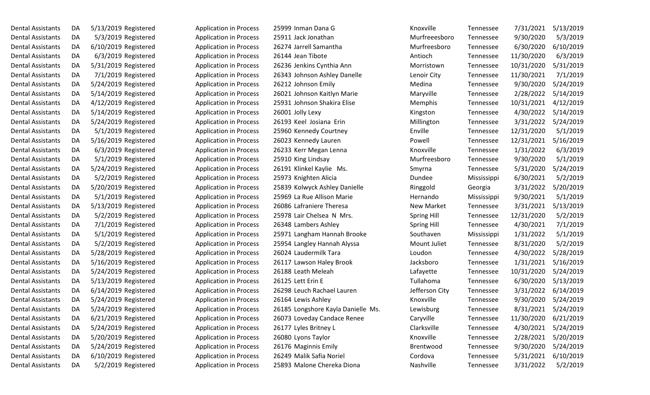| Dental Assistants        | DA | 5/13/2019 Registered |  |
|--------------------------|----|----------------------|--|
| <b>Dental Assistants</b> | DA | 5/3/2019 Registered  |  |
| <b>Dental Assistants</b> | DA | 6/10/2019 Registered |  |
| <b>Dental Assistants</b> | DA | 6/3/2019 Registered  |  |
| <b>Dental Assistants</b> | DA | 5/31/2019 Registered |  |
| <b>Dental Assistants</b> | DA | 7/1/2019 Registered  |  |
| Dental Assistants        | DA | 5/24/2019 Registered |  |
| <b>Dental Assistants</b> | DА | 5/14/2019 Registered |  |
| <b>Dental Assistants</b> | DA | 4/12/2019 Registered |  |
| <b>Dental Assistants</b> | DA | 5/14/2019 Registered |  |
| <b>Dental Assistants</b> | DA | 5/24/2019 Registered |  |
| Dental Assistants        | DA | 5/1/2019 Registered  |  |
| Dental Assistants        | DA | 5/16/2019 Registered |  |
| <b>Dental Assistants</b> | DA | 6/3/2019 Registered  |  |
| <b>Dental Assistants</b> | DA | 5/1/2019 Registered  |  |
| <b>Dental Assistants</b> | DA | 5/24/2019 Registered |  |
| <b>Dental Assistants</b> | DА | 5/2/2019 Registered  |  |
| Dental Assistants        | DA | 5/20/2019 Registered |  |
| <b>Dental Assistants</b> | DA | 5/1/2019 Registered  |  |
| <b>Dental Assistants</b> | DA | 5/13/2019 Registered |  |
| <b>Dental Assistants</b> | DA | 5/2/2019 Registered  |  |
| <b>Dental Assistants</b> | DA | 7/1/2019 Registered  |  |
| Dental Assistants        | DA | 5/1/2019 Registered  |  |
| Dental Assistants        | DA | 5/2/2019 Registered  |  |
| <b>Dental Assistants</b> | DA | 5/28/2019 Registered |  |
| Dental Assistants        | DA | 5/16/2019 Registered |  |
| Dental Assistants        | DA | 5/24/2019 Registered |  |
| <b>Dental Assistants</b> | DA | 5/13/2019 Registered |  |
| <b>Dental Assistants</b> | DA | 6/14/2019 Registered |  |
| <b>Dental Assistants</b> | DA | 5/24/2019 Registered |  |
| Dental Assistants        | DA | 5/24/2019 Registered |  |
| <b>Dental Assistants</b> | DA | 6/21/2019 Registered |  |
| <b>Dental Assistants</b> | DA | 5/24/2019 Registered |  |
| <b>Dental Assistants</b> | DA | 5/20/2019 Registered |  |
| <b>Dental Assistants</b> | DA | 5/24/2019 Registered |  |
| <b>Dental Assistants</b> | DA | 6/10/2019 Registered |  |
| Dental Assistants        | DA | 5/2/2019 Registered  |  |

| Dental Assistants        | DA | 5/13/2019 Registered | <b>Application in Process</b> | 25999 Inman Dana G                 | Knoxville          | Tennessee   | 7/31/2021  | 5/13/2019 |
|--------------------------|----|----------------------|-------------------------------|------------------------------------|--------------------|-------------|------------|-----------|
| Dental Assistants        | DA | 5/3/2019 Registered  | <b>Application in Process</b> | 25911 Jack Jonathan                | Murfreeesboro      | Tennessee   | 9/30/2020  | 5/3/2019  |
| Dental Assistants        | DA | 6/10/2019 Registered | <b>Application in Process</b> | 26274 Jarrell Samantha             | Murfreesboro       | Tennessee   | 6/30/2020  | 6/10/2019 |
| Dental Assistants        | DA | 6/3/2019 Registered  | <b>Application in Process</b> | 26144 Jean Tibote                  | Antioch            | Tennessee   | 11/30/2020 | 6/3/2019  |
| Dental Assistants        | DA | 5/31/2019 Registered | <b>Application in Process</b> | 26236 Jenkins Cynthia Ann          | Morristown         | Tennessee   | 10/31/2020 | 5/31/2019 |
| Dental Assistants        | DA | 7/1/2019 Registered  | <b>Application in Process</b> | 26343 Johnson Ashley Danelle       | Lenoir City        | Tennessee   | 11/30/2021 | 7/1/2019  |
| Dental Assistants        | DA | 5/24/2019 Registered | <b>Application in Process</b> | 26212 Johnson Emily                | Medina             | Tennessee   | 9/30/2020  | 5/24/2019 |
| Dental Assistants        | DA | 5/14/2019 Registered | <b>Application in Process</b> | 26021 Johnson Kaitlyn Marie        | Maryville          | Tennessee   | 2/28/2022  | 5/14/2019 |
| Dental Assistants        | DA | 4/12/2019 Registered | <b>Application in Process</b> | 25931 Johnson Shakira Elise        | Memphis            | Tennessee   | 10/31/2021 | 4/12/2019 |
| Dental Assistants        | DA | 5/14/2019 Registered | <b>Application in Process</b> | 26001 Jolly Lexy                   | Kingston           | Tennessee   | 4/30/2022  | 5/14/2019 |
| Dental Assistants        | DA | 5/24/2019 Registered | <b>Application in Process</b> | 26193 Keel Josiana Erin            | Millington         | Tennessee   | 3/31/2022  | 5/24/2019 |
| Dental Assistants        | DA | 5/1/2019 Registered  | <b>Application in Process</b> | 25960 Kennedy Courtney             | Enville            | Tennessee   | 12/31/2020 | 5/1/2019  |
| Dental Assistants        | DA | 5/16/2019 Registered | <b>Application in Process</b> | 26023 Kennedy Lauren               | Powell             | Tennessee   | 12/31/2021 | 5/16/2019 |
| Dental Assistants        | DA | 6/3/2019 Registered  | <b>Application in Process</b> | 26233 Kerr Megan Lenna             | Knoxville          | Tennessee   | 1/31/2022  | 6/3/2019  |
| Dental Assistants        | DA | 5/1/2019 Registered  | <b>Application in Process</b> | 25910 King Lindsay                 | Murfreesboro       | Tennessee   | 9/30/2020  | 5/1/2019  |
| Dental Assistants        | DA | 5/24/2019 Registered | <b>Application in Process</b> | 26191 Klinkel Kaylie Ms.           | Smyrna             | Tennessee   | 5/31/2020  | 5/24/2019 |
| Dental Assistants        | DA | 5/2/2019 Registered  | <b>Application in Process</b> | 25973 Knighten Alicia              | Dundee             | Mississippi | 6/30/2021  | 5/2/2019  |
| Dental Assistants        | DA | 5/20/2019 Registered | <b>Application in Process</b> | 25839 Kolwyck Ashley Danielle      | Ringgold           | Georgia     | 3/31/2022  | 5/20/2019 |
| Dental Assistants        | DA | 5/1/2019 Registered  | <b>Application in Process</b> | 25969 La Rue Allison Marie         | Hernando           | Mississippi | 9/30/2021  | 5/1/2019  |
| Dental Assistants        | DA | 5/13/2019 Registered | <b>Application in Process</b> | 26086 Lafraniere Theresa           | New Market         | Tennessee   | 3/31/2021  | 5/13/2019 |
| Dental Assistants        | DA | 5/2/2019 Registered  | <b>Application in Process</b> | 25978 Lair Chelsea N Mrs.          | <b>Spring Hill</b> | Tennessee   | 12/31/2020 | 5/2/2019  |
| Dental Assistants        | DA | 7/1/2019 Registered  | <b>Application in Process</b> | 26348 Lambers Ashley               | <b>Spring Hill</b> | Tennessee   | 4/30/2021  | 7/1/2019  |
| Dental Assistants        | DA | 5/1/2019 Registered  | <b>Application in Process</b> | 25971 Langham Hannah Brooke        | Southaven          | Mississippi | 1/31/2022  | 5/1/2019  |
| Dental Assistants        | DA | 5/2/2019 Registered  | <b>Application in Process</b> | 25954 Langley Hannah Alyssa        | Mount Juliet       | Tennessee   | 8/31/2020  | 5/2/2019  |
| Dental Assistants        | DA | 5/28/2019 Registered | <b>Application in Process</b> | 26024 Laudermilk Tara              | Loudon             | Tennessee   | 4/30/2022  | 5/28/2019 |
| Dental Assistants        | DA | 5/16/2019 Registered | <b>Application in Process</b> | 26117 Lawson Haley Brook           | Jacksboro          | Tennessee   | 1/31/2021  | 5/16/2019 |
| Dental Assistants        | DA | 5/24/2019 Registered | <b>Application in Process</b> | 26188 Leath Meleah                 | Lafayette          | Tennessee   | 10/31/2020 | 5/24/2019 |
| Dental Assistants        | DA | 5/13/2019 Registered | <b>Application in Process</b> | 26125 Lett Erin E                  | Tullahoma          | Tennessee   | 6/30/2020  | 5/13/2019 |
| Dental Assistants        | DA | 6/14/2019 Registered | <b>Application in Process</b> | 26298 Leuch Rachael Lauren         | Jefferson City     | Tennessee   | 3/31/2022  | 6/14/2019 |
| <b>Dental Assistants</b> | DA | 5/24/2019 Registered | <b>Application in Process</b> | 26164 Lewis Ashley                 | Knoxville          | Tennessee   | 9/30/2020  | 5/24/2019 |
| Dental Assistants        | DA | 5/24/2019 Registered | <b>Application in Process</b> | 26185 Longshore Kayla Danielle Ms. | Lewisburg          | Tennessee   | 8/31/2021  | 5/24/2019 |
| Dental Assistants        | DA | 6/21/2019 Registered | <b>Application in Process</b> | 26073 Loveday Candace Renee        | Caryville          | Tennessee   | 11/30/2020 | 6/21/2019 |
| Dental Assistants        | DA | 5/24/2019 Registered | <b>Application in Process</b> | 26177 Lyles Britney L              | Clarksville        | Tennessee   | 4/30/2021  | 5/24/2019 |
| Dental Assistants        | DA | 5/20/2019 Registered | <b>Application in Process</b> | 26080 Lyons Taylor                 | Knoxville          | Tennessee   | 2/28/2021  | 5/20/2019 |
| Dental Assistants        | DA | 5/24/2019 Registered | <b>Application in Process</b> | 26176 Maginnis Emily               | Brentwood          | Tennessee   | 9/30/2020  | 5/24/2019 |
| Dental Assistants        | DA | 6/10/2019 Registered | <b>Application in Process</b> | 26249 Malik Safia Noriel           | Cordova            | Tennessee   | 5/31/2021  | 6/10/2019 |
| <b>Dental Assistants</b> | DA | 5/2/2019 Registered  | <b>Application in Process</b> | 25893 Malone Chereka Diona         | Nashville          | Tennessee   | 3/31/2022  | 5/2/2019  |
|                          |    |                      |                               |                                    |                    |             |            |           |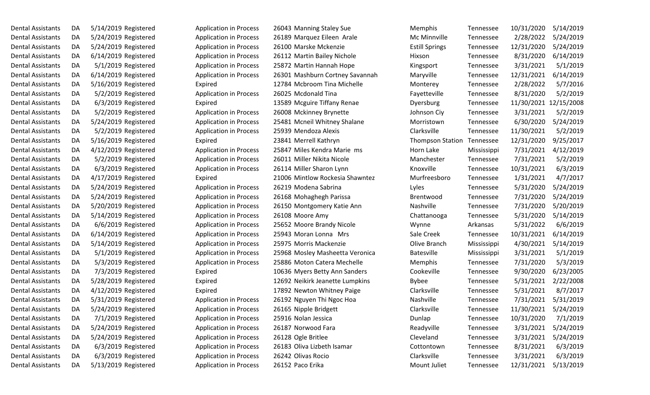| Dental Assistants        | DA | 5/14/2019 Registered |                     |
|--------------------------|----|----------------------|---------------------|
| Dental Assistants        | DA | 5/24/2019 Registered |                     |
| Dental Assistants        | DA | 5/24/2019 Registered |                     |
| Dental Assistants        | DA | 6/14/2019 Registered |                     |
| Dental Assistants        | DA |                      | 5/1/2019 Registered |
| Dental Assistants        | DA | 6/14/2019 Registered |                     |
| Dental Assistants        | DA | 5/16/2019 Registered |                     |
| <b>Dental Assistants</b> | DA |                      | 5/2/2019 Registered |
| Dental Assistants        | DA |                      | 6/3/2019 Registered |
| Dental Assistants        | DA |                      | 5/2/2019 Registered |
| <b>Dental Assistants</b> | DA | 5/24/2019 Registered |                     |
| Dental Assistants        | DA |                      | 5/2/2019 Registered |
| Dental Assistants        | DA | 5/16/2019 Registered |                     |
| <b>Dental Assistants</b> | DA | 4/12/2019 Registered |                     |
| <b>Dental Assistants</b> | DA |                      | 5/2/2019 Registered |
| <b>Dental Assistants</b> | DA |                      | 6/3/2019 Registered |
| Dental Assistants        | DA | 4/17/2019 Registered |                     |
| Dental Assistants        | DA | 5/24/2019 Registered |                     |
| <b>Dental Assistants</b> | DA | 5/24/2019 Registered |                     |
| <b>Dental Assistants</b> | DA | 5/20/2019 Registered |                     |
| Dental Assistants        | DA | 5/14/2019 Registered |                     |
| Dental Assistants        | DA |                      | 6/6/2019 Registered |
| Dental Assistants        | DA | 6/14/2019 Registered |                     |
| <b>Dental Assistants</b> | DA | 5/14/2019 Registered |                     |
| Dental Assistants        | DA |                      | 5/1/2019 Registered |
| Dental Assistants        | DA |                      | 5/3/2019 Registered |
| Dental Assistants        | DA |                      | 7/3/2019 Registered |
| Dental Assistants        | DA | 5/28/2019 Registered |                     |
| <b>Dental Assistants</b> | DA | 4/12/2019 Registered |                     |
| <b>Dental Assistants</b> | DA | 5/31/2019 Registered |                     |
| <b>Dental Assistants</b> | DA | 5/24/2019 Registered |                     |
| <b>Dental Assistants</b> | DA |                      | 7/1/2019 Registered |
| <b>Dental Assistants</b> | DA | 5/24/2019 Registered |                     |
| Dental Assistants        | DA | 5/24/2019 Registered |                     |
| <b>Dental Assistants</b> | DA |                      | 6/3/2019 Registered |
| <b>Dental Assistants</b> | DA |                      | 6/3/2019 Registered |
| Dental Assistants        | DA | 5/13/2019 Registered |                     |

| Dental Assistants        | DA | 5/14/2019 Registered | <b>Application in Process</b> | 26043 Manning Staley Sue        | Memphis                 | Tennessee   | 10/31/2020            | 5/14/2019 |
|--------------------------|----|----------------------|-------------------------------|---------------------------------|-------------------------|-------------|-----------------------|-----------|
| Dental Assistants        | DA | 5/24/2019 Registered | <b>Application in Process</b> | 26189 Marquez Eileen Arale      | Mc Minnville            | Tennessee   | 2/28/2022             | 5/24/2019 |
| Dental Assistants        | DA | 5/24/2019 Registered | <b>Application in Process</b> | 26100 Marske Mckenzie           | <b>Estill Springs</b>   | Tennessee   | 12/31/2020            | 5/24/2019 |
| Dental Assistants        | DA | 6/14/2019 Registered | <b>Application in Process</b> | 26112 Martin Bailey Nichole     | Hixson                  | Tennessee   | 8/31/2020             | 6/14/2019 |
| Dental Assistants        | DA | 5/1/2019 Registered  | <b>Application in Process</b> | 25872 Martin Hannah Hope        | Kingsport               | Tennessee   | 3/31/2021             | 5/1/2019  |
| Dental Assistants        | DA | 6/14/2019 Registered | <b>Application in Process</b> | 26301 Mashburn Cortney Savannah | Maryville               | Tennessee   | 12/31/2021            | 6/14/2019 |
| Dental Assistants        | DA | 5/16/2019 Registered | Expired                       | 12784 Mcbroom Tina Michelle     | Monterey                | Tennessee   | 2/28/2022             | 5/7/2016  |
| Dental Assistants        | DA | 5/2/2019 Registered  | <b>Application in Process</b> | 26025 Mcdonald Tina             | Fayetteville            | Tennessee   | 8/31/2020             | 5/2/2019  |
| Dental Assistants        | DA | 6/3/2019 Registered  | Expired                       | 13589 Mcguire Tiffany Renae     | Dyersburg               | Tennessee   | 11/30/2021 12/15/2008 |           |
| Dental Assistants        | DA | 5/2/2019 Registered  | <b>Application in Process</b> | 26008 Mckinney Brynette         | Johnson Ciy             | Tennessee   | 3/31/2021             | 5/2/2019  |
| Dental Assistants        | DA | 5/24/2019 Registered | <b>Application in Process</b> | 25481 Mcneil Whitney Shalane    | Morristown              | Tennessee   | 6/30/2020             | 5/24/2019 |
| Dental Assistants        | DA | 5/2/2019 Registered  | <b>Application in Process</b> | 25939 Mendoza Alexis            | Clarksville             | Tennessee   | 11/30/2021            | 5/2/2019  |
| Dental Assistants        | DA | 5/16/2019 Registered | Expired                       | 23841 Merrell Kathryn           | <b>Thompson Station</b> | Tennessee   | 12/31/2020            | 9/25/2017 |
| Dental Assistants        | DA | 4/12/2019 Registered | <b>Application in Process</b> | 25847 Miles Kendra Marie ms     | Horn Lake               | Mississippi | 7/31/2021             | 4/12/2019 |
| Dental Assistants        | DA | 5/2/2019 Registered  | <b>Application in Process</b> | 26011 Miller Nikita Nicole      | Manchester              | Tennessee   | 7/31/2021             | 5/2/2019  |
| Dental Assistants        | DA | 6/3/2019 Registered  | <b>Application in Process</b> | 26114 Miller Sharon Lynn        | Knoxville               | Tennessee   | 10/31/2021            | 6/3/2019  |
| Dental Assistants        | DA | 4/17/2019 Registered | Expired                       | 21006 Mintlow Rockesia Shawntez | Murfreesboro            | Tennessee   | 1/31/2021             | 4/7/2017  |
| Dental Assistants        | DA | 5/24/2019 Registered | <b>Application in Process</b> | 26219 Modena Sabrina            | Lyles                   | Tennessee   | 5/31/2020             | 5/24/2019 |
| <b>Dental Assistants</b> | DA | 5/24/2019 Registered | <b>Application in Process</b> | 26168 Mohaghegh Parissa         | Brentwood               | Tennessee   | 7/31/2020             | 5/24/2019 |
| Dental Assistants        | DA | 5/20/2019 Registered | <b>Application in Process</b> | 26150 Montgomery Katie Ann      | Nashville               | Tennessee   | 7/31/2020             | 5/20/2019 |
| Dental Assistants        | DA | 5/14/2019 Registered | <b>Application in Process</b> | 26108 Moore Amy                 | Chattanooga             | Tennessee   | 5/31/2020             | 5/14/2019 |
| Dental Assistants        | DA | 6/6/2019 Registered  | <b>Application in Process</b> | 25652 Moore Brandy Nicole       | Wynne                   | Arkansas    | 5/31/2022             | 6/6/2019  |
| Dental Assistants        | DA | 6/14/2019 Registered | <b>Application in Process</b> | 25943 Moran Lonna Mrs           | Sale Creek              | Tennessee   | 10/31/2021            | 6/14/2019 |
| Dental Assistants        | DA | 5/14/2019 Registered | <b>Application in Process</b> | 25975 Morris Mackenzie          | Olive Branch            | Mississippi | 4/30/2021             | 5/14/2019 |
| Dental Assistants        | DA | 5/1/2019 Registered  | <b>Application in Process</b> | 25968 Mosley Masheetta Veronica | <b>Batesville</b>       | Mississippi | 3/31/2021             | 5/1/2019  |
| Dental Assistants        | DA | 5/3/2019 Registered  | <b>Application in Process</b> | 25886 Moton Catera Mechelle     | Memphis                 | Tennessee   | 7/31/2020             | 5/3/2019  |
| Dental Assistants        | DA | 7/3/2019 Registered  | Expired                       | 10636 Myers Betty Ann Sanders   | Cookeville              | Tennessee   | 9/30/2020             | 6/23/2005 |
| Dental Assistants        | DA | 5/28/2019 Registered | Expired                       | 12692 Neikirk Jeanette Lumpkins | <b>Bybee</b>            | Tennessee   | 5/31/2021             | 2/22/2008 |
| Dental Assistants        | DA | 4/12/2019 Registered | Expired                       | 17892 Newton Whitney Paige      | Clarksville             | Tennessee   | 5/31/2021             | 8/7/2017  |
| Dental Assistants        | DA | 5/31/2019 Registered | <b>Application in Process</b> | 26192 Nguyen Thi Ngoc Hoa       | Nashville               | Tennessee   | 7/31/2021             | 5/31/2019 |
| Dental Assistants        | DA | 5/24/2019 Registered | <b>Application in Process</b> | 26165 Nipple Bridgett           | Clarksville             | Tennessee   | 11/30/2021            | 5/24/2019 |
| Dental Assistants        | DA | 7/1/2019 Registered  | <b>Application in Process</b> | 25916 Nolan Jessica             | Dunlap                  | Tennessee   | 10/31/2020            | 7/1/2019  |
| Dental Assistants        | DA | 5/24/2019 Registered | <b>Application in Process</b> | 26187 Norwood Fara              | Readyville              | Tennessee   | 3/31/2021             | 5/24/2019 |
| Dental Assistants        | DA | 5/24/2019 Registered | <b>Application in Process</b> | 26128 Ogle Britlee              | Cleveland               | Tennessee   | 3/31/2021             | 5/24/2019 |
| Dental Assistants        | DA | 6/3/2019 Registered  | <b>Application in Process</b> | 26183 Oliva Lizbeth Isamar      | Cottontown              | Tennessee   | 8/31/2021             | 6/3/2019  |
| Dental Assistants        | DA | 6/3/2019 Registered  | <b>Application in Process</b> | 26242 Olivas Rocio              | Clarksville             | Tennessee   | 3/31/2021             | 6/3/2019  |
| Dental Assistants        | DA | 5/13/2019 Registered | <b>Application in Process</b> | 26152 Paco Erika                | Mount Juliet            | Tennessee   | 12/31/2021            | 5/13/2019 |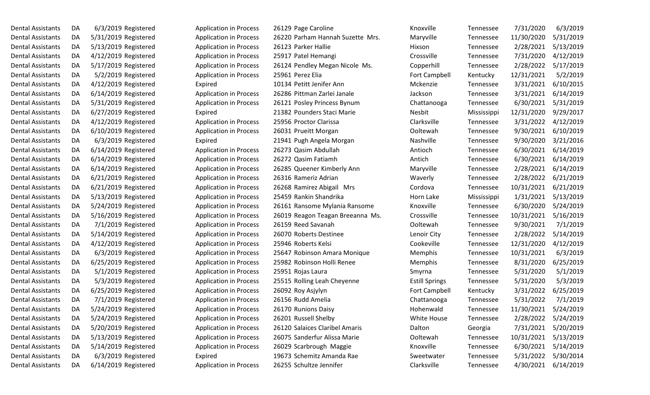| Dental Assistants        | DA | 6/3/2019 Registered  |
|--------------------------|----|----------------------|
| <b>Dental Assistants</b> | DA | 5/31/2019 Registered |
| <b>Dental Assistants</b> | DA | 5/13/2019 Registered |
| <b>Dental Assistants</b> | DA | 4/12/2019 Registered |
| <b>Dental Assistants</b> | DA | 5/17/2019 Registered |
| <b>Dental Assistants</b> | DA | 5/2/2019 Registered  |
| <b>Dental Assistants</b> | DA | 4/12/2019 Registered |
| <b>Dental Assistants</b> | DA | 6/14/2019 Registered |
| <b>Dental Assistants</b> | DA | 5/31/2019 Registered |
| <b>Dental Assistants</b> | DA | 6/27/2019 Registered |
| <b>Dental Assistants</b> | DA | 4/12/2019 Registered |
| <b>Dental Assistants</b> | DA | 6/10/2019 Registered |
| <b>Dental Assistants</b> | DA | 6/3/2019 Registered  |
| <b>Dental Assistants</b> | DA | 6/14/2019 Registered |
| <b>Dental Assistants</b> | DA | 6/14/2019 Registered |
| <b>Dental Assistants</b> | DA | 6/14/2019 Registered |
| <b>Dental Assistants</b> | DA | 6/21/2019 Registered |
| <b>Dental Assistants</b> | DA | 6/21/2019 Registered |
| <b>Dental Assistants</b> | DA | 5/13/2019 Registered |
| <b>Dental Assistants</b> | DA | 5/24/2019 Registered |
| Dental Assistants        | DA | 5/16/2019 Registered |
| <b>Dental Assistants</b> | DA | 7/1/2019 Registered  |
| <b>Dental Assistants</b> | DA | 5/14/2019 Registered |
| <b>Dental Assistants</b> | DA | 4/12/2019 Registered |
| <b>Dental Assistants</b> | DA | 6/3/2019 Registered  |
| <b>Dental Assistants</b> | DA | 6/25/2019 Registered |
| Dental Assistants        | DA | 5/1/2019 Registered  |
| <b>Dental Assistants</b> | DA | 5/3/2019 Registered  |
| <b>Dental Assistants</b> | DA | 6/25/2019 Registered |
| Dental Assistants        | DА | 7/1/2019 Registered  |
| <b>Dental Assistants</b> | DA | 5/24/2019 Registered |
| <b>Dental Assistants</b> | DA | 5/24/2019 Registered |
| <b>Dental Assistants</b> | DA | 5/20/2019 Registered |
| <b>Dental Assistants</b> | DA | 5/13/2019 Registered |
| <b>Dental Assistants</b> | DA | 5/14/2019 Registered |
| <b>Dental Assistants</b> | DA | 6/3/2019 Registered  |
| <b>Dental Assistants</b> | DA | 6/14/2019 Registered |

| Dental Assistants | DA | $6/3/2019$ Registered | <b>Application in Process</b> | 26129 Page Caroline              | Knoxville             | Tennessee   | 7/31/2020  | 6/3/2019            |
|-------------------|----|-----------------------|-------------------------------|----------------------------------|-----------------------|-------------|------------|---------------------|
| Dental Assistants | DA | 5/31/2019 Registered  | <b>Application in Process</b> | 26220 Parham Hannah Suzette Mrs. | Maryville             | Tennessee   | 11/30/2020 | 5/31/2019           |
| Dental Assistants | DA | 5/13/2019 Registered  | <b>Application in Process</b> | 26123 Parker Hallie              | Hixson                | Tennessee   | 2/28/2021  | 5/13/2019           |
| Dental Assistants | DA | 4/12/2019 Registered  | <b>Application in Process</b> | 25917 Patel Hemangi              | Crossville            | Tennessee   | 7/31/2020  | 4/12/2019           |
| Dental Assistants | DA | 5/17/2019 Registered  | <b>Application in Process</b> | 26124 Pendley Megan Nicole Ms.   | Copperhill            | Tennessee   | 2/28/2022  | 5/17/2019           |
| Dental Assistants | DA | 5/2/2019 Registered   | <b>Application in Process</b> | 25961 Perez Elia                 | Fort Campbell         | Kentucky    | 12/31/2021 | 5/2/2019            |
| Dental Assistants | DA | 4/12/2019 Registered  | Expired                       | 10134 Petitt Jenifer Ann         | Mckenzie              | Tennessee   | 3/31/2021  | 6/10/2015           |
| Dental Assistants | DA | 6/14/2019 Registered  | <b>Application in Process</b> | 26286 Pittman Zarlei Janale      | Jackson               | Tennessee   | 3/31/2021  | 6/14/2019           |
| Dental Assistants | DA | 5/31/2019 Registered  | <b>Application in Process</b> | 26121 Posley Princess Bynum      | Chattanooga           | Tennessee   | 6/30/2021  | 5/31/2019           |
| Dental Assistants | DA | 6/27/2019 Registered  | Expired                       | 21382 Pounders Staci Marie       | Nesbit                | Mississippi | 12/31/2020 | 9/29/2017           |
| Dental Assistants | DA | 4/12/2019 Registered  | <b>Application in Process</b> | 25956 Proctor Clarissa           | Clarksville           | Tennessee   | 3/31/2022  | 4/12/2019           |
| Dental Assistants | DA | 6/10/2019 Registered  | <b>Application in Process</b> | 26031 Prueitt Morgan             | Ooltewah              | Tennessee   | 9/30/2021  | 6/10/2019           |
| Dental Assistants | DA | 6/3/2019 Registered   | Expired                       | 21941 Pugh Angela Morgan         | Nashville             | Tennessee   | 9/30/2020  | 3/21/2016           |
| Dental Assistants | DA | 6/14/2019 Registered  | <b>Application in Process</b> | 26273 Qasim Abdullah             | Antioch               | Tennessee   | 6/30/2021  | 6/14/2019           |
| Dental Assistants | DA | 6/14/2019 Registered  | <b>Application in Process</b> | 26272 Qasim Fatiamh              | Antich                | Tennessee   | 6/30/2021  | 6/14/2019           |
| Dental Assistants | DA | 6/14/2019 Registered  | <b>Application in Process</b> | 26285 Queener Kimberly Ann       | Maryville             | Tennessee   | 2/28/2021  | 6/14/2019           |
| Dental Assistants | DA | 6/21/2019 Registered  | <b>Application in Process</b> | 26316 Rameriz Adrian             | Waverly               | Tennessee   | 2/28/2022  | 6/21/2019           |
| Dental Assistants | DA | 6/21/2019 Registered  | <b>Application in Process</b> | 26268 Ramirez Abigail Mrs        | Cordova               | Tennessee   | 10/31/2021 | 6/21/2019           |
| Dental Assistants | DA | 5/13/2019 Registered  | <b>Application in Process</b> | 25459 Rankin Shandrika           | Horn Lake             | Mississippi | 1/31/2021  | 5/13/2019           |
| Dental Assistants | DA | 5/24/2019 Registered  | <b>Application in Process</b> | 26161 Ransome Mylania Ransome    | Knoxville             | Tennessee   | 6/30/2020  | 5/24/2019           |
| Dental Assistants | DA | 5/16/2019 Registered  | <b>Application in Process</b> | 26019 Reagon Teagan Breeanna Ms. | Crossville            | Tennessee   | 10/31/2021 | 5/16/2019           |
| Dental Assistants | DA | 7/1/2019 Registered   | <b>Application in Process</b> | 26159 Reed Savanah               | Ooltewah              | Tennessee   | 9/30/2021  | 7/1/2019            |
| Dental Assistants | DA | 5/14/2019 Registered  | <b>Application in Process</b> | 26070 Roberts Destinee           | Lenoir City           | Tennessee   | 2/28/2022  | 5/14/2019           |
| Dental Assistants | DA | 4/12/2019 Registered  | <b>Application in Process</b> | 25946 Roberts Kelsi              | Cookeville            | Tennessee   | 12/31/2020 | 4/12/2019           |
| Dental Assistants | DA | 6/3/2019 Registered   | <b>Application in Process</b> | 25647 Robinson Amara Monique     | Memphis               | Tennessee   | 10/31/2021 | 6/3/2019            |
| Dental Assistants | DA | 6/25/2019 Registered  | <b>Application in Process</b> | 25982 Robinson Holli Renee       | Memphis               | Tennessee   | 8/31/2020  | 6/25/2019           |
| Dental Assistants | DA | 5/1/2019 Registered   | <b>Application in Process</b> | 25951 Rojas Laura                | Smyrna                | Tennessee   | 5/31/2020  | 5/1/2019            |
| Dental Assistants | DA | 5/3/2019 Registered   | <b>Application in Process</b> | 25515 Rolling Leah Cheyenne      | <b>Estill Springs</b> | Tennessee   | 5/31/2020  | 5/3/2019            |
| Dental Assistants | DA | 6/25/2019 Registered  | <b>Application in Process</b> | 26092 Roy Asjylyn                | Fort Campbell         | Kentucky    | 3/31/2022  | 6/25/2019           |
| Dental Assistants | DA | 7/1/2019 Registered   | <b>Application in Process</b> | 26156 Rudd Amelia                | Chattanooga           | Tennessee   | 5/31/2022  | 7/1/2019            |
| Dental Assistants | DA | 5/24/2019 Registered  | <b>Application in Process</b> | 26170 Runions Daisy              | Hohenwald             | Tennessee   | 11/30/2021 | 5/24/2019           |
| Dental Assistants | DA | 5/24/2019 Registered  | <b>Application in Process</b> | 26201 Russell Shelby             | White House           | Tennessee   | 2/28/2022  | 5/24/2019           |
| Dental Assistants | DA | 5/20/2019 Registered  | <b>Application in Process</b> | 26120 Salaices Claribel Amaris   | Dalton                | Georgia     | 7/31/2021  | 5/20/2019           |
| Dental Assistants | DA | 5/13/2019 Registered  | <b>Application in Process</b> | 26075 Sanderfur Alissa Marie     | Ooltewah              | Tennessee   | 10/31/2021 | 5/13/2019           |
| Dental Assistants | DA | 5/14/2019 Registered  | <b>Application in Process</b> | 26029 Scarbrough Maggie          | Knoxville             | Tennessee   | 6/30/2021  | 5/14/2019           |
| Dental Assistants | DA | 6/3/2019 Registered   | Expired                       | 19673 Schemitz Amanda Rae        | Sweetwater            | Tennessee   | 5/31/2022  | 5/30/2014           |
| Dental Assistants | DA | 6/14/2019 Registered  | <b>Application in Process</b> | 26255 Schultze Jennifer          | Clarksville           | Tennessee   |            | 4/30/2021 6/14/2019 |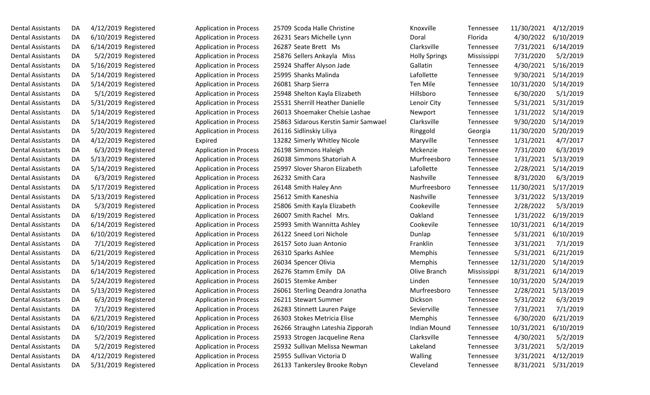| Dental Assistants        | DA | 4/12/2019 Registered |
|--------------------------|----|----------------------|
| <b>Dental Assistants</b> | DA | 6/10/2019 Registered |
| <b>Dental Assistants</b> | DA | 6/14/2019 Registered |
| Dental Assistants        | DA | 5/2/2019 Registered  |
| Dental Assistants        | DA | 5/16/2019 Registered |
| Dental Assistants        | DA | 5/14/2019 Registered |
| Dental Assistants        | DA | 5/14/2019 Registered |
| <b>Dental Assistants</b> | DA | 5/1/2019 Registered  |
| Dental Assistants        | DA | 5/31/2019 Registered |
| <b>Dental Assistants</b> | DA | 5/14/2019 Registered |
| <b>Dental Assistants</b> | DA | 5/14/2019 Registered |
| Dental Assistants        | DA | 5/20/2019 Registered |
| <b>Dental Assistants</b> | DA | 4/12/2019 Registered |
| Dental Assistants        | DA | 6/3/2019 Registered  |
| <b>Dental Assistants</b> | DA | 5/13/2019 Registered |
| Dental Assistants        | DA | 5/14/2019 Registered |
| Dental Assistants        | DA | 6/3/2019 Registered  |
| Dental Assistants        | DA | 5/17/2019 Registered |
| Dental Assistants        | DA | 5/13/2019 Registered |
| <b>Dental Assistants</b> | DA | 5/3/2019 Registered  |
| Dental Assistants        | DA | 6/19/2019 Registered |
| <b>Dental Assistants</b> | DA | 6/14/2019 Registered |
| Dental Assistants        | DA | 6/10/2019 Registered |
| <b>Dental Assistants</b> | DA | 7/1/2019 Registered  |
| <b>Dental Assistants</b> | DA | 6/21/2019 Registered |
| <b>Dental Assistants</b> | DA | 5/14/2019 Registered |
| <b>Dental Assistants</b> | DA | 6/14/2019 Registered |
| Dental Assistants        | DA | 5/24/2019 Registered |
| <b>Dental Assistants</b> | DA | 5/13/2019 Registered |
| <b>Dental Assistants</b> | DA | 6/3/2019 Registered  |
| Dental Assistants        | DA | 7/1/2019 Registered  |
| <b>Dental Assistants</b> | DA | 6/21/2019 Registered |
| <b>Dental Assistants</b> | DA | 6/10/2019 Registered |
| Dental Assistants        | DA | 5/2/2019 Registered  |
| <b>Dental Assistants</b> | DA | 5/2/2019 Registered  |
| <b>Dental Assistants</b> | DA | 4/12/2019 Registered |
| Dental Assistants        | DA | 5/31/2019 Registered |

| Dental Assistants        | DA | 4/12/2019 Registered | <b>Application in Process</b> | 25709 Scoda Halle Christine          | Knoxville            | Tennessee   | 11/30/2021 | 4/12/2019 |
|--------------------------|----|----------------------|-------------------------------|--------------------------------------|----------------------|-------------|------------|-----------|
| Dental Assistants        | DA | 6/10/2019 Registered | <b>Application in Process</b> | 26231 Sears Michelle Lynn            | Doral                | Florida     | 4/30/2022  | 6/10/2019 |
| Dental Assistants        | DA | 6/14/2019 Registered | <b>Application in Process</b> | 26287 Seate Brett Ms                 | Clarksville          | Tennessee   | 7/31/2021  | 6/14/2019 |
| Dental Assistants        | DA | 5/2/2019 Registered  | <b>Application in Process</b> | 25876 Sellers Ankayla Miss           | <b>Holly Springs</b> | Mississippi | 7/31/2020  | 5/2/2019  |
| Dental Assistants        | DA | 5/16/2019 Registered | <b>Application in Process</b> | 25924 Shaffer Alyson Jade            | Gallatin             | Tennessee   | 4/30/2021  | 5/16/2019 |
| Dental Assistants        | DA | 5/14/2019 Registered | <b>Application in Process</b> | 25995 Shanks Malinda                 | Lafollette           | Tennessee   | 9/30/2021  | 5/14/2019 |
| Dental Assistants        | DA | 5/14/2019 Registered | <b>Application in Process</b> | 26081 Sharp Sierra                   | Ten Mile             | Tennessee   | 10/31/2020 | 5/14/2019 |
| Dental Assistants        | DA | 5/1/2019 Registered  | <b>Application in Process</b> | 25948 Shelton Kayla Elizabeth        | Hillsboro            | Tennessee   | 6/30/2020  | 5/1/2019  |
| Dental Assistants        | DA | 5/31/2019 Registered | <b>Application in Process</b> | 25531 Sherrill Heather Danielle      | Lenoir City          | Tennessee   | 5/31/2021  | 5/31/2019 |
| Dental Assistants        | DA | 5/14/2019 Registered | <b>Application in Process</b> | 26013 Shoemaker Chelsie Lashae       | Newport              | Tennessee   | 1/31/2022  | 5/14/2019 |
| Dental Assistants        | DA | 5/14/2019 Registered | <b>Application in Process</b> | 25863 Sidarous Kerstin Samir Samwael | Clarksville          | Tennessee   | 9/30/2020  | 5/14/2019 |
| Dental Assistants        | DA | 5/20/2019 Registered | <b>Application in Process</b> | 26116 Sidlinskiy Liliya              | Ringgold             | Georgia     | 11/30/2020 | 5/20/2019 |
| Dental Assistants        | DA | 4/12/2019 Registered | Expired                       | 13282 Simerly Whitley Nicole         | Maryville            | Tennessee   | 1/31/2021  | 4/7/2017  |
| Dental Assistants        | DA | 6/3/2019 Registered  | <b>Application in Process</b> | 26198 Simmons Haleigh                | Mckenzie             | Tennessee   | 7/31/2020  | 6/3/2019  |
| Dental Assistants        | DA | 5/13/2019 Registered | <b>Application in Process</b> | 26038 Simmons Shatoriah A            | Murfreesboro         | Tennessee   | 1/31/2021  | 5/13/2019 |
| Dental Assistants        | DA | 5/14/2019 Registered | <b>Application in Process</b> | 25997 Slover Sharon Elizabeth        | Lafollette           | Tennessee   | 2/28/2021  | 5/14/2019 |
| Dental Assistants        | DA | 6/3/2019 Registered  | <b>Application in Process</b> | 26232 Smith Cara                     | Nashville            | Tennessee   | 8/31/2020  | 6/3/2019  |
| Dental Assistants        | DA | 5/17/2019 Registered | <b>Application in Process</b> | 26148 Smith Haley Ann                | Murfreesboro         | Tennessee   | 11/30/2021 | 5/17/2019 |
| Dental Assistants        | DA | 5/13/2019 Registered | <b>Application in Process</b> | 25612 Smith Kaneshia                 | Nashville            | Tennessee   | 3/31/2022  | 5/13/2019 |
| Dental Assistants        | DA | 5/3/2019 Registered  | <b>Application in Process</b> | 25806 Smith Kayla Elizabeth          | Cookeville           | Tennessee   | 2/28/2022  | 5/3/2019  |
| Dental Assistants        | DA | 6/19/2019 Registered | <b>Application in Process</b> | 26007 Smith Rachel Mrs.              | Oakland              | Tennessee   | 1/31/2022  | 6/19/2019 |
| <b>Dental Assistants</b> | DA | 6/14/2019 Registered | <b>Application in Process</b> | 25993 Smith Wannitta Ashley          | Cookevile            | Tennessee   | 10/31/2021 | 6/14/2019 |
| Dental Assistants        | DA | 6/10/2019 Registered | <b>Application in Process</b> | 26122 Sneed Lori Nichole             | Dunlap               | Tennessee   | 5/31/2021  | 6/10/2019 |
| Dental Assistants        | DA | 7/1/2019 Registered  | <b>Application in Process</b> | 26157 Soto Juan Antonio              | Franklin             | Tennessee   | 3/31/2021  | 7/1/2019  |
| Dental Assistants        | DA | 6/21/2019 Registered | <b>Application in Process</b> | 26310 Sparks Ashlee                  | Memphis              | Tennessee   | 5/31/2021  | 6/21/2019 |
| Dental Assistants        | DA | 5/14/2019 Registered | <b>Application in Process</b> | 26034 Spencer Olivia                 | Memphis              | Tennessee   | 12/31/2020 | 5/14/2019 |
| Dental Assistants        | DA | 6/14/2019 Registered | <b>Application in Process</b> | 26276 Stamm Emily DA                 | Olive Branch         | Mississippi | 8/31/2021  | 6/14/2019 |
| Dental Assistants        | DA | 5/24/2019 Registered | <b>Application in Process</b> | 26015 Stemke Amber                   | Linden               | Tennessee   | 10/31/2020 | 5/24/2019 |
| Dental Assistants        | DA | 5/13/2019 Registered | <b>Application in Process</b> | 26061 Sterling Deandra Jonatha       | Murfreesboro         | Tennessee   | 2/28/2021  | 5/13/2019 |
| Dental Assistants        | DA | 6/3/2019 Registered  | <b>Application in Process</b> | 26211 Stewart Summer                 | Dickson              | Tennessee   | 5/31/2022  | 6/3/2019  |
| Dental Assistants        | DA | 7/1/2019 Registered  | <b>Application in Process</b> | 26283 Stinnett Lauren Paige          | Sevierville          | Tennessee   | 7/31/2021  | 7/1/2019  |
| Dental Assistants        | DA | 6/21/2019 Registered | <b>Application in Process</b> | 26303 Stokes Metricia Elise          | Memphis              | Tennessee   | 6/30/2020  | 6/21/2019 |
| Dental Assistants        | DA | 6/10/2019 Registered | <b>Application in Process</b> | 26266 Straughn Lateshia Zipporah     | <b>Indian Mound</b>  | Tennessee   | 10/31/2021 | 6/10/2019 |
| Dental Assistants        | DA | 5/2/2019 Registered  | <b>Application in Process</b> | 25933 Strogen Jacqueline Rena        | Clarksville          | Tennessee   | 4/30/2021  | 5/2/2019  |
| Dental Assistants        | DA | 5/2/2019 Registered  | <b>Application in Process</b> | 25932 Sullivan Melissa Newman        | Lakeland             | Tennessee   | 3/31/2021  | 5/2/2019  |
| Dental Assistants        | DA | 4/12/2019 Registered | <b>Application in Process</b> | 25955 Sullivan Victoria D            | Walling              | Tennessee   | 3/31/2021  | 4/12/2019 |
| Dental Assistants        | DA | 5/31/2019 Registered | <b>Application in Process</b> | 26133 Tankersley Brooke Robyn        | Cleveland            | Tennessee   | 8/31/2021  | 5/31/2019 |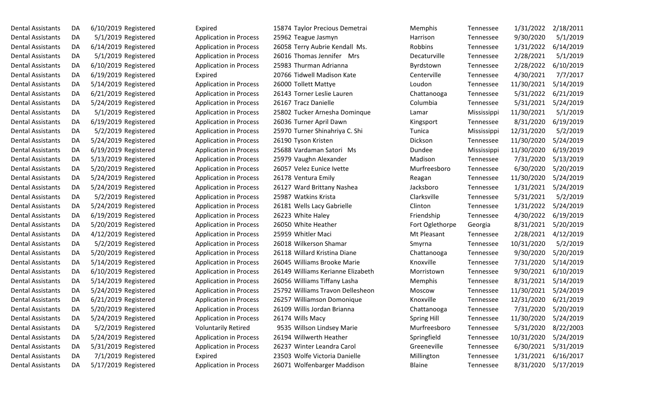| Dental Assistants | DA | 6/10/2019 Registered |                     |
|-------------------|----|----------------------|---------------------|
| Dental Assistants | DA |                      | 5/1/2019 Registered |
| Dental Assistants | DA | 6/14/2019 Registered |                     |
| Dental Assistants | DA |                      | 5/1/2019 Registered |
| Dental Assistants | DA | 6/10/2019 Registered |                     |
| Dental Assistants | DA | 6/19/2019 Registered |                     |
| Dental Assistants | DA | 5/14/2019 Registered |                     |
| Dental Assistants | DA | 6/21/2019 Registered |                     |
| Dental Assistants | DA | 5/24/2019 Registered |                     |
| Dental Assistants | DA |                      | 5/1/2019 Registered |
| Dental Assistants | DA | 6/19/2019 Registered |                     |
| Dental Assistants | DA |                      | 5/2/2019 Registered |
| Dental Assistants | DA | 5/24/2019 Registered |                     |
| Dental Assistants | DA | 6/19/2019 Registered |                     |
| Dental Assistants | DA | 5/13/2019 Registered |                     |
| Dental Assistants | DA | 5/20/2019 Registered |                     |
| Dental Assistants | DA | 5/24/2019 Registered |                     |
| Dental Assistants | DA | 5/24/2019 Registered |                     |
| Dental Assistants | DA |                      | 5/2/2019 Registered |
| Dental Assistants | DA | 5/24/2019 Registered |                     |
| Dental Assistants | DA | 6/19/2019 Registered |                     |
| Dental Assistants | DA | 5/20/2019 Registered |                     |
| Dental Assistants | DA | 4/12/2019 Registered |                     |
| Dental Assistants | DA |                      | 5/2/2019 Registered |
| Dental Assistants | DA | 5/20/2019 Registered |                     |
| Dental Assistants | DA | 5/14/2019 Registered |                     |
| Dental Assistants | DA | 6/10/2019 Registered |                     |
| Dental Assistants | DA | 5/14/2019 Registered |                     |
| Dental Assistants | DA | 5/24/2019 Registered |                     |
| Dental Assistants | DA | 6/21/2019 Registered |                     |
| Dental Assistants | DA | 5/20/2019 Registered |                     |
| Dental Assistants | DA | 5/24/2019 Registered |                     |
| Dental Assistants | DA |                      | 5/2/2019 Registered |
| Dental Assistants | DA | 5/24/2019 Registered |                     |
| Dental Assistants | DA | 5/31/2019 Registered |                     |
| Dental Assistants | DA |                      | 7/1/2019 Registered |
| Dental Assistants | DA | 5/17/2019 Registered |                     |

| Dental Assistants        | DA | 6/10/2019 Registered | Expired                       | 15874 Taylor Precious Demetrai    | Memphis            | Tennessee   | 1/31/2022  | 2/18/2011 |
|--------------------------|----|----------------------|-------------------------------|-----------------------------------|--------------------|-------------|------------|-----------|
| Dental Assistants        | DA | 5/1/2019 Registered  | <b>Application in Process</b> | 25962 Teague Jasmyn               | Harrison           | Tennessee   | 9/30/2020  | 5/1/2019  |
| Dental Assistants        | DA | 6/14/2019 Registered | <b>Application in Process</b> | 26058 Terry Aubrie Kendall Ms.    | Robbins            | Tennessee   | 1/31/2022  | 6/14/2019 |
| Dental Assistants        | DA | 5/1/2019 Registered  | <b>Application in Process</b> | 26016 Thomas Jennifer Mrs         | Decaturville       | Tennessee   | 2/28/2021  | 5/1/2019  |
| Dental Assistants        | DA | 6/10/2019 Registered | <b>Application in Process</b> | 25983 Thurman Adrianna            | Byrdstown          | Tennessee   | 2/28/2022  | 6/10/2019 |
| Dental Assistants        | DA | 6/19/2019 Registered | Expired                       | 20766 Tidwell Madison Kate        | Centerville        | Tennessee   | 4/30/2021  | 7/7/2017  |
| Dental Assistants        | DA | 5/14/2019 Registered | <b>Application in Process</b> | 26000 Tollett Mattye              | Loudon             | Tennessee   | 11/30/2021 | 5/14/2019 |
| Dental Assistants        | DA | 6/21/2019 Registered | <b>Application in Process</b> | 26143 Torner Leslie Lauren        | Chattanooga        | Tennessee   | 5/31/2022  | 6/21/2019 |
| Dental Assistants        | DA | 5/24/2019 Registered | <b>Application in Process</b> | 26167 Tracz Danielle              | Columbia           | Tennessee   | 5/31/2021  | 5/24/2019 |
| Dental Assistants        | DA | 5/1/2019 Registered  | <b>Application in Process</b> | 25802 Tucker Arnesha Dominque     | Lamar              | Mississippi | 11/30/2021 | 5/1/2019  |
| Dental Assistants        | DA | 6/19/2019 Registered | <b>Application in Process</b> | 26036 Turner April Dawn           | Kingsport          | Tennessee   | 8/31/2020  | 6/19/2019 |
| Dental Assistants        | DA | 5/2/2019 Registered  | <b>Application in Process</b> | 25970 Turner Shinahriya C. Shi    | Tunica             | Mississippi | 12/31/2020 | 5/2/2019  |
| Dental Assistants        | DA | 5/24/2019 Registered | <b>Application in Process</b> | 26190 Tyson Kristen               | Dickson            | Tennessee   | 11/30/2020 | 5/24/2019 |
| Dental Assistants        | DA | 6/19/2019 Registered | <b>Application in Process</b> | 25688 Vardaman Satori Ms          | Dundee             | Mississippi | 11/30/2020 | 6/19/2019 |
| Dental Assistants        | DA | 5/13/2019 Registered | <b>Application in Process</b> | 25979 Vaughn Alexander            | Madison            | Tennessee   | 7/31/2020  | 5/13/2019 |
| Dental Assistants        | DA | 5/20/2019 Registered | <b>Application in Process</b> | 26057 Velez Eunice Ivette         | Murfreesboro       | Tennessee   | 6/30/2020  | 5/20/2019 |
| Dental Assistants        | DA | 5/24/2019 Registered | <b>Application in Process</b> | 26178 Ventura Emily               | Reagan             | Tennessee   | 11/30/2020 | 5/24/2019 |
| Dental Assistants        | DA | 5/24/2019 Registered | <b>Application in Process</b> | 26127 Ward Brittany Nashea        | Jacksboro          | Tennessee   | 1/31/2021  | 5/24/2019 |
| Dental Assistants        | DA | 5/2/2019 Registered  | <b>Application in Process</b> | 25987 Watkins Krista              | Clarksville        | Tennessee   | 5/31/2021  | 5/2/2019  |
| Dental Assistants        | DA | 5/24/2019 Registered | <b>Application in Process</b> | 26181 Wells Lacy Gabrielle        | Clinton            | Tennessee   | 1/31/2022  | 5/24/2019 |
| Dental Assistants        | DA | 6/19/2019 Registered | <b>Application in Process</b> | 26223 White Haley                 | Friendship         | Tennessee   | 4/30/2022  | 6/19/2019 |
| Dental Assistants        | DA | 5/20/2019 Registered | <b>Application in Process</b> | 26050 White Heather               | Fort Oglethorpe    | Georgia     | 8/31/2021  | 5/20/2019 |
| Dental Assistants        | DA | 4/12/2019 Registered | <b>Application in Process</b> | 25959 Whitler Maci                | Mt Pleasant        | Tennessee   | 2/28/2021  | 4/12/2019 |
| Dental Assistants        | DA | 5/2/2019 Registered  | <b>Application in Process</b> | 26018 Wilkerson Shamar            | Smyrna             | Tennessee   | 10/31/2020 | 5/2/2019  |
| Dental Assistants        | DA | 5/20/2019 Registered | <b>Application in Process</b> | 26118 Willard Kristina Diane      | Chattanooga        | Tennessee   | 9/30/2020  | 5/20/2019 |
| Dental Assistants        | DA | 5/14/2019 Registered | <b>Application in Process</b> | 26045 Williams Brooke Marie       | Knoxville          | Tennessee   | 7/31/2020  | 5/14/2019 |
| Dental Assistants        | DA | 6/10/2019 Registered | <b>Application in Process</b> | 26149 Williams Kerianne Elizabeth | Morristown         | Tennessee   | 9/30/2021  | 6/10/2019 |
| Dental Assistants        | DA | 5/14/2019 Registered | <b>Application in Process</b> | 26056 Williams Tiffany Lasha      | Memphis            | Tennessee   | 8/31/2021  | 5/14/2019 |
| Dental Assistants        | DA | 5/24/2019 Registered | <b>Application in Process</b> | 25792 Williams Travon Dellesheon  | Moscow             | Tennessee   | 11/30/2021 | 5/24/2019 |
| <b>Dental Assistants</b> | DA | 6/21/2019 Registered | <b>Application in Process</b> | 26257 Williamson Domonique        | Knoxville          | Tennessee   | 12/31/2020 | 6/21/2019 |
| Dental Assistants        | DA | 5/20/2019 Registered | <b>Application in Process</b> | 26109 Willis Jordan Brianna       | Chattanooga        | Tennessee   | 7/31/2020  | 5/20/2019 |
| Dental Assistants        | DA | 5/24/2019 Registered | <b>Application in Process</b> | 26174 Wills Macy                  | <b>Spring Hill</b> | Tennessee   | 11/30/2020 | 5/24/2019 |
| Dental Assistants        | DA | 5/2/2019 Registered  | <b>Voluntarily Retired</b>    | 9535 Willson Lindsey Marie        | Murfreesboro       | Tennessee   | 5/31/2020  | 8/22/2003 |
| Dental Assistants        | DA | 5/24/2019 Registered | <b>Application in Process</b> | 26194 Willwerth Heather           | Springfield        | Tennessee   | 10/31/2020 | 5/24/2019 |
| Dental Assistants        | DA | 5/31/2019 Registered | <b>Application in Process</b> | 26237 Winter Leandra Carol        | Greeneville        | Tennessee   | 6/30/2021  | 5/31/2019 |
| Dental Assistants        | DA | 7/1/2019 Registered  | Expired                       | 23503 Wolfe Victoria Danielle     | Millington         | Tennessee   | 1/31/2021  | 6/16/2017 |
| Dental Assistants        | DA | 5/17/2019 Registered | <b>Application in Process</b> | 26071 Wolfenbarger Maddison       | Blaine             | Tennessee   | 8/31/2020  | 5/17/2019 |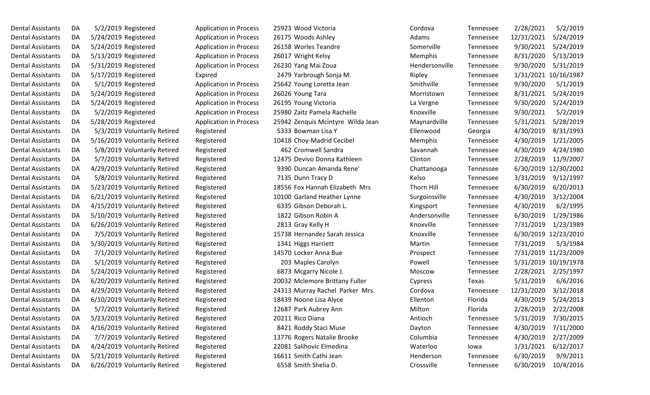| Dental Assistants        | DA | 5/2/2019 Registered           | <b>Application in Process</b> | 25923 Wood Victoria               | Cordova        | Tennessee | 2/28/2021  | 5/2/2019             |
|--------------------------|----|-------------------------------|-------------------------------|-----------------------------------|----------------|-----------|------------|----------------------|
| Dental Assistants        | DA | 5/24/2019 Registered          | <b>Application in Process</b> | 26175 Woods Ashley                | Adams          | Tennessee | 12/31/2021 | 5/24/2019            |
| Dental Assistants        | DA | 5/24/2019 Registered          | <b>Application in Process</b> | 26158 Worles Teandre              | Somerville     | Tennessee | 9/30/2021  | 5/24/2019            |
| Dental Assistants        | DA | 5/13/2019 Registered          | <b>Application in Process</b> | 26017 Wright Kelsy                | Memphis        | Tennessee | 8/31/2020  | 5/13/2019            |
| Dental Assistants        | DA | 5/31/2019 Registered          | <b>Application in Process</b> | 26230 Yang Mai Zoua               | Hendersonville | Tennessee | 9/30/2020  | 5/31/2019            |
| Dental Assistants        | DA | 5/17/2019 Registered          | Expired                       | 2479 Yarbrough Sonja M.           | Ripley         | Tennessee | 1/31/2021  | 10/16/1987           |
| Dental Assistants        | DA | 5/1/2019 Registered           | <b>Application in Process</b> | 25642 Young Loretta Jean          | Smithville     | Tennessee | 9/30/2020  | 5/1/2019             |
| Dental Assistants        | DA | 5/24/2019 Registered          | <b>Application in Process</b> | 26026 Young Tara                  | Morristown     | Tennessee | 8/31/2021  | 5/24/2019            |
| Dental Assistants        | DA | 5/24/2019 Registered          | <b>Application in Process</b> | 26195 Young Victoria              | La Vergne      | Tennessee | 9/30/2020  | 5/24/2019            |
| Dental Assistants        | DA | 5/2/2019 Registered           | <b>Application in Process</b> | 25980 Zaitz Pamela Rachelle       | Knoxville      | Tennessee | 9/30/2021  | 5/2/2019             |
| Dental Assistants        | DA | 5/28/2019 Registered          | <b>Application in Process</b> | 25942 Zenquis Mcintyre Wilda Jean | Maynardville   | Tennessee | 5/31/2021  | 5/28/2019            |
| Dental Assistants        | DA | 5/3/2019 Voluntarily Retired  | Registered                    | 5333 Bowman Lisa Y                | Ellenwood      | Georgia   | 4/30/2019  | 8/31/1993            |
| Dental Assistants        | DA | 5/16/2019 Voluntarily Retired | Registered                    | 10418 Choy-Madrid Cecibel         | Memphis        | Tennessee | 4/30/2019  | 1/21/2005            |
| Dental Assistants        | DA | 5/8/2019 Voluntarily Retired  | Registered                    | 462 Cromwell Sandra               | Savannah       | Tennessee | 4/30/2019  | 4/24/1980            |
| Dental Assistants        | DA | 5/7/2019 Voluntarily Retired  | Registered                    | 12475 Devivo Donna Kathleen       | Clinton        | Tennessee | 2/28/2019  | 11/9/2007            |
| Dental Assistants        | DA | 4/29/2019 Voluntarily Retired | Registered                    | 9390 Duncan Amanda Rene'          | Chattanooga    | Tennessee | 6/30/2019  | 12/30/2002           |
| Dental Assistants        | DA | 5/8/2019 Voluntarily Retired  | Registered                    | 7135 Dunn Tracy D                 | Kelso          | Tennessee | 3/31/2019  | 9/12/1997            |
| Dental Assistants        | DA | 5/23/2019 Voluntarily Retired | Registered                    | 18556 Fox Hannah Elizabeth Mrs    | Thorn Hill     | Tennessee | 6/30/2019  | 6/20/2013            |
| Dental Assistants        | DA | 6/21/2019 Voluntarily Retired | Registered                    | 10100 Garland Heather Lynne       | Surgoinsville  | Tennessee | 4/30/2019  | 3/12/2004            |
| Dental Assistants        | DA | 4/15/2019 Voluntarily Retired | Registered                    | 6335 Gibson Deborah L.            | Kingsport      | Tennessee | 4/30/2019  | 6/2/1995             |
| Dental Assistants        | DA | 5/10/2019 Voluntarily Retired | Registered                    | 1822 Gibson Robin A               | Andersonville  | Tennessee | 6/30/2019  | 1/29/1986            |
| Dental Assistants        | DA | 6/26/2019 Voluntarily Retired | Registered                    | 2813 Gray Kelly H                 | Knoxville      | Tennessee | 7/31/2019  | 1/23/1989            |
| Dental Assistants        | DA | 7/5/2019 Voluntarily Retired  | Registered                    | 15738 Hernandez Sarah Jessica     | Knoxville      | Tennessee | 6/30/2019  | 12/23/2010           |
| Dental Assistants        | DA | 5/30/2019 Voluntarily Retired | Registered                    | 1341 Higgs Harriett               | Martin         | Tennessee | 7/31/2019  | 5/3/1984             |
| Dental Assistants        | DA | 7/1/2019 Voluntarily Retired  | Registered                    | 14570 Locker Anna Bue             | Prospect       | Tennessee |            | 7/31/2019 11/23/2009 |
| Dental Assistants        | DA | 5/1/2019 Voluntarily Retired  | Registered                    | 203 Maples Carolyn                | Powell         | Tennessee |            | 5/31/2019 10/19/1978 |
| Dental Assistants        | DA | 5/24/2019 Voluntarily Retired | Registered                    | 6873 Mcgarry Nicole J.            | Moscow         | Tennessee | 2/28/2021  | 2/25/1997            |
| Dental Assistants        | DA | 6/20/2019 Voluntarily Retired | Registered                    | 20032 Mclemore Brittany Fuller    | Cypress        | Texas     | 5/31/2019  | 6/6/2016             |
| Dental Assistants        | DA | 4/29/2019 Voluntarily Retired | Registered                    | 24313 Murray Rachel Parker Mrs.   | Cordova        | Tennessee | 12/31/2020 | 3/12/2018            |
| <b>Dental Assistants</b> | DA | 6/10/2019 Voluntarily Retired | Registered                    | 18439 Noone Lisa Alyce            | Ellenton       | Florida   | 4/30/2019  | 5/24/2013            |
| Dental Assistants        | DA | 5/7/2019 Voluntarily Retired  | Registered                    | 12687 Park Aubrey Ann             | Milton         | Florida   | 2/28/2019  | 2/22/2008            |
| Dental Assistants        | DA | 5/23/2019 Voluntarily Retired | Registered                    | 20211 Rico Diana                  | Antioch        | Tennessee | 5/31/2019  | 7/30/2015            |
| Dental Assistants        | DA | 4/16/2019 Voluntarily Retired | Registered                    | 8421 Roddy Staci Muse             | Dayton         | Tennessee | 4/30/2019  | 7/11/2000            |
| Dental Assistants        | DA | 7/7/2019 Voluntarily Retired  | Registered                    | 13776 Rogers Natalie Brooke       | Columbia       | Tennessee | 4/30/2019  | 2/27/2009            |
| Dental Assistants        | DA | 4/24/2019 Voluntarily Retired | Registered                    | 22081 Salihovic Elmedina          | Waterloo       | lowa      | 1/31/2021  | 6/12/2017            |
| Dental Assistants        | DA | 5/21/2019 Voluntarily Retired | Registered                    | 16611 Smith Cathi Jean            | Henderson      | Tennessee | 6/30/2019  | 9/9/2011             |
| Dental Assistants        | DA | 6/26/2019 Voluntarily Retired | Registered                    | 6558 Smith Shelia D.              | Crossville     | Tennessee | 6/30/2019  | 10/4/2016            |

| Cordova        | <b>Tennessee</b> | 2/28/2021  | 5/2/2019   |
|----------------|------------------|------------|------------|
| Adams          | Tennessee        | 12/31/2021 | 5/24/2019  |
| Somerville     | Tennessee        | 9/30/2021  | 5/24/2019  |
| Memphis        | Tennessee        | 8/31/2020  | 5/13/2019  |
| Hendersonville | Tennessee        | 9/30/2020  | 5/31/2019  |
| Ripley         | Tennessee        | 1/31/2021  | 10/16/1987 |
| Smithville     | Tennessee        | 9/30/2020  | 5/1/2019   |
| Morristown     | Tennessee        | 8/31/2021  | 5/24/2019  |
| La Vergne      | Tennessee        | 9/30/2020  | 5/24/2019  |
| Knoxville      | Tennessee        | 9/30/2021  | 5/2/2019   |
| Maynardville   | Tennessee        | 5/31/2021  | 5/28/2019  |
| Ellenwood      | Georgia          | 4/30/2019  | 8/31/1993  |
| Memphis        | Tennessee        | 4/30/2019  | 1/21/2005  |
| Savannah       | Tennessee        | 4/30/2019  | 4/24/1980  |
| Clinton        | Tennessee        | 2/28/2019  | 11/9/2007  |
| Chattanooga    | Tennessee        | 6/30/2019  | 12/30/2002 |
| Kelso          | Tennessee        | 3/31/2019  | 9/12/1997  |
| Thorn Hill     | Tennessee        | 6/30/2019  | 6/20/2013  |
| Surgoinsville  | Tennessee        | 4/30/2019  | 3/12/2004  |
| Kingsport      | Tennessee        | 4/30/2019  | 6/2/199    |
| Andersonville  | Tennessee        | 6/30/2019  | 1/29/1986  |
| Knoxville      | Tennessee        | 7/31/2019  | 1/23/1989  |
| Knoxville      | Tennessee        | 6/30/2019  | 12/23/2010 |
| Martin         | Tennessee        | 7/31/2019  | 5/3/1984   |
| Prospect       | Tennessee        | 7/31/2019  | 11/23/2009 |
| Powell         | Tennessee        | 5/31/2019  | 10/19/1978 |
| Moscow         | Tennessee        | 2/28/2021  | 2/25/1997  |
| Cypress        | Texas            | 5/31/2019  | 6/6/2016   |
| Cordova        | Tennessee        | 12/31/2020 | 3/12/2018  |
| Ellenton       | Florida          | 4/30/2019  | 5/24/2013  |
| Milton         | Florida          | 2/28/2019  | 2/22/2008  |
| Antioch        | Tennessee        | 5/31/2019  | 7/30/2015  |
| Dayton         | Tennessee        | 4/30/2019  | 7/11/2000  |
| Columbia       | Tennessee        | 4/30/2019  | 2/27/2009  |
| Waterloo       | lowa             | 1/31/2021  | 6/12/2017  |
| Henderson      | Tennessee        | 6/30/2019  | 9/9/2011   |
| Crossville     | Tennessee        | 6/30/2019  | 10/4/2016  |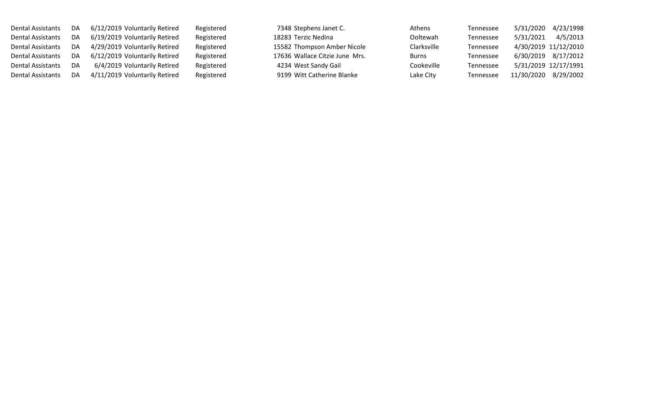| <b>Dental Assistants</b> | DA | 6/12/2019 Voluntarily Retired | Registered | 7348 Stephens Janet C.         | Athens       | Tennessee | 5/31/2020  | 4/23/1998            |
|--------------------------|----|-------------------------------|------------|--------------------------------|--------------|-----------|------------|----------------------|
| <b>Dental Assistants</b> | DA | 6/19/2019 Voluntarily Retired | Registered | 18283 Terzic Nedina            | Ooltewah     | Tennessee | 5/31/2021  | 4/5/2013             |
| <b>Dental Assistants</b> | DA | 4/29/2019 Voluntarily Retired | Registered | 15582 Thompson Amber Nicole    | Clarksville  | Tennessee |            | 4/30/2019 11/12/2010 |
| Dental Assistants        | DA | 6/12/2019 Voluntarily Retired | Registered | 17636 Wallace Citzie June Mrs. | <b>Burns</b> | Tennessee |            | 6/30/2019 8/17/2012  |
| <b>Dental Assistants</b> | DA | 6/4/2019 Voluntarily Retired  | Registered | 4234 West Sandy Gail           | Cookeville   | Tennessee |            | 5/31/2019 12/17/1991 |
| Dental Assistants        | DA | 4/11/2019 Voluntarily Retired | Registered | 9199 Witt Catherine Blanke     | Lake City    | Tennessee | 11/30/2020 | 8/29/2002            |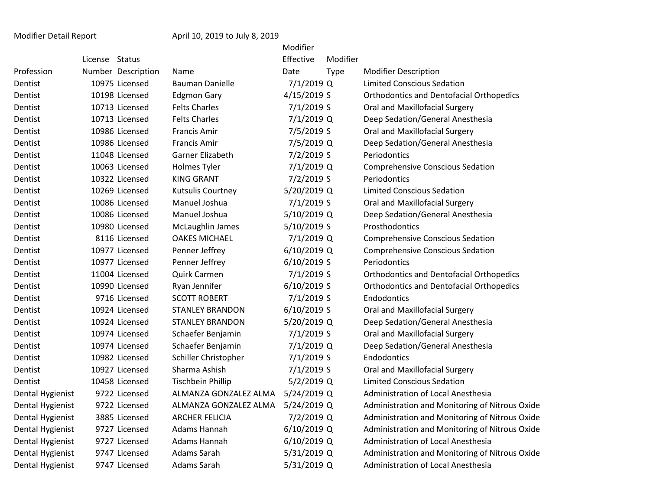## Modifier Detail Report April 10, 2019 to July 8, 2019

|                  |                |                    |                          | Modifier      |             |                                                 |
|------------------|----------------|--------------------|--------------------------|---------------|-------------|-------------------------------------------------|
|                  | License Status |                    |                          | Effective     | Modifier    |                                                 |
| Profession       |                | Number Description | Name                     | Date          | <b>Type</b> | <b>Modifier Description</b>                     |
| Dentist          |                | 10975 Licensed     | <b>Bauman Danielle</b>   | 7/1/2019 Q    |             | <b>Limited Conscious Sedation</b>               |
| Dentist          |                | 10198 Licensed     | <b>Edgmon Gary</b>       | 4/15/2019 S   |             | <b>Orthodontics and Dentofacial Orthopedics</b> |
| Dentist          |                | 10713 Licensed     | <b>Felts Charles</b>     | 7/1/2019 S    |             | Oral and Maxillofacial Surgery                  |
| Dentist          |                | 10713 Licensed     | <b>Felts Charles</b>     | 7/1/2019 Q    |             | Deep Sedation/General Anesthesia                |
| Dentist          |                | 10986 Licensed     | <b>Francis Amir</b>      | 7/5/2019 S    |             | Oral and Maxillofacial Surgery                  |
| Dentist          |                | 10986 Licensed     | <b>Francis Amir</b>      | 7/5/2019 Q    |             | Deep Sedation/General Anesthesia                |
| Dentist          |                | 11048 Licensed     | Garner Elizabeth         | 7/2/2019 S    |             | Periodontics                                    |
| Dentist          |                | 10063 Licensed     | <b>Holmes Tyler</b>      | 7/1/2019 Q    |             | <b>Comprehensive Conscious Sedation</b>         |
| Dentist          |                | 10322 Licensed     | <b>KING GRANT</b>        | 7/2/2019 S    |             | <b>Periodontics</b>                             |
| Dentist          |                | 10269 Licensed     | Kutsulis Courtney        | 5/20/2019 Q   |             | <b>Limited Conscious Sedation</b>               |
| Dentist          |                | 10086 Licensed     | Manuel Joshua            | 7/1/2019 S    |             | Oral and Maxillofacial Surgery                  |
| Dentist          |                | 10086 Licensed     | Manuel Joshua            | 5/10/2019 Q   |             | Deep Sedation/General Anesthesia                |
| Dentist          |                | 10980 Licensed     | McLaughlin James         | 5/10/2019 S   |             | Prosthodontics                                  |
| Dentist          |                | 8116 Licensed      | <b>OAKES MICHAEL</b>     | 7/1/2019 Q    |             | <b>Comprehensive Conscious Sedation</b>         |
| Dentist          |                | 10977 Licensed     | Penner Jeffrey           | 6/10/2019 Q   |             | <b>Comprehensive Conscious Sedation</b>         |
| Dentist          |                | 10977 Licensed     | Penner Jeffrey           | 6/10/2019 S   |             | Periodontics                                    |
| Dentist          |                | 11004 Licensed     | Quirk Carmen             | 7/1/2019 S    |             | <b>Orthodontics and Dentofacial Orthopedics</b> |
| Dentist          |                | 10990 Licensed     | Ryan Jennifer            | 6/10/2019 S   |             | <b>Orthodontics and Dentofacial Orthopedics</b> |
| Dentist          |                | 9716 Licensed      | <b>SCOTT ROBERT</b>      | 7/1/2019 S    |             | Endodontics                                     |
| Dentist          |                | 10924 Licensed     | <b>STANLEY BRANDON</b>   | 6/10/2019 S   |             | Oral and Maxillofacial Surgery                  |
| Dentist          |                | 10924 Licensed     | <b>STANLEY BRANDON</b>   | 5/20/2019 Q   |             | Deep Sedation/General Anesthesia                |
| Dentist          |                | 10974 Licensed     | Schaefer Benjamin        | 7/1/2019 S    |             | Oral and Maxillofacial Surgery                  |
| Dentist          |                | 10974 Licensed     | Schaefer Benjamin        | 7/1/2019 Q    |             | Deep Sedation/General Anesthesia                |
| Dentist          |                | 10982 Licensed     | Schiller Christopher     | 7/1/2019 S    |             | Endodontics                                     |
| Dentist          |                | 10927 Licensed     | Sharma Ashish            | 7/1/2019 S    |             | Oral and Maxillofacial Surgery                  |
| Dentist          |                | 10458 Licensed     | <b>Tischbein Phillip</b> | 5/2/2019 Q    |             | <b>Limited Conscious Sedation</b>               |
| Dental Hygienist |                | 9722 Licensed      | ALMANZA GONZALEZ ALMA    | 5/24/2019 Q   |             | Administration of Local Anesthesia              |
| Dental Hygienist |                | 9722 Licensed      | ALMANZA GONZALEZ ALMA    | 5/24/2019 Q   |             | Administration and Monitoring of Nitrous Oxide  |
| Dental Hygienist |                | 3885 Licensed      | <b>ARCHER FELICIA</b>    | 7/2/2019 Q    |             | Administration and Monitoring of Nitrous Oxide  |
| Dental Hygienist |                | 9727 Licensed      | Adams Hannah             | $6/10/2019$ Q |             | Administration and Monitoring of Nitrous Oxide  |
| Dental Hygienist |                | 9727 Licensed      | Adams Hannah             | 6/10/2019 Q   |             | Administration of Local Anesthesia              |
| Dental Hygienist |                | 9747 Licensed      | Adams Sarah              | 5/31/2019 Q   |             | Administration and Monitoring of Nitrous Oxide  |
| Dental Hygienist |                | 9747 Licensed      | Adams Sarah              | 5/31/2019 Q   |             | Administration of Local Anesthesia              |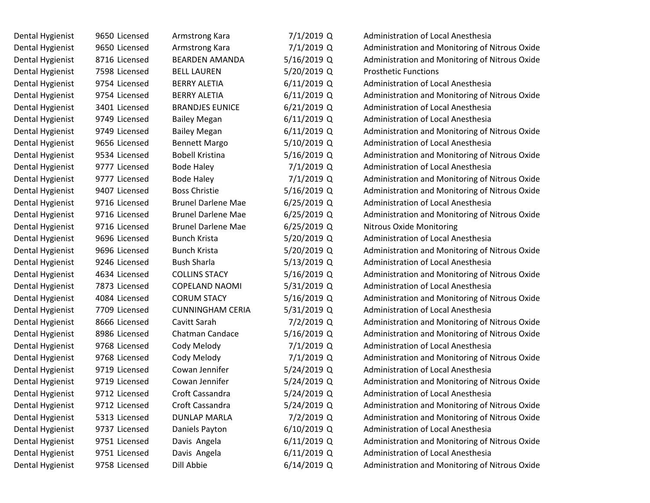| Dental Hygienist | 9650 Licensed | Armstrong Kara            | 7/1/2019 Q    | <b>Administration of Local Anesthesia</b>      |
|------------------|---------------|---------------------------|---------------|------------------------------------------------|
| Dental Hygienist | 9650 Licensed | Armstrong Kara            | 7/1/2019 Q    | Administration and Monitoring of Nitrous Oxide |
| Dental Hygienist | 8716 Licensed | <b>BEARDEN AMANDA</b>     | 5/16/2019 Q   | Administration and Monitoring of Nitrous Oxide |
| Dental Hygienist | 7598 Licensed | <b>BELL LAUREN</b>        | 5/20/2019 Q   | <b>Prosthetic Functions</b>                    |
| Dental Hygienist | 9754 Licensed | <b>BERRY ALETIA</b>       | $6/11/2019$ Q | Administration of Local Anesthesia             |
| Dental Hygienist | 9754 Licensed | <b>BERRY ALETIA</b>       | $6/11/2019$ Q | Administration and Monitoring of Nitrous Oxide |
| Dental Hygienist | 3401 Licensed | <b>BRANDJES EUNICE</b>    | $6/21/2019$ Q | <b>Administration of Local Anesthesia</b>      |
| Dental Hygienist | 9749 Licensed | <b>Bailey Megan</b>       | $6/11/2019$ Q | Administration of Local Anesthesia             |
| Dental Hygienist | 9749 Licensed | <b>Bailey Megan</b>       | $6/11/2019$ Q | Administration and Monitoring of Nitrous Oxide |
| Dental Hygienist | 9656 Licensed | <b>Bennett Margo</b>      | 5/10/2019 Q   | <b>Administration of Local Anesthesia</b>      |
| Dental Hygienist | 9534 Licensed | <b>Bobell Kristina</b>    | 5/16/2019 Q   | Administration and Monitoring of Nitrous Oxide |
| Dental Hygienist | 9777 Licensed | <b>Bode Haley</b>         | 7/1/2019 Q    | <b>Administration of Local Anesthesia</b>      |
| Dental Hygienist | 9777 Licensed | <b>Bode Haley</b>         | 7/1/2019 Q    | Administration and Monitoring of Nitrous Oxide |
| Dental Hygienist | 9407 Licensed | <b>Boss Christie</b>      | 5/16/2019 Q   | Administration and Monitoring of Nitrous Oxide |
| Dental Hygienist | 9716 Licensed | <b>Brunel Darlene Mae</b> | $6/25/2019$ Q | Administration of Local Anesthesia             |
| Dental Hygienist | 9716 Licensed | <b>Brunel Darlene Mae</b> | $6/25/2019$ Q | Administration and Monitoring of Nitrous Oxide |
| Dental Hygienist | 9716 Licensed | <b>Brunel Darlene Mae</b> | $6/25/2019$ Q | <b>Nitrous Oxide Monitoring</b>                |
| Dental Hygienist | 9696 Licensed | <b>Bunch Krista</b>       | 5/20/2019 Q   | Administration of Local Anesthesia             |
| Dental Hygienist | 9696 Licensed | <b>Bunch Krista</b>       | 5/20/2019 Q   | Administration and Monitoring of Nitrous Oxide |
| Dental Hygienist | 9246 Licensed | <b>Bush Sharla</b>        | 5/13/2019 Q   | Administration of Local Anesthesia             |
| Dental Hygienist | 4634 Licensed | <b>COLLINS STACY</b>      | 5/16/2019 Q   | Administration and Monitoring of Nitrous Oxide |
| Dental Hygienist | 7873 Licensed | <b>COPELAND NAOMI</b>     | 5/31/2019 Q   | Administration of Local Anesthesia             |
| Dental Hygienist | 4084 Licensed | <b>CORUM STACY</b>        | 5/16/2019 Q   | Administration and Monitoring of Nitrous Oxide |
| Dental Hygienist | 7709 Licensed | <b>CUNNINGHAM CERIA</b>   | 5/31/2019 Q   | Administration of Local Anesthesia             |
| Dental Hygienist | 8666 Licensed | Cavitt Sarah              | $7/2/2019$ Q  | Administration and Monitoring of Nitrous Oxide |
| Dental Hygienist | 8986 Licensed | <b>Chatman Candace</b>    | 5/16/2019 Q   | Administration and Monitoring of Nitrous Oxide |
| Dental Hygienist | 9768 Licensed | Cody Melody               | 7/1/2019 Q    | <b>Administration of Local Anesthesia</b>      |
| Dental Hygienist | 9768 Licensed | Cody Melody               | 7/1/2019 Q    | Administration and Monitoring of Nitrous Oxide |
| Dental Hygienist | 9719 Licensed | Cowan Jennifer            | 5/24/2019 Q   | Administration of Local Anesthesia             |
| Dental Hygienist | 9719 Licensed | Cowan Jennifer            | 5/24/2019 Q   | Administration and Monitoring of Nitrous Oxide |
| Dental Hygienist | 9712 Licensed | Croft Cassandra           | 5/24/2019 Q   | Administration of Local Anesthesia             |
| Dental Hygienist | 9712 Licensed | Croft Cassandra           | 5/24/2019 Q   | Administration and Monitoring of Nitrous Oxide |
| Dental Hygienist | 5313 Licensed | <b>DUNLAP MARLA</b>       | 7/2/2019 Q    | Administration and Monitoring of Nitrous Oxide |
| Dental Hygienist | 9737 Licensed | Daniels Payton            | 6/10/2019 Q   | Administration of Local Anesthesia             |
| Dental Hygienist | 9751 Licensed | Davis Angela              | $6/11/2019$ Q | Administration and Monitoring of Nitrous Oxide |
| Dental Hygienist | 9751 Licensed | Davis Angela              | $6/11/2019$ Q | Administration of Local Anesthesia             |
| Dental Hygienist | 9758 Licensed | Dill Abbie                | 6/14/2019 Q   | Administration and Monitoring of Nitrous Oxide |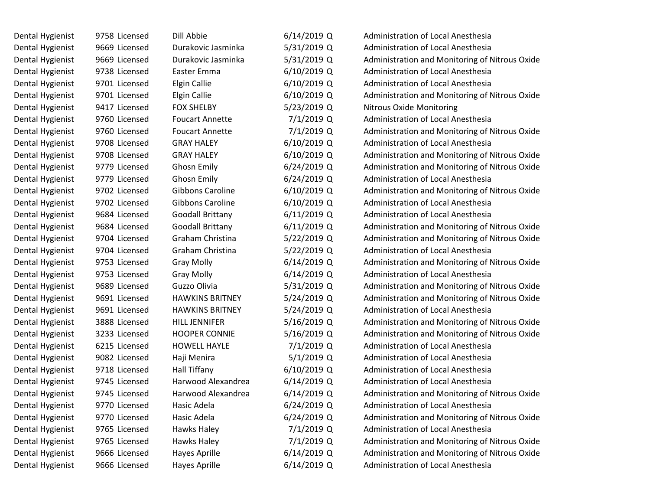| Dental Hygienist | 9758 Licensed | Dill Abbie              | $6/14/2019$ Q | Administration of Local Anesthesia             |
|------------------|---------------|-------------------------|---------------|------------------------------------------------|
| Dental Hygienist | 9669 Licensed | Durakovic Jasminka      | 5/31/2019 Q   | <b>Administration of Local Anesthesia</b>      |
| Dental Hygienist | 9669 Licensed | Durakovic Jasminka      | 5/31/2019 Q   | Administration and Monitoring of Nitrous Oxide |
| Dental Hygienist | 9738 Licensed | Easter Emma             | $6/10/2019$ Q | <b>Administration of Local Anesthesia</b>      |
| Dental Hygienist | 9701 Licensed | <b>Elgin Callie</b>     | $6/10/2019$ Q | Administration of Local Anesthesia             |
| Dental Hygienist | 9701 Licensed | <b>Elgin Callie</b>     | $6/10/2019$ Q | Administration and Monitoring of Nitrous Oxide |
| Dental Hygienist | 9417 Licensed | <b>FOX SHELBY</b>       | 5/23/2019 Q   | Nitrous Oxide Monitoring                       |
| Dental Hygienist | 9760 Licensed | <b>Foucart Annette</b>  | 7/1/2019 Q    | Administration of Local Anesthesia             |
| Dental Hygienist | 9760 Licensed | <b>Foucart Annette</b>  | 7/1/2019 Q    | Administration and Monitoring of Nitrous Oxide |
| Dental Hygienist | 9708 Licensed | <b>GRAY HALEY</b>       | $6/10/2019$ Q | Administration of Local Anesthesia             |
| Dental Hygienist | 9708 Licensed | <b>GRAY HALEY</b>       | $6/10/2019$ Q | Administration and Monitoring of Nitrous Oxide |
| Dental Hygienist | 9779 Licensed | <b>Ghosn Emily</b>      | $6/24/2019$ Q | Administration and Monitoring of Nitrous Oxide |
| Dental Hygienist | 9779 Licensed | <b>Ghosn Emily</b>      | $6/24/2019$ Q | <b>Administration of Local Anesthesia</b>      |
| Dental Hygienist | 9702 Licensed | Gibbons Caroline        | 6/10/2019 Q   | Administration and Monitoring of Nitrous Oxide |
| Dental Hygienist | 9702 Licensed | Gibbons Caroline        | $6/10/2019$ Q | Administration of Local Anesthesia             |
| Dental Hygienist | 9684 Licensed | <b>Goodall Brittany</b> | $6/11/2019$ Q | <b>Administration of Local Anesthesia</b>      |
| Dental Hygienist | 9684 Licensed | <b>Goodall Brittany</b> | $6/11/2019$ Q | Administration and Monitoring of Nitrous Oxide |
| Dental Hygienist | 9704 Licensed | Graham Christina        | 5/22/2019 Q   | Administration and Monitoring of Nitrous Oxide |
| Dental Hygienist | 9704 Licensed | Graham Christina        | 5/22/2019 Q   | Administration of Local Anesthesia             |
| Dental Hygienist | 9753 Licensed | <b>Gray Molly</b>       | $6/14/2019$ Q | Administration and Monitoring of Nitrous Oxide |
| Dental Hygienist | 9753 Licensed | <b>Gray Molly</b>       | $6/14/2019$ Q | Administration of Local Anesthesia             |
| Dental Hygienist | 9689 Licensed | Guzzo Olivia            | 5/31/2019 Q   | Administration and Monitoring of Nitrous Oxide |
| Dental Hygienist | 9691 Licensed | <b>HAWKINS BRITNEY</b>  | 5/24/2019 Q   | Administration and Monitoring of Nitrous Oxide |
| Dental Hygienist | 9691 Licensed | <b>HAWKINS BRITNEY</b>  | 5/24/2019 Q   | Administration of Local Anesthesia             |
| Dental Hygienist | 3888 Licensed | <b>HILL JENNIFER</b>    | 5/16/2019 Q   | Administration and Monitoring of Nitrous Oxide |
| Dental Hygienist | 3233 Licensed | <b>HOOPER CONNIE</b>    | 5/16/2019 Q   | Administration and Monitoring of Nitrous Oxide |
| Dental Hygienist | 6215 Licensed | <b>HOWELL HAYLE</b>     | 7/1/2019 Q    | Administration of Local Anesthesia             |
| Dental Hygienist | 9082 Licensed | Haji Menira             | $5/1/2019$ Q  | <b>Administration of Local Anesthesia</b>      |
| Dental Hygienist | 9718 Licensed | Hall Tiffany            | 6/10/2019 Q   | Administration of Local Anesthesia             |
| Dental Hygienist | 9745 Licensed | Harwood Alexandrea      | $6/14/2019$ Q | Administration of Local Anesthesia             |
| Dental Hygienist | 9745 Licensed | Harwood Alexandrea      | 6/14/2019 Q   | Administration and Monitoring of Nitrous Oxide |
| Dental Hygienist | 9770 Licensed | Hasic Adela             | $6/24/2019$ Q | Administration of Local Anesthesia             |
| Dental Hygienist | 9770 Licensed | Hasic Adela             | 6/24/2019 Q   | Administration and Monitoring of Nitrous Oxide |
| Dental Hygienist | 9765 Licensed | Hawks Haley             | 7/1/2019 Q    | Administration of Local Anesthesia             |
| Dental Hygienist | 9765 Licensed | Hawks Haley             | 7/1/2019 Q    | Administration and Monitoring of Nitrous Oxide |
| Dental Hygienist | 9666 Licensed | <b>Hayes Aprille</b>    | 6/14/2019 Q   | Administration and Monitoring of Nitrous Oxide |
| Dental Hygienist | 9666 Licensed | <b>Hayes Aprille</b>    | 6/14/2019 Q   | Administration of Local Anesthesia             |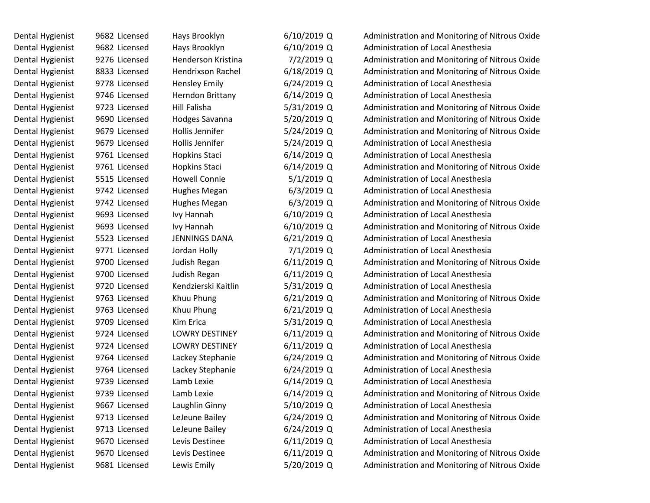| Dental Hygienist | 9682 Licensed | Hays Brooklyn         | $6/10/2019$ Q | Administration and Monitoring of Nitrous Oxide |
|------------------|---------------|-----------------------|---------------|------------------------------------------------|
| Dental Hygienist | 9682 Licensed | Hays Brooklyn         | $6/10/2019$ Q | Administration of Local Anesthesia             |
| Dental Hygienist | 9276 Licensed | Henderson Kristina    | 7/2/2019 Q    | Administration and Monitoring of Nitrous Oxide |
| Dental Hygienist | 8833 Licensed | Hendrixson Rachel     | 6/18/2019 Q   | Administration and Monitoring of Nitrous Oxide |
| Dental Hygienist | 9778 Licensed | <b>Hensley Emily</b>  | $6/24/2019$ Q | Administration of Local Anesthesia             |
| Dental Hygienist | 9746 Licensed | Herndon Brittany      | $6/14/2019$ Q | Administration of Local Anesthesia             |
| Dental Hygienist | 9723 Licensed | Hill Falisha          | 5/31/2019 Q   | Administration and Monitoring of Nitrous Oxide |
| Dental Hygienist | 9690 Licensed | Hodges Savanna        | 5/20/2019 Q   | Administration and Monitoring of Nitrous Oxide |
| Dental Hygienist | 9679 Licensed | Hollis Jennifer       | 5/24/2019 Q   | Administration and Monitoring of Nitrous Oxide |
| Dental Hygienist | 9679 Licensed | Hollis Jennifer       | 5/24/2019 Q   | Administration of Local Anesthesia             |
| Dental Hygienist | 9761 Licensed | Hopkins Staci         | $6/14/2019$ Q | Administration of Local Anesthesia             |
| Dental Hygienist | 9761 Licensed | Hopkins Staci         | $6/14/2019$ Q | Administration and Monitoring of Nitrous Oxide |
| Dental Hygienist | 5515 Licensed | <b>Howell Connie</b>  | $5/1/2019$ Q  | Administration of Local Anesthesia             |
| Dental Hygienist | 9742 Licensed | Hughes Megan          | $6/3/2019$ Q  | Administration of Local Anesthesia             |
| Dental Hygienist | 9742 Licensed | Hughes Megan          | $6/3/2019$ Q  | Administration and Monitoring of Nitrous Oxide |
| Dental Hygienist | 9693 Licensed | Ivy Hannah            | $6/10/2019$ Q | Administration of Local Anesthesia             |
| Dental Hygienist | 9693 Licensed | Ivy Hannah            | 6/10/2019 Q   | Administration and Monitoring of Nitrous Oxide |
| Dental Hygienist | 5523 Licensed | <b>JENNINGS DANA</b>  | $6/21/2019$ Q | Administration of Local Anesthesia             |
| Dental Hygienist | 9771 Licensed | Jordan Holly          | 7/1/2019 Q    | Administration of Local Anesthesia             |
| Dental Hygienist | 9700 Licensed | Judish Regan          | $6/11/2019$ Q | Administration and Monitoring of Nitrous Oxide |
| Dental Hygienist | 9700 Licensed | Judish Regan          | $6/11/2019$ Q | Administration of Local Anesthesia             |
| Dental Hygienist | 9720 Licensed | Kendzierski Kaitlin   | 5/31/2019 Q   | Administration of Local Anesthesia             |
| Dental Hygienist | 9763 Licensed | Khuu Phung            | $6/21/2019$ Q | Administration and Monitoring of Nitrous Oxide |
| Dental Hygienist | 9763 Licensed | Khuu Phung            | 6/21/2019 Q   | Administration of Local Anesthesia             |
| Dental Hygienist | 9709 Licensed | Kim Erica             | 5/31/2019 Q   | Administration of Local Anesthesia             |
| Dental Hygienist | 9724 Licensed | <b>LOWRY DESTINEY</b> | 6/11/2019 Q   | Administration and Monitoring of Nitrous Oxide |
| Dental Hygienist | 9724 Licensed | <b>LOWRY DESTINEY</b> | $6/11/2019$ Q | Administration of Local Anesthesia             |
| Dental Hygienist | 9764 Licensed | Lackey Stephanie      | $6/24/2019$ Q | Administration and Monitoring of Nitrous Oxide |
| Dental Hygienist | 9764 Licensed | Lackey Stephanie      | $6/24/2019$ Q | <b>Administration of Local Anesthesia</b>      |
| Dental Hygienist | 9739 Licensed | Lamb Lexie            | $6/14/2019$ Q | Administration of Local Anesthesia             |
| Dental Hygienist | 9739 Licensed | Lamb Lexie            | $6/14/2019$ Q | Administration and Monitoring of Nitrous Oxide |
| Dental Hygienist | 9667 Licensed | Laughlin Ginny        | 5/10/2019 Q   | Administration of Local Anesthesia             |
| Dental Hygienist | 9713 Licensed | LeJeune Bailey        | 6/24/2019 Q   | Administration and Monitoring of Nitrous Oxide |
| Dental Hygienist | 9713 Licensed | LeJeune Bailey        | 6/24/2019 Q   | Administration of Local Anesthesia             |
| Dental Hygienist | 9670 Licensed | Levis Destinee        | $6/11/2019$ Q | Administration of Local Anesthesia             |
| Dental Hygienist | 9670 Licensed | Levis Destinee        | 6/11/2019 Q   | Administration and Monitoring of Nitrous Oxide |
| Dental Hygienist | 9681 Licensed | Lewis Emily           | 5/20/2019 Q   | Administration and Monitoring of Nitrous Oxide |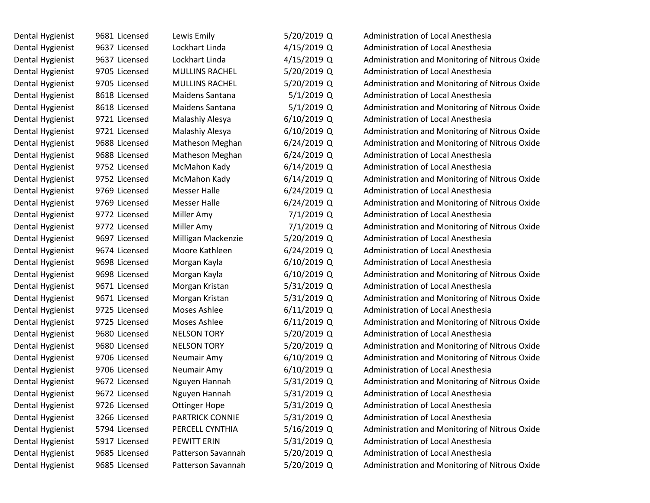| Dental Hygienist | 9681 Licensed | Lewis Emily            | 5/20/2019 Q   | <b>Administration of Local Anesthesia</b>      |
|------------------|---------------|------------------------|---------------|------------------------------------------------|
| Dental Hygienist | 9637 Licensed | Lockhart Linda         | 4/15/2019 Q   | Administration of Local Anesthesia             |
| Dental Hygienist | 9637 Licensed | Lockhart Linda         | 4/15/2019 Q   | Administration and Monitoring of Nitrous Oxide |
| Dental Hygienist | 9705 Licensed | <b>MULLINS RACHEL</b>  | 5/20/2019 Q   | Administration of Local Anesthesia             |
| Dental Hygienist | 9705 Licensed | <b>MULLINS RACHEL</b>  | 5/20/2019 Q   | Administration and Monitoring of Nitrous Oxide |
| Dental Hygienist | 8618 Licensed | Maidens Santana        | $5/1/2019$ Q  | Administration of Local Anesthesia             |
| Dental Hygienist | 8618 Licensed | Maidens Santana        | $5/1/2019$ Q  | Administration and Monitoring of Nitrous Oxide |
| Dental Hygienist | 9721 Licensed | Malashiy Alesya        | 6/10/2019 Q   | Administration of Local Anesthesia             |
| Dental Hygienist | 9721 Licensed | Malashiy Alesya        | $6/10/2019$ Q | Administration and Monitoring of Nitrous Oxide |
| Dental Hygienist | 9688 Licensed | Matheson Meghan        | $6/24/2019$ Q | Administration and Monitoring of Nitrous Oxide |
| Dental Hygienist | 9688 Licensed | Matheson Meghan        | $6/24/2019$ Q | Administration of Local Anesthesia             |
| Dental Hygienist | 9752 Licensed | McMahon Kady           | $6/14/2019$ Q | Administration of Local Anesthesia             |
| Dental Hygienist | 9752 Licensed | McMahon Kady           | $6/14/2019$ Q | Administration and Monitoring of Nitrous Oxide |
| Dental Hygienist | 9769 Licensed | <b>Messer Halle</b>    | $6/24/2019$ Q | Administration of Local Anesthesia             |
| Dental Hygienist | 9769 Licensed | <b>Messer Halle</b>    | 6/24/2019 Q   | Administration and Monitoring of Nitrous Oxide |
| Dental Hygienist | 9772 Licensed | Miller Amy             | 7/1/2019 Q    | Administration of Local Anesthesia             |
| Dental Hygienist | 9772 Licensed | Miller Amy             | 7/1/2019 Q    | Administration and Monitoring of Nitrous Oxide |
| Dental Hygienist | 9697 Licensed | Milligan Mackenzie     | 5/20/2019 Q   | Administration of Local Anesthesia             |
| Dental Hygienist | 9674 Licensed | Moore Kathleen         | $6/24/2019$ Q | Administration of Local Anesthesia             |
| Dental Hygienist | 9698 Licensed | Morgan Kayla           | $6/10/2019$ Q | Administration of Local Anesthesia             |
| Dental Hygienist | 9698 Licensed | Morgan Kayla           | $6/10/2019$ Q | Administration and Monitoring of Nitrous Oxide |
| Dental Hygienist | 9671 Licensed | Morgan Kristan         | 5/31/2019 Q   | Administration of Local Anesthesia             |
| Dental Hygienist | 9671 Licensed | Morgan Kristan         | 5/31/2019 Q   | Administration and Monitoring of Nitrous Oxide |
| Dental Hygienist | 9725 Licensed | Moses Ashlee           | $6/11/2019$ Q | Administration of Local Anesthesia             |
| Dental Hygienist | 9725 Licensed | Moses Ashlee           | $6/11/2019$ Q | Administration and Monitoring of Nitrous Oxide |
| Dental Hygienist | 9680 Licensed | <b>NELSON TORY</b>     | 5/20/2019 Q   | Administration of Local Anesthesia             |
| Dental Hygienist | 9680 Licensed | <b>NELSON TORY</b>     | 5/20/2019 Q   | Administration and Monitoring of Nitrous Oxide |
| Dental Hygienist | 9706 Licensed | Neumair Amy            | $6/10/2019$ Q | Administration and Monitoring of Nitrous Oxide |
| Dental Hygienist | 9706 Licensed | Neumair Amy            | $6/10/2019$ Q | Administration of Local Anesthesia             |
| Dental Hygienist | 9672 Licensed | Nguyen Hannah          | 5/31/2019 Q   | Administration and Monitoring of Nitrous Oxide |
| Dental Hygienist | 9672 Licensed | Nguyen Hannah          | 5/31/2019 Q   | Administration of Local Anesthesia             |
| Dental Hygienist | 9726 Licensed | <b>Ottinger Hope</b>   | 5/31/2019 Q   | Administration of Local Anesthesia             |
| Dental Hygienist | 3266 Licensed | <b>PARTRICK CONNIE</b> | 5/31/2019 Q   | Administration of Local Anesthesia             |
| Dental Hygienist | 5794 Licensed | PERCELL CYNTHIA        | 5/16/2019 Q   | Administration and Monitoring of Nitrous Oxide |
| Dental Hygienist | 5917 Licensed | PEWITT ERIN            | 5/31/2019 Q   | Administration of Local Anesthesia             |
| Dental Hygienist | 9685 Licensed | Patterson Savannah     | 5/20/2019 Q   | Administration of Local Anesthesia             |
| Dental Hygienist | 9685 Licensed | Patterson Savannah     | 5/20/2019 Q   | Administration and Monitoring of Nitrous Oxide |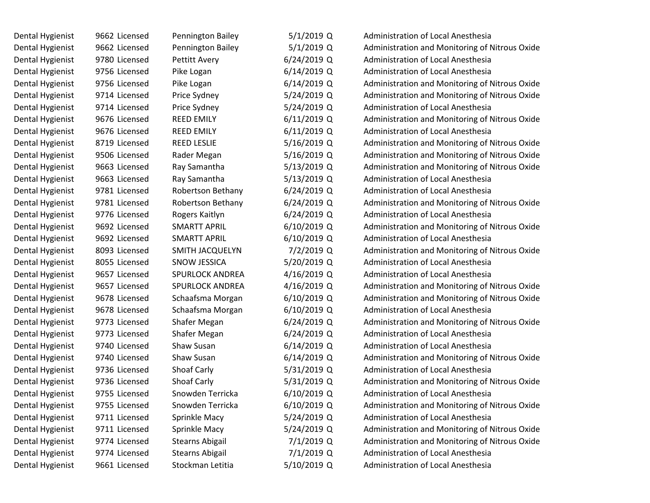| Dental Hygienist | 9662 Licensed | <b>Pennington Bailey</b> | $5/1/2019$ Q  | Administration of Local Anesthesia             |
|------------------|---------------|--------------------------|---------------|------------------------------------------------|
| Dental Hygienist | 9662 Licensed | Pennington Bailey        | 5/1/2019 Q    | Administration and Monitoring of Nitrous Oxide |
| Dental Hygienist | 9780 Licensed | <b>Pettitt Avery</b>     | 6/24/2019 Q   | Administration of Local Anesthesia             |
| Dental Hygienist | 9756 Licensed | Pike Logan               | 6/14/2019 Q   | <b>Administration of Local Anesthesia</b>      |
| Dental Hygienist | 9756 Licensed | Pike Logan               | 6/14/2019 Q   | Administration and Monitoring of Nitrous Oxide |
| Dental Hygienist | 9714 Licensed | Price Sydney             | 5/24/2019 Q   | Administration and Monitoring of Nitrous Oxide |
| Dental Hygienist | 9714 Licensed | Price Sydney             | 5/24/2019 Q   | <b>Administration of Local Anesthesia</b>      |
| Dental Hygienist | 9676 Licensed | <b>REED EMILY</b>        | $6/11/2019$ Q | Administration and Monitoring of Nitrous Oxide |
| Dental Hygienist | 9676 Licensed | <b>REED EMILY</b>        | $6/11/2019$ Q | <b>Administration of Local Anesthesia</b>      |
| Dental Hygienist | 8719 Licensed | <b>REED LESLIE</b>       | 5/16/2019 Q   | Administration and Monitoring of Nitrous Oxide |
| Dental Hygienist | 9506 Licensed | Rader Megan              | 5/16/2019 Q   | Administration and Monitoring of Nitrous Oxide |
| Dental Hygienist | 9663 Licensed | Ray Samantha             | 5/13/2019 Q   | Administration and Monitoring of Nitrous Oxide |
| Dental Hygienist | 9663 Licensed | Ray Samantha             | 5/13/2019 Q   | Administration of Local Anesthesia             |
| Dental Hygienist | 9781 Licensed | Robertson Bethany        | 6/24/2019 Q   | Administration of Local Anesthesia             |
| Dental Hygienist | 9781 Licensed | Robertson Bethany        | $6/24/2019$ Q | Administration and Monitoring of Nitrous Oxide |
| Dental Hygienist | 9776 Licensed | Rogers Kaitlyn           | $6/24/2019$ Q | Administration of Local Anesthesia             |
| Dental Hygienist | 9692 Licensed | <b>SMARTT APRIL</b>      | 6/10/2019 Q   | Administration and Monitoring of Nitrous Oxide |
| Dental Hygienist | 9692 Licensed | SMARTT APRIL             | 6/10/2019 Q   | Administration of Local Anesthesia             |
| Dental Hygienist | 8093 Licensed | <b>SMITH JACQUELYN</b>   | 7/2/2019 Q    | Administration and Monitoring of Nitrous Oxide |
| Dental Hygienist | 8055 Licensed | SNOW JESSICA             | 5/20/2019 Q   | Administration of Local Anesthesia             |
| Dental Hygienist | 9657 Licensed | <b>SPURLOCK ANDREA</b>   | $4/16/2019$ Q | Administration of Local Anesthesia             |
| Dental Hygienist | 9657 Licensed | <b>SPURLOCK ANDREA</b>   | 4/16/2019 Q   | Administration and Monitoring of Nitrous Oxide |
| Dental Hygienist | 9678 Licensed | Schaafsma Morgan         | 6/10/2019 Q   | Administration and Monitoring of Nitrous Oxide |
| Dental Hygienist | 9678 Licensed | Schaafsma Morgan         | 6/10/2019 Q   | Administration of Local Anesthesia             |
| Dental Hygienist | 9773 Licensed | Shafer Megan             | $6/24/2019$ Q | Administration and Monitoring of Nitrous Oxide |
| Dental Hygienist | 9773 Licensed | Shafer Megan             | $6/24/2019$ Q | Administration of Local Anesthesia             |
| Dental Hygienist | 9740 Licensed | Shaw Susan               | 6/14/2019 Q   | Administration of Local Anesthesia             |
| Dental Hygienist | 9740 Licensed | Shaw Susan               | 6/14/2019 Q   | Administration and Monitoring of Nitrous Oxide |
| Dental Hygienist | 9736 Licensed | Shoaf Carly              | 5/31/2019 Q   | Administration of Local Anesthesia             |
| Dental Hygienist | 9736 Licensed | Shoaf Carly              | 5/31/2019 Q   | Administration and Monitoring of Nitrous Oxide |
| Dental Hygienist | 9755 Licensed | Snowden Terricka         | 6/10/2019 Q   | Administration of Local Anesthesia             |
| Dental Hygienist | 9755 Licensed | Snowden Terricka         | $6/10/2019$ Q | Administration and Monitoring of Nitrous Oxide |
| Dental Hygienist | 9711 Licensed | Sprinkle Macy            | 5/24/2019 Q   | Administration of Local Anesthesia             |
| Dental Hygienist | 9711 Licensed | Sprinkle Macy            | 5/24/2019 Q   | Administration and Monitoring of Nitrous Oxide |
| Dental Hygienist | 9774 Licensed | <b>Stearns Abigail</b>   | 7/1/2019 Q    | Administration and Monitoring of Nitrous Oxide |
| Dental Hygienist | 9774 Licensed | <b>Stearns Abigail</b>   | 7/1/2019 Q    | Administration of Local Anesthesia             |
| Dental Hygienist | 9661 Licensed | Stockman Letitia         | 5/10/2019 Q   | Administration of Local Anesthesia             |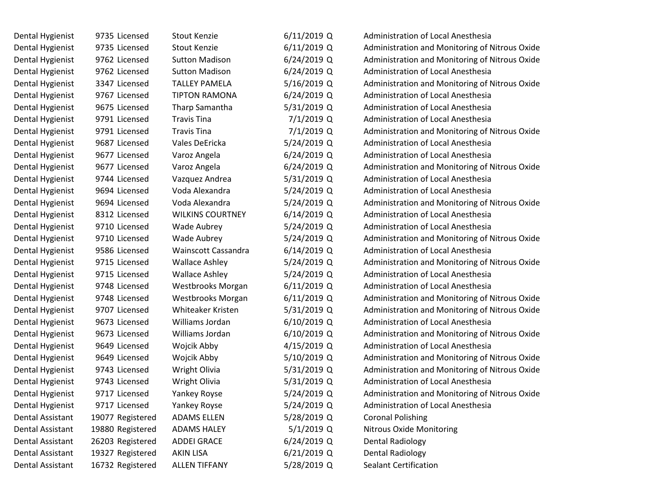| Dental Hygienist | 9735 Licensed    | <b>Stout Kenzie</b>     | $6/11/2019$ Q | Administration of Local Anesthesia             |
|------------------|------------------|-------------------------|---------------|------------------------------------------------|
| Dental Hygienist | 9735 Licensed    | <b>Stout Kenzie</b>     | $6/11/2019$ Q | Administration and Monitoring of Nitrous Oxide |
| Dental Hygienist | 9762 Licensed    | <b>Sutton Madison</b>   | $6/24/2019$ Q | Administration and Monitoring of Nitrous Oxide |
| Dental Hygienist | 9762 Licensed    | <b>Sutton Madison</b>   | $6/24/2019$ Q | <b>Administration of Local Anesthesia</b>      |
| Dental Hygienist | 3347 Licensed    | <b>TALLEY PAMELA</b>    | 5/16/2019 Q   | Administration and Monitoring of Nitrous Oxide |
| Dental Hygienist | 9767 Licensed    | <b>TIPTON RAMONA</b>    | $6/24/2019$ Q | <b>Administration of Local Anesthesia</b>      |
| Dental Hygienist | 9675 Licensed    | Tharp Samantha          | 5/31/2019 Q   | Administration of Local Anesthesia             |
| Dental Hygienist | 9791 Licensed    | <b>Travis Tina</b>      | $7/1/2019$ Q  | Administration of Local Anesthesia             |
| Dental Hygienist | 9791 Licensed    | <b>Travis Tina</b>      | 7/1/2019 Q    | Administration and Monitoring of Nitrous Oxide |
| Dental Hygienist | 9687 Licensed    | Vales DeEricka          | 5/24/2019 Q   | Administration of Local Anesthesia             |
| Dental Hygienist | 9677 Licensed    | Varoz Angela            | $6/24/2019$ Q | Administration of Local Anesthesia             |
| Dental Hygienist | 9677 Licensed    | Varoz Angela            | $6/24/2019$ Q | Administration and Monitoring of Nitrous Oxide |
| Dental Hygienist | 9744 Licensed    | Vazquez Andrea          | 5/31/2019 Q   | Administration of Local Anesthesia             |
| Dental Hygienist | 9694 Licensed    | Voda Alexandra          | 5/24/2019 Q   | <b>Administration of Local Anesthesia</b>      |
| Dental Hygienist | 9694 Licensed    | Voda Alexandra          | 5/24/2019 Q   | Administration and Monitoring of Nitrous Oxide |
| Dental Hygienist | 8312 Licensed    | <b>WILKINS COURTNEY</b> | $6/14/2019$ Q | <b>Administration of Local Anesthesia</b>      |
| Dental Hygienist | 9710 Licensed    | Wade Aubrey             | 5/24/2019 Q   | Administration of Local Anesthesia             |
| Dental Hygienist | 9710 Licensed    | Wade Aubrey             | 5/24/2019 Q   | Administration and Monitoring of Nitrous Oxide |
| Dental Hygienist | 9586 Licensed    | Wainscott Cassandra     | $6/14/2019$ Q | Administration of Local Anesthesia             |
| Dental Hygienist | 9715 Licensed    | <b>Wallace Ashley</b>   | 5/24/2019 Q   | Administration and Monitoring of Nitrous Oxide |
| Dental Hygienist | 9715 Licensed    | <b>Wallace Ashley</b>   | 5/24/2019 Q   | Administration of Local Anesthesia             |
| Dental Hygienist | 9748 Licensed    | Westbrooks Morgan       | $6/11/2019$ Q | Administration of Local Anesthesia             |
| Dental Hygienist | 9748 Licensed    | Westbrooks Morgan       | $6/11/2019$ Q | Administration and Monitoring of Nitrous Oxide |
| Dental Hygienist | 9707 Licensed    | Whiteaker Kristen       | 5/31/2019 Q   | Administration and Monitoring of Nitrous Oxide |
| Dental Hygienist | 9673 Licensed    | Williams Jordan         | $6/10/2019$ Q | Administration of Local Anesthesia             |
| Dental Hygienist | 9673 Licensed    | Williams Jordan         | $6/10/2019$ Q | Administration and Monitoring of Nitrous Oxide |
| Dental Hygienist | 9649 Licensed    | Wojcik Abby             | 4/15/2019 Q   | <b>Administration of Local Anesthesia</b>      |
| Dental Hygienist | 9649 Licensed    | Wojcik Abby             | 5/10/2019 Q   | Administration and Monitoring of Nitrous Oxide |
| Dental Hygienist | 9743 Licensed    | Wright Olivia           | 5/31/2019 Q   | Administration and Monitoring of Nitrous Oxide |
| Dental Hygienist | 9743 Licensed    | Wright Olivia           | 5/31/2019 Q   | Administration of Local Anesthesia             |
| Dental Hygienist | 9717 Licensed    | Yankey Royse            | 5/24/2019 Q   | Administration and Monitoring of Nitrous Oxide |
| Dental Hygienist | 9717 Licensed    | Yankey Royse            | 5/24/2019 Q   | Administration of Local Anesthesia             |
| Dental Assistant | 19077 Registered | <b>ADAMS ELLEN</b>      | 5/28/2019 Q   | <b>Coronal Polishing</b>                       |
| Dental Assistant | 19880 Registered | <b>ADAMS HALEY</b>      | $5/1/2019$ Q  | Nitrous Oxide Monitoring                       |
| Dental Assistant | 26203 Registered | <b>ADDEI GRACE</b>      | $6/24/2019$ Q | <b>Dental Radiology</b>                        |
| Dental Assistant | 19327 Registered | <b>AKIN LISA</b>        | 6/21/2019 Q   | <b>Dental Radiology</b>                        |
| Dental Assistant | 16732 Registered | <b>ALLEN TIFFANY</b>    | 5/28/2019 Q   | <b>Sealant Certification</b>                   |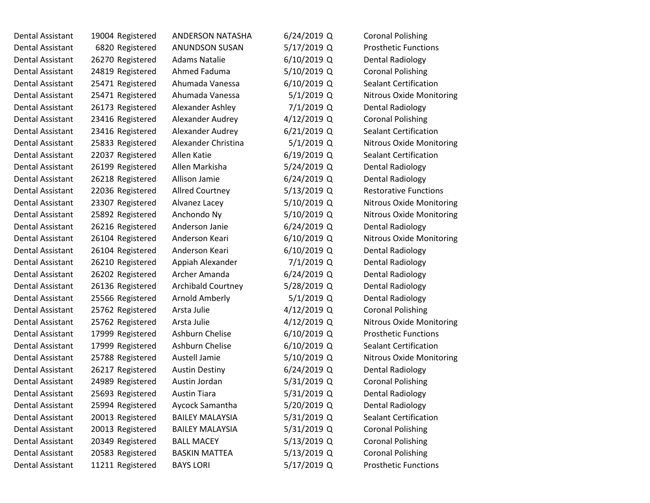| Dental Assistant        | 19004 Registered | ANDERSON NATASHA          | $6/24/2019$ Q | <b>Coronal Polishing</b>        |
|-------------------------|------------------|---------------------------|---------------|---------------------------------|
| Dental Assistant        | 6820 Registered  | <b>ANUNDSON SUSAN</b>     | 5/17/2019 Q   | <b>Prosthetic Functions</b>     |
| Dental Assistant        | 26270 Registered | <b>Adams Natalie</b>      | $6/10/2019$ Q | <b>Dental Radiology</b>         |
| Dental Assistant        | 24819 Registered | Ahmed Faduma              | 5/10/2019 Q   | <b>Coronal Polishing</b>        |
| Dental Assistant        | 25471 Registered | Ahumada Vanessa           | 6/10/2019 Q   | <b>Sealant Certification</b>    |
| Dental Assistant        | 25471 Registered | Ahumada Vanessa           | $5/1/2019$ Q  | Nitrous Oxide Monitoring        |
| Dental Assistant        | 26173 Registered | Alexander Ashley          | 7/1/2019 Q    | <b>Dental Radiology</b>         |
| Dental Assistant        | 23416 Registered | Alexander Audrey          | 4/12/2019 Q   | <b>Coronal Polishing</b>        |
| Dental Assistant        | 23416 Registered | Alexander Audrey          | $6/21/2019$ Q | <b>Sealant Certification</b>    |
| Dental Assistant        | 25833 Registered | Alexander Christina       | $5/1/2019$ Q  | <b>Nitrous Oxide Monitoring</b> |
| Dental Assistant        | 22037 Registered | Allen Katie               | $6/19/2019$ Q | Sealant Certification           |
| Dental Assistant        | 26199 Registered | Allen Markisha            | 5/24/2019 Q   | <b>Dental Radiology</b>         |
| Dental Assistant        | 26218 Registered | Allison Jamie             | $6/24/2019$ Q | <b>Dental Radiology</b>         |
| Dental Assistant        | 22036 Registered | <b>Allred Courtney</b>    | 5/13/2019 Q   | <b>Restorative Functions</b>    |
| Dental Assistant        | 23307 Registered | Alvanez Lacey             | 5/10/2019 Q   | <b>Nitrous Oxide Monitoring</b> |
| Dental Assistant        | 25892 Registered | Anchondo Ny               | 5/10/2019 Q   | <b>Nitrous Oxide Monitoring</b> |
| Dental Assistant        | 26216 Registered | Anderson Janie            | $6/24/2019$ Q | <b>Dental Radiology</b>         |
| <b>Dental Assistant</b> | 26104 Registered | Anderson Keari            | $6/10/2019$ Q | <b>Nitrous Oxide Monitoring</b> |
| Dental Assistant        | 26104 Registered | Anderson Keari            | $6/10/2019$ Q | Dental Radiology                |
| Dental Assistant        | 26210 Registered | Appiah Alexander          | 7/1/2019 Q    | <b>Dental Radiology</b>         |
| Dental Assistant        | 26202 Registered | Archer Amanda             | $6/24/2019$ Q | <b>Dental Radiology</b>         |
| Dental Assistant        | 26136 Registered | <b>Archibald Courtney</b> | 5/28/2019 Q   | Dental Radiology                |
| Dental Assistant        | 25566 Registered | Arnold Amberly            | $5/1/2019$ Q  | <b>Dental Radiology</b>         |
| Dental Assistant        | 25762 Registered | Arsta Julie               | 4/12/2019 Q   | <b>Coronal Polishing</b>        |
| Dental Assistant        | 25762 Registered | Arsta Julie               | 4/12/2019 Q   | <b>Nitrous Oxide Monitoring</b> |
| Dental Assistant        | 17999 Registered | Ashburn Chelise           | $6/10/2019$ Q | <b>Prosthetic Functions</b>     |
| Dental Assistant        | 17999 Registered | Ashburn Chelise           | $6/10/2019$ Q | <b>Sealant Certification</b>    |
| Dental Assistant        | 25788 Registered | Austell Jamie             | 5/10/2019 Q   | <b>Nitrous Oxide Monitoring</b> |
| Dental Assistant        | 26217 Registered | <b>Austin Destiny</b>     | $6/24/2019$ Q | <b>Dental Radiology</b>         |
| Dental Assistant        | 24989 Registered | Austin Jordan             | 5/31/2019 Q   | <b>Coronal Polishing</b>        |
| Dental Assistant        | 25693 Registered | <b>Austin Tiara</b>       | 5/31/2019 Q   | <b>Dental Radiology</b>         |
| Dental Assistant        | 25994 Registered | Aycock Samantha           | 5/20/2019 Q   | <b>Dental Radiology</b>         |
| Dental Assistant        | 20013 Registered | <b>BAILEY MALAYSIA</b>    | 5/31/2019 Q   | <b>Sealant Certification</b>    |
| Dental Assistant        | 20013 Registered | <b>BAILEY MALAYSIA</b>    | 5/31/2019 Q   | <b>Coronal Polishing</b>        |
| Dental Assistant        | 20349 Registered | <b>BALL MACEY</b>         | 5/13/2019 Q   | <b>Coronal Polishing</b>        |
| Dental Assistant        | 20583 Registered | <b>BASKIN MATTEA</b>      | 5/13/2019 Q   | <b>Coronal Polishing</b>        |
| Dental Assistant        | 11211 Registered | <b>BAYS LORI</b>          | 5/17/2019 Q   | <b>Prosthetic Functions</b>     |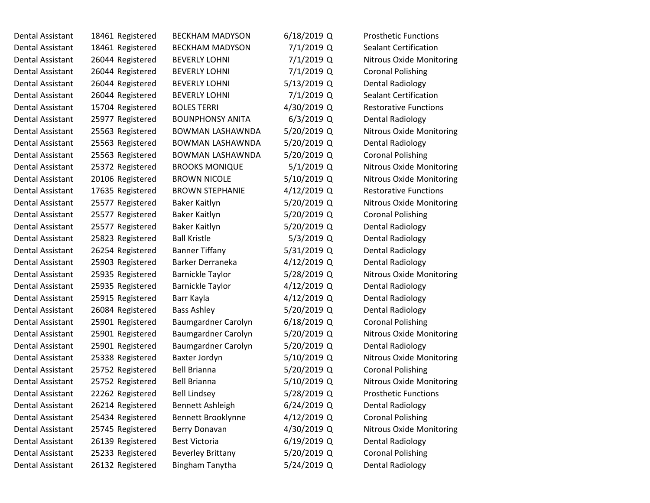| Dental Assistant | 18461 Registered | <b>BECKHAM MADYSON</b>   | $6/18/2019$ Q | <b>Prosthetic Functions</b>     |
|------------------|------------------|--------------------------|---------------|---------------------------------|
| Dental Assistant | 18461 Registered | <b>BECKHAM MADYSON</b>   | 7/1/2019 Q    | <b>Sealant Certification</b>    |
| Dental Assistant | 26044 Registered | <b>BEVERLY LOHNI</b>     | 7/1/2019 Q    | Nitrous Oxide Monitoring        |
| Dental Assistant | 26044 Registered | <b>BEVERLY LOHNI</b>     | 7/1/2019 Q    | <b>Coronal Polishing</b>        |
| Dental Assistant | 26044 Registered | <b>BEVERLY LOHNI</b>     | 5/13/2019 Q   | <b>Dental Radiology</b>         |
| Dental Assistant | 26044 Registered | <b>BEVERLY LOHNI</b>     | 7/1/2019 Q    | <b>Sealant Certification</b>    |
| Dental Assistant | 15704 Registered | <b>BOLES TERRI</b>       | 4/30/2019 Q   | <b>Restorative Functions</b>    |
| Dental Assistant | 25977 Registered | <b>BOUNPHONSY ANITA</b>  | $6/3/2019$ Q  | <b>Dental Radiology</b>         |
| Dental Assistant | 25563 Registered | BOWMAN LASHAWNDA         | 5/20/2019 Q   | <b>Nitrous Oxide Monitoring</b> |
| Dental Assistant | 25563 Registered | <b>BOWMAN LASHAWNDA</b>  | 5/20/2019 Q   | <b>Dental Radiology</b>         |
| Dental Assistant | 25563 Registered | <b>BOWMAN LASHAWNDA</b>  | 5/20/2019 Q   | <b>Coronal Polishing</b>        |
| Dental Assistant | 25372 Registered | <b>BROOKS MONIQUE</b>    | $5/1/2019$ Q  | Nitrous Oxide Monitoring        |
| Dental Assistant | 20106 Registered | <b>BROWN NICOLE</b>      | 5/10/2019 Q   | Nitrous Oxide Monitoring        |
| Dental Assistant | 17635 Registered | <b>BROWN STEPHANIE</b>   | 4/12/2019 Q   | <b>Restorative Functions</b>    |
| Dental Assistant | 25577 Registered | Baker Kaitlyn            | 5/20/2019 Q   | <b>Nitrous Oxide Monitoring</b> |
| Dental Assistant | 25577 Registered | Baker Kaitlyn            | 5/20/2019 Q   | <b>Coronal Polishing</b>        |
| Dental Assistant | 25577 Registered | Baker Kaitlyn            | 5/20/2019 Q   | <b>Dental Radiology</b>         |
| Dental Assistant | 25823 Registered | <b>Ball Kristle</b>      | $5/3/2019$ Q  | <b>Dental Radiology</b>         |
| Dental Assistant | 26254 Registered | <b>Banner Tiffany</b>    | 5/31/2019 Q   | Dental Radiology                |
| Dental Assistant | 25903 Registered | Barker Derraneka         | 4/12/2019 Q   | <b>Dental Radiology</b>         |
| Dental Assistant | 25935 Registered | <b>Barnickle Taylor</b>  | 5/28/2019 Q   | Nitrous Oxide Monitoring        |
| Dental Assistant | 25935 Registered | <b>Barnickle Taylor</b>  | 4/12/2019 Q   | <b>Dental Radiology</b>         |
| Dental Assistant | 25915 Registered | Barr Kayla               | 4/12/2019 Q   | <b>Dental Radiology</b>         |
| Dental Assistant | 26084 Registered | <b>Bass Ashley</b>       | 5/20/2019 Q   | <b>Dental Radiology</b>         |
| Dental Assistant | 25901 Registered | Baumgardner Carolyn      | $6/18/2019$ Q | <b>Coronal Polishing</b>        |
| Dental Assistant | 25901 Registered | Baumgardner Carolyn      | 5/20/2019 Q   | Nitrous Oxide Monitoring        |
| Dental Assistant | 25901 Registered | Baumgardner Carolyn      | 5/20/2019 Q   | <b>Dental Radiology</b>         |
| Dental Assistant | 25338 Registered | Baxter Jordyn            | 5/10/2019 Q   | <b>Nitrous Oxide Monitoring</b> |
| Dental Assistant | 25752 Registered | <b>Bell Brianna</b>      | 5/20/2019 Q   | <b>Coronal Polishing</b>        |
| Dental Assistant | 25752 Registered | <b>Bell Brianna</b>      | 5/10/2019 Q   | Nitrous Oxide Monitoring        |
| Dental Assistant | 22262 Registered | <b>Bell Lindsey</b>      | 5/28/2019 Q   | <b>Prosthetic Functions</b>     |
| Dental Assistant | 26214 Registered | Bennett Ashleigh         | $6/24/2019$ Q | <b>Dental Radiology</b>         |
| Dental Assistant | 25434 Registered | Bennett Brooklynne       | 4/12/2019 Q   | <b>Coronal Polishing</b>        |
| Dental Assistant | 25745 Registered | Berry Donavan            | 4/30/2019 Q   | Nitrous Oxide Monitoring        |
| Dental Assistant | 26139 Registered | <b>Best Victoria</b>     | $6/19/2019$ Q | <b>Dental Radiology</b>         |
| Dental Assistant | 25233 Registered | <b>Beverley Brittany</b> | 5/20/2019 Q   | <b>Coronal Polishing</b>        |
| Dental Assistant | 26132 Registered | Bingham Tanytha          | 5/24/2019 Q   | <b>Dental Radiology</b>         |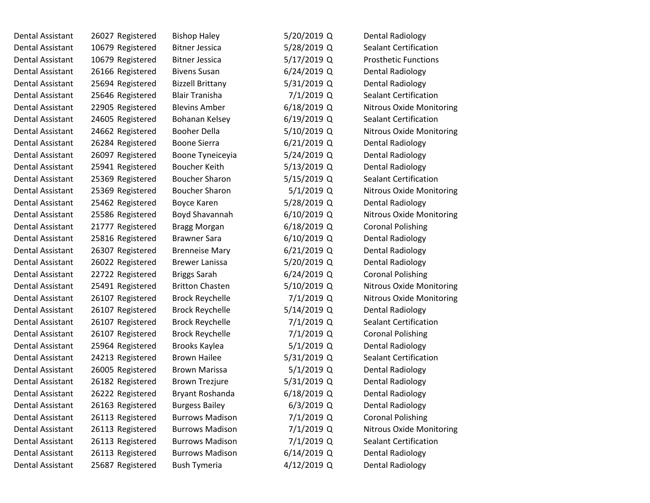| Dental Assistant        | 26027 Registered | <b>Bishop Haley</b>     | 5/20/2019 Q   | <b>Dental Radiology</b>         |
|-------------------------|------------------|-------------------------|---------------|---------------------------------|
| Dental Assistant        | 10679 Registered | <b>Bitner Jessica</b>   | 5/28/2019 Q   | <b>Sealant Certification</b>    |
| Dental Assistant        | 10679 Registered | <b>Bitner Jessica</b>   | 5/17/2019 Q   | <b>Prosthetic Functions</b>     |
| Dental Assistant        | 26166 Registered | <b>Bivens Susan</b>     | 6/24/2019 Q   | <b>Dental Radiology</b>         |
| <b>Dental Assistant</b> | 25694 Registered | <b>Bizzell Brittany</b> | 5/31/2019 Q   | <b>Dental Radiology</b>         |
| Dental Assistant        | 25646 Registered | <b>Blair Tranisha</b>   | 7/1/2019 Q    | <b>Sealant Certification</b>    |
| Dental Assistant        | 22905 Registered | <b>Blevins Amber</b>    | $6/18/2019$ Q | <b>Nitrous Oxide Monitoring</b> |
| Dental Assistant        | 24605 Registered | Bohanan Kelsey          | $6/19/2019$ Q | <b>Sealant Certification</b>    |
| Dental Assistant        | 24662 Registered | <b>Booher Della</b>     | 5/10/2019 Q   | Nitrous Oxide Monitoring        |
| Dental Assistant        | 26284 Registered | <b>Boone Sierra</b>     | $6/21/2019$ Q | <b>Dental Radiology</b>         |
| Dental Assistant        | 26097 Registered | Boone Tyneiceyia        | 5/24/2019 Q   | <b>Dental Radiology</b>         |
| Dental Assistant        | 25941 Registered | Boucher Keith           | 5/13/2019 Q   | Dental Radiology                |
| Dental Assistant        | 25369 Registered | <b>Boucher Sharon</b>   | 5/15/2019 Q   | <b>Sealant Certification</b>    |
| Dental Assistant        | 25369 Registered | <b>Boucher Sharon</b>   | $5/1/2019$ Q  | Nitrous Oxide Monitoring        |
| <b>Dental Assistant</b> | 25462 Registered | Boyce Karen             | 5/28/2019 Q   | <b>Dental Radiology</b>         |
| Dental Assistant        | 25586 Registered | Boyd Shavannah          | $6/10/2019$ Q | <b>Nitrous Oxide Monitoring</b> |
| Dental Assistant        | 21777 Registered | <b>Bragg Morgan</b>     | $6/18/2019$ Q | <b>Coronal Polishing</b>        |
| Dental Assistant        | 25816 Registered | <b>Brawner Sara</b>     | 6/10/2019 Q   | <b>Dental Radiology</b>         |
| Dental Assistant        | 26307 Registered | <b>Brenneise Mary</b>   | $6/21/2019$ Q | <b>Dental Radiology</b>         |
| Dental Assistant        | 26022 Registered | <b>Brewer Lanissa</b>   | 5/20/2019 Q   | <b>Dental Radiology</b>         |
| Dental Assistant        | 22722 Registered | <b>Briggs Sarah</b>     | $6/24/2019$ Q | <b>Coronal Polishing</b>        |
| Dental Assistant        | 25491 Registered | <b>Britton Chasten</b>  | 5/10/2019 Q   | Nitrous Oxide Monitoring        |
| Dental Assistant        | 26107 Registered | <b>Brock Reychelle</b>  | 7/1/2019 Q    | <b>Nitrous Oxide Monitoring</b> |
| Dental Assistant        | 26107 Registered | <b>Brock Reychelle</b>  | 5/14/2019 Q   | <b>Dental Radiology</b>         |
| Dental Assistant        | 26107 Registered | <b>Brock Reychelle</b>  | 7/1/2019 Q    | <b>Sealant Certification</b>    |
| <b>Dental Assistant</b> | 26107 Registered | <b>Brock Reychelle</b>  | 7/1/2019 Q    | <b>Coronal Polishing</b>        |
| Dental Assistant        | 25964 Registered | Brooks Kaylea           | $5/1/2019$ Q  | <b>Dental Radiology</b>         |
| Dental Assistant        | 24213 Registered | <b>Brown Hailee</b>     | 5/31/2019 Q   | <b>Sealant Certification</b>    |
| Dental Assistant        | 26005 Registered | <b>Brown Marissa</b>    | $5/1/2019$ Q  | <b>Dental Radiology</b>         |
| <b>Dental Assistant</b> | 26182 Registered | <b>Brown Trezjure</b>   | 5/31/2019 Q   | <b>Dental Radiology</b>         |
| Dental Assistant        | 26222 Registered | Bryant Roshanda         | $6/18/2019$ Q | <b>Dental Radiology</b>         |
| Dental Assistant        | 26163 Registered | <b>Burgess Bailey</b>   | $6/3/2019$ Q  | <b>Dental Radiology</b>         |
| <b>Dental Assistant</b> | 26113 Registered | <b>Burrows Madison</b>  | 7/1/2019 Q    | <b>Coronal Polishing</b>        |
| <b>Dental Assistant</b> | 26113 Registered | <b>Burrows Madison</b>  | 7/1/2019 Q    | <b>Nitrous Oxide Monitoring</b> |
| Dental Assistant        | 26113 Registered | <b>Burrows Madison</b>  | 7/1/2019 Q    | <b>Sealant Certification</b>    |
| <b>Dental Assistant</b> | 26113 Registered | <b>Burrows Madison</b>  | 6/14/2019 Q   | <b>Dental Radiology</b>         |
| <b>Dental Assistant</b> | 25687 Registered | <b>Bush Tymeria</b>     | 4/12/2019 Q   | <b>Dental Radiology</b>         |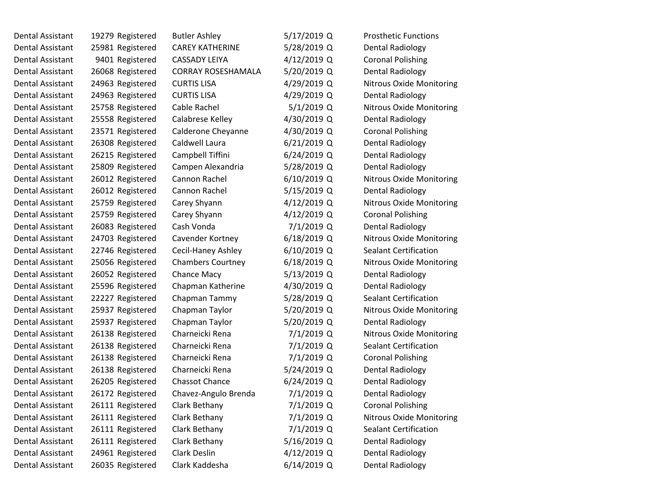| Dental Assistant | 19279 Registered | <b>Butler Ashley</b>      | 5/17/2019 Q   | <b>Prosthetic Functions</b>     |
|------------------|------------------|---------------------------|---------------|---------------------------------|
| Dental Assistant | 25981 Registered | <b>CAREY KATHERINE</b>    | 5/28/2019 Q   | Dental Radiology                |
| Dental Assistant | 9401 Registered  | <b>CASSADY LEIYA</b>      | 4/12/2019 Q   | <b>Coronal Polishing</b>        |
| Dental Assistant | 26068 Registered | <b>CORRAY ROSESHAMALA</b> | 5/20/2019 Q   | <b>Dental Radiology</b>         |
| Dental Assistant | 24963 Registered | <b>CURTIS LISA</b>        | 4/29/2019 Q   | <b>Nitrous Oxide Monitoring</b> |
| Dental Assistant | 24963 Registered | <b>CURTIS LISA</b>        | 4/29/2019 Q   | <b>Dental Radiology</b>         |
| Dental Assistant | 25758 Registered | Cable Rachel              | $5/1/2019$ Q  | Nitrous Oxide Monitoring        |
| Dental Assistant | 25558 Registered | Calabrese Kelley          | 4/30/2019 Q   | <b>Dental Radiology</b>         |
| Dental Assistant | 23571 Registered | Calderone Cheyanne        | 4/30/2019 Q   | <b>Coronal Polishing</b>        |
| Dental Assistant | 26308 Registered | Caldwell Laura            | $6/21/2019$ Q | <b>Dental Radiology</b>         |
| Dental Assistant | 26215 Registered | Campbell Tiffini          | 6/24/2019 Q   | <b>Dental Radiology</b>         |
| Dental Assistant | 25809 Registered | Campen Alexandria         | 5/28/2019 Q   | <b>Dental Radiology</b>         |
| Dental Assistant | 26012 Registered | Cannon Rachel             | 6/10/2019 Q   | <b>Nitrous Oxide Monitoring</b> |
| Dental Assistant | 26012 Registered | Cannon Rachel             | 5/15/2019 Q   | <b>Dental Radiology</b>         |
| Dental Assistant | 25759 Registered | Carey Shyann              | 4/12/2019 Q   | Nitrous Oxide Monitoring        |
| Dental Assistant | 25759 Registered | Carey Shyann              | 4/12/2019 Q   | <b>Coronal Polishing</b>        |
| Dental Assistant | 26083 Registered | Cash Vonda                | 7/1/2019 Q    | <b>Dental Radiology</b>         |
| Dental Assistant | 24703 Registered | Cavender Kortney          | $6/18/2019$ Q | <b>Nitrous Oxide Monitoring</b> |
| Dental Assistant | 22746 Registered | Cecil-Haney Ashley        | 6/10/2019 Q   | <b>Sealant Certification</b>    |
| Dental Assistant | 25056 Registered | <b>Chambers Courtney</b>  | 6/18/2019 Q   | <b>Nitrous Oxide Monitoring</b> |
| Dental Assistant | 26052 Registered | Chance Macy               | 5/13/2019 Q   | Dental Radiology                |
| Dental Assistant | 25596 Registered | Chapman Katherine         | 4/30/2019 Q   | <b>Dental Radiology</b>         |
| Dental Assistant | 22227 Registered | Chapman Tammy             | 5/28/2019 Q   | <b>Sealant Certification</b>    |
| Dental Assistant | 25937 Registered | Chapman Taylor            | 5/20/2019 Q   | Nitrous Oxide Monitoring        |
| Dental Assistant | 25937 Registered | Chapman Taylor            | 5/20/2019 Q   | <b>Dental Radiology</b>         |
| Dental Assistant | 26138 Registered | Charneicki Rena           | 7/1/2019 Q    | Nitrous Oxide Monitoring        |
| Dental Assistant | 26138 Registered | Charneicki Rena           | 7/1/2019 Q    | <b>Sealant Certification</b>    |
| Dental Assistant | 26138 Registered | Charneicki Rena           | 7/1/2019 Q    | <b>Coronal Polishing</b>        |
| Dental Assistant | 26138 Registered | Charneicki Rena           | 5/24/2019 Q   | <b>Dental Radiology</b>         |
| Dental Assistant | 26205 Registered | <b>Chassot Chance</b>     | 6/24/2019 Q   | <b>Dental Radiology</b>         |
| Dental Assistant | 26172 Registered | Chavez-Angulo Brenda      | 7/1/2019 Q    | Dental Radiology                |
| Dental Assistant | 26111 Registered | Clark Bethany             | 7/1/2019 Q    | <b>Coronal Polishing</b>        |
| Dental Assistant | 26111 Registered | Clark Bethany             | 7/1/2019 Q    | Nitrous Oxide Monitoring        |
| Dental Assistant | 26111 Registered | Clark Bethany             | 7/1/2019 Q    | <b>Sealant Certification</b>    |
| Dental Assistant | 26111 Registered | Clark Bethany             | 5/16/2019 Q   | <b>Dental Radiology</b>         |
| Dental Assistant | 24961 Registered | Clark Deslin              | 4/12/2019 Q   | Dental Radiology                |
| Dental Assistant | 26035 Registered | Clark Kaddesha            | 6/14/2019 Q   | <b>Dental Radiology</b>         |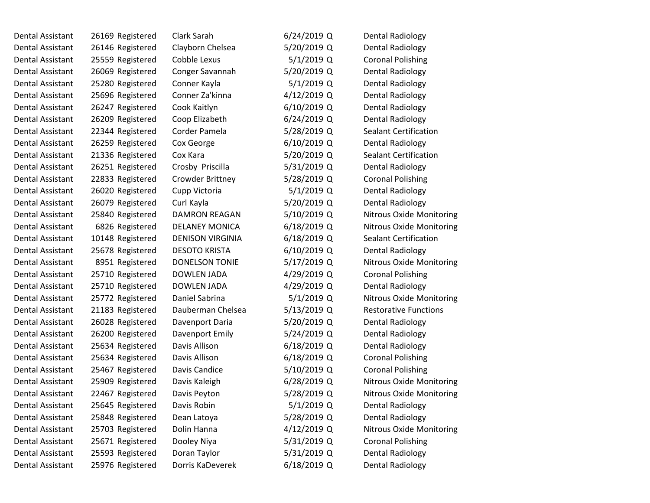| Dental Assistant | 26169 Registered | Clark Sarah             | $6/24/2019$ Q | Dental Radiology                |
|------------------|------------------|-------------------------|---------------|---------------------------------|
| Dental Assistant | 26146 Registered | Clayborn Chelsea        | 5/20/2019 Q   | <b>Dental Radiology</b>         |
| Dental Assistant | 25559 Registered | Cobble Lexus            | $5/1/2019$ Q  | <b>Coronal Polishing</b>        |
| Dental Assistant | 26069 Registered | Conger Savannah         | 5/20/2019 Q   | <b>Dental Radiology</b>         |
| Dental Assistant | 25280 Registered | Conner Kayla            | $5/1/2019$ Q  | <b>Dental Radiology</b>         |
| Dental Assistant | 25696 Registered | Conner Za'kinna         | 4/12/2019 Q   | <b>Dental Radiology</b>         |
| Dental Assistant | 26247 Registered | Cook Kaitlyn            | $6/10/2019$ Q | <b>Dental Radiology</b>         |
| Dental Assistant | 26209 Registered | Coop Elizabeth          | 6/24/2019 Q   | <b>Dental Radiology</b>         |
| Dental Assistant | 22344 Registered | Corder Pamela           | 5/28/2019 Q   | <b>Sealant Certification</b>    |
| Dental Assistant | 26259 Registered | Cox George              | 6/10/2019 Q   | <b>Dental Radiology</b>         |
| Dental Assistant | 21336 Registered | Cox Kara                | 5/20/2019 Q   | <b>Sealant Certification</b>    |
| Dental Assistant | 26251 Registered | Crosby Priscilla        | 5/31/2019 Q   | Dental Radiology                |
| Dental Assistant | 22833 Registered | Crowder Brittney        | 5/28/2019 Q   | <b>Coronal Polishing</b>        |
| Dental Assistant | 26020 Registered | Cupp Victoria           | $5/1/2019$ Q  | <b>Dental Radiology</b>         |
| Dental Assistant | 26079 Registered | Curl Kayla              | 5/20/2019 Q   | <b>Dental Radiology</b>         |
| Dental Assistant | 25840 Registered | <b>DAMRON REAGAN</b>    | 5/10/2019 Q   | <b>Nitrous Oxide Monitoring</b> |
| Dental Assistant | 6826 Registered  | <b>DELANEY MONICA</b>   | 6/18/2019 Q   | <b>Nitrous Oxide Monitoring</b> |
| Dental Assistant | 10148 Registered | <b>DENISON VIRGINIA</b> | $6/18/2019$ Q | <b>Sealant Certification</b>    |
| Dental Assistant | 25678 Registered | <b>DESOTO KRISTA</b>    | 6/10/2019 Q   | Dental Radiology                |
| Dental Assistant | 8951 Registered  | <b>DONELSON TONIE</b>   | 5/17/2019 Q   | <b>Nitrous Oxide Monitoring</b> |
| Dental Assistant | 25710 Registered | <b>DOWLEN JADA</b>      | 4/29/2019 Q   | <b>Coronal Polishing</b>        |
| Dental Assistant | 25710 Registered | <b>DOWLEN JADA</b>      | 4/29/2019 Q   | Dental Radiology                |
| Dental Assistant | 25772 Registered | Daniel Sabrina          | $5/1/2019$ Q  | <b>Nitrous Oxide Monitoring</b> |
| Dental Assistant | 21183 Registered | Dauberman Chelsea       | 5/13/2019 Q   | <b>Restorative Functions</b>    |
| Dental Assistant | 26028 Registered | Davenport Daria         | 5/20/2019 Q   | <b>Dental Radiology</b>         |
| Dental Assistant | 26200 Registered | Davenport Emily         | 5/24/2019 Q   | <b>Dental Radiology</b>         |
| Dental Assistant | 25634 Registered | Davis Allison           | $6/18/2019$ Q | Dental Radiology                |
| Dental Assistant | 25634 Registered | Davis Allison           | $6/18/2019$ Q | <b>Coronal Polishing</b>        |
| Dental Assistant | 25467 Registered | Davis Candice           | 5/10/2019 Q   | <b>Coronal Polishing</b>        |
| Dental Assistant | 25909 Registered | Davis Kaleigh           | 6/28/2019 Q   | Nitrous Oxide Monitoring        |
| Dental Assistant | 22467 Registered | Davis Peyton            | 5/28/2019 Q   | <b>Nitrous Oxide Monitoring</b> |
| Dental Assistant | 25645 Registered | Davis Robin             | $5/1/2019$ Q  | Dental Radiology                |
| Dental Assistant | 25848 Registered | Dean Latoya             | 5/28/2019 Q   | Dental Radiology                |
| Dental Assistant | 25703 Registered | Dolin Hanna             | 4/12/2019 Q   | <b>Nitrous Oxide Monitoring</b> |
| Dental Assistant | 25671 Registered | Dooley Niya             | 5/31/2019 Q   | <b>Coronal Polishing</b>        |
| Dental Assistant | 25593 Registered | Doran Taylor            | 5/31/2019 Q   | <b>Dental Radiology</b>         |
| Dental Assistant | 25976 Registered | Dorris KaDeverek        | 6/18/2019 Q   | <b>Dental Radiology</b>         |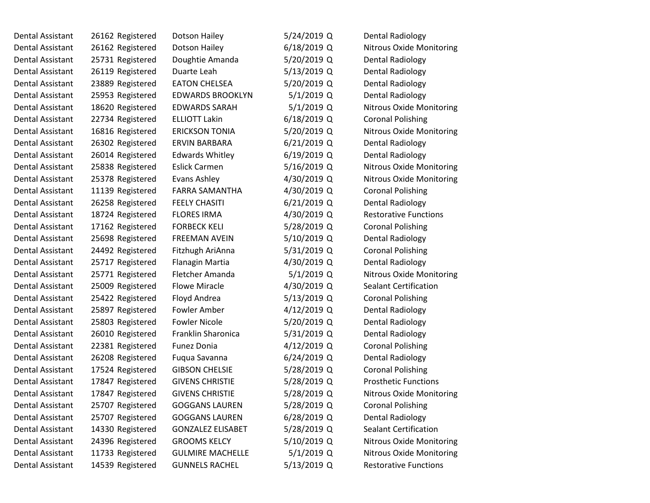| Dental Assistant        | 26162 Registered | Dotson Hailey            | 5/24/2019 Q   | <b>Dental Radiology</b>         |
|-------------------------|------------------|--------------------------|---------------|---------------------------------|
| Dental Assistant        | 26162 Registered | Dotson Hailey            | 6/18/2019 Q   | <b>Nitrous Oxide Monitoring</b> |
| Dental Assistant        | 25731 Registered | Doughtie Amanda          | 5/20/2019 Q   | <b>Dental Radiology</b>         |
| Dental Assistant        | 26119 Registered | Duarte Leah              | 5/13/2019 Q   | <b>Dental Radiology</b>         |
| Dental Assistant        | 23889 Registered | <b>EATON CHELSEA</b>     | 5/20/2019 Q   | Dental Radiology                |
| Dental Assistant        | 25953 Registered | <b>EDWARDS BROOKLYN</b>  | $5/1/2019$ Q  | <b>Dental Radiology</b>         |
| Dental Assistant        | 18620 Registered | <b>EDWARDS SARAH</b>     | $5/1/2019$ Q  | Nitrous Oxide Monitoring        |
| Dental Assistant        | 22734 Registered | <b>ELLIOTT Lakin</b>     | $6/18/2019$ Q | <b>Coronal Polishing</b>        |
| Dental Assistant        | 16816 Registered | <b>ERICKSON TONIA</b>    | 5/20/2019 Q   | <b>Nitrous Oxide Monitoring</b> |
| Dental Assistant        | 26302 Registered | <b>ERVIN BARBARA</b>     | $6/21/2019$ Q | <b>Dental Radiology</b>         |
| Dental Assistant        | 26014 Registered | <b>Edwards Whitley</b>   | $6/19/2019$ Q | <b>Dental Radiology</b>         |
| Dental Assistant        | 25838 Registered | <b>Eslick Carmen</b>     | 5/16/2019 Q   | Nitrous Oxide Monitoring        |
| Dental Assistant        | 25378 Registered | Evans Ashley             | 4/30/2019 Q   | Nitrous Oxide Monitoring        |
| Dental Assistant        | 11139 Registered | <b>FARRA SAMANTHA</b>    | 4/30/2019 Q   | <b>Coronal Polishing</b>        |
| <b>Dental Assistant</b> | 26258 Registered | <b>FEELY CHASITI</b>     | 6/21/2019 Q   | <b>Dental Radiology</b>         |
| Dental Assistant        | 18724 Registered | <b>FLORES IRMA</b>       | 4/30/2019 Q   | <b>Restorative Functions</b>    |
| Dental Assistant        | 17162 Registered | <b>FORBECK KELI</b>      | 5/28/2019 Q   | <b>Coronal Polishing</b>        |
| Dental Assistant        | 25698 Registered | <b>FREEMAN AVEIN</b>     | 5/10/2019 Q   | <b>Dental Radiology</b>         |
| Dental Assistant        | 24492 Registered | Fitzhugh AriAnna         | 5/31/2019 Q   | <b>Coronal Polishing</b>        |
| Dental Assistant        | 25717 Registered | Flanagin Martia          | 4/30/2019 Q   | <b>Dental Radiology</b>         |
| Dental Assistant        | 25771 Registered | Fletcher Amanda          | 5/1/2019 Q    | Nitrous Oxide Monitoring        |
| Dental Assistant        | 25009 Registered | <b>Flowe Miracle</b>     | 4/30/2019 Q   | <b>Sealant Certification</b>    |
| Dental Assistant        | 25422 Registered | Floyd Andrea             | 5/13/2019 Q   | <b>Coronal Polishing</b>        |
| Dental Assistant        | 25897 Registered | Fowler Amber             | 4/12/2019 Q   | <b>Dental Radiology</b>         |
| Dental Assistant        | 25803 Registered | <b>Fowler Nicole</b>     | 5/20/2019 Q   | <b>Dental Radiology</b>         |
| Dental Assistant        | 26010 Registered | Franklin Sharonica       | 5/31/2019 Q   | Dental Radiology                |
| Dental Assistant        | 22381 Registered | <b>Funez Donia</b>       | 4/12/2019 Q   | <b>Coronal Polishing</b>        |
| Dental Assistant        | 26208 Registered | Fuqua Savanna            | 6/24/2019 Q   | <b>Dental Radiology</b>         |
| Dental Assistant        | 17524 Registered | <b>GIBSON CHELSIE</b>    | 5/28/2019 Q   | <b>Coronal Polishing</b>        |
| Dental Assistant        | 17847 Registered | <b>GIVENS CHRISTIE</b>   | 5/28/2019 Q   | <b>Prosthetic Functions</b>     |
| Dental Assistant        | 17847 Registered | <b>GIVENS CHRISTIE</b>   | 5/28/2019 Q   | <b>Nitrous Oxide Monitoring</b> |
| Dental Assistant        | 25707 Registered | <b>GOGGANS LAUREN</b>    | 5/28/2019 Q   | <b>Coronal Polishing</b>        |
| Dental Assistant        | 25707 Registered | <b>GOGGANS LAUREN</b>    | 6/28/2019 Q   | <b>Dental Radiology</b>         |
| Dental Assistant        | 14330 Registered | <b>GONZALEZ ELISABET</b> | 5/28/2019 Q   | <b>Sealant Certification</b>    |
| Dental Assistant        | 24396 Registered | <b>GROOMS KELCY</b>      | 5/10/2019 Q   | Nitrous Oxide Monitoring        |
| Dental Assistant        | 11733 Registered | <b>GULMIRE MACHELLE</b>  | $5/1/2019$ Q  | <b>Nitrous Oxide Monitoring</b> |
| Dental Assistant        | 14539 Registered | <b>GUNNELS RACHEL</b>    | 5/13/2019 Q   | <b>Restorative Functions</b>    |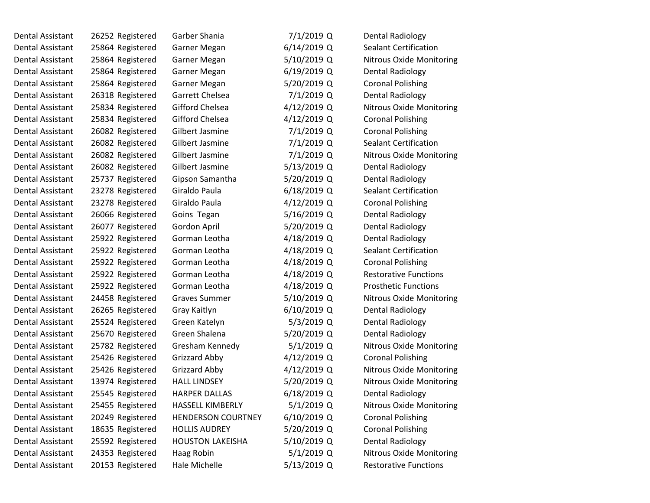| <b>Dental Assistant</b> | 26252 Registered | Garber Shania             | 7/1/2019 Q    | <b>Dental Radiology</b>         |
|-------------------------|------------------|---------------------------|---------------|---------------------------------|
| <b>Dental Assistant</b> | 25864 Registered | Garner Megan              | $6/14/2019$ Q | <b>Sealant Certification</b>    |
| Dental Assistant        | 25864 Registered | Garner Megan              | 5/10/2019 Q   | Nitrous Oxide Monitoring        |
| Dental Assistant        | 25864 Registered | Garner Megan              | $6/19/2019$ Q | <b>Dental Radiology</b>         |
| <b>Dental Assistant</b> | 25864 Registered | Garner Megan              | 5/20/2019 Q   | <b>Coronal Polishing</b>        |
| Dental Assistant        | 26318 Registered | Garrett Chelsea           | 7/1/2019 Q    | <b>Dental Radiology</b>         |
| Dental Assistant        | 25834 Registered | Gifford Chelsea           | 4/12/2019 Q   | <b>Nitrous Oxide Monitoring</b> |
| <b>Dental Assistant</b> | 25834 Registered | Gifford Chelsea           | 4/12/2019 Q   | <b>Coronal Polishing</b>        |
| Dental Assistant        | 26082 Registered | Gilbert Jasmine           | 7/1/2019 Q    | <b>Coronal Polishing</b>        |
| Dental Assistant        | 26082 Registered | Gilbert Jasmine           | $7/1/2019$ Q  | <b>Sealant Certification</b>    |
| <b>Dental Assistant</b> | 26082 Registered | Gilbert Jasmine           | $7/1/2019$ Q  | <b>Nitrous Oxide Monitoring</b> |
| <b>Dental Assistant</b> | 26082 Registered | Gilbert Jasmine           | 5/13/2019 Q   | Dental Radiology                |
| Dental Assistant        | 25737 Registered | Gipson Samantha           | 5/20/2019 Q   | <b>Dental Radiology</b>         |
| Dental Assistant        | 23278 Registered | Giraldo Paula             | $6/18/2019$ Q | <b>Sealant Certification</b>    |
| <b>Dental Assistant</b> | 23278 Registered | Giraldo Paula             | 4/12/2019 Q   | <b>Coronal Polishing</b>        |
| Dental Assistant        | 26066 Registered | Goins Tegan               | 5/16/2019 Q   | <b>Dental Radiology</b>         |
| <b>Dental Assistant</b> | 26077 Registered | Gordon April              | 5/20/2019 Q   | <b>Dental Radiology</b>         |
| Dental Assistant        | 25922 Registered | Gorman Leotha             | 4/18/2019 Q   | <b>Dental Radiology</b>         |
| Dental Assistant        | 25922 Registered | Gorman Leotha             | 4/18/2019 Q   | <b>Sealant Certification</b>    |
| Dental Assistant        | 25922 Registered | Gorman Leotha             | 4/18/2019 Q   | <b>Coronal Polishing</b>        |
| <b>Dental Assistant</b> | 25922 Registered | Gorman Leotha             | 4/18/2019 Q   | <b>Restorative Functions</b>    |
| Dental Assistant        | 25922 Registered | Gorman Leotha             | 4/18/2019 Q   | <b>Prosthetic Functions</b>     |
| Dental Assistant        | 24458 Registered | <b>Graves Summer</b>      | 5/10/2019 Q   | <b>Nitrous Oxide Monitoring</b> |
| Dental Assistant        | 26265 Registered | Gray Kaitlyn              | 6/10/2019 Q   | <b>Dental Radiology</b>         |
| Dental Assistant        | 25524 Registered | Green Katelyn             | $5/3/2019$ Q  | Dental Radiology                |
| Dental Assistant        | 25670 Registered | Green Shalena             | 5/20/2019 Q   | <b>Dental Radiology</b>         |
| Dental Assistant        | 25782 Registered | Gresham Kennedy           | $5/1/2019$ Q  | Nitrous Oxide Monitoring        |
| Dental Assistant        | 25426 Registered | Grizzard Abby             | 4/12/2019 Q   | <b>Coronal Polishing</b>        |
| Dental Assistant        | 25426 Registered | Grizzard Abby             | 4/12/2019 Q   | Nitrous Oxide Monitoring        |
| <b>Dental Assistant</b> | 13974 Registered | <b>HALL LINDSEY</b>       | 5/20/2019 Q   | Nitrous Oxide Monitoring        |
| Dental Assistant        | 25545 Registered | <b>HARPER DALLAS</b>      | 6/18/2019 Q   | <b>Dental Radiology</b>         |
| Dental Assistant        | 25455 Registered | <b>HASSELL KIMBERLY</b>   | $5/1/2019$ Q  | <b>Nitrous Oxide Monitoring</b> |
| Dental Assistant        | 20249 Registered | <b>HENDERSON COURTNEY</b> | 6/10/2019 Q   | <b>Coronal Polishing</b>        |
| <b>Dental Assistant</b> | 18635 Registered | <b>HOLLIS AUDREY</b>      | 5/20/2019 Q   | <b>Coronal Polishing</b>        |
| <b>Dental Assistant</b> | 25592 Registered | <b>HOUSTON LAKEISHA</b>   | 5/10/2019 Q   | <b>Dental Radiology</b>         |
| Dental Assistant        | 24353 Registered | Haag Robin                | 5/1/2019 Q    | <b>Nitrous Oxide Monitoring</b> |
| Dental Assistant        | 20153 Registered | Hale Michelle             | 5/13/2019 Q   | <b>Restorative Functions</b>    |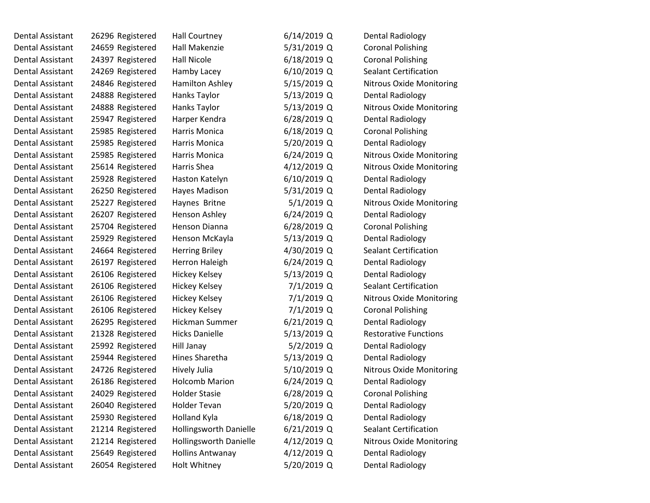| Dental Assistant        | 26296 Registered | Hall Courtney           | $6/14/2019$ Q | <b>Dental Radiology</b>         |
|-------------------------|------------------|-------------------------|---------------|---------------------------------|
| <b>Dental Assistant</b> | 24659 Registered | Hall Makenzie           | 5/31/2019 Q   | <b>Coronal Polishing</b>        |
| Dental Assistant        | 24397 Registered | <b>Hall Nicole</b>      | $6/18/2019$ Q | <b>Coronal Polishing</b>        |
| Dental Assistant        | 24269 Registered | Hamby Lacey             | $6/10/2019$ Q | <b>Sealant Certification</b>    |
| Dental Assistant        | 24846 Registered | <b>Hamilton Ashley</b>  | 5/15/2019 Q   | <b>Nitrous Oxide Monitoring</b> |
| Dental Assistant        | 24888 Registered | Hanks Taylor            | $5/13/2019$ Q | <b>Dental Radiology</b>         |
| Dental Assistant        | 24888 Registered | Hanks Taylor            | 5/13/2019 Q   | <b>Nitrous Oxide Monitoring</b> |
| Dental Assistant        | 25947 Registered | Harper Kendra           | $6/28/2019$ Q | <b>Dental Radiology</b>         |
| Dental Assistant        | 25985 Registered | Harris Monica           | $6/18/2019$ Q | <b>Coronal Polishing</b>        |
| Dental Assistant        | 25985 Registered | Harris Monica           | 5/20/2019 Q   | <b>Dental Radiology</b>         |
| Dental Assistant        | 25985 Registered | Harris Monica           | $6/24/2019$ Q | <b>Nitrous Oxide Monitoring</b> |
| Dental Assistant        | 25614 Registered | Harris Shea             | 4/12/2019 Q   | <b>Nitrous Oxide Monitoring</b> |
| Dental Assistant        | 25928 Registered | Haston Katelyn          | 6/10/2019 Q   | <b>Dental Radiology</b>         |
| Dental Assistant        | 26250 Registered | Hayes Madison           | 5/31/2019 Q   | <b>Dental Radiology</b>         |
| Dental Assistant        | 25227 Registered | Haynes Britne           | $5/1/2019$ Q  | <b>Nitrous Oxide Monitoring</b> |
| Dental Assistant        | 26207 Registered | Henson Ashley           | $6/24/2019$ Q | <b>Dental Radiology</b>         |
| Dental Assistant        | 25704 Registered | Henson Dianna           | $6/28/2019$ Q | <b>Coronal Polishing</b>        |
| Dental Assistant        | 25929 Registered | Henson McKayla          | $5/13/2019$ Q | <b>Dental Radiology</b>         |
| Dental Assistant        | 24664 Registered | <b>Herring Briley</b>   | 4/30/2019 Q   | <b>Sealant Certification</b>    |
| Dental Assistant        | 26197 Registered | Herron Haleigh          | $6/24/2019$ Q | <b>Dental Radiology</b>         |
| Dental Assistant        | 26106 Registered | <b>Hickey Kelsey</b>    | 5/13/2019 Q   | Dental Radiology                |
| Dental Assistant        | 26106 Registered | <b>Hickey Kelsey</b>    | 7/1/2019 Q    | <b>Sealant Certification</b>    |
| Dental Assistant        | 26106 Registered | Hickey Kelsey           | 7/1/2019 Q    | <b>Nitrous Oxide Monitoring</b> |
| Dental Assistant        | 26106 Registered | <b>Hickey Kelsey</b>    | 7/1/2019 Q    | <b>Coronal Polishing</b>        |
| Dental Assistant        | 26295 Registered | Hickman Summer          | $6/21/2019$ Q | Dental Radiology                |
| Dental Assistant        | 21328 Registered | <b>Hicks Danielle</b>   | 5/13/2019 Q   | <b>Restorative Functions</b>    |
| Dental Assistant        | 25992 Registered | Hill Janay              | $5/2/2019$ Q  | <b>Dental Radiology</b>         |
| Dental Assistant        | 25944 Registered | Hines Sharetha          | 5/13/2019 Q   | <b>Dental Radiology</b>         |
| <b>Dental Assistant</b> | 24726 Registered | Hively Julia            | 5/10/2019 Q   | <b>Nitrous Oxide Monitoring</b> |
| Dental Assistant        | 26186 Registered | <b>Holcomb Marion</b>   | $6/24/2019$ Q | <b>Dental Radiology</b>         |
| Dental Assistant        | 24029 Registered | <b>Holder Stasie</b>    | 6/28/2019 Q   | <b>Coronal Polishing</b>        |
| Dental Assistant        | 26040 Registered | <b>Holder Tevan</b>     | 5/20/2019 Q   | <b>Dental Radiology</b>         |
| <b>Dental Assistant</b> | 25930 Registered | Holland Kyla            | $6/18/2019$ Q | <b>Dental Radiology</b>         |
| Dental Assistant        | 21214 Registered | Hollingsworth Danielle  | $6/21/2019$ Q | <b>Sealant Certification</b>    |
| <b>Dental Assistant</b> | 21214 Registered | Hollingsworth Danielle  | 4/12/2019 Q   | <b>Nitrous Oxide Monitoring</b> |
| <b>Dental Assistant</b> | 25649 Registered | <b>Hollins Antwanay</b> | 4/12/2019 Q   | <b>Dental Radiology</b>         |
| Dental Assistant        | 26054 Registered | Holt Whitney            | 5/20/2019 Q   | <b>Dental Radiology</b>         |
|                         |                  |                         |               |                                 |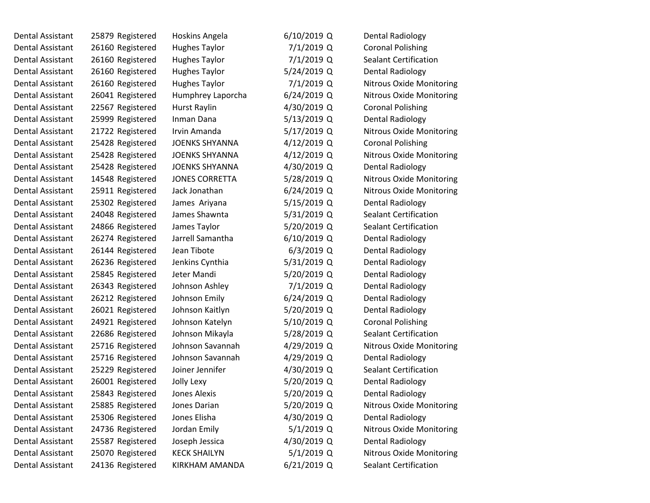| Dental Assistant | 25879 Registered | Hoskins Angela        | $6/10/2019$ Q | <b>Dental Radiology</b>         |  |
|------------------|------------------|-----------------------|---------------|---------------------------------|--|
| Dental Assistant | 26160 Registered | <b>Hughes Taylor</b>  | $7/1/2019$ Q  | <b>Coronal Polishing</b>        |  |
| Dental Assistant | 26160 Registered | <b>Hughes Taylor</b>  | 7/1/2019 Q    | <b>Sealant Certification</b>    |  |
| Dental Assistant | 26160 Registered | <b>Hughes Taylor</b>  | 5/24/2019 Q   | <b>Dental Radiology</b>         |  |
| Dental Assistant | 26160 Registered | <b>Hughes Taylor</b>  | 7/1/2019 Q    | Nitrous Oxide Monitoring        |  |
| Dental Assistant | 26041 Registered | Humphrey Laporcha     | $6/24/2019$ Q | <b>Nitrous Oxide Monitoring</b> |  |
| Dental Assistant | 22567 Registered | <b>Hurst Raylin</b>   | 4/30/2019 Q   | <b>Coronal Polishing</b>        |  |
| Dental Assistant | 25999 Registered | Inman Dana            | 5/13/2019 Q   | <b>Dental Radiology</b>         |  |
| Dental Assistant | 21722 Registered | Irvin Amanda          | 5/17/2019 Q   | <b>Nitrous Oxide Monitoring</b> |  |
| Dental Assistant | 25428 Registered | <b>JOENKS SHYANNA</b> | 4/12/2019 Q   | <b>Coronal Polishing</b>        |  |
| Dental Assistant | 25428 Registered | <b>JOENKS SHYANNA</b> | 4/12/2019 Q   | Nitrous Oxide Monitoring        |  |
| Dental Assistant | 25428 Registered | <b>JOENKS SHYANNA</b> | 4/30/2019 Q   | Dental Radiology                |  |
| Dental Assistant | 14548 Registered | <b>JONES CORRETTA</b> | 5/28/2019 Q   | <b>Nitrous Oxide Monitoring</b> |  |
| Dental Assistant | 25911 Registered | Jack Jonathan         | $6/24/2019$ Q | <b>Nitrous Oxide Monitoring</b> |  |
| Dental Assistant | 25302 Registered | James Ariyana         | 5/15/2019 Q   | <b>Dental Radiology</b>         |  |
| Dental Assistant | 24048 Registered | James Shawnta         | 5/31/2019 Q   | <b>Sealant Certification</b>    |  |
| Dental Assistant | 24866 Registered | James Taylor          | 5/20/2019 Q   | <b>Sealant Certification</b>    |  |
| Dental Assistant | 26274 Registered | Jarrell Samantha      | $6/10/2019$ Q | <b>Dental Radiology</b>         |  |
| Dental Assistant | 26144 Registered | Jean Tibote           | $6/3/2019$ Q  | <b>Dental Radiology</b>         |  |
| Dental Assistant | 26236 Registered | Jenkins Cynthia       | 5/31/2019 Q   | <b>Dental Radiology</b>         |  |
| Dental Assistant | 25845 Registered | Jeter Mandi           | 5/20/2019 Q   | Dental Radiology                |  |
| Dental Assistant | 26343 Registered | Johnson Ashley        | 7/1/2019 Q    | Dental Radiology                |  |
| Dental Assistant | 26212 Registered | Johnson Emily         | $6/24/2019$ Q | <b>Dental Radiology</b>         |  |
| Dental Assistant | 26021 Registered | Johnson Kaitlyn       | 5/20/2019 Q   | <b>Dental Radiology</b>         |  |
| Dental Assistant | 24921 Registered | Johnson Katelyn       | 5/10/2019 Q   | <b>Coronal Polishing</b>        |  |
| Dental Assistant | 22686 Registered | Johnson Mikayla       | 5/28/2019 Q   | <b>Sealant Certification</b>    |  |
| Dental Assistant | 25716 Registered | Johnson Savannah      | 4/29/2019 Q   | Nitrous Oxide Monitoring        |  |
| Dental Assistant | 25716 Registered | Johnson Savannah      | 4/29/2019 Q   | <b>Dental Radiology</b>         |  |
| Dental Assistant | 25229 Registered | Joiner Jennifer       | 4/30/2019 Q   | <b>Sealant Certification</b>    |  |
| Dental Assistant | 26001 Registered | Jolly Lexy            | 5/20/2019 Q   | <b>Dental Radiology</b>         |  |
| Dental Assistant | 25843 Registered | <b>Jones Alexis</b>   | 5/20/2019 Q   | <b>Dental Radiology</b>         |  |
| Dental Assistant | 25885 Registered | Jones Darian          | 5/20/2019 Q   | <b>Nitrous Oxide Monitoring</b> |  |
| Dental Assistant | 25306 Registered | Jones Elisha          | 4/30/2019 Q   | <b>Dental Radiology</b>         |  |
| Dental Assistant | 24736 Registered | Jordan Emily          | $5/1/2019$ Q  | Nitrous Oxide Monitoring        |  |
| Dental Assistant | 25587 Registered | Joseph Jessica        | 4/30/2019 Q   | <b>Dental Radiology</b>         |  |
| Dental Assistant | 25070 Registered | <b>KECK SHAILYN</b>   | $5/1/2019$ Q  | Nitrous Oxide Monitoring        |  |
| Dental Assistant | 24136 Registered | KIRKHAM AMANDA        | 6/21/2019 Q   | Sealant Certification           |  |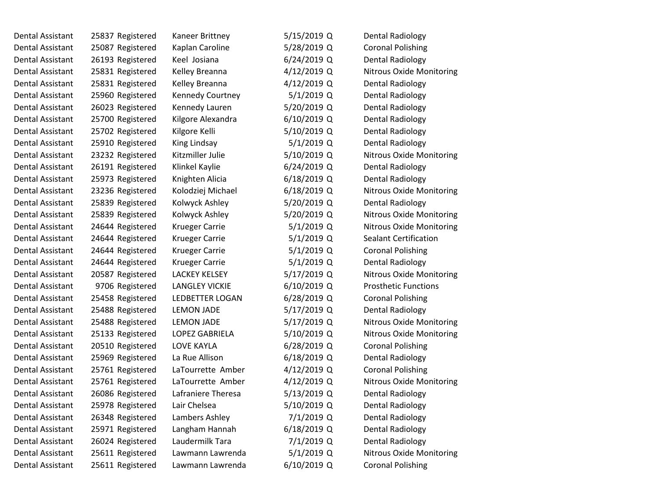| Dental Assistant        | 25837 Registered | Kaneer Brittney         | 5/15/2019 Q   | <b>Dental Radiology</b>         |
|-------------------------|------------------|-------------------------|---------------|---------------------------------|
| Dental Assistant        | 25087 Registered | Kaplan Caroline         | 5/28/2019 Q   | <b>Coronal Polishing</b>        |
| Dental Assistant        | 26193 Registered | Keel Josiana            | $6/24/2019$ Q | <b>Dental Radiology</b>         |
| Dental Assistant        | 25831 Registered | Kelley Breanna          | 4/12/2019 Q   | Nitrous Oxide Monitoring        |
| <b>Dental Assistant</b> | 25831 Registered | Kelley Breanna          | 4/12/2019 Q   | <b>Dental Radiology</b>         |
| Dental Assistant        | 25960 Registered | <b>Kennedy Courtney</b> | 5/1/2019 Q    | <b>Dental Radiology</b>         |
| Dental Assistant        | 26023 Registered | Kennedy Lauren          | 5/20/2019 Q   | Dental Radiology                |
| Dental Assistant        | 25700 Registered | Kilgore Alexandra       | $6/10/2019$ Q | <b>Dental Radiology</b>         |
| Dental Assistant        | 25702 Registered | Kilgore Kelli           | 5/10/2019 Q   | <b>Dental Radiology</b>         |
| <b>Dental Assistant</b> | 25910 Registered | King Lindsay            | 5/1/2019 Q    | <b>Dental Radiology</b>         |
| Dental Assistant        | 23232 Registered | Kitzmiller Julie        | 5/10/2019 Q   | <b>Nitrous Oxide Monitoring</b> |
| Dental Assistant        | 26191 Registered | Klinkel Kaylie          | $6/24/2019$ Q | Dental Radiology                |
| Dental Assistant        | 25973 Registered | Knighten Alicia         | $6/18/2019$ Q | <b>Dental Radiology</b>         |
| Dental Assistant        | 23236 Registered | Kolodziej Michael       | 6/18/2019 Q   | Nitrous Oxide Monitoring        |
| Dental Assistant        | 25839 Registered | Kolwyck Ashley          | 5/20/2019 Q   | <b>Dental Radiology</b>         |
| Dental Assistant        | 25839 Registered | Kolwyck Ashley          | 5/20/2019 Q   | Nitrous Oxide Monitoring        |
| <b>Dental Assistant</b> | 24644 Registered | <b>Krueger Carrie</b>   | 5/1/2019 Q    | <b>Nitrous Oxide Monitoring</b> |
| <b>Dental Assistant</b> | 24644 Registered | <b>Krueger Carrie</b>   | $5/1/2019$ Q  | <b>Sealant Certification</b>    |
| <b>Dental Assistant</b> | 24644 Registered | Krueger Carrie          | 5/1/2019 Q    | <b>Coronal Polishing</b>        |
| Dental Assistant        | 24644 Registered | <b>Krueger Carrie</b>   | 5/1/2019 Q    | <b>Dental Radiology</b>         |
| Dental Assistant        | 20587 Registered | <b>LACKEY KELSEY</b>    | 5/17/2019 Q   | <b>Nitrous Oxide Monitoring</b> |
| Dental Assistant        | 9706 Registered  | <b>LANGLEY VICKIE</b>   | $6/10/2019$ Q | <b>Prosthetic Functions</b>     |
| Dental Assistant        | 25458 Registered | <b>LEDBETTER LOGAN</b>  | $6/28/2019$ Q | <b>Coronal Polishing</b>        |
| Dental Assistant        | 25488 Registered | <b>LEMON JADE</b>       | 5/17/2019 Q   | <b>Dental Radiology</b>         |
| Dental Assistant        | 25488 Registered | <b>LEMON JADE</b>       | 5/17/2019 Q   | Nitrous Oxide Monitoring        |
| Dental Assistant        | 25133 Registered | <b>LOPEZ GABRIELA</b>   | 5/10/2019 Q   | <b>Nitrous Oxide Monitoring</b> |
| Dental Assistant        | 20510 Registered | <b>LOVE KAYLA</b>       | $6/28/2019$ Q | <b>Coronal Polishing</b>        |
| Dental Assistant        | 25969 Registered | La Rue Allison          | $6/18/2019$ Q | <b>Dental Radiology</b>         |
| Dental Assistant        | 25761 Registered | LaTourrette Amber       | $4/12/2019$ Q | <b>Coronal Polishing</b>        |
| Dental Assistant        | 25761 Registered | LaTourrette Amber       | 4/12/2019 Q   | <b>Nitrous Oxide Monitoring</b> |
| Dental Assistant        | 26086 Registered | Lafraniere Theresa      | 5/13/2019 Q   | <b>Dental Radiology</b>         |
| Dental Assistant        | 25978 Registered | Lair Chelsea            | $5/10/2019$ Q | <b>Dental Radiology</b>         |
| Dental Assistant        | 26348 Registered | Lambers Ashley          | 7/1/2019 Q    | <b>Dental Radiology</b>         |
| <b>Dental Assistant</b> | 25971 Registered | Langham Hannah          | $6/18/2019$ Q | <b>Dental Radiology</b>         |
| Dental Assistant        | 26024 Registered | Laudermilk Tara         | 7/1/2019 Q    | <b>Dental Radiology</b>         |
| <b>Dental Assistant</b> | 25611 Registered | Lawmann Lawrenda        | 5/1/2019 Q    | Nitrous Oxide Monitoring        |
| Dental Assistant        | 25611 Registered | Lawmann Lawrenda        | $6/10/2019$ Q | <b>Coronal Polishing</b>        |
|                         |                  |                         |               |                                 |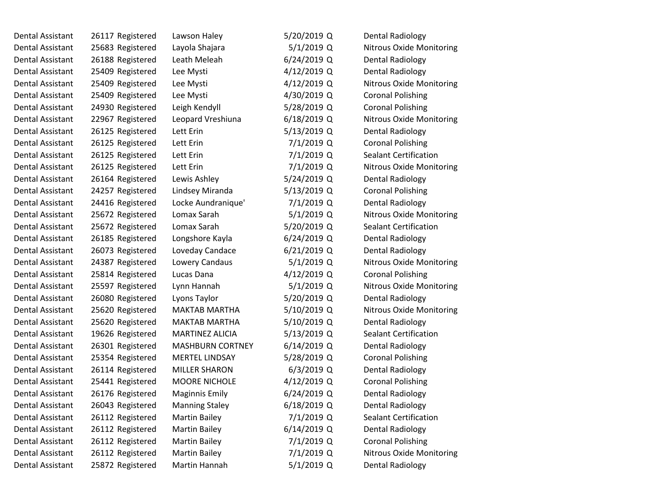| Dental Assistant        | 26117 Registered | Lawson Haley            | 5/20/2019 Q   | <b>Dental Radiology</b>         |
|-------------------------|------------------|-------------------------|---------------|---------------------------------|
| Dental Assistant        | 25683 Registered | Layola Shajara          | 5/1/2019 Q    | Nitrous Oxide Monitoring        |
| Dental Assistant        | 26188 Registered | Leath Meleah            | 6/24/2019 Q   | <b>Dental Radiology</b>         |
| Dental Assistant        | 25409 Registered | Lee Mysti               | 4/12/2019 Q   | <b>Dental Radiology</b>         |
| <b>Dental Assistant</b> | 25409 Registered | Lee Mysti               | 4/12/2019 Q   | Nitrous Oxide Monitoring        |
| Dental Assistant        | 25409 Registered | Lee Mysti               | 4/30/2019 Q   | <b>Coronal Polishing</b>        |
| Dental Assistant        | 24930 Registered | Leigh Kendyll           | 5/28/2019 Q   | <b>Coronal Polishing</b>        |
| Dental Assistant        | 22967 Registered | Leopard Vreshiuna       | 6/18/2019 Q   | <b>Nitrous Oxide Monitoring</b> |
| Dental Assistant        | 26125 Registered | Lett Erin               | 5/13/2019 Q   | <b>Dental Radiology</b>         |
| Dental Assistant        | 26125 Registered | Lett Erin               | 7/1/2019 Q    | <b>Coronal Polishing</b>        |
| Dental Assistant        | 26125 Registered | Lett Erin               | 7/1/2019 Q    | <b>Sealant Certification</b>    |
| Dental Assistant        | 26125 Registered | Lett Erin               | 7/1/2019 Q    | <b>Nitrous Oxide Monitoring</b> |
| Dental Assistant        | 26164 Registered | Lewis Ashley            | 5/24/2019 Q   | <b>Dental Radiology</b>         |
| Dental Assistant        | 24257 Registered | Lindsey Miranda         | 5/13/2019 Q   | <b>Coronal Polishing</b>        |
| Dental Assistant        | 24416 Registered | Locke Aundranique'      | 7/1/2019 Q    | <b>Dental Radiology</b>         |
| Dental Assistant        | 25672 Registered | Lomax Sarah             | $5/1/2019$ Q  | Nitrous Oxide Monitoring        |
| Dental Assistant        | 25672 Registered | Lomax Sarah             | 5/20/2019 Q   | <b>Sealant Certification</b>    |
| Dental Assistant        | 26185 Registered | Longshore Kayla         | 6/24/2019 Q   | <b>Dental Radiology</b>         |
| Dental Assistant        | 26073 Registered | Loveday Candace         | 6/21/2019 Q   | <b>Dental Radiology</b>         |
| Dental Assistant        | 24387 Registered | Lowery Candaus          | 5/1/2019 Q    | <b>Nitrous Oxide Monitoring</b> |
| Dental Assistant        | 25814 Registered | Lucas Dana              | 4/12/2019 Q   | <b>Coronal Polishing</b>        |
| Dental Assistant        | 25597 Registered | Lynn Hannah             | 5/1/2019 Q    | <b>Nitrous Oxide Monitoring</b> |
| Dental Assistant        | 26080 Registered | Lyons Taylor            | 5/20/2019 Q   | <b>Dental Radiology</b>         |
| Dental Assistant        | 25620 Registered | <b>MAKTAB MARTHA</b>    | 5/10/2019 Q   | <b>Nitrous Oxide Monitoring</b> |
| Dental Assistant        | 25620 Registered | <b>MAKTAB MARTHA</b>    | 5/10/2019 Q   | <b>Dental Radiology</b>         |
| Dental Assistant        | 19626 Registered | <b>MARTINEZ ALICIA</b>  | 5/13/2019 Q   | Sealant Certification           |
| Dental Assistant        | 26301 Registered | <b>MASHBURN CORTNEY</b> | 6/14/2019 Q   | <b>Dental Radiology</b>         |
| Dental Assistant        | 25354 Registered | <b>MERTEL LINDSAY</b>   | 5/28/2019 Q   | <b>Coronal Polishing</b>        |
| <b>Dental Assistant</b> | 26114 Registered | <b>MILLER SHARON</b>    | 6/3/2019 Q    | <b>Dental Radiology</b>         |
| Dental Assistant        | 25441 Registered | <b>MOORE NICHOLE</b>    | 4/12/2019 Q   | <b>Coronal Polishing</b>        |
| Dental Assistant        | 26176 Registered | <b>Maginnis Emily</b>   | 6/24/2019 Q   | <b>Dental Radiology</b>         |
| Dental Assistant        | 26043 Registered | <b>Manning Staley</b>   | $6/18/2019$ Q | <b>Dental Radiology</b>         |
| <b>Dental Assistant</b> | 26112 Registered | <b>Martin Bailey</b>    | 7/1/2019 Q    | <b>Sealant Certification</b>    |
| Dental Assistant        | 26112 Registered | <b>Martin Bailey</b>    | 6/14/2019 Q   | <b>Dental Radiology</b>         |
| Dental Assistant        | 26112 Registered | <b>Martin Bailey</b>    | 7/1/2019 Q    | <b>Coronal Polishing</b>        |
| <b>Dental Assistant</b> | 26112 Registered | <b>Martin Bailey</b>    | 7/1/2019 Q    | <b>Nitrous Oxide Monitoring</b> |
| Dental Assistant        | 25872 Registered | Martin Hannah           | $5/1/2019$ Q  | <b>Dental Radiology</b>         |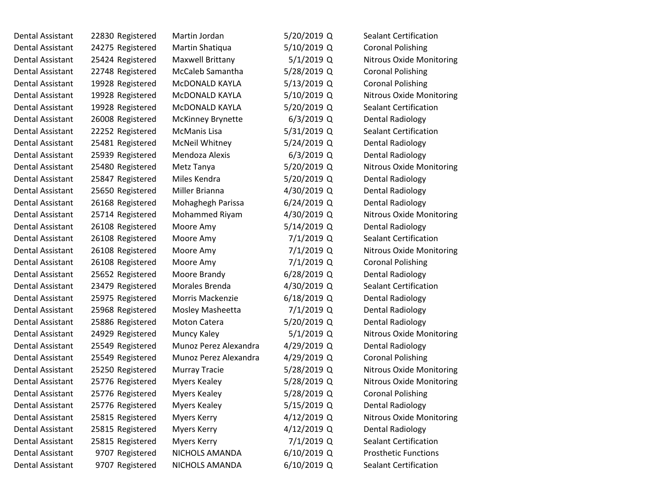| Dental Assistant        | 22830 Registered | Martin Jordan            | 5/20/2019 Q   | <b>Sealant Certification</b>    |
|-------------------------|------------------|--------------------------|---------------|---------------------------------|
| Dental Assistant        | 24275 Registered | Martin Shatiqua          | 5/10/2019 Q   | <b>Coronal Polishing</b>        |
| Dental Assistant        | 25424 Registered | Maxwell Brittany         | $5/1/2019$ Q  | <b>Nitrous Oxide Monitoring</b> |
| Dental Assistant        | 22748 Registered | McCaleb Samantha         | 5/28/2019 Q   | <b>Coronal Polishing</b>        |
| Dental Assistant        | 19928 Registered | McDONALD KAYLA           | 5/13/2019 Q   | <b>Coronal Polishing</b>        |
| Dental Assistant        | 19928 Registered | McDONALD KAYLA           | 5/10/2019 Q   | <b>Nitrous Oxide Monitoring</b> |
| Dental Assistant        | 19928 Registered | McDONALD KAYLA           | 5/20/2019 Q   | <b>Sealant Certification</b>    |
| Dental Assistant        | 26008 Registered | <b>McKinney Brynette</b> | $6/3/2019$ Q  | <b>Dental Radiology</b>         |
| Dental Assistant        | 22252 Registered | McManis Lisa             | 5/31/2019 Q   | <b>Sealant Certification</b>    |
| Dental Assistant        | 25481 Registered | <b>McNeil Whitney</b>    | 5/24/2019 Q   | <b>Dental Radiology</b>         |
| Dental Assistant        | 25939 Registered | Mendoza Alexis           | $6/3/2019$ Q  | <b>Dental Radiology</b>         |
| Dental Assistant        | 25480 Registered | Metz Tanya               | 5/20/2019 Q   | <b>Nitrous Oxide Monitoring</b> |
| Dental Assistant        | 25847 Registered | Miles Kendra             | 5/20/2019 Q   | <b>Dental Radiology</b>         |
| Dental Assistant        | 25650 Registered | Miller Brianna           | 4/30/2019 Q   | <b>Dental Radiology</b>         |
| Dental Assistant        | 26168 Registered | Mohaghegh Parissa        | $6/24/2019$ Q | <b>Dental Radiology</b>         |
| Dental Assistant        | 25714 Registered | Mohammed Riyam           | 4/30/2019 Q   | Nitrous Oxide Monitoring        |
| Dental Assistant        | 26108 Registered | Moore Amy                | 5/14/2019 Q   | <b>Dental Radiology</b>         |
| Dental Assistant        | 26108 Registered | Moore Amy                | 7/1/2019 Q    | <b>Sealant Certification</b>    |
| Dental Assistant        | 26108 Registered | Moore Amy                | 7/1/2019 Q    | <b>Nitrous Oxide Monitoring</b> |
| Dental Assistant        | 26108 Registered | Moore Amy                | 7/1/2019 Q    | <b>Coronal Polishing</b>        |
| Dental Assistant        | 25652 Registered | Moore Brandy             | $6/28/2019$ Q | Dental Radiology                |
| Dental Assistant        | 23479 Registered | Morales Brenda           | 4/30/2019 Q   | Sealant Certification           |
| Dental Assistant        | 25975 Registered | Morris Mackenzie         | $6/18/2019$ Q | <b>Dental Radiology</b>         |
| Dental Assistant        | 25968 Registered | Mosley Masheetta         | 7/1/2019 Q    | <b>Dental Radiology</b>         |
| Dental Assistant        | 25886 Registered | <b>Moton Catera</b>      | 5/20/2019 Q   | <b>Dental Radiology</b>         |
| Dental Assistant        | 24929 Registered | Muncy Kaley              | $5/1/2019$ Q  | <b>Nitrous Oxide Monitoring</b> |
| Dental Assistant        | 25549 Registered | Munoz Perez Alexandra    | 4/29/2019 Q   | <b>Dental Radiology</b>         |
| Dental Assistant        | 25549 Registered | Munoz Perez Alexandra    | 4/29/2019 Q   | <b>Coronal Polishing</b>        |
| Dental Assistant        | 25250 Registered | <b>Murray Tracie</b>     | 5/28/2019 Q   | Nitrous Oxide Monitoring        |
| Dental Assistant        | 25776 Registered | <b>Myers Kealey</b>      | 5/28/2019 Q   | <b>Nitrous Oxide Monitoring</b> |
| Dental Assistant        | 25776 Registered | <b>Myers Kealey</b>      | 5/28/2019 Q   | <b>Coronal Polishing</b>        |
| Dental Assistant        | 25776 Registered | <b>Myers Kealey</b>      | 5/15/2019 Q   | <b>Dental Radiology</b>         |
| Dental Assistant        | 25815 Registered | <b>Myers Kerry</b>       | 4/12/2019 Q   | <b>Nitrous Oxide Monitoring</b> |
| Dental Assistant        | 25815 Registered | <b>Myers Kerry</b>       | $4/12/2019$ Q | <b>Dental Radiology</b>         |
| Dental Assistant        | 25815 Registered | <b>Myers Kerry</b>       | 7/1/2019 Q    | Sealant Certification           |
| <b>Dental Assistant</b> | 9707 Registered  | NICHOLS AMANDA           | 6/10/2019 Q   | <b>Prosthetic Functions</b>     |
| Dental Assistant        | 9707 Registered  | NICHOLS AMANDA           | 6/10/2019 Q   | <b>Sealant Certification</b>    |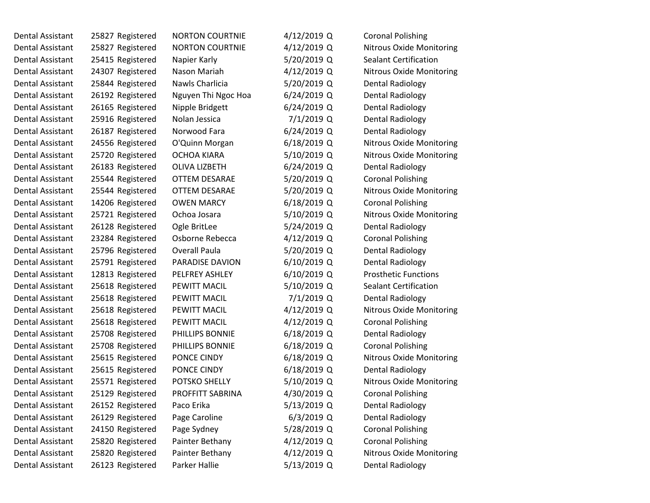| Dental Assistant        | 25827 Registered | <b>NORTON COURTNIE</b> | $4/12/2019$ Q | <b>Coronal Polishing</b>        |
|-------------------------|------------------|------------------------|---------------|---------------------------------|
| Dental Assistant        | 25827 Registered | <b>NORTON COURTNIE</b> | $4/12/2019$ Q | Nitrous Oxide Monitoring        |
| <b>Dental Assistant</b> | 25415 Registered | Napier Karly           | 5/20/2019 Q   | <b>Sealant Certification</b>    |
| Dental Assistant        | 24307 Registered | Nason Mariah           | 4/12/2019 Q   | <b>Nitrous Oxide Monitoring</b> |
| Dental Assistant        | 25844 Registered | Nawls Charlicia        | 5/20/2019 Q   | <b>Dental Radiology</b>         |
| Dental Assistant        | 26192 Registered | Nguyen Thi Ngoc Hoa    | $6/24/2019$ Q | <b>Dental Radiology</b>         |
| Dental Assistant        | 26165 Registered | Nipple Bridgett        | $6/24/2019$ Q | <b>Dental Radiology</b>         |
| Dental Assistant        | 25916 Registered | Nolan Jessica          | 7/1/2019 Q    | <b>Dental Radiology</b>         |
| Dental Assistant        | 26187 Registered | Norwood Fara           | $6/24/2019$ Q | <b>Dental Radiology</b>         |
| Dental Assistant        | 24556 Registered | O'Quinn Morgan         | $6/18/2019$ Q | Nitrous Oxide Monitoring        |
| Dental Assistant        | 25720 Registered | <b>OCHOA KIARA</b>     | 5/10/2019 Q   | Nitrous Oxide Monitoring        |
| Dental Assistant        | 26183 Registered | OLIVA LIZBETH          | 6/24/2019 Q   | Dental Radiology                |
| Dental Assistant        | 25544 Registered | OTTEM DESARAE          | 5/20/2019 Q   | <b>Coronal Polishing</b>        |
| Dental Assistant        | 25544 Registered | OTTEM DESARAE          | 5/20/2019 Q   | <b>Nitrous Oxide Monitoring</b> |
| Dental Assistant        | 14206 Registered | <b>OWEN MARCY</b>      | $6/18/2019$ Q | <b>Coronal Polishing</b>        |
| Dental Assistant        | 25721 Registered | Ochoa Josara           | 5/10/2019 Q   | <b>Nitrous Oxide Monitoring</b> |
| Dental Assistant        | 26128 Registered | Ogle BritLee           | 5/24/2019 Q   | <b>Dental Radiology</b>         |
| Dental Assistant        | 23284 Registered | Osborne Rebecca        | 4/12/2019 Q   | <b>Coronal Polishing</b>        |
| Dental Assistant        | 25796 Registered | <b>Overall Paula</b>   | 5/20/2019 Q   | <b>Dental Radiology</b>         |
| <b>Dental Assistant</b> | 25791 Registered | PARADISE DAVION        | $6/10/2019$ Q | <b>Dental Radiology</b>         |
| Dental Assistant        | 12813 Registered | PELFREY ASHLEY         | $6/10/2019$ Q | <b>Prosthetic Functions</b>     |
| Dental Assistant        | 25618 Registered | PEWITT MACIL           | 5/10/2019 Q   | <b>Sealant Certification</b>    |
| Dental Assistant        | 25618 Registered | PEWITT MACIL           | 7/1/2019 Q    | <b>Dental Radiology</b>         |
| Dental Assistant        | 25618 Registered | PEWITT MACIL           | 4/12/2019 Q   | <b>Nitrous Oxide Monitoring</b> |
| Dental Assistant        | 25618 Registered | PEWITT MACIL           | $4/12/2019$ Q | <b>Coronal Polishing</b>        |
| Dental Assistant        | 25708 Registered | PHILLIPS BONNIE        | 6/18/2019 Q   | Dental Radiology                |
| Dental Assistant        | 25708 Registered | PHILLIPS BONNIE        | 6/18/2019 Q   | <b>Coronal Polishing</b>        |
| Dental Assistant        | 25615 Registered | PONCE CINDY            | $6/18/2019$ Q | <b>Nitrous Oxide Monitoring</b> |
| <b>Dental Assistant</b> | 25615 Registered | PONCE CINDY            | 6/18/2019 Q   | <b>Dental Radiology</b>         |
| Dental Assistant        | 25571 Registered | POTSKO SHELLY          | 5/10/2019 Q   | <b>Nitrous Oxide Monitoring</b> |
| Dental Assistant        | 25129 Registered | PROFFITT SABRINA       | 4/30/2019 Q   | <b>Coronal Polishing</b>        |
| Dental Assistant        | 26152 Registered | Paco Erika             | 5/13/2019 Q   | <b>Dental Radiology</b>         |
| Dental Assistant        | 26129 Registered | Page Caroline          | $6/3/2019$ Q  | <b>Dental Radiology</b>         |
| Dental Assistant        | 24150 Registered | Page Sydney            | 5/28/2019 Q   | <b>Coronal Polishing</b>        |
| Dental Assistant        | 25820 Registered | Painter Bethany        | 4/12/2019 Q   | <b>Coronal Polishing</b>        |
| <b>Dental Assistant</b> | 25820 Registered | Painter Bethany        | 4/12/2019 Q   | Nitrous Oxide Monitoring        |
| <b>Dental Assistant</b> | 26123 Registered | Parker Hallie          | 5/13/2019 Q   | <b>Dental Radiology</b>         |
|                         |                  |                        |               |                                 |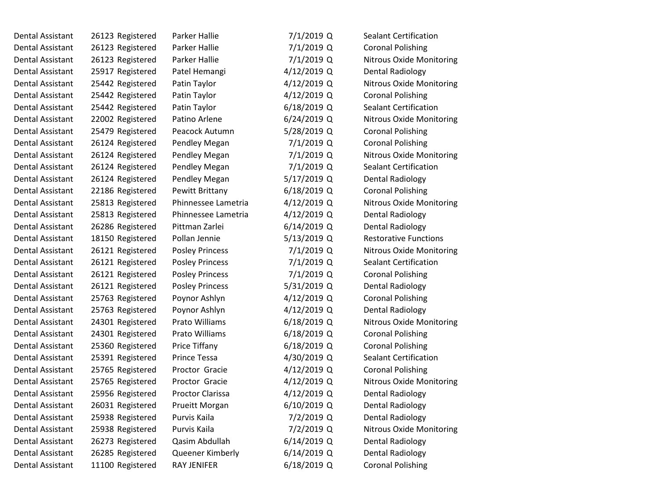| Dental Assistant        | 26123 Registered | Parker Hallie          | 7/1/2019 Q    | <b>Sealant Certification</b>    |  |
|-------------------------|------------------|------------------------|---------------|---------------------------------|--|
| <b>Dental Assistant</b> | 26123 Registered | Parker Hallie          | 7/1/2019 Q    | <b>Coronal Polishing</b>        |  |
| Dental Assistant        | 26123 Registered | Parker Hallie          | 7/1/2019 Q    | <b>Nitrous Oxide Monitoring</b> |  |
| Dental Assistant        | 25917 Registered | Patel Hemangi          | 4/12/2019 Q   | <b>Dental Radiology</b>         |  |
| Dental Assistant        | 25442 Registered | Patin Taylor           | 4/12/2019 Q   | <b>Nitrous Oxide Monitoring</b> |  |
| Dental Assistant        | 25442 Registered | Patin Taylor           | 4/12/2019 Q   | <b>Coronal Polishing</b>        |  |
| Dental Assistant        | 25442 Registered | Patin Taylor           | $6/18/2019$ Q | <b>Sealant Certification</b>    |  |
| Dental Assistant        | 22002 Registered | Patino Arlene          | $6/24/2019$ Q | <b>Nitrous Oxide Monitoring</b> |  |
| Dental Assistant        | 25479 Registered | Peacock Autumn         | 5/28/2019 Q   | <b>Coronal Polishing</b>        |  |
| Dental Assistant        | 26124 Registered | Pendley Megan          | 7/1/2019 Q    | <b>Coronal Polishing</b>        |  |
| Dental Assistant        | 26124 Registered | Pendley Megan          | 7/1/2019 Q    | <b>Nitrous Oxide Monitoring</b> |  |
| Dental Assistant        | 26124 Registered | Pendley Megan          | 7/1/2019 Q    | <b>Sealant Certification</b>    |  |
| Dental Assistant        | 26124 Registered | Pendley Megan          | 5/17/2019 Q   | <b>Dental Radiology</b>         |  |
| Dental Assistant        | 22186 Registered | <b>Pewitt Brittany</b> | 6/18/2019 Q   | <b>Coronal Polishing</b>        |  |
| Dental Assistant        | 25813 Registered | Phinnessee Lametria    | 4/12/2019 Q   | <b>Nitrous Oxide Monitoring</b> |  |
| Dental Assistant        | 25813 Registered | Phinnessee Lametria    | 4/12/2019 Q   | <b>Dental Radiology</b>         |  |
| <b>Dental Assistant</b> | 26286 Registered | Pittman Zarlei         | 6/14/2019 Q   | <b>Dental Radiology</b>         |  |
| Dental Assistant        | 18150 Registered | Pollan Jennie          | 5/13/2019 Q   | <b>Restorative Functions</b>    |  |
| <b>Dental Assistant</b> | 26121 Registered | <b>Posley Princess</b> | 7/1/2019 Q    | <b>Nitrous Oxide Monitoring</b> |  |
| Dental Assistant        | 26121 Registered | <b>Posley Princess</b> | 7/1/2019 Q    | Sealant Certification           |  |
| Dental Assistant        | 26121 Registered | <b>Posley Princess</b> | 7/1/2019 Q    | <b>Coronal Polishing</b>        |  |
| Dental Assistant        | 26121 Registered | <b>Posley Princess</b> | 5/31/2019 Q   | Dental Radiology                |  |
| Dental Assistant        | 25763 Registered | Poynor Ashlyn          | 4/12/2019 Q   | <b>Coronal Polishing</b>        |  |
| Dental Assistant        | 25763 Registered | Poynor Ashlyn          | 4/12/2019 Q   | <b>Dental Radiology</b>         |  |
| Dental Assistant        | 24301 Registered | Prato Williams         | $6/18/2019$ Q | Nitrous Oxide Monitoring        |  |
| <b>Dental Assistant</b> | 24301 Registered | Prato Williams         | $6/18/2019$ Q | <b>Coronal Polishing</b>        |  |
| Dental Assistant        | 25360 Registered | Price Tiffany          | 6/18/2019 Q   | <b>Coronal Polishing</b>        |  |
| <b>Dental Assistant</b> | 25391 Registered | <b>Prince Tessa</b>    | 4/30/2019 Q   | <b>Sealant Certification</b>    |  |
| Dental Assistant        | 25765 Registered | Proctor Gracie         | 4/12/2019 Q   | <b>Coronal Polishing</b>        |  |
| <b>Dental Assistant</b> | 25765 Registered | Proctor Gracie         | 4/12/2019 Q   | Nitrous Oxide Monitoring        |  |
| Dental Assistant        | 25956 Registered | Proctor Clarissa       | 4/12/2019 Q   | <b>Dental Radiology</b>         |  |
| Dental Assistant        | 26031 Registered | <b>Prueitt Morgan</b>  | $6/10/2019$ Q | <b>Dental Radiology</b>         |  |
| <b>Dental Assistant</b> | 25938 Registered | Purvis Kaila           | 7/2/2019 Q    | <b>Dental Radiology</b>         |  |
| Dental Assistant        | 25938 Registered | Purvis Kaila           | 7/2/2019 Q    | <b>Nitrous Oxide Monitoring</b> |  |
| Dental Assistant        | 26273 Registered | Qasim Abdullah         | 6/14/2019 Q   | <b>Dental Radiology</b>         |  |
| <b>Dental Assistant</b> | 26285 Registered | Queener Kimberly       | 6/14/2019 Q   | <b>Dental Radiology</b>         |  |
| <b>Dental Assistant</b> | 11100 Registered | RAY JENIFER            | 6/18/2019 Q   | <b>Coronal Polishing</b>        |  |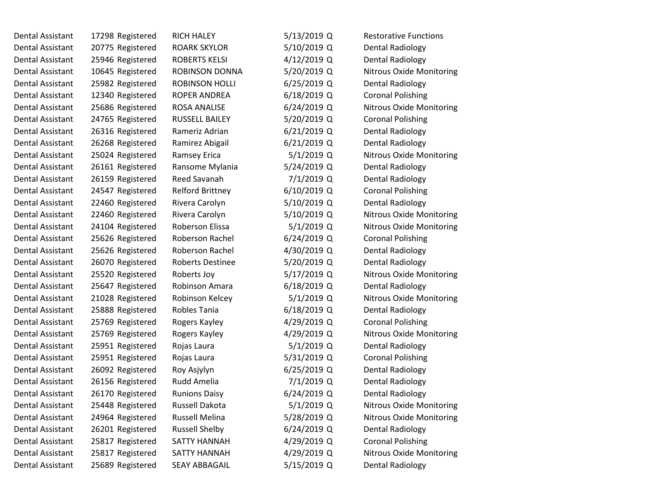| <b>Dental Assistant</b> | 17298 Registered | <b>RICH HALEY</b>       | 5/13/2019 Q   | <b>Restorative Functions</b>    |
|-------------------------|------------------|-------------------------|---------------|---------------------------------|
| <b>Dental Assistant</b> | 20775 Registered | <b>ROARK SKYLOR</b>     | 5/10/2019 Q   | Dental Radiology                |
| Dental Assistant        | 25946 Registered | <b>ROBERTS KELSI</b>    | 4/12/2019 Q   | Dental Radiology                |
| Dental Assistant        | 10645 Registered | <b>ROBINSON DONNA</b>   | 5/20/2019 Q   | <b>Nitrous Oxide Monitoring</b> |
| <b>Dental Assistant</b> | 25982 Registered | <b>ROBINSON HOLLI</b>   | $6/25/2019$ Q | <b>Dental Radiology</b>         |
| Dental Assistant        | 12340 Registered | ROPER ANDREA            | 6/18/2019 Q   | <b>Coronal Polishing</b>        |
| Dental Assistant        | 25686 Registered | <b>ROSA ANALISE</b>     | $6/24/2019$ Q | <b>Nitrous Oxide Monitoring</b> |
| Dental Assistant        | 24765 Registered | RUSSELL BAILEY          | 5/20/2019 Q   | <b>Coronal Polishing</b>        |
| Dental Assistant        | 26316 Registered | Rameriz Adrian          | $6/21/2019$ Q | Dental Radiology                |
| Dental Assistant        | 26268 Registered | Ramirez Abigail         | $6/21/2019$ Q | Dental Radiology                |
| Dental Assistant        | 25024 Registered | Ramsey Erica            | $5/1/2019$ Q  | <b>Nitrous Oxide Monitoring</b> |
| Dental Assistant        | 26161 Registered | Ransome Mylania         | 5/24/2019 Q   | Dental Radiology                |
| Dental Assistant        | 26159 Registered | Reed Savanah            | 7/1/2019 Q    | <b>Dental Radiology</b>         |
| Dental Assistant        | 24547 Registered | <b>Relford Brittney</b> | 6/10/2019 Q   | <b>Coronal Polishing</b>        |
| <b>Dental Assistant</b> | 22460 Registered | Rivera Carolyn          | 5/10/2019 Q   | Dental Radiology                |
| Dental Assistant        | 22460 Registered | Rivera Carolyn          | 5/10/2019 Q   | <b>Nitrous Oxide Monitoring</b> |
| Dental Assistant        | 24104 Registered | Roberson Elissa         | 5/1/2019 Q    | <b>Nitrous Oxide Monitoring</b> |
| Dental Assistant        | 25626 Registered | Roberson Rachel         | $6/24/2019$ Q | <b>Coronal Polishing</b>        |
| Dental Assistant        | 25626 Registered | Roberson Rachel         | 4/30/2019 Q   | <b>Dental Radiology</b>         |
| Dental Assistant        | 26070 Registered | <b>Roberts Destinee</b> | 5/20/2019 Q   | <b>Dental Radiology</b>         |
| Dental Assistant        | 25520 Registered | Roberts Joy             | 5/17/2019 Q   | <b>Nitrous Oxide Monitoring</b> |
| Dental Assistant        | 25647 Registered | Robinson Amara          | 6/18/2019 Q   | Dental Radiology                |
| Dental Assistant        | 21028 Registered | Robinson Kelcey         | $5/1/2019$ Q  | <b>Nitrous Oxide Monitoring</b> |
| Dental Assistant        | 25888 Registered | Robles Tania            | $6/18/2019$ Q | <b>Dental Radiology</b>         |
| Dental Assistant        | 25769 Registered | Rogers Kayley           | 4/29/2019 Q   | <b>Coronal Polishing</b>        |
| <b>Dental Assistant</b> | 25769 Registered | Rogers Kayley           | 4/29/2019 Q   | Nitrous Oxide Monitoring        |
| Dental Assistant        | 25951 Registered | Rojas Laura             | $5/1/2019$ Q  | Dental Radiology                |
| <b>Dental Assistant</b> | 25951 Registered | Rojas Laura             | 5/31/2019 Q   | <b>Coronal Polishing</b>        |
| Dental Assistant        | 26092 Registered | Roy Asjylyn             | 6/25/2019 Q   | Dental Radiology                |
| Dental Assistant        | 26156 Registered | Rudd Amelia             | 7/1/2019 Q    | <b>Dental Radiology</b>         |
| Dental Assistant        | 26170 Registered | <b>Runions Daisy</b>    | 6/24/2019 Q   | <b>Dental Radiology</b>         |
| Dental Assistant        | 25448 Registered | Russell Dakota          | 5/1/2019 Q    | <b>Nitrous Oxide Monitoring</b> |
| Dental Assistant        | 24964 Registered | <b>Russell Melina</b>   | 5/28/2019 Q   | <b>Nitrous Oxide Monitoring</b> |
| Dental Assistant        | 26201 Registered | <b>Russell Shelby</b>   | 6/24/2019 Q   | Dental Radiology                |
| Dental Assistant        | 25817 Registered | <b>SATTY HANNAH</b>     | 4/29/2019 Q   | <b>Coronal Polishing</b>        |
| <b>Dental Assistant</b> | 25817 Registered | SATTY HANNAH            | 4/29/2019 Q   | Nitrous Oxide Monitoring        |
| Dental Assistant        | 25689 Registered | <b>SEAY ABBAGAIL</b>    | 5/15/2019 Q   | <b>Dental Radiology</b>         |
|                         |                  |                         |               |                                 |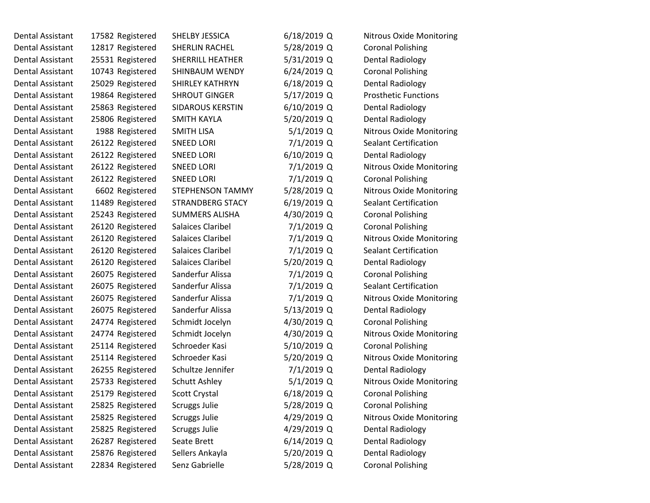| Dental Assistant        | 17582 Registered | SHELBY JESSICA           | 6/18/2019 Q  | <b>Nitrous Oxide Monitoring</b> |
|-------------------------|------------------|--------------------------|--------------|---------------------------------|
| Dental Assistant        | 12817 Registered | SHERLIN RACHEL           | 5/28/2019 Q  | <b>Coronal Polishing</b>        |
| <b>Dental Assistant</b> | 25531 Registered | <b>SHERRILL HEATHER</b>  | 5/31/2019 Q  | <b>Dental Radiology</b>         |
| Dental Assistant        | 10743 Registered | SHINBAUM WENDY           | 6/24/2019 Q  | <b>Coronal Polishing</b>        |
| <b>Dental Assistant</b> | 25029 Registered | <b>SHIRLEY KATHRYN</b>   | 6/18/2019 Q  | <b>Dental Radiology</b>         |
| <b>Dental Assistant</b> | 19864 Registered | <b>SHROUT GINGER</b>     | 5/17/2019 Q  | <b>Prosthetic Functions</b>     |
| <b>Dental Assistant</b> | 25863 Registered | <b>SIDAROUS KERSTIN</b>  | 6/10/2019 Q  | Dental Radiology                |
| <b>Dental Assistant</b> | 25806 Registered | <b>SMITH KAYLA</b>       | 5/20/2019 Q  | <b>Dental Radiology</b>         |
| Dental Assistant        | 1988 Registered  | <b>SMITH LISA</b>        | $5/1/2019$ Q | <b>Nitrous Oxide Monitoring</b> |
| <b>Dental Assistant</b> | 26122 Registered | <b>SNEED LORI</b>        | 7/1/2019 Q   | Sealant Certification           |
| <b>Dental Assistant</b> | 26122 Registered | <b>SNEED LORI</b>        | 6/10/2019 Q  | Dental Radiology                |
| Dental Assistant        | 26122 Registered | <b>SNEED LORI</b>        | 7/1/2019 Q   | <b>Nitrous Oxide Monitoring</b> |
| Dental Assistant        | 26122 Registered | <b>SNEED LORI</b>        | 7/1/2019 Q   | <b>Coronal Polishing</b>        |
| Dental Assistant        | 6602 Registered  | <b>STEPHENSON TAMMY</b>  | 5/28/2019 Q  | <b>Nitrous Oxide Monitoring</b> |
| Dental Assistant        | 11489 Registered | <b>STRANDBERG STACY</b>  | 6/19/2019 Q  | <b>Sealant Certification</b>    |
| Dental Assistant        | 25243 Registered | <b>SUMMERS ALISHA</b>    | 4/30/2019 Q  | <b>Coronal Polishing</b>        |
| <b>Dental Assistant</b> | 26120 Registered | Salaices Claribel        | 7/1/2019 Q   | <b>Coronal Polishing</b>        |
| <b>Dental Assistant</b> | 26120 Registered | <b>Salaices Claribel</b> | 7/1/2019 Q   | <b>Nitrous Oxide Monitoring</b> |
| Dental Assistant        | 26120 Registered | Salaices Claribel        | 7/1/2019 Q   | <b>Sealant Certification</b>    |
| <b>Dental Assistant</b> | 26120 Registered | Salaices Claribel        | 5/20/2019 Q  | <b>Dental Radiology</b>         |
| Dental Assistant        | 26075 Registered | Sanderfur Alissa         | 7/1/2019 Q   | <b>Coronal Polishing</b>        |
| Dental Assistant        | 26075 Registered | Sanderfur Alissa         | 7/1/2019 Q   | <b>Sealant Certification</b>    |
| Dental Assistant        | 26075 Registered | Sanderfur Alissa         | 7/1/2019 Q   | <b>Nitrous Oxide Monitoring</b> |
| Dental Assistant        | 26075 Registered | Sanderfur Alissa         | 5/13/2019 Q  | <b>Dental Radiology</b>         |
| <b>Dental Assistant</b> | 24774 Registered | Schmidt Jocelyn          | 4/30/2019 Q  | <b>Coronal Polishing</b>        |
| <b>Dental Assistant</b> | 24774 Registered | Schmidt Jocelyn          | 4/30/2019 Q  | Nitrous Oxide Monitoring        |
| Dental Assistant        | 25114 Registered | Schroeder Kasi           | 5/10/2019 Q  | <b>Coronal Polishing</b>        |
| Dental Assistant        | 25114 Registered | Schroeder Kasi           | 5/20/2019 Q  | <b>Nitrous Oxide Monitoring</b> |
| Dental Assistant        | 26255 Registered | Schultze Jennifer        | 7/1/2019 Q   | Dental Radiology                |
| <b>Dental Assistant</b> | 25733 Registered | Schutt Ashley            | $5/1/2019$ Q | <b>Nitrous Oxide Monitoring</b> |
| Dental Assistant        | 25179 Registered | Scott Crystal            | 6/18/2019 Q  | <b>Coronal Polishing</b>        |
| Dental Assistant        | 25825 Registered | <b>Scruggs Julie</b>     | 5/28/2019 Q  | <b>Coronal Polishing</b>        |
| Dental Assistant        | 25825 Registered | <b>Scruggs Julie</b>     | 4/29/2019 Q  | <b>Nitrous Oxide Monitoring</b> |
| Dental Assistant        | 25825 Registered | <b>Scruggs Julie</b>     | 4/29/2019 Q  | <b>Dental Radiology</b>         |
| <b>Dental Assistant</b> | 26287 Registered | Seate Brett              | 6/14/2019 Q  | <b>Dental Radiology</b>         |
| <b>Dental Assistant</b> | 25876 Registered | Sellers Ankayla          | 5/20/2019 Q  | <b>Dental Radiology</b>         |
| Dental Assistant        | 22834 Registered | Senz Gabrielle           | 5/28/2019 Q  | <b>Coronal Polishing</b>        |
|                         |                  |                          |              |                                 |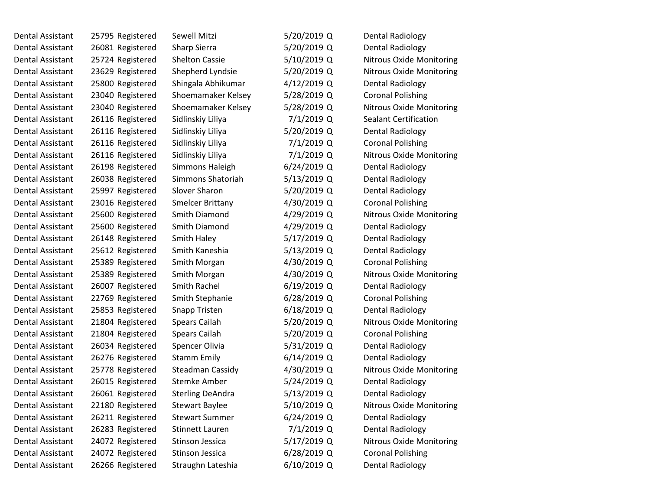| Dental Assistant | 25795 Registered | Sewell Mitzi            | 5/20/2019 Q   | <b>Dental Radiology</b>         |  |
|------------------|------------------|-------------------------|---------------|---------------------------------|--|
| Dental Assistant | 26081 Registered | Sharp Sierra            | 5/20/2019 Q   | <b>Dental Radiology</b>         |  |
| Dental Assistant | 25724 Registered | <b>Shelton Cassie</b>   | 5/10/2019 Q   | <b>Nitrous Oxide Monitoring</b> |  |
| Dental Assistant | 23629 Registered | Shepherd Lyndsie        | 5/20/2019 Q   | Nitrous Oxide Monitoring        |  |
| Dental Assistant | 25800 Registered | Shingala Abhikumar      | 4/12/2019 Q   | <b>Dental Radiology</b>         |  |
| Dental Assistant | 23040 Registered | Shoemamaker Kelsey      | 5/28/2019 Q   | <b>Coronal Polishing</b>        |  |
| Dental Assistant | 23040 Registered | Shoemamaker Kelsey      | 5/28/2019 Q   | <b>Nitrous Oxide Monitoring</b> |  |
| Dental Assistant | 26116 Registered | Sidlinskiy Liliya       | $7/1/2019$ Q  | <b>Sealant Certification</b>    |  |
| Dental Assistant | 26116 Registered | Sidlinskiy Liliya       | 5/20/2019 Q   | <b>Dental Radiology</b>         |  |
| Dental Assistant | 26116 Registered | Sidlinskiy Liliya       | $7/1/2019$ Q  | <b>Coronal Polishing</b>        |  |
| Dental Assistant | 26116 Registered | Sidlinskiy Liliya       | $7/1/2019$ Q  | <b>Nitrous Oxide Monitoring</b> |  |
| Dental Assistant | 26198 Registered | Simmons Haleigh         | $6/24/2019$ Q | Dental Radiology                |  |
| Dental Assistant | 26038 Registered | Simmons Shatoriah       | 5/13/2019 Q   | <b>Dental Radiology</b>         |  |
| Dental Assistant | 25997 Registered | Slover Sharon           | 5/20/2019 Q   | <b>Dental Radiology</b>         |  |
| Dental Assistant | 23016 Registered | <b>Smelcer Brittany</b> | 4/30/2019 Q   | <b>Coronal Polishing</b>        |  |
| Dental Assistant | 25600 Registered | Smith Diamond           | 4/29/2019 Q   | Nitrous Oxide Monitoring        |  |
| Dental Assistant | 25600 Registered | Smith Diamond           | 4/29/2019 Q   | <b>Dental Radiology</b>         |  |
| Dental Assistant | 26148 Registered | Smith Haley             | 5/17/2019 Q   | <b>Dental Radiology</b>         |  |
| Dental Assistant | 25612 Registered | Smith Kaneshia          | 5/13/2019 Q   | <b>Dental Radiology</b>         |  |
| Dental Assistant | 25389 Registered | Smith Morgan            | 4/30/2019 Q   | <b>Coronal Polishing</b>        |  |
| Dental Assistant | 25389 Registered | Smith Morgan            | 4/30/2019 Q   | <b>Nitrous Oxide Monitoring</b> |  |
| Dental Assistant | 26007 Registered | Smith Rachel            | $6/19/2019$ Q | Dental Radiology                |  |
| Dental Assistant | 22769 Registered | Smith Stephanie         | $6/28/2019$ Q | <b>Coronal Polishing</b>        |  |
| Dental Assistant | 25853 Registered | Snapp Tristen           | $6/18/2019$ Q | <b>Dental Radiology</b>         |  |
| Dental Assistant | 21804 Registered | Spears Cailah           | 5/20/2019 Q   | Nitrous Oxide Monitoring        |  |
| Dental Assistant | 21804 Registered | Spears Cailah           | 5/20/2019 Q   | <b>Coronal Polishing</b>        |  |
| Dental Assistant | 26034 Registered | Spencer Olivia          | 5/31/2019 Q   | <b>Dental Radiology</b>         |  |
| Dental Assistant | 26276 Registered | <b>Stamm Emily</b>      | 6/14/2019 Q   | <b>Dental Radiology</b>         |  |
| Dental Assistant | 25778 Registered | Steadman Cassidy        | 4/30/2019 Q   | <b>Nitrous Oxide Monitoring</b> |  |
| Dental Assistant | 26015 Registered | Stemke Amber            | 5/24/2019 Q   | <b>Dental Radiology</b>         |  |
| Dental Assistant | 26061 Registered | <b>Sterling DeAndra</b> | 5/13/2019 Q   | Dental Radiology                |  |
| Dental Assistant | 22180 Registered | <b>Stewart Baylee</b>   | 5/10/2019 Q   | <b>Nitrous Oxide Monitoring</b> |  |
| Dental Assistant | 26211 Registered | <b>Stewart Summer</b>   | 6/24/2019 Q   | <b>Dental Radiology</b>         |  |
| Dental Assistant | 26283 Registered | Stinnett Lauren         | 7/1/2019 Q    | <b>Dental Radiology</b>         |  |
| Dental Assistant | 24072 Registered | Stinson Jessica         | 5/17/2019 Q   | Nitrous Oxide Monitoring        |  |
| Dental Assistant | 24072 Registered | Stinson Jessica         | 6/28/2019 Q   | <b>Coronal Polishing</b>        |  |
| Dental Assistant | 26266 Registered | Straughn Lateshia       | $6/10/2019$ Q | <b>Dental Radiology</b>         |  |
|                  |                  |                         |               |                                 |  |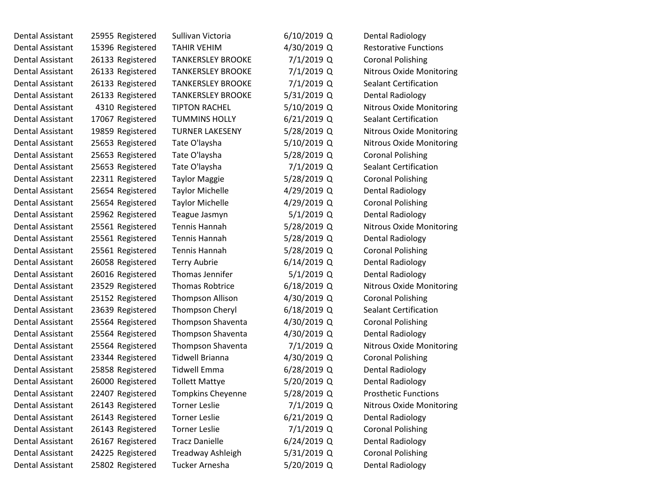| <b>Dental Assistant</b> | 25955 Registered | Sullivan Victoria        | $6/10/2019$ Q | <b>Dental Radiology</b>         |
|-------------------------|------------------|--------------------------|---------------|---------------------------------|
| Dental Assistant        | 15396 Registered | <b>TAHIR VEHIM</b>       | 4/30/2019 Q   | <b>Restorative Functions</b>    |
| Dental Assistant        | 26133 Registered | <b>TANKERSLEY BROOKE</b> | 7/1/2019 Q    | <b>Coronal Polishing</b>        |
| <b>Dental Assistant</b> | 26133 Registered | <b>TANKERSLEY BROOKE</b> | 7/1/2019 Q    | <b>Nitrous Oxide Monitoring</b> |
| Dental Assistant        | 26133 Registered | <b>TANKERSLEY BROOKE</b> | 7/1/2019 Q    | <b>Sealant Certification</b>    |
| Dental Assistant        | 26133 Registered | <b>TANKERSLEY BROOKE</b> | 5/31/2019 Q   | Dental Radiology                |
| Dental Assistant        | 4310 Registered  | <b>TIPTON RACHEL</b>     | 5/10/2019 Q   | <b>Nitrous Oxide Monitoring</b> |
| <b>Dental Assistant</b> | 17067 Registered | <b>TUMMINS HOLLY</b>     | $6/21/2019$ Q | <b>Sealant Certification</b>    |
| <b>Dental Assistant</b> | 19859 Registered | <b>TURNER LAKESENY</b>   | 5/28/2019 Q   | <b>Nitrous Oxide Monitoring</b> |
| <b>Dental Assistant</b> | 25653 Registered | Tate O'laysha            | 5/10/2019 Q   | <b>Nitrous Oxide Monitoring</b> |
| Dental Assistant        | 25653 Registered | Tate O'laysha            | 5/28/2019 Q   | <b>Coronal Polishing</b>        |
| Dental Assistant        | 25653 Registered | Tate O'laysha            | 7/1/2019 Q    | <b>Sealant Certification</b>    |
| Dental Assistant        | 22311 Registered | <b>Taylor Maggie</b>     | 5/28/2019 Q   | <b>Coronal Polishing</b>        |
| Dental Assistant        | 25654 Registered | <b>Taylor Michelle</b>   | 4/29/2019 Q   | <b>Dental Radiology</b>         |
| Dental Assistant        | 25654 Registered | <b>Taylor Michelle</b>   | 4/29/2019 Q   | <b>Coronal Polishing</b>        |
| <b>Dental Assistant</b> | 25962 Registered | Teague Jasmyn            | $5/1/2019$ Q  | <b>Dental Radiology</b>         |
| Dental Assistant        | 25561 Registered | Tennis Hannah            | 5/28/2019 Q   | <b>Nitrous Oxide Monitoring</b> |
| <b>Dental Assistant</b> | 25561 Registered | <b>Tennis Hannah</b>     | 5/28/2019 Q   | <b>Dental Radiology</b>         |
| Dental Assistant        | 25561 Registered | Tennis Hannah            | 5/28/2019 Q   | <b>Coronal Polishing</b>        |
| Dental Assistant        | 26058 Registered | <b>Terry Aubrie</b>      | $6/14/2019$ Q | <b>Dental Radiology</b>         |
| Dental Assistant        | 26016 Registered | Thomas Jennifer          | $5/1/2019$ Q  | <b>Dental Radiology</b>         |
| Dental Assistant        | 23529 Registered | <b>Thomas Robtrice</b>   | $6/18/2019$ Q | <b>Nitrous Oxide Monitoring</b> |
| Dental Assistant        | 25152 Registered | <b>Thompson Allison</b>  | 4/30/2019 Q   | <b>Coronal Polishing</b>        |
| Dental Assistant        | 23639 Registered | <b>Thompson Cheryl</b>   | $6/18/2019$ Q | <b>Sealant Certification</b>    |
| Dental Assistant        | 25564 Registered | Thompson Shaventa        | 4/30/2019 Q   | <b>Coronal Polishing</b>        |
| Dental Assistant        | 25564 Registered | Thompson Shaventa        | 4/30/2019 Q   | Dental Radiology                |
| Dental Assistant        | 25564 Registered | Thompson Shaventa        | 7/1/2019 Q    | <b>Nitrous Oxide Monitoring</b> |
| <b>Dental Assistant</b> | 23344 Registered | <b>Tidwell Brianna</b>   | 4/30/2019 Q   | <b>Coronal Polishing</b>        |
| Dental Assistant        | 25858 Registered | <b>Tidwell Emma</b>      | $6/28/2019$ Q | <b>Dental Radiology</b>         |
| <b>Dental Assistant</b> | 26000 Registered | <b>Tollett Mattye</b>    | 5/20/2019 Q   | <b>Dental Radiology</b>         |
| Dental Assistant        | 22407 Registered | <b>Tompkins Cheyenne</b> | 5/28/2019 Q   | <b>Prosthetic Functions</b>     |
| Dental Assistant        | 26143 Registered | <b>Torner Leslie</b>     | 7/1/2019 Q    | <b>Nitrous Oxide Monitoring</b> |
| Dental Assistant        | 26143 Registered | <b>Torner Leslie</b>     | 6/21/2019 Q   | <b>Dental Radiology</b>         |
| Dental Assistant        | 26143 Registered | <b>Torner Leslie</b>     | 7/1/2019 Q    | <b>Coronal Polishing</b>        |
| <b>Dental Assistant</b> | 26167 Registered | <b>Tracz Danielle</b>    | $6/24/2019$ Q | <b>Dental Radiology</b>         |
| <b>Dental Assistant</b> | 24225 Registered | Treadway Ashleigh        | 5/31/2019 Q   | <b>Coronal Polishing</b>        |
| Dental Assistant        | 25802 Registered | Tucker Arnesha           | 5/20/2019 Q   | <b>Dental Radiology</b>         |
|                         |                  |                          |               |                                 |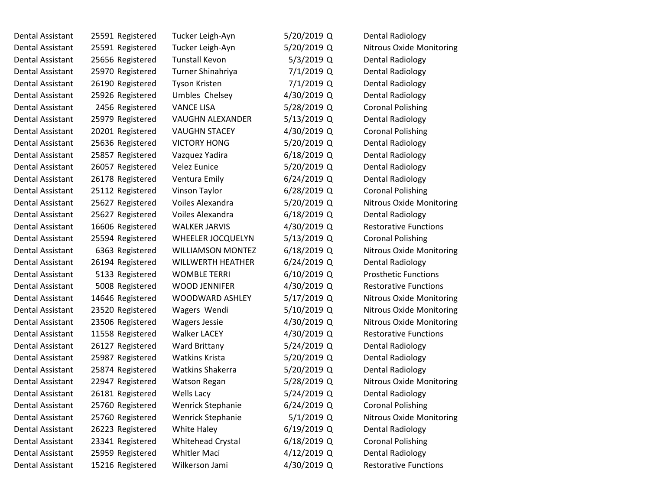| Dental Assistant | 25591 Registered | Tucker Leigh-Ayn         | 5/20/2019 Q   | <b>Dental Radiology</b>         |
|------------------|------------------|--------------------------|---------------|---------------------------------|
| Dental Assistant | 25591 Registered | Tucker Leigh-Ayn         | 5/20/2019 Q   | Nitrous Oxide Monitoring        |
| Dental Assistant | 25656 Registered | <b>Tunstall Kevon</b>    | 5/3/2019 Q    | <b>Dental Radiology</b>         |
| Dental Assistant | 25970 Registered | Turner Shinahriya        | 7/1/2019 Q    | <b>Dental Radiology</b>         |
| Dental Assistant | 26190 Registered | Tyson Kristen            | 7/1/2019 Q    | <b>Dental Radiology</b>         |
| Dental Assistant | 25926 Registered | Umbles Chelsey           | 4/30/2019 Q   | <b>Dental Radiology</b>         |
| Dental Assistant | 2456 Registered  | <b>VANCE LISA</b>        | 5/28/2019 Q   | <b>Coronal Polishing</b>        |
| Dental Assistant | 25979 Registered | <b>VAUGHN ALEXANDER</b>  | 5/13/2019 Q   | <b>Dental Radiology</b>         |
| Dental Assistant | 20201 Registered | <b>VAUGHN STACEY</b>     | 4/30/2019 Q   | <b>Coronal Polishing</b>        |
| Dental Assistant | 25636 Registered | <b>VICTORY HONG</b>      | 5/20/2019 Q   | <b>Dental Radiology</b>         |
| Dental Assistant | 25857 Registered | Vazquez Yadira           | $6/18/2019$ Q | <b>Dental Radiology</b>         |
| Dental Assistant | 26057 Registered | <b>Velez Eunice</b>      | 5/20/2019 Q   | Dental Radiology                |
| Dental Assistant | 26178 Registered | Ventura Emily            | 6/24/2019 Q   | <b>Dental Radiology</b>         |
| Dental Assistant | 25112 Registered | Vinson Taylor            | 6/28/2019 Q   | <b>Coronal Polishing</b>        |
| Dental Assistant | 25627 Registered | Voiles Alexandra         | 5/20/2019 Q   | <b>Nitrous Oxide Monitoring</b> |
| Dental Assistant | 25627 Registered | Voiles Alexandra         | $6/18/2019$ Q | <b>Dental Radiology</b>         |
| Dental Assistant | 16606 Registered | <b>WALKER JARVIS</b>     | 4/30/2019 Q   | <b>Restorative Functions</b>    |
| Dental Assistant | 25594 Registered | WHEELER JOCQUELYN        | 5/13/2019 Q   | <b>Coronal Polishing</b>        |
| Dental Assistant | 6363 Registered  | <b>WILLIAMSON MONTEZ</b> | 6/18/2019 Q   | Nitrous Oxide Monitoring        |
| Dental Assistant | 26194 Registered | <b>WILLWERTH HEATHER</b> | 6/24/2019 Q   | <b>Dental Radiology</b>         |
| Dental Assistant | 5133 Registered  | <b>WOMBLE TERRI</b>      | $6/10/2019$ Q | <b>Prosthetic Functions</b>     |
| Dental Assistant | 5008 Registered  | WOOD JENNIFER            | 4/30/2019 Q   | <b>Restorative Functions</b>    |
| Dental Assistant | 14646 Registered | <b>WOODWARD ASHLEY</b>   | 5/17/2019 Q   | Nitrous Oxide Monitoring        |
| Dental Assistant | 23520 Registered | Wagers Wendi             | 5/10/2019 Q   | Nitrous Oxide Monitoring        |
| Dental Assistant | 23506 Registered | <b>Wagers Jessie</b>     | 4/30/2019 Q   | <b>Nitrous Oxide Monitoring</b> |
| Dental Assistant | 11558 Registered | <b>Walker LACEY</b>      | 4/30/2019 Q   | <b>Restorative Functions</b>    |
| Dental Assistant | 26127 Registered | Ward Brittany            | 5/24/2019 Q   | <b>Dental Radiology</b>         |
| Dental Assistant | 25987 Registered | <b>Watkins Krista</b>    | 5/20/2019 Q   | <b>Dental Radiology</b>         |
| Dental Assistant | 25874 Registered | <b>Watkins Shakerra</b>  | 5/20/2019 Q   | <b>Dental Radiology</b>         |
| Dental Assistant | 22947 Registered | <b>Watson Regan</b>      | 5/28/2019 Q   | <b>Nitrous Oxide Monitoring</b> |
| Dental Assistant | 26181 Registered | Wells Lacy               | 5/24/2019 Q   | Dental Radiology                |
| Dental Assistant | 25760 Registered | <b>Wenrick Stephanie</b> | $6/24/2019$ Q | <b>Coronal Polishing</b>        |
| Dental Assistant | 25760 Registered | Wenrick Stephanie        | 5/1/2019 Q    | <b>Nitrous Oxide Monitoring</b> |
| Dental Assistant | 26223 Registered | White Haley              | $6/19/2019$ Q | <b>Dental Radiology</b>         |
| Dental Assistant | 23341 Registered | Whitehead Crystal        | 6/18/2019 Q   | <b>Coronal Polishing</b>        |
| Dental Assistant | 25959 Registered | <b>Whitler Maci</b>      | 4/12/2019 Q   | <b>Dental Radiology</b>         |
| Dental Assistant | 15216 Registered | Wilkerson Jami           | 4/30/2019 Q   | <b>Restorative Functions</b>    |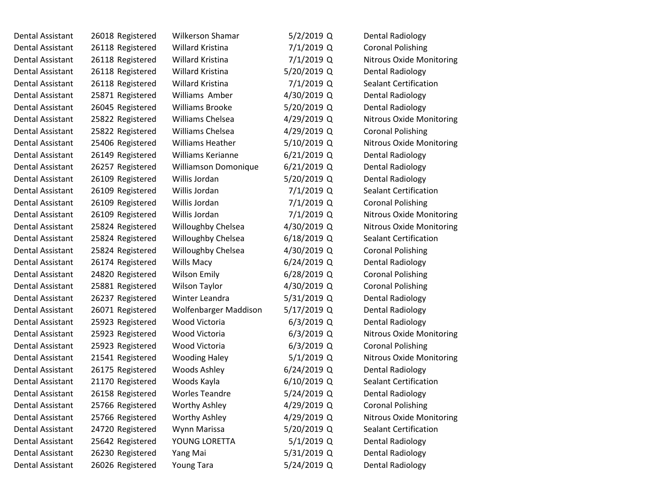| Dental Assistant | 26018 Registered | Wilkerson Shamar            | $5/2/2019$ Q  | <b>Dental Radiology</b>         |  |
|------------------|------------------|-----------------------------|---------------|---------------------------------|--|
| Dental Assistant | 26118 Registered | Willard Kristina            | 7/1/2019 Q    | <b>Coronal Polishing</b>        |  |
| Dental Assistant | 26118 Registered | Willard Kristina            | 7/1/2019 Q    | <b>Nitrous Oxide Monitoring</b> |  |
| Dental Assistant | 26118 Registered | Willard Kristina            | 5/20/2019 Q   | <b>Dental Radiology</b>         |  |
| Dental Assistant | 26118 Registered | Willard Kristina            | 7/1/2019 Q    | <b>Sealant Certification</b>    |  |
| Dental Assistant | 25871 Registered | Williams Amber              | 4/30/2019 Q   | <b>Dental Radiology</b>         |  |
| Dental Assistant | 26045 Registered | <b>Williams Brooke</b>      | 5/20/2019 Q   | <b>Dental Radiology</b>         |  |
| Dental Assistant | 25822 Registered | Williams Chelsea            | 4/29/2019 Q   | <b>Nitrous Oxide Monitoring</b> |  |
| Dental Assistant | 25822 Registered | Williams Chelsea            | 4/29/2019 Q   | <b>Coronal Polishing</b>        |  |
| Dental Assistant | 25406 Registered | <b>Williams Heather</b>     | 5/10/2019 Q   | <b>Nitrous Oxide Monitoring</b> |  |
| Dental Assistant | 26149 Registered | <b>Williams Kerianne</b>    | $6/21/2019$ Q | <b>Dental Radiology</b>         |  |
| Dental Assistant | 26257 Registered | <b>Williamson Domonique</b> | $6/21/2019$ Q | Dental Radiology                |  |
| Dental Assistant | 26109 Registered | Willis Jordan               | 5/20/2019 Q   | <b>Dental Radiology</b>         |  |
| Dental Assistant | 26109 Registered | Willis Jordan               | 7/1/2019 Q    | <b>Sealant Certification</b>    |  |
| Dental Assistant | 26109 Registered | Willis Jordan               | 7/1/2019 Q    | <b>Coronal Polishing</b>        |  |
| Dental Assistant | 26109 Registered | Willis Jordan               | 7/1/2019 Q    | <b>Nitrous Oxide Monitoring</b> |  |
| Dental Assistant | 25824 Registered | Willoughby Chelsea          | 4/30/2019 Q   | <b>Nitrous Oxide Monitoring</b> |  |
| Dental Assistant | 25824 Registered | Willoughby Chelsea          | $6/18/2019$ Q | <b>Sealant Certification</b>    |  |
| Dental Assistant | 25824 Registered | Willoughby Chelsea          | 4/30/2019 Q   | <b>Coronal Polishing</b>        |  |
| Dental Assistant | 26174 Registered | Wills Macy                  | $6/24/2019$ Q | <b>Dental Radiology</b>         |  |
| Dental Assistant | 24820 Registered | <b>Wilson Emily</b>         | $6/28/2019$ Q | <b>Coronal Polishing</b>        |  |
| Dental Assistant | 25881 Registered | <b>Wilson Taylor</b>        | 4/30/2019 Q   | <b>Coronal Polishing</b>        |  |
| Dental Assistant | 26237 Registered | Winter Leandra              | 5/31/2019 Q   | <b>Dental Radiology</b>         |  |
| Dental Assistant | 26071 Registered | Wolfenbarger Maddison       | 5/17/2019 Q   | <b>Dental Radiology</b>         |  |
| Dental Assistant | 25923 Registered | Wood Victoria               | $6/3/2019$ Q  | <b>Dental Radiology</b>         |  |
| Dental Assistant | 25923 Registered | Wood Victoria               | $6/3/2019$ Q  | <b>Nitrous Oxide Monitoring</b> |  |
| Dental Assistant | 25923 Registered | Wood Victoria               | $6/3/2019$ Q  | <b>Coronal Polishing</b>        |  |
| Dental Assistant | 21541 Registered | <b>Wooding Haley</b>        | $5/1/2019$ Q  | <b>Nitrous Oxide Monitoring</b> |  |
| Dental Assistant | 26175 Registered | Woods Ashley                | $6/24/2019$ Q | <b>Dental Radiology</b>         |  |
| Dental Assistant | 21170 Registered | Woods Kayla                 | 6/10/2019 Q   | Sealant Certification           |  |
| Dental Assistant | 26158 Registered | <b>Worles Teandre</b>       | 5/24/2019 Q   | <b>Dental Radiology</b>         |  |
| Dental Assistant | 25766 Registered | <b>Worthy Ashley</b>        | 4/29/2019 Q   | <b>Coronal Polishing</b>        |  |
| Dental Assistant | 25766 Registered | <b>Worthy Ashley</b>        | 4/29/2019 Q   | Nitrous Oxide Monitoring        |  |
| Dental Assistant | 24720 Registered | Wynn Marissa                | 5/20/2019 Q   | <b>Sealant Certification</b>    |  |
| Dental Assistant | 25642 Registered | YOUNG LORETTA               | $5/1/2019$ Q  | <b>Dental Radiology</b>         |  |
| Dental Assistant | 26230 Registered | Yang Mai                    | 5/31/2019 Q   | <b>Dental Radiology</b>         |  |
| Dental Assistant | 26026 Registered | Young Tara                  | 5/24/2019 Q   | <b>Dental Radiology</b>         |  |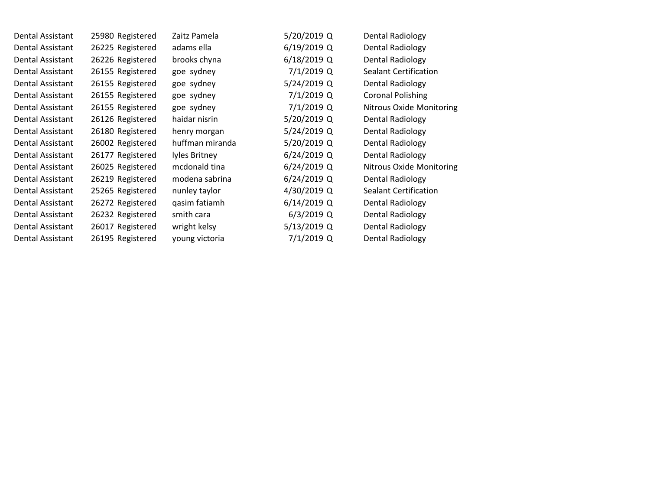| Dental Assistant | 25980 Registered | Zaitz Pamela    | 5/20/2019 Q   | Dental Radiology                |
|------------------|------------------|-----------------|---------------|---------------------------------|
| Dental Assistant | 26225 Registered | adams ella      | $6/19/2019$ Q | <b>Dental Radiology</b>         |
| Dental Assistant | 26226 Registered | brooks chyna    | 6/18/2019 Q   | Dental Radiology                |
| Dental Assistant | 26155 Registered | goe sydney      | 7/1/2019 Q    | Sealant Certification           |
| Dental Assistant | 26155 Registered | goe sydney      | 5/24/2019 Q   | <b>Dental Radiology</b>         |
| Dental Assistant | 26155 Registered | goe sydney      | 7/1/2019 Q    | <b>Coronal Polishing</b>        |
| Dental Assistant | 26155 Registered | goe sydney      | 7/1/2019 Q    | <b>Nitrous Oxide Monitoring</b> |
| Dental Assistant | 26126 Registered | haidar nisrin   | 5/20/2019 Q   | Dental Radiology                |
| Dental Assistant | 26180 Registered | henry morgan    | 5/24/2019 Q   | <b>Dental Radiology</b>         |
| Dental Assistant | 26002 Registered | huffman miranda | 5/20/2019 Q   | Dental Radiology                |
| Dental Assistant | 26177 Registered | lyles Britney   | 6/24/2019 Q   | Dental Radiology                |
| Dental Assistant | 26025 Registered | mcdonald tina   | 6/24/2019 Q   | <b>Nitrous Oxide Monitoring</b> |
| Dental Assistant | 26219 Registered | modena sabrina  | $6/24/2019$ Q | Dental Radiology                |
| Dental Assistant | 25265 Registered | nunley taylor   | 4/30/2019 Q   | <b>Sealant Certification</b>    |
| Dental Assistant | 26272 Registered | qasim fatiamh   | 6/14/2019 Q   | <b>Dental Radiology</b>         |
| Dental Assistant | 26232 Registered | smith cara      | $6/3/2019$ Q  | Dental Radiology                |
| Dental Assistant | 26017 Registered | wright kelsy    | 5/13/2019 Q   | Dental Radiology                |
| Dental Assistant | 26195 Registered | young victoria  | 7/1/2019 Q    | Dental Radiology                |
|                  |                  |                 |               |                                 |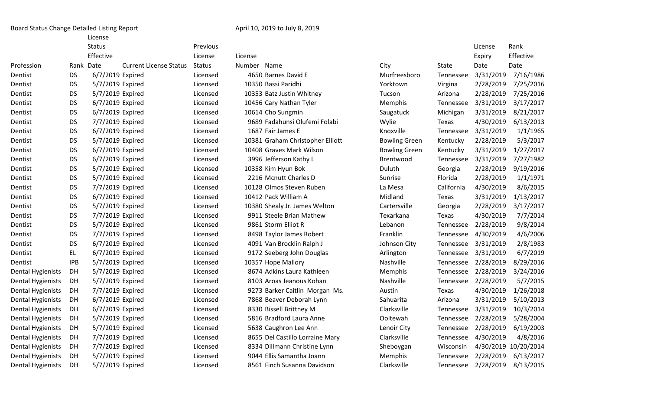License

|                          |            | Status           |                               | Previous      |             |                                  |                      |            | License   | Rank                 |
|--------------------------|------------|------------------|-------------------------------|---------------|-------------|----------------------------------|----------------------|------------|-----------|----------------------|
|                          |            | Effective        |                               | License       | License     |                                  |                      |            | Expiry    | Effective            |
| Profession               | Rank Date  |                  | <b>Current License Status</b> | <b>Status</b> | Number Name |                                  | City                 | State      | Date      | Date                 |
| Dentist                  | <b>DS</b>  | 6/7/2019 Expired |                               | Licensed      |             | 4650 Barnes David E              | Murfreesboro         | Tennessee  | 3/31/2019 | 7/16/1986            |
| Dentist                  | <b>DS</b>  | 5/7/2019 Expired |                               | Licensed      |             | 10350 Bassi Paridhi              | Yorktown             | Virgina    | 2/28/2019 | 7/25/2016            |
| Dentist                  | DS         | 5/7/2019 Expired |                               | Licensed      |             | 10353 Batz Justin Whitney        | Tucson               | Arizona    | 2/28/2019 | 7/25/2016            |
| Dentist                  | <b>DS</b>  | 6/7/2019 Expired |                               | Licensed      |             | 10456 Cary Nathan Tyler          | Memphis              | Tennessee  | 3/31/2019 | 3/17/2017            |
| Dentist                  | DS         | 6/7/2019 Expired |                               | Licensed      |             | 10614 Cho Sungmin                | Saugatuck            | Michigan   | 3/31/2019 | 8/21/2017            |
| Dentist                  | <b>DS</b>  | 7/7/2019 Expired |                               | Licensed      |             | 9689 Fadahunsi Olufemi Folabi    | Wylie                | Texas      | 4/30/2019 | 6/13/2013            |
| Dentist                  | <b>DS</b>  | 6/7/2019 Expired |                               | Licensed      |             | 1687 Fair James E                | Knoxville            | Tennessee  | 3/31/2019 | 1/1/1965             |
| Dentist                  | <b>DS</b>  | 5/7/2019 Expired |                               | Licensed      |             | 10381 Graham Christopher Elliott | <b>Bowling Green</b> | Kentucky   | 2/28/2019 | 5/3/2017             |
| Dentist                  | <b>DS</b>  | 6/7/2019 Expired |                               | Licensed      |             | 10408 Graves Mark Wilson         | <b>Bowling Green</b> | Kentucky   | 3/31/2019 | 1/27/2017            |
| Dentist                  | <b>DS</b>  | 6/7/2019 Expired |                               | Licensed      |             | 3996 Jefferson Kathy L           | Brentwood            | Tennessee  | 3/31/2019 | 7/27/1982            |
| Dentist                  | <b>DS</b>  | 5/7/2019 Expired |                               | Licensed      |             | 10358 Kim Hyun Bok               | Duluth               | Georgia    | 2/28/2019 | 9/19/2016            |
| Dentist                  | <b>DS</b>  | 5/7/2019 Expired |                               | Licensed      |             | 2216 Mcnutt Charles D            | Sunrise              | Florida    | 2/28/2019 | 1/1/1971             |
| Dentist                  | <b>DS</b>  | 7/7/2019 Expired |                               | Licensed      |             | 10128 Olmos Steven Ruben         | La Mesa              | California | 4/30/2019 | 8/6/2015             |
| Dentist                  | <b>DS</b>  | 6/7/2019 Expired |                               | Licensed      |             | 10412 Pack William A             | Midland              | Texas      | 3/31/2019 | 1/13/2017            |
| Dentist                  | <b>DS</b>  | 5/7/2019 Expired |                               | Licensed      |             | 10380 Shealy Jr. James Welton    | Cartersville         | Georgia    | 2/28/2019 | 3/17/2017            |
| Dentist                  | <b>DS</b>  | 7/7/2019 Expired |                               | Licensed      |             | 9911 Steele Brian Mathew         | Texarkana            | Texas      | 4/30/2019 | 7/7/2014             |
| Dentist                  | <b>DS</b>  | 5/7/2019 Expired |                               | Licensed      |             | 9861 Storm Elliot R              | Lebanon              | Tennessee  | 2/28/2019 | 9/8/2014             |
| Dentist                  | <b>DS</b>  | 7/7/2019 Expired |                               | Licensed      |             | 8498 Taylor James Robert         | Franklin             | Tennessee  | 4/30/2019 | 4/6/2006             |
| Dentist                  | <b>DS</b>  | 6/7/2019 Expired |                               | Licensed      |             | 4091 Van Brocklin Ralph J        | Johnson City         | Tennessee  | 3/31/2019 | 2/8/1983             |
| Dentist                  | EL.        | 6/7/2019 Expired |                               | Licensed      |             | 9172 Seeberg John Douglas        | Arlington            | Tennessee  | 3/31/2019 | 6/7/2019             |
| Dentist                  | <b>IPB</b> | 5/7/2019 Expired |                               | Licensed      |             | 10357 Hope Mallory               | Nashville            | Tennessee  | 2/28/2019 | 8/29/2016            |
| <b>Dental Hygienists</b> | DH         | 5/7/2019 Expired |                               | Licensed      |             | 8674 Adkins Laura Kathleen       | Memphis              | Tennessee  | 2/28/2019 | 3/24/2016            |
| <b>Dental Hygienists</b> | DH         | 5/7/2019 Expired |                               | Licensed      |             | 8103 Aroas Jeanous Kohan         | Nashville            | Tennessee  | 2/28/2019 | 5/7/2015             |
| <b>Dental Hygienists</b> | DH         | 7/7/2019 Expired |                               | Licensed      |             | 9273 Barker Caitlin Morgan Ms.   | Austin               | Texas      | 4/30/2019 | 1/26/2018            |
| <b>Dental Hygienists</b> | DH         | 6/7/2019 Expired |                               | Licensed      |             | 7868 Beaver Deborah Lynn         | Sahuarita            | Arizona    | 3/31/2019 | 5/10/2013            |
| <b>Dental Hygienists</b> | DH         | 6/7/2019 Expired |                               | Licensed      |             | 8330 Bissell Brittney M          | Clarksville          | Tennessee  | 3/31/2019 | 10/3/2014            |
| <b>Dental Hygienists</b> | DH         | 5/7/2019 Expired |                               | Licensed      |             | 5816 Bradford Laura Anne         | Ooltewah             | Tennessee  | 2/28/2019 | 5/28/2004            |
| <b>Dental Hygienists</b> | DH         | 5/7/2019 Expired |                               | Licensed      |             | 5638 Caughron Lee Ann            | Lenoir City          | Tennessee  | 2/28/2019 | 6/19/2003            |
| <b>Dental Hygienists</b> | DH         | 7/7/2019 Expired |                               | Licensed      |             | 8655 Del Castillo Lorraine Mary  | Clarksville          | Tennessee  | 4/30/2019 | 4/8/2016             |
| <b>Dental Hygienists</b> | DH         | 7/7/2019 Expired |                               | Licensed      |             | 8334 Dillmann Christine Lynn     | Sheboygan            | Wisconsin  |           | 4/30/2019 10/20/2014 |
| <b>Dental Hygienists</b> | DH         | 5/7/2019 Expired |                               | Licensed      |             | 9044 Ellis Samantha Joann        | Memphis              | Tennessee  | 2/28/2019 | 6/13/2017            |
| Dental Hygienists        | DH         | 5/7/2019 Expired |                               | Licensed      |             | 8561 Finch Susanna Davidson      | Clarksville          | Tennessee  | 2/28/2019 | 8/13/2015            |
|                          |            |                  |                               |               |             |                                  |                      |            |           |                      |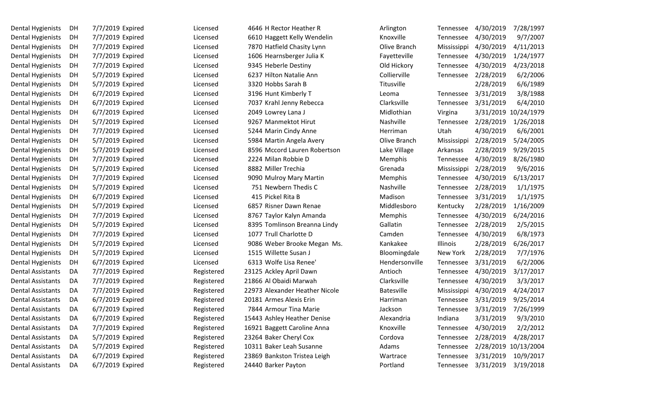| DH | 7/7/2019 Expired | Licensed   | 4646 H Rector Heather R        | Arlington         | Tennessee       | 4/30/2019 | 7/28/1997  |
|----|------------------|------------|--------------------------------|-------------------|-----------------|-----------|------------|
| DH | 7/7/2019 Expired | Licensed   | 6610 Haggett Kelly Wendelin    | Knoxville         | Tennessee       | 4/30/2019 | 9/7/2007   |
| DH | 7/7/2019 Expired | Licensed   | 7870 Hatfield Chasity Lynn     | Olive Branch      | Mississippi     | 4/30/2019 | 4/11/2013  |
| DH | 7/7/2019 Expired | Licensed   | 1606 Hearnsberger Julia K      | Fayetteville      | Tennessee       | 4/30/2019 | 1/24/1977  |
| DH | 7/7/2019 Expired | Licensed   | 9345 Heberle Destiny           | Old Hickory       | Tennessee       | 4/30/2019 | 4/23/2018  |
| DH | 5/7/2019 Expired | Licensed   | 6237 Hilton Natalie Ann        | Collierville      | Tennessee       | 2/28/2019 | 6/2/2006   |
| DH | 5/7/2019 Expired | Licensed   | 3320 Hobbs Sarah B             | Titusville        |                 | 2/28/2019 | 6/6/1989   |
| DH | 6/7/2019 Expired | Licensed   | 3196 Hunt Kimberly T           | Leoma             | Tennessee       | 3/31/2019 | 3/8/1988   |
| DH | 6/7/2019 Expired | Licensed   | 7037 Krahl Jenny Rebecca       | Clarksville       | Tennessee       | 3/31/2019 | 6/4/2010   |
| DH | 6/7/2019 Expired | Licensed   | 2049 Lowrey Lana J             | Midlothian        | Virgina         | 3/31/2019 | 10/24/1979 |
| DH | 5/7/2019 Expired | Licensed   | 9267 Manmektot Hirut           | Nashville         | Tennessee       | 2/28/2019 | 1/26/2018  |
| DH | 7/7/2019 Expired | Licensed   | 5244 Marin Cindy Anne          | Herriman          | Utah            | 4/30/2019 | 6/6/2001   |
| DH | 5/7/2019 Expired | Licensed   | 5984 Martin Angela Avery       | Olive Branch      | Mississippi     | 2/28/2019 | 5/24/2005  |
| DH | 5/7/2019 Expired | Licensed   | 8596 Mccord Lauren Robertson   | Lake Village      | Arkansas        | 2/28/2019 | 9/29/2015  |
| DH | 7/7/2019 Expired | Licensed   | 2224 Milan Robbie D            | Memphis           | Tennessee       | 4/30/2019 | 8/26/1980  |
| DH | 5/7/2019 Expired | Licensed   | 8882 Miller Trechia            | Grenada           | Mississippi     | 2/28/2019 | 9/6/2016   |
| DH | 7/7/2019 Expired | Licensed   | 9090 Mulroy Mary Martin        | Memphis           | Tennessee       | 4/30/2019 | 6/13/2017  |
| DH | 5/7/2019 Expired | Licensed   | 751 Newbern Thedis C           | Nashville         | Tennessee       | 2/28/2019 | 1/1/1975   |
| DH | 6/7/2019 Expired | Licensed   | 415 Pickel Rita B              | Madison           | Tennessee       | 3/31/2019 | 1/1/1975   |
| DH | 5/7/2019 Expired | Licensed   | 6857 Risner Dawn Renae         | Middlesboro       | Kentucky        | 2/28/2019 | 1/16/2009  |
| DH | 7/7/2019 Expired | Licensed   | 8767 Taylor Kalyn Amanda       | Memphis           | Tennessee       | 4/30/2019 | 6/24/2016  |
| DH | 5/7/2019 Expired | Licensed   | 8395 Tomlinson Breanna Lindy   | Gallatin          | Tennessee       | 2/28/2019 | 2/5/2015   |
| DH | 7/7/2019 Expired | Licensed   | 1077 Trull Charlotte D         | Camden            | Tennessee       | 4/30/2019 | 6/8/1973   |
| DH | 5/7/2019 Expired | Licensed   | 9086 Weber Brooke Megan Ms.    | Kankakee          | <b>Illinois</b> | 2/28/2019 | 6/26/2017  |
| DH | 5/7/2019 Expired | Licensed   | 1515 Willette Susan J          | Bloomingdale      | New York        | 2/28/2019 | 7/7/1976   |
| DH | 6/7/2019 Expired | Licensed   | 6313 Wolfe Lisa Renee'         | Hendersonville    | Tennessee       | 3/31/2019 | 6/2/2006   |
| DA | 7/7/2019 Expired | Registered | 23125 Ackley April Dawn        | Antioch           | Tennessee       | 4/30/2019 | 3/17/2017  |
| DA | 7/7/2019 Expired | Registered | 21866 Al Obaidi Marwah         | Clarksville       | Tennessee       | 4/30/2019 | 3/3/2017   |
| DA | 7/7/2019 Expired | Registered | 22973 Alexander Heather Nicole | <b>Batesville</b> | Mississippi     | 4/30/2019 | 4/24/2017  |
| DA | 6/7/2019 Expired | Registered | 20181 Armes Alexis Erin        | Harriman          | Tennessee       | 3/31/2019 | 9/25/2014  |
| DA | 6/7/2019 Expired | Registered | 7844 Armour Tina Marie         | Jackson           | Tennessee       | 3/31/2019 | 7/26/1999  |
| DA | 6/7/2019 Expired | Registered | 15443 Ashley Heather Denise    | Alexandria        | Indiana         | 3/31/2019 | 9/3/2010   |
| DA | 7/7/2019 Expired | Registered | 16921 Baggett Caroline Anna    | Knoxville         | Tennessee       | 4/30/2019 | 2/2/2012   |
| DA | 5/7/2019 Expired | Registered | 23264 Baker Cheryl Cox         | Cordova           | Tennessee       | 2/28/2019 | 4/28/2017  |
| DA | 5/7/2019 Expired | Registered | 10311 Baker Leah Susanne       | Adams             | Tennessee       | 2/28/2019 | 10/13/2004 |
| DA | 6/7/2019 Expired | Registered | 23869 Bankston Tristea Leigh   | Wartrace          | Tennessee       | 3/31/2019 | 10/9/2017  |
| DA | 6/7/2019 Expired | Registered | 24440 Barker Payton            | Portland          | Tennessee       | 3/31/2019 | 3/19/2018  |
|    |                  |            |                                |                   |                 |           |            |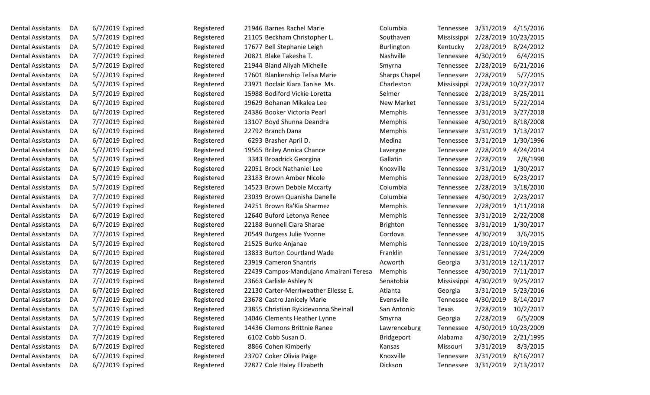| Dental Assistants        | DA | 6/7/2019 Expired | Registered | 21946 Barnes Rachel Marie              | Columbia             | Tennessee   | 3/31/2019<br>4/15/2016  |
|--------------------------|----|------------------|------------|----------------------------------------|----------------------|-------------|-------------------------|
| <b>Dental Assistants</b> | DA | 5/7/2019 Expired | Registered | 21105 Beckham Christopher L.           | Southaven            | Mississippi | 2/28/2019<br>10/23/2015 |
| <b>Dental Assistants</b> | DA | 5/7/2019 Expired | Registered | 17677 Bell Stephanie Leigh             | <b>Burlington</b>    | Kentucky    | 2/28/2019<br>8/24/2012  |
| <b>Dental Assistants</b> | DA | 7/7/2019 Expired | Registered | 20821 Blake Takesha T.                 | Nashville            | Tennessee   | 6/4/2015<br>4/30/2019   |
| <b>Dental Assistants</b> | DA | 5/7/2019 Expired | Registered | 21944 Bland Aliyah Michelle            | Smyrna               | Tennessee   | 6/21/2016<br>2/28/2019  |
| <b>Dental Assistants</b> | DA | 5/7/2019 Expired | Registered | 17601 Blankenship Telisa Marie         | <b>Sharps Chapel</b> | Tennessee   | 5/7/2015<br>2/28/2019   |
| <b>Dental Assistants</b> | DA | 5/7/2019 Expired | Registered | 23971 Boclair Kiara Tanise Ms.         | Charleston           | Mississippi | 2/28/2019 10/27/2017    |
| <b>Dental Assistants</b> | DA | 5/7/2019 Expired | Registered | 15988 Bodiford Vickie Loretta          | Selmer               | Tennessee   | 2/28/2019<br>3/25/2011  |
| <b>Dental Assistants</b> | DA | 6/7/2019 Expired | Registered | 19629 Bohanan Mikalea Lee              | New Market           | Tennessee   | 5/22/2014<br>3/31/2019  |
| <b>Dental Assistants</b> | DA | 6/7/2019 Expired | Registered | 24386 Booker Victoria Pearl            | Memphis              | Tennessee   | 3/27/2018<br>3/31/2019  |
| <b>Dental Assistants</b> | DA | 7/7/2019 Expired | Registered | 13107 Boyd Shunna Deandra              | Memphis              | Tennessee   | 8/18/2008<br>4/30/2019  |
| <b>Dental Assistants</b> | DA | 6/7/2019 Expired | Registered | 22792 Branch Dana                      | Memphis              | Tennessee   | 1/13/2017<br>3/31/2019  |
| <b>Dental Assistants</b> | DA | 6/7/2019 Expired | Registered | 6293 Brasher April D.                  | Medina               | Tennessee   | 3/31/2019<br>1/30/1996  |
| <b>Dental Assistants</b> | DA | 5/7/2019 Expired | Registered | 19565 Briley Annica Chance             | Lavergne             | Tennessee   | 4/24/2014<br>2/28/2019  |
| <b>Dental Assistants</b> | DA | 5/7/2019 Expired | Registered | 3343 Broadrick Georgina                | Gallatin             | Tennessee   | 2/8/1990<br>2/28/2019   |
| <b>Dental Assistants</b> | DA | 6/7/2019 Expired | Registered | 22051 Brock Nathaniel Lee              | Knoxville            | Tennessee   | 1/30/2017<br>3/31/2019  |
| <b>Dental Assistants</b> | DA | 5/7/2019 Expired | Registered | 23183 Brown Amber Nicole               | Memphis              | Tennessee   | 6/23/2017<br>2/28/2019  |
| <b>Dental Assistants</b> | DA | 5/7/2019 Expired | Registered | 14523 Brown Debbie Mccarty             | Columbia             | Tennessee   | 3/18/2010<br>2/28/2019  |
| <b>Dental Assistants</b> | DA | 7/7/2019 Expired | Registered | 23039 Brown Quanisha Danelle           | Columbia             | Tennessee   | 2/23/2017<br>4/30/2019  |
| <b>Dental Assistants</b> | DA | 5/7/2019 Expired | Registered | 24251 Brown Ra'Kia Sharmez             | Memphis              | Tennessee   | 1/11/2018<br>2/28/2019  |
| <b>Dental Assistants</b> | DA | 6/7/2019 Expired | Registered | 12640 Buford Letonya Renee             | Memphis              | Tennessee   | 2/22/2008<br>3/31/2019  |
| <b>Dental Assistants</b> | DA | 6/7/2019 Expired | Registered | 22188 Bunnell Ciara Sharae             | <b>Brighton</b>      | Tennessee   | 1/30/2017<br>3/31/2019  |
| <b>Dental Assistants</b> | DA | 7/7/2019 Expired | Registered | 20549 Burgess Julie Yvonne             | Cordova              | Tennessee   | 4/30/2019<br>3/6/2015   |
| <b>Dental Assistants</b> | DA | 5/7/2019 Expired | Registered | 21525 Burke Anjanae                    | Memphis              | Tennessee   | 10/19/2015<br>2/28/2019 |
| <b>Dental Assistants</b> | DA | 6/7/2019 Expired | Registered | 13833 Burton Courtland Wade            | Franklin             | Tennessee   | 3/31/2019<br>7/24/2009  |
| <b>Dental Assistants</b> | DA | 6/7/2019 Expired | Registered | 23919 Cameron Shantris                 | Acworth              | Georgia     | 3/31/2019 12/11/2017    |
| <b>Dental Assistants</b> | DA | 7/7/2019 Expired | Registered | 22439 Campos-Mandujano Amairani Teresa | Memphis              | Tennessee   | 4/30/2019<br>7/11/2017  |
| <b>Dental Assistants</b> | DA | 7/7/2019 Expired | Registered | 23663 Carlisle Ashley N                | Senatobia            | Mississippi | 4/30/2019<br>9/25/2017  |
| <b>Dental Assistants</b> | DA | 6/7/2019 Expired | Registered | 22130 Carter-Merriweather Ellesse E.   | Atlanta              | Georgia     | 5/23/2016<br>3/31/2019  |
| <b>Dental Assistants</b> | DA | 7/7/2019 Expired | Registered | 23678 Castro Janicely Marie            | Evensville           | Tennessee   | 8/14/2017<br>4/30/2019  |
| <b>Dental Assistants</b> | DA | 5/7/2019 Expired | Registered | 23855 Christian Rykidevonna Sheinall   | San Antonio          | Texas       | 10/2/2017<br>2/28/2019  |
| <b>Dental Assistants</b> | DA | 5/7/2019 Expired | Registered | 14046 Clements Heather Lynne           | Smyrna               | Georgia     | 2/28/2019<br>6/5/2009   |
| <b>Dental Assistants</b> | DA | 7/7/2019 Expired | Registered | 14436 Clemons Brittnie Ranee           | Lawrenceburg         | Tennessee   | 4/30/2019<br>10/23/2009 |
| <b>Dental Assistants</b> | DA | 7/7/2019 Expired | Registered | 6102 Cobb Susan D.                     | <b>Bridgeport</b>    | Alabama     | 4/30/2019<br>2/21/1995  |
| <b>Dental Assistants</b> | DA | 6/7/2019 Expired | Registered | 8866 Cohen Kimberly                    | Kansas               | Missouri    | 3/31/2019<br>8/3/2015   |
| <b>Dental Assistants</b> | DA | 6/7/2019 Expired | Registered | 23707 Coker Olivia Paige               | Knoxville            | Tennessee   | 8/16/2017<br>3/31/2019  |
| <b>Dental Assistants</b> | DA | 6/7/2019 Expired | Registered | 22827 Cole Haley Elizabeth             | Dickson              | Tennessee   | 3/31/2019<br>2/13/2017  |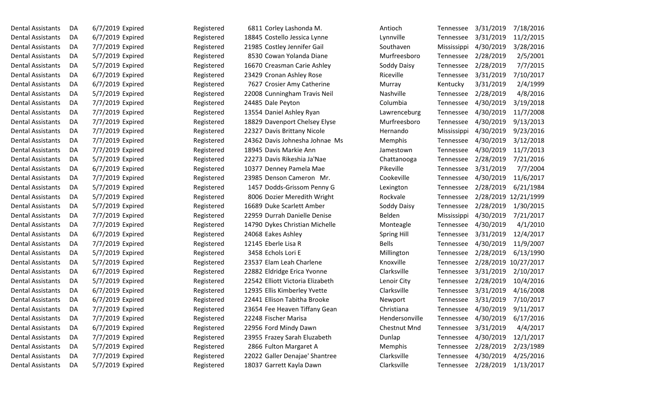| <b>Dental Assistants</b> | DA | 6/7/2019 Expired | Registered | 6811 Corley Lashonda M.          | Antioch            | Tennessee   | 3/31/2019 | 7/18/2016            |
|--------------------------|----|------------------|------------|----------------------------------|--------------------|-------------|-----------|----------------------|
| <b>Dental Assistants</b> | DA | 6/7/2019 Expired | Registered | 18845 Costello Jessica Lynne     | Lynnville          | Tennessee   | 3/31/2019 | 11/2/2015            |
| <b>Dental Assistants</b> | DA | 7/7/2019 Expired | Registered | 21985 Costley Jennifer Gail      | Southaven          | Mississippi | 4/30/2019 | 3/28/2016            |
| <b>Dental Assistants</b> | DA | 5/7/2019 Expired | Registered | 8530 Cowan Yolanda Diane         | Murfreesboro       | Tennessee   | 2/28/2019 | 2/5/2001             |
| <b>Dental Assistants</b> | DA | 5/7/2019 Expired | Registered | 16670 Creasman Carie Ashley      | Soddy Daisy        | Tennessee   | 2/28/2019 | 7/7/2015             |
| <b>Dental Assistants</b> | DA | 6/7/2019 Expired | Registered | 23429 Cronan Ashley Rose         | Riceville          | Tennessee   | 3/31/2019 | 7/10/2017            |
| <b>Dental Assistants</b> | DA | 6/7/2019 Expired | Registered | 7627 Crosier Amy Catherine       | Murray             | Kentucky    | 3/31/2019 | 2/4/1999             |
| <b>Dental Assistants</b> | DA | 5/7/2019 Expired | Registered | 22008 Cunningham Travis Neil     | Nashville          | Tennessee   | 2/28/2019 | 4/8/2016             |
| <b>Dental Assistants</b> | DA | 7/7/2019 Expired | Registered | 24485 Dale Peyton                | Columbia           | Tennessee   | 4/30/2019 | 3/19/2018            |
| <b>Dental Assistants</b> | DA | 7/7/2019 Expired | Registered | 13554 Daniel Ashley Ryan         | Lawrenceburg       | Tennessee   | 4/30/2019 | 11/7/2008            |
| Dental Assistants        | DA | 7/7/2019 Expired | Registered | 18829 Davenport Chelsey Elyse    | Murfreesboro       | Tennessee   | 4/30/2019 | 9/13/2013            |
| <b>Dental Assistants</b> | DA | 7/7/2019 Expired | Registered | 22327 Davis Brittany Nicole      | Hernando           | Mississippi | 4/30/2019 | 9/23/2016            |
| Dental Assistants        | DA | 7/7/2019 Expired | Registered | 24362 Davis Johnesha Johnae Ms   | Memphis            | Tennessee   | 4/30/2019 | 3/12/2018            |
| <b>Dental Assistants</b> | DA | 7/7/2019 Expired | Registered | 18945 Davis Markie Ann           | Jamestown          | Tennessee   | 4/30/2019 | 11/7/2013            |
| Dental Assistants        | DA | 5/7/2019 Expired | Registered | 22273 Davis Rikeshia Ja'Nae      | Chattanooga        | Tennessee   | 2/28/2019 | 7/21/2016            |
| <b>Dental Assistants</b> | DA | 6/7/2019 Expired | Registered | 10377 Denney Pamela Mae          | Pikeville          | Tennessee   | 3/31/2019 | 7/7/2004             |
| <b>Dental Assistants</b> | DA | 7/7/2019 Expired | Registered | 23985 Denson Cameron Mr.         | Cookeville         | Tennessee   | 4/30/2019 | 11/6/2017            |
| <b>Dental Assistants</b> | DA | 5/7/2019 Expired | Registered | 1457 Dodds-Grissom Penny G       | Lexington          | Tennessee   | 2/28/2019 | 6/21/1984            |
| <b>Dental Assistants</b> | DA | 5/7/2019 Expired | Registered | 8006 Dozier Meredith Wright      | Rockvale           | Tennessee   | 2/28/2019 | 12/21/1999           |
| Dental Assistants        | DA | 5/7/2019 Expired | Registered | 16689 Duke Scarlett Amber        | Soddy Daisy        | Tennessee   | 2/28/2019 | 1/30/2015            |
| <b>Dental Assistants</b> | DA | 7/7/2019 Expired | Registered | 22959 Durrah Danielle Denise     | Belden             | Mississippi | 4/30/2019 | 7/21/2017            |
| Dental Assistants        | DA | 7/7/2019 Expired | Registered | 14790 Dykes Christian Michelle   | Monteagle          | Tennessee   | 4/30/2019 | 4/1/2010             |
| Dental Assistants        | DA | 6/7/2019 Expired | Registered | 24068 Eakes Ashley               | <b>Spring Hill</b> | Tennessee   | 3/31/2019 | 12/4/2017            |
| <b>Dental Assistants</b> | DA | 7/7/2019 Expired | Registered | 12145 Eberle Lisa R              | <b>Bells</b>       | Tennessee   | 4/30/2019 | 11/9/2007            |
| Dental Assistants        | DA | 5/7/2019 Expired | Registered | 3458 Echols Lori E               | Millington         | Tennessee   | 2/28/2019 | 6/13/1990            |
| <b>Dental Assistants</b> | DA | 5/7/2019 Expired | Registered | 23537 Elam Leah Charlene         | Knoxville          | Tennessee   |           | 2/28/2019 10/27/2017 |
| Dental Assistants        | DA | 6/7/2019 Expired | Registered | 22882 Eldridge Erica Yvonne      | Clarksville        | Tennessee   | 3/31/2019 | 2/10/2017            |
| <b>Dental Assistants</b> | DA | 5/7/2019 Expired | Registered | 22542 Elliott Victoria Elizabeth | Lenoir City        | Tennessee   | 2/28/2019 | 10/4/2016            |
| <b>Dental Assistants</b> | DA | 6/7/2019 Expired | Registered | 12935 Ellis Kimberley Yvette     | Clarksville        | Tennessee   | 3/31/2019 | 4/16/2008            |
| <b>Dental Assistants</b> | DA | 6/7/2019 Expired | Registered | 22441 Ellison Tabitha Brooke     | Newport            | Tennessee   | 3/31/2019 | 7/10/2017            |
| Dental Assistants        | DA | 7/7/2019 Expired | Registered | 23654 Fee Heaven Tiffany Gean    | Christiana         | Tennessee   | 4/30/2019 | 9/11/2017            |
| <b>Dental Assistants</b> | DA | 7/7/2019 Expired | Registered | 22248 Fischer Marisa             | Hendersonville     | Tennessee   | 4/30/2019 | 6/17/2016            |
| <b>Dental Assistants</b> | DA | 6/7/2019 Expired | Registered | 22956 Ford Mindy Dawn            | Chestnut Mnd       | Tennessee   | 3/31/2019 | 4/4/2017             |
| <b>Dental Assistants</b> | DA | 7/7/2019 Expired | Registered | 23955 Frazey Sarah Eluzabeth     | Dunlap             | Tennessee   | 4/30/2019 | 12/1/2017            |
| <b>Dental Assistants</b> | DA | 5/7/2019 Expired | Registered | 2866 Fulton Margaret A           | Memphis            | Tennessee   | 2/28/2019 | 2/23/1989            |
| <b>Dental Assistants</b> | DA | 7/7/2019 Expired | Registered | 22022 Galler Denajae' Shantree   | Clarksville        | Tennessee   | 4/30/2019 | 4/25/2016            |
| Dental Assistants        | DA | 5/7/2019 Expired | Registered | 18037 Garrett Kayla Dawn         | Clarksville        | Tennessee   | 2/28/2019 | 1/13/2017            |
|                          |    |                  |            |                                  |                    |             |           |                      |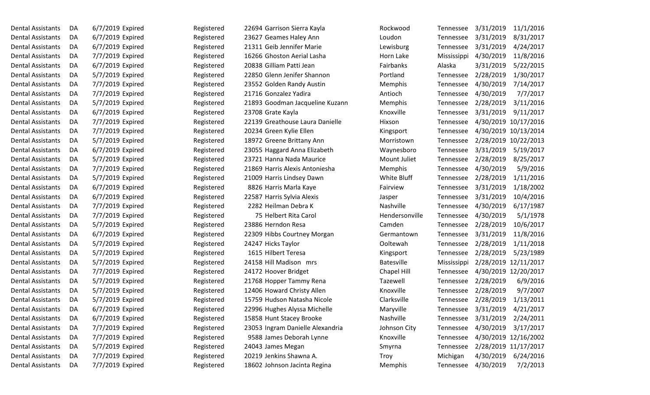| <b>Dental Assistants</b> | DA | 6/7/2019 Expired | Registered | 22694 Garrison Sierra Kayla      | Rockwood          | Tennessee   | 3/31/2019 | 11/1/2016            |
|--------------------------|----|------------------|------------|----------------------------------|-------------------|-------------|-----------|----------------------|
| <b>Dental Assistants</b> | DA | 6/7/2019 Expired | Registered | 23627 Geames Haley Ann           | Loudon            | Tennessee   | 3/31/2019 | 8/31/2017            |
| <b>Dental Assistants</b> | DA | 6/7/2019 Expired | Registered | 21311 Geib Jennifer Marie        | Lewisburg         | Tennessee   | 3/31/2019 | 4/24/2017            |
| <b>Dental Assistants</b> | DA | 7/7/2019 Expired | Registered | 16266 Ghoston Aerial Lasha       | Horn Lake         | Mississippi | 4/30/2019 | 11/8/2016            |
| Dental Assistants        | DA | 6/7/2019 Expired | Registered | 20838 Gilliam Patti Jean         | Fairbanks         | Alaska      | 3/31/2019 | 5/22/2015            |
| <b>Dental Assistants</b> | DA | 5/7/2019 Expired | Registered | 22850 Glenn Jenifer Shannon      | Portland          | Tennessee   | 2/28/2019 | 1/30/2017            |
| <b>Dental Assistants</b> | DA | 7/7/2019 Expired | Registered | 23552 Golden Randy Austin        | Memphis           | Tennessee   | 4/30/2019 | 7/14/2017            |
| <b>Dental Assistants</b> | DA | 7/7/2019 Expired | Registered | 21716 Gonzalez Yadira            | Antioch           | Tennessee   | 4/30/2019 | 7/7/2017             |
| <b>Dental Assistants</b> | DA | 5/7/2019 Expired | Registered | 21893 Goodman Jacqueline Kuzann  | Memphis           | Tennessee   | 2/28/2019 | 3/11/2016            |
| <b>Dental Assistants</b> | DA | 6/7/2019 Expired | Registered | 23708 Grate Kayla                | Knoxville         | Tennessee   | 3/31/2019 | 9/11/2017            |
| <b>Dental Assistants</b> | DA | 7/7/2019 Expired | Registered | 22139 Greathouse Laura Danielle  | Hixson            | Tennessee   |           | 4/30/2019 10/17/2016 |
| <b>Dental Assistants</b> | DA | 7/7/2019 Expired | Registered | 20234 Green Kylie Ellen          | Kingsport         | Tennessee   |           | 4/30/2019 10/13/2014 |
| <b>Dental Assistants</b> | DA | 5/7/2019 Expired | Registered | 18972 Greene Brittany Ann        | Morristown        | Tennessee   |           | 2/28/2019 10/22/2013 |
| <b>Dental Assistants</b> | DA | 6/7/2019 Expired | Registered | 23055 Haggard Anna Elizabeth     | Waynesboro        | Tennessee   | 3/31/2019 | 5/19/2017            |
| <b>Dental Assistants</b> | DA | 5/7/2019 Expired | Registered | 23721 Hanna Nada Maurice         | Mount Juliet      | Tennessee   | 2/28/2019 | 8/25/2017            |
| <b>Dental Assistants</b> | DA | 7/7/2019 Expired | Registered | 21869 Harris Alexis Antoniesha   | Memphis           | Tennessee   | 4/30/2019 | 5/9/2016             |
| <b>Dental Assistants</b> | DA | 5/7/2019 Expired | Registered | 21009 Harris Lindsey Dawn        | White Bluff       | Tennessee   | 2/28/2019 | 1/11/2016            |
| <b>Dental Assistants</b> | DA | 6/7/2019 Expired | Registered | 8826 Harris Marla Kaye           | Fairview          | Tennessee   | 3/31/2019 | 1/18/2002            |
| <b>Dental Assistants</b> | DA | 6/7/2019 Expired | Registered | 22587 Harris Sylvia Alexis       | Jasper            | Tennessee   | 3/31/2019 | 10/4/2016            |
| <b>Dental Assistants</b> | DA | 7/7/2019 Expired | Registered | 2282 Heilman Debra K             | Nashville         | Tennessee   | 4/30/2019 | 6/17/1987            |
| <b>Dental Assistants</b> | DA | 7/7/2019 Expired | Registered | 75 Helbert Rita Carol            | Hendersonville    | Tennessee   | 4/30/2019 | 5/1/1978             |
| <b>Dental Assistants</b> | DA | 5/7/2019 Expired | Registered | 23886 Herndon Resa               | Camden            | Tennessee   | 2/28/2019 | 10/6/2017            |
| <b>Dental Assistants</b> | DA | 6/7/2019 Expired | Registered | 22309 Hibbs Courtney Morgan      | Germantown        | Tennessee   | 3/31/2019 | 11/8/2016            |
| <b>Dental Assistants</b> | DA | 5/7/2019 Expired | Registered | 24247 Hicks Taylor               | Ooltewah          | Tennessee   | 2/28/2019 | 1/11/2018            |
| <b>Dental Assistants</b> | DA | 5/7/2019 Expired | Registered | 1615 Hilbert Teresa              | Kingsport         | Tennessee   | 2/28/2019 | 5/23/1989            |
| <b>Dental Assistants</b> | DA | 5/7/2019 Expired | Registered | 24158 Hill Madison mrs           | <b>Batesville</b> | Mississippi |           | 2/28/2019 12/11/2017 |
| <b>Dental Assistants</b> | DA | 7/7/2019 Expired | Registered | 24172 Hoover Bridget             | Chapel Hill       | Tennessee   |           | 4/30/2019 12/20/2017 |
| <b>Dental Assistants</b> | DA | 5/7/2019 Expired | Registered | 21768 Hopper Tammy Rena          | Tazewell          | Tennessee   | 2/28/2019 | 6/9/2016             |
| <b>Dental Assistants</b> | DA | 5/7/2019 Expired | Registered | 12406 Howard Christy Allen       | Knoxville         | Tennessee   | 2/28/2019 | 9/7/2007             |
| <b>Dental Assistants</b> | DA | 5/7/2019 Expired | Registered | 15759 Hudson Natasha Nicole      | Clarksville       | Tennessee   | 2/28/2019 | 1/13/2011            |
| <b>Dental Assistants</b> | DA | 6/7/2019 Expired | Registered | 22996 Hughes Alyssa Michelle     | Maryville         | Tennessee   | 3/31/2019 | 4/21/2017            |
| <b>Dental Assistants</b> | DA | 6/7/2019 Expired | Registered | 15858 Hunt Stacey Brooke         | Nashville         | Tennessee   | 3/31/2019 | 2/24/2011            |
| <b>Dental Assistants</b> | DA | 7/7/2019 Expired | Registered | 23053 Ingram Danielle Alexandria | Johnson City      | Tennessee   | 4/30/2019 | 3/17/2017            |
| <b>Dental Assistants</b> | DA | 7/7/2019 Expired | Registered | 9588 James Deborah Lynne         | Knoxville         | Tennessee   |           | 4/30/2019 12/16/2002 |
| <b>Dental Assistants</b> | DA | 5/7/2019 Expired | Registered | 24043 James Megan                | Smyrna            | Tennessee   |           | 2/28/2019 11/17/2017 |
| <b>Dental Assistants</b> | DA | 7/7/2019 Expired | Registered | 20219 Jenkins Shawna A.          | Troy              | Michigan    | 4/30/2019 | 6/24/2016            |
| Dental Assistants        | DA | 7/7/2019 Expired | Registered | 18602 Johnson Jacinta Regina     | Memphis           | Tennessee   | 4/30/2019 | 7/2/2013             |
|                          |    |                  |            |                                  |                   |             |           |                      |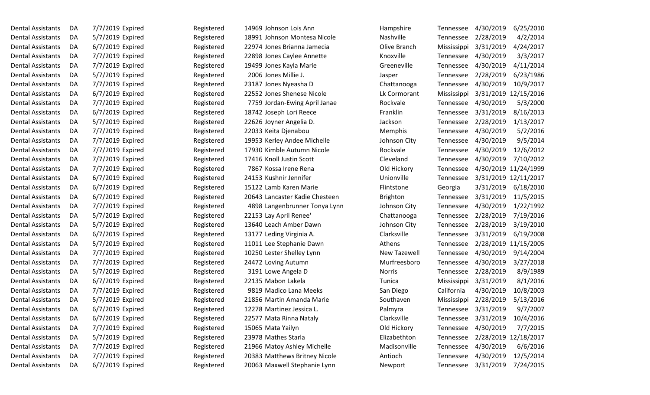| <b>Dental Assistants</b> | DA | 7/7/2019 Expired | Registered | 14969 Johnson Lois Ann         | Hampshire       | Tennessee   | 4/30/2019            | 6/25/2010            |
|--------------------------|----|------------------|------------|--------------------------------|-----------------|-------------|----------------------|----------------------|
| Dental Assistants        | DA | 5/7/2019 Expired | Registered | 18991 Johnson Montesa Nicole   | Nashville       | Tennessee   | 2/28/2019            | 4/2/2014             |
| Dental Assistants        | DA | 6/7/2019 Expired | Registered | 22974 Jones Brianna Jamecia    | Olive Branch    | Mississippi | 3/31/2019            | 4/24/2017            |
| <b>Dental Assistants</b> | DA | 7/7/2019 Expired | Registered | 22898 Jones Caylee Annette     | Knoxville       | Tennessee   | 4/30/2019            | 3/3/2017             |
| Dental Assistants        | DA | 7/7/2019 Expired | Registered | 19499 Jones Kayla Marie        | Greeneville     | Tennessee   | 4/30/2019            | 4/11/2014            |
| <b>Dental Assistants</b> | DA | 5/7/2019 Expired | Registered | 2006 Jones Millie J.           | Jasper          | Tennessee   | 2/28/2019            | 6/23/1986            |
| Dental Assistants        | DA | 7/7/2019 Expired | Registered | 23187 Jones Nyeasha D          | Chattanooga     | Tennessee   | 4/30/2019            | 10/9/2017            |
| <b>Dental Assistants</b> | DA | 6/7/2019 Expired | Registered | 22552 Jones Shenese Nicole     | Lk Cormorant    | Mississippi |                      | 3/31/2019 12/15/2016 |
| <b>Dental Assistants</b> | DA | 7/7/2019 Expired | Registered | 7759 Jordan-Ewing April Janae  | Rockvale        | Tennessee   | 4/30/2019            | 5/3/2000             |
| Dental Assistants        | DA | 6/7/2019 Expired | Registered | 18742 Joseph Lori Reece        | Franklin        | Tennessee   | 3/31/2019            | 8/16/2013            |
| Dental Assistants        | DA | 5/7/2019 Expired | Registered | 22626 Joyner Angelia D.        | Jackson         | Tennessee   | 2/28/2019            | 1/13/2017            |
| <b>Dental Assistants</b> | DA | 7/7/2019 Expired | Registered | 22033 Keita Djenabou           | Memphis         | Tennessee   | 4/30/2019            | 5/2/2016             |
| <b>Dental Assistants</b> | DA | 7/7/2019 Expired | Registered | 19953 Kerley Andee Michelle    | Johnson City    | Tennessee   | 4/30/2019            | 9/5/2014             |
| <b>Dental Assistants</b> | DA | 7/7/2019 Expired | Registered | 17930 Kimble Autumn Nicole     | Rockvale        | Tennessee   | 4/30/2019            | 12/6/2012            |
| Dental Assistants        | DA | 7/7/2019 Expired | Registered | 17416 Knoll Justin Scott       | Cleveland       | Tennessee   | 4/30/2019            | 7/10/2012            |
| <b>Dental Assistants</b> | DA | 7/7/2019 Expired | Registered | 7867 Kossa Irene Rena          | Old Hickory     | Tennessee   |                      | 4/30/2019 11/24/1999 |
| Dental Assistants        | DA | 6/7/2019 Expired | Registered | 24153 Kushnir Jennifer         | Unionville      | Tennessee   |                      | 3/31/2019 12/11/2017 |
| <b>Dental Assistants</b> | DA | 6/7/2019 Expired | Registered | 15122 Lamb Karen Marie         | Flintstone      | Georgia     | 3/31/2019            | 6/18/2010            |
| Dental Assistants        | DA | 6/7/2019 Expired | Registered | 20643 Lancaster Kadie Chesteen | <b>Brighton</b> | Tennessee   | 3/31/2019            | 11/5/2015            |
| Dental Assistants        | DA | 7/7/2019 Expired | Registered | 4898 Langenbrunner Tonya Lynn  | Johnson City    | Tennessee   | 4/30/2019            | 1/22/1992            |
| Dental Assistants        | DA | 5/7/2019 Expired | Registered | 22153 Lay April Renee'         | Chattanooga     | Tennessee   | 2/28/2019            | 7/19/2016            |
| <b>Dental Assistants</b> | DA | 5/7/2019 Expired | Registered | 13640 Leach Amber Dawn         | Johnson City    | Tennessee   | 2/28/2019            | 3/19/2010            |
| <b>Dental Assistants</b> | DA | 6/7/2019 Expired | Registered | 13177 Leding Virginia A.       | Clarksville     | Tennessee   | 3/31/2019            | 6/19/2008            |
| Dental Assistants        | DA | 5/7/2019 Expired | Registered | 11011 Lee Stephanie Dawn       | Athens          | Tennessee   |                      | 2/28/2019 11/15/2005 |
| Dental Assistants        | DA | 7/7/2019 Expired | Registered | 10250 Lester Shelley Lynn      | New Tazewell    | Tennessee   | 4/30/2019            | 9/14/2004            |
| <b>Dental Assistants</b> | DA | 7/7/2019 Expired | Registered | 24472 Loving Autumn            | Murfreesboro    | Tennessee   | 4/30/2019            | 3/27/2018            |
| Dental Assistants        | DA | 5/7/2019 Expired | Registered | 3191 Lowe Angela D             | <b>Norris</b>   | Tennessee   | 2/28/2019            | 8/9/1989             |
| <b>Dental Assistants</b> | DA | 6/7/2019 Expired | Registered | 22135 Mabon Lakela             | Tunica          | Mississippi | 3/31/2019            | 8/1/2016             |
| <b>Dental Assistants</b> | DA | 7/7/2019 Expired | Registered | 9819 Madico Lana Meeks         | San Diego       | California  | 4/30/2019            | 10/8/2003            |
| <b>Dental Assistants</b> | DA | 5/7/2019 Expired | Registered | 21856 Martin Amanda Marie      | Southaven       | Mississippi | 2/28/2019            | 5/13/2016            |
| <b>Dental Assistants</b> | DA | 6/7/2019 Expired | Registered | 12278 Martinez Jessica L.      | Palmyra         | Tennessee   | 3/31/2019            | 9/7/2007             |
| <b>Dental Assistants</b> | DA | 6/7/2019 Expired | Registered | 22577 Mata Rinna Nataly        | Clarksville     | Tennessee   | 3/31/2019            | 10/4/2016            |
| <b>Dental Assistants</b> | DA | 7/7/2019 Expired | Registered | 15065 Mata Yailyn              | Old Hickory     | Tennessee   | 4/30/2019            | 7/7/2015             |
| <b>Dental Assistants</b> | DA | 5/7/2019 Expired | Registered | 23978 Mathes Starla            | Elizabethton    | Tennessee   | 2/28/2019 12/18/2017 |                      |
| <b>Dental Assistants</b> | DA | 7/7/2019 Expired | Registered | 21966 Matoy Ashley Michelle    | Madisonville    | Tennessee   | 4/30/2019            | 6/6/2016             |
| <b>Dental Assistants</b> | DA | 7/7/2019 Expired | Registered | 20383 Matthews Britney Nicole  | Antioch         | Tennessee   | 4/30/2019            | 12/5/2014            |
| <b>Dental Assistants</b> | DA | 6/7/2019 Expired | Registered | 20063 Maxwell Stephanie Lynn   | Newport         | Tennessee   | 3/31/2019            | 7/24/2015            |
|                          |    |                  |            |                                |                 |             |                      |                      |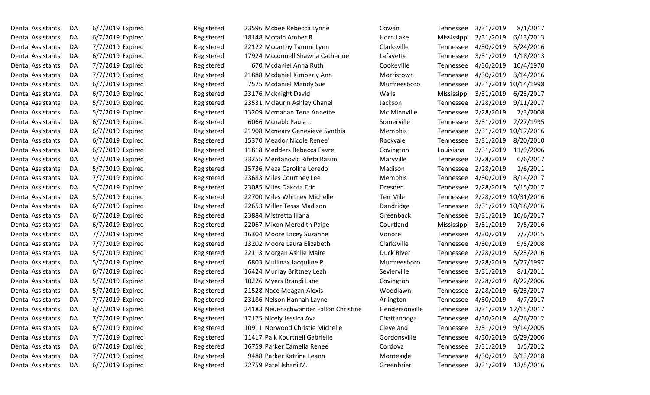| <b>Dental Assistants</b> | DA | 6/7/2019 Expired | Registered | 23596 Mcbee Rebecca Lynne             | Cowan          | Tennessee   | 3/31/2019            | 8/1/2017  |
|--------------------------|----|------------------|------------|---------------------------------------|----------------|-------------|----------------------|-----------|
| <b>Dental Assistants</b> | DA | 6/7/2019 Expired | Registered | 18148 Mccain Amber R                  | Horn Lake      | Mississippi | 3/31/2019            | 6/13/2013 |
| <b>Dental Assistants</b> | DA | 7/7/2019 Expired | Registered | 22122 Mccarthy Tammi Lynn             | Clarksville    | Tennessee   | 4/30/2019            | 5/24/2016 |
| <b>Dental Assistants</b> | DA | 6/7/2019 Expired | Registered | 17924 Mcconnell Shawna Catherine      | Lafayette      | Tennessee   | 3/31/2019            | 1/18/2013 |
| <b>Dental Assistants</b> | DA | 7/7/2019 Expired | Registered | 670 Mcdaniel Anna Ruth                | Cookeville     | Tennessee   | 4/30/2019            | 10/4/1970 |
| <b>Dental Assistants</b> | DA | 7/7/2019 Expired | Registered | 21888 Mcdaniel Kimberly Ann           | Morristown     | Tennessee   | 4/30/2019            | 3/14/2016 |
| <b>Dental Assistants</b> | DA | 6/7/2019 Expired | Registered | 7575 Mcdaniel Mandy Sue               | Murfreesboro   | Tennessee   | 3/31/2019 10/14/1998 |           |
| <b>Dental Assistants</b> | DA | 6/7/2019 Expired | Registered | 23176 Mcknight David                  | Walls          | Mississippi | 3/31/2019            | 6/23/2017 |
| <b>Dental Assistants</b> | DA | 5/7/2019 Expired | Registered | 23531 Mclaurin Ashley Chanel          | Jackson        | Tennessee   | 2/28/2019            | 9/11/2017 |
| Dental Assistants        | DA | 5/7/2019 Expired | Registered | 13209 Mcmahan Tena Annette            | Mc Minnville   | Tennessee   | 2/28/2019            | 7/3/2008  |
| <b>Dental Assistants</b> | DA | 6/7/2019 Expired | Registered | 6066 Mcnabb Paula J.                  | Somerville     | Tennessee   | 3/31/2019            | 2/27/1995 |
| <b>Dental Assistants</b> | DA | 6/7/2019 Expired | Registered | 21908 Mcneary Genevieve Synthia       | Memphis        | Tennessee   | 3/31/2019 10/17/2016 |           |
| <b>Dental Assistants</b> | DA | 6/7/2019 Expired | Registered | 15370 Meador Nicole Renee'            | Rockvale       | Tennessee   | 3/31/2019            | 8/20/2010 |
| <b>Dental Assistants</b> | DA | 6/7/2019 Expired | Registered | 11818 Medders Rebecca Favre           | Covington      | Louisiana   | 3/31/2019            | 11/9/2006 |
| <b>Dental Assistants</b> | DA | 5/7/2019 Expired | Registered | 23255 Merdanovic Rifeta Rasim         | Maryville      | Tennessee   | 2/28/2019            | 6/6/2017  |
| Dental Assistants        | DA | 5/7/2019 Expired | Registered | 15736 Meza Carolina Loredo            | Madison        | Tennessee   | 2/28/2019            | 1/6/2011  |
| <b>Dental Assistants</b> | DA | 7/7/2019 Expired | Registered | 23683 Miles Courtney Lee              | Memphis        | Tennessee   | 4/30/2019            | 8/14/2017 |
| <b>Dental Assistants</b> | DA | 5/7/2019 Expired | Registered | 23085 Miles Dakota Erin               | Dresden        | Tennessee   | 2/28/2019            | 5/15/2017 |
| <b>Dental Assistants</b> | DA | 5/7/2019 Expired | Registered | 22700 Miles Whitney Michelle          | Ten Mile       | Tennessee   | 2/28/2019 10/31/2016 |           |
| <b>Dental Assistants</b> | DA | 6/7/2019 Expired | Registered | 22653 Miller Tessa Madison            | Dandridge      | Tennessee   | 3/31/2019 10/18/2016 |           |
| <b>Dental Assistants</b> | DA | 6/7/2019 Expired | Registered | 23884 Mistretta Illana                | Greenback      | Tennessee   | 3/31/2019            | 10/6/2017 |
| <b>Dental Assistants</b> | DA | 6/7/2019 Expired | Registered | 22067 Mixon Meredith Paige            | Courtland      | Mississippi | 3/31/2019            | 7/5/2016  |
| <b>Dental Assistants</b> | DA | 7/7/2019 Expired | Registered | 16304 Moore Lacey Suzanne             | Vonore         | Tennessee   | 4/30/2019            | 7/7/2015  |
| <b>Dental Assistants</b> | DA | 7/7/2019 Expired | Registered | 13202 Moore Laura Elizabeth           | Clarksville    | Tennessee   | 4/30/2019            | 9/5/2008  |
| <b>Dental Assistants</b> | DA | 5/7/2019 Expired | Registered | 22113 Morgan Ashlie Maire             | Duck River     | Tennessee   | 2/28/2019            | 5/23/2016 |
| <b>Dental Assistants</b> | DA | 5/7/2019 Expired | Registered | 6803 Mullinax Jacquline P.            | Murfreesboro   | Tennessee   | 2/28/2019            | 5/27/1997 |
| <b>Dental Assistants</b> | DA | 6/7/2019 Expired | Registered | 16424 Murray Brittney Leah            | Sevierville    | Tennessee   | 3/31/2019            | 8/1/2011  |
| <b>Dental Assistants</b> | DA | 5/7/2019 Expired | Registered | 10226 Myers Brandi Lane               | Covington      | Tennessee   | 2/28/2019            | 8/22/2006 |
| <b>Dental Assistants</b> | DA | 5/7/2019 Expired | Registered | 21528 Nace Meagan Alexis              | Woodlawn       | Tennessee   | 2/28/2019            | 6/23/2017 |
| <b>Dental Assistants</b> | DA | 7/7/2019 Expired | Registered | 23186 Nelson Hannah Layne             | Arlington      | Tennessee   | 4/30/2019            | 4/7/2017  |
| Dental Assistants        | DA | 6/7/2019 Expired | Registered | 24183 Neuenschwander Fallon Christine | Hendersonville | Tennessee   | 3/31/2019 12/15/2017 |           |
| <b>Dental Assistants</b> | DA | 7/7/2019 Expired | Registered | 17175 Nicely Jessica Ava              | Chattanooga    | Tennessee   | 4/30/2019            | 4/26/2012 |
| <b>Dental Assistants</b> | DA | 6/7/2019 Expired | Registered | 10911 Norwood Christie Michelle       | Cleveland      | Tennessee   | 3/31/2019            | 9/14/2005 |
| Dental Assistants        | DA | 7/7/2019 Expired | Registered | 11417 Palk Kourtneii Gabrielle        | Gordonsville   | Tennessee   | 4/30/2019            | 6/29/2006 |
| <b>Dental Assistants</b> | DA | 6/7/2019 Expired | Registered | 16759 Parker Camelia Renee            | Cordova        | Tennessee   | 3/31/2019            | 1/5/2012  |
| Dental Assistants        | DA | 7/7/2019 Expired | Registered | 9488 Parker Katrina Leann             | Monteagle      | Tennessee   | 4/30/2019            | 3/13/2018 |
| <b>Dental Assistants</b> | DA | 6/7/2019 Expired | Registered | 22759 Patel Ishani M.                 | Greenbrier     | Tennessee   | 3/31/2019            | 12/5/2016 |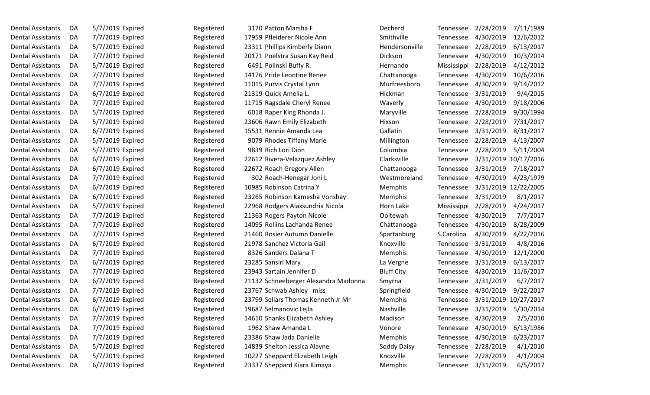| <b>Dental Assistants</b> | DA | 5/7/2019 Expired | Registered | 3120 Patton Marsha F                 | Decherd           | Tennessee   | 2/28/2019 | 7/11/1989            |
|--------------------------|----|------------------|------------|--------------------------------------|-------------------|-------------|-----------|----------------------|
| <b>Dental Assistants</b> | DA | 7/7/2019 Expired | Registered | 17959 Pfleiderer Nicole Ann          | Smithville        | Tennessee   | 4/30/2019 | 12/6/2012            |
| <b>Dental Assistants</b> | DA | 5/7/2019 Expired | Registered | 23311 Phillips Kimberly Diann        | Hendersonville    | Tennessee   | 2/28/2019 | 6/13/2017            |
| <b>Dental Assistants</b> | DA | 7/7/2019 Expired | Registered | 20171 Poelstra Susan Kay Reid        | Dickson           | Tennessee   | 4/30/2019 | 10/3/2014            |
| <b>Dental Assistants</b> | DA | 5/7/2019 Expired | Registered | 6491 Polinski Buffy R.               | Hernando          | Mississippi | 2/28/2019 | 4/12/2012            |
| <b>Dental Assistants</b> | DA | 7/7/2019 Expired | Registered | 14176 Pride Leontine Renee           | Chattanooga       | Tennessee   | 4/30/2019 | 10/6/2016            |
| <b>Dental Assistants</b> | DA | 7/7/2019 Expired | Registered | 11015 Purvis Crystal Lynn            | Murfreesboro      | Tennessee   | 4/30/2019 | 9/14/2012            |
| <b>Dental Assistants</b> | DA | 6/7/2019 Expired | Registered | 21319 Quick Amelia L.                | Hickman           | Tennessee   | 3/31/2019 | 9/4/2015             |
| <b>Dental Assistants</b> | DA | 7/7/2019 Expired | Registered | 11715 Ragsdale Cheryl Renee          | Waverly           | Tennessee   | 4/30/2019 | 9/18/2006            |
| <b>Dental Assistants</b> | DA | 5/7/2019 Expired | Registered | 6018 Raper King Rhonda J.            | Maryville         | Tennessee   | 2/28/2019 | 9/30/1994            |
| <b>Dental Assistants</b> | DA | 5/7/2019 Expired | Registered | 23606 Rawn Emily Elizabeth           | Hixson            | Tennessee   | 2/28/2019 | 7/31/2017            |
| <b>Dental Assistants</b> | DA | 6/7/2019 Expired | Registered | 15531 Rennie Amanda Lea              | Gallatin          | Tennessee   | 3/31/2019 | 8/31/2017            |
| <b>Dental Assistants</b> | DA | 5/7/2019 Expired | Registered | 9079 Rhodes Tiffany Marie            | Millington        | Tennessee   | 2/28/2019 | 4/13/2007            |
| <b>Dental Assistants</b> | DA | 5/7/2019 Expired | Registered | 9839 Rich Lori Dion                  | Columbia          | Tennessee   | 2/28/2019 | 5/11/2004            |
| <b>Dental Assistants</b> | DA | 6/7/2019 Expired | Registered | 22612 Rivera-Velazquez Ashley        | Clarksville       | Tennessee   |           | 3/31/2019 10/17/2016 |
| <b>Dental Assistants</b> | DA | 6/7/2019 Expired | Registered | 22672 Roach Gregory Allen            | Chattanooga       | Tennessee   | 3/31/2019 | 7/18/2017            |
| <b>Dental Assistants</b> | DA | 7/7/2019 Expired | Registered | 302 Roach-Henegar Joni L             | Westmoreland      | Tennessee   | 4/30/2019 | 4/23/1979            |
| <b>Dental Assistants</b> | DA | 6/7/2019 Expired | Registered | 10985 Robinson Catrina Y             | Memphis           | Tennessee   |           | 3/31/2019 12/22/2005 |
| <b>Dental Assistants</b> | DA | 6/7/2019 Expired | Registered | 23265 Robinson Kamesha Vonshay       | Memphis           | Tennessee   | 3/31/2019 | 8/1/2017             |
| <b>Dental Assistants</b> | DA | 5/7/2019 Expired | Registered | 22968 Rodgers Alaxsundria Nicola     | Horn Lake         | Mississippi | 2/28/2019 | 4/24/2017            |
| <b>Dental Assistants</b> | DA | 7/7/2019 Expired | Registered | 21363 Rogers Payton Nicole           | Ooltewah          | Tennessee   | 4/30/2019 | 7/7/2017             |
| <b>Dental Assistants</b> | DA | 7/7/2019 Expired | Registered | 14095 Rollins Lachanda Renee         | Chattanooga       | Tennessee   | 4/30/2019 | 8/28/2009            |
| <b>Dental Assistants</b> | DA | 7/7/2019 Expired | Registered | 21460 Rosier Autumn Danielle         | Spartanburg       | S.Carolina  | 4/30/2019 | 4/22/2016            |
| <b>Dental Assistants</b> | DA | 6/7/2019 Expired | Registered | 21978 Sanchez Victoria Gail          | Knoxville         | Tennessee   | 3/31/2019 | 4/8/2016             |
| <b>Dental Assistants</b> | DA | 7/7/2019 Expired | Registered | 8326 Sanders Dalana T                | Memphis           | Tennessee   | 4/30/2019 | 12/1/2000            |
| <b>Dental Assistants</b> | DA | 6/7/2019 Expired | Registered | 23285 Sansiri Mary                   | La Vergne         | Tennessee   | 3/31/2019 | 6/13/2017            |
| <b>Dental Assistants</b> | DA | 7/7/2019 Expired | Registered | 23943 Sartain Jennifer D             | <b>Bluff City</b> | Tennessee   | 4/30/2019 | 11/6/2017            |
| <b>Dental Assistants</b> | DA | 6/7/2019 Expired | Registered | 21132 Schneeberger Alexandra Madonna | Smyrna            | Tennessee   | 3/31/2019 | 6/7/2017             |
| <b>Dental Assistants</b> | DA | 7/7/2019 Expired | Registered | 23767 Schwab Ashley miss             | Springfield       | Tennessee   | 4/30/2019 | 9/22/2017            |
| <b>Dental Assistants</b> | DA | 6/7/2019 Expired | Registered | 23799 Sellars Thomas Kenneth Jr Mr   | Memphis           | Tennessee   |           | 3/31/2019 10/27/2017 |
| <b>Dental Assistants</b> | DA | 6/7/2019 Expired | Registered | 19687 Selmanovic Lejla               | Nashville         | Tennessee   | 3/31/2019 | 5/30/2014            |
| <b>Dental Assistants</b> | DA | 7/7/2019 Expired | Registered | 14610 Shanks Elizabeth Ashley        | Madison           | Tennessee   | 4/30/2019 | 2/5/2010             |
| <b>Dental Assistants</b> | DA | 7/7/2019 Expired | Registered | 1962 Shaw Amanda L                   | Vonore            | Tennessee   | 4/30/2019 | 6/13/1986            |
| <b>Dental Assistants</b> | DA | 7/7/2019 Expired | Registered | 23386 Shaw Jada Danielle             | Memphis           | Tennessee   | 4/30/2019 | 6/23/2017            |
| <b>Dental Assistants</b> | DA | 5/7/2019 Expired | Registered | 14839 Shelton Jessica Alayne         | Soddy Daisy       | Tennessee   | 2/28/2019 | 4/1/2010             |
| <b>Dental Assistants</b> | DA | 5/7/2019 Expired | Registered | 10227 Sheppard Elizabeth Leigh       | Knoxville         | Tennessee   | 2/28/2019 | 4/1/2004             |
| <b>Dental Assistants</b> | DA | 6/7/2019 Expired | Registered | 23337 Sheppard Kiara Kimaya          | Memphis           | Tennessee   | 3/31/2019 | 6/5/2017             |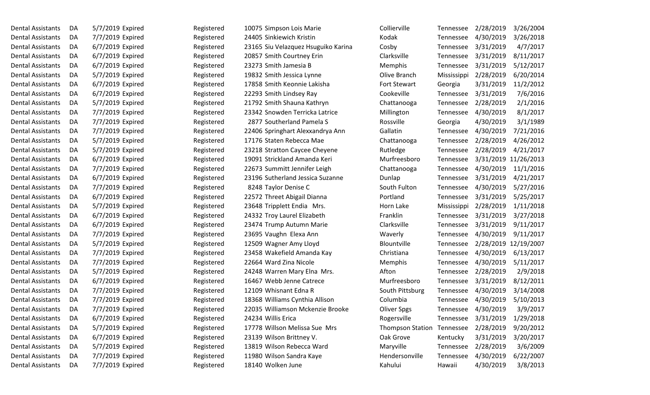| Dental Assistants        | DA | 5/7/2019 Expired | Registered | 10075 Simpson Lois Marie            | Collierville            | Tennessee   | 2/28/2019            | 3/26/2004 |
|--------------------------|----|------------------|------------|-------------------------------------|-------------------------|-------------|----------------------|-----------|
| <b>Dental Assistants</b> | DA | 7/7/2019 Expired | Registered | 24405 Sinkiewich Kristin            | Kodak                   | Tennessee   | 4/30/2019            | 3/26/2018 |
| <b>Dental Assistants</b> | DA | 6/7/2019 Expired | Registered | 23165 Siu Velazquez Hsuguiko Karina | Cosby                   | Tennessee   | 3/31/2019            | 4/7/2017  |
| <b>Dental Assistants</b> | DA | 6/7/2019 Expired | Registered | 20857 Smith Courtney Erin           | Clarksville             | Tennessee   | 3/31/2019            | 8/11/2017 |
| Dental Assistants        | DA | 6/7/2019 Expired | Registered | 23273 Smith Jamesia B               | Memphis                 | Tennessee   | 3/31/2019            | 5/12/2017 |
| <b>Dental Assistants</b> | DA | 5/7/2019 Expired | Registered | 19832 Smith Jessica Lynne           | Olive Branch            | Mississippi | 2/28/2019            | 6/20/2014 |
| <b>Dental Assistants</b> | DA | 6/7/2019 Expired | Registered | 17858 Smith Keonnie Lakisha         | Fort Stewart            | Georgia     | 3/31/2019            | 11/2/2012 |
| <b>Dental Assistants</b> | DA | 6/7/2019 Expired | Registered | 22293 Smith Lindsey Ray             | Cookeville              | Tennessee   | 3/31/2019            | 7/6/2016  |
| <b>Dental Assistants</b> | DA | 5/7/2019 Expired | Registered | 21792 Smith Shauna Kathryn          | Chattanooga             | Tennessee   | 2/28/2019            | 2/1/2016  |
| Dental Assistants        | DA | 7/7/2019 Expired | Registered | 23342 Snowden Terricka Latrice      | Millington              | Tennessee   | 4/30/2019            | 8/1/2017  |
| Dental Assistants        | DA | 7/7/2019 Expired | Registered | 2877 Southerland Pamela S           | Rossville               | Georgia     | 4/30/2019            | 3/1/1989  |
| <b>Dental Assistants</b> | DA | 7/7/2019 Expired | Registered | 22406 Springhart Alexxandrya Ann    | Gallatin                | Tennessee   | 4/30/2019            | 7/21/2016 |
| <b>Dental Assistants</b> | DA | 5/7/2019 Expired | Registered | 17176 Staten Rebecca Mae            | Chattanooga             | Tennessee   | 2/28/2019            | 4/26/2012 |
| <b>Dental Assistants</b> | DA | 5/7/2019 Expired | Registered | 23218 Stratton Caycee Cheyene       | Rutledge                | Tennessee   | 2/28/2019            | 4/21/2017 |
| <b>Dental Assistants</b> | DA | 6/7/2019 Expired | Registered | 19091 Strickland Amanda Keri        | Murfreesboro            | Tennessee   | 3/31/2019 11/26/2013 |           |
| Dental Assistants        | DA | 7/7/2019 Expired | Registered | 22673 Summitt Jennifer Leigh        | Chattanooga             | Tennessee   | 4/30/2019            | 11/1/2016 |
| Dental Assistants        | DA | 6/7/2019 Expired | Registered | 23196 Sutherland Jessica Suzanne    | Dunlap                  | Tennessee   | 3/31/2019            | 4/21/2017 |
| <b>Dental Assistants</b> | DA | 7/7/2019 Expired | Registered | 8248 Taylor Denise C                | South Fulton            | Tennessee   | 4/30/2019            | 5/27/2016 |
| Dental Assistants        | DA | 6/7/2019 Expired | Registered | 22572 Threet Abigail Dianna         | Portland                | Tennessee   | 3/31/2019            | 5/25/2017 |
| <b>Dental Assistants</b> | DA | 5/7/2019 Expired | Registered | 23648 Tripplett Endia Mrs.          | Horn Lake               | Mississippi | 2/28/2019            | 1/11/2018 |
| <b>Dental Assistants</b> | DA | 6/7/2019 Expired | Registered | 24332 Troy Laurel Elizabeth         | Franklin                | Tennessee   | 3/31/2019            | 3/27/2018 |
| Dental Assistants        | DA | 6/7/2019 Expired | Registered | 23474 Trump Autumn Marie            | Clarksville             | Tennessee   | 3/31/2019            | 9/11/2017 |
| <b>Dental Assistants</b> | DA | 7/7/2019 Expired | Registered | 23695 Vaughn Elexa Ann              | Waverly                 | Tennessee   | 4/30/2019            | 9/11/2017 |
| <b>Dental Assistants</b> | DA | 5/7/2019 Expired | Registered | 12509 Wagner Amy Lloyd              | Blountville             | Tennessee   | 2/28/2019 12/19/2007 |           |
| <b>Dental Assistants</b> | DA | 7/7/2019 Expired | Registered | 23458 Wakefield Amanda Kay          | Christiana              | Tennessee   | 4/30/2019            | 6/13/2017 |
| <b>Dental Assistants</b> | DA | 7/7/2019 Expired | Registered | 22664 Ward Zina Nicole              | Memphis                 | Tennessee   | 4/30/2019            | 5/11/2017 |
| <b>Dental Assistants</b> | DA | 5/7/2019 Expired | Registered | 24248 Warren Mary Elna Mrs.         | Afton                   | Tennessee   | 2/28/2019            | 2/9/2018  |
| <b>Dental Assistants</b> | DA | 6/7/2019 Expired | Registered | 16467 Webb Jenne Catrece            | Murfreesboro            | Tennessee   | 3/31/2019            | 8/12/2011 |
| Dental Assistants        | DA | 7/7/2019 Expired | Registered | 12109 Whisnant Edna R               | South Pittsburg         | Tennessee   | 4/30/2019            | 3/14/2008 |
| <b>Dental Assistants</b> | DA | 7/7/2019 Expired | Registered | 18368 Williams Cynthia Allison      | Columbia                | Tennessee   | 4/30/2019            | 5/10/2013 |
| Dental Assistants        | DA | 7/7/2019 Expired | Registered | 22035 Williamson Mckenzie Brooke    | <b>Oliver Spgs</b>      | Tennessee   | 4/30/2019            | 3/9/2017  |
| <b>Dental Assistants</b> | DA | 6/7/2019 Expired | Registered | 24234 Willis Erica                  | Rogersville             | Tennessee   | 3/31/2019            | 1/29/2018 |
| <b>Dental Assistants</b> | DA | 5/7/2019 Expired | Registered | 17778 Willson Melissa Sue Mrs       | <b>Thompson Station</b> | Tennessee   | 2/28/2019            | 9/20/2012 |
| <b>Dental Assistants</b> | DA | 6/7/2019 Expired | Registered | 23139 Wilson Brittney V.            | Oak Grove               | Kentucky    | 3/31/2019            | 3/20/2017 |
| <b>Dental Assistants</b> | DA | 5/7/2019 Expired | Registered | 13819 Wilson Rebecca Ward           | Maryville               | Tennessee   | 2/28/2019            | 3/6/2009  |
| <b>Dental Assistants</b> | DA | 7/7/2019 Expired | Registered | 11980 Wilson Sandra Kaye            | Hendersonville          | Tennessee   | 4/30/2019            | 6/22/2007 |
| Dental Assistants        | DA | 7/7/2019 Expired | Registered | 18140 Wolken June                   | Kahului                 | Hawaii      | 4/30/2019            | 3/8/2013  |